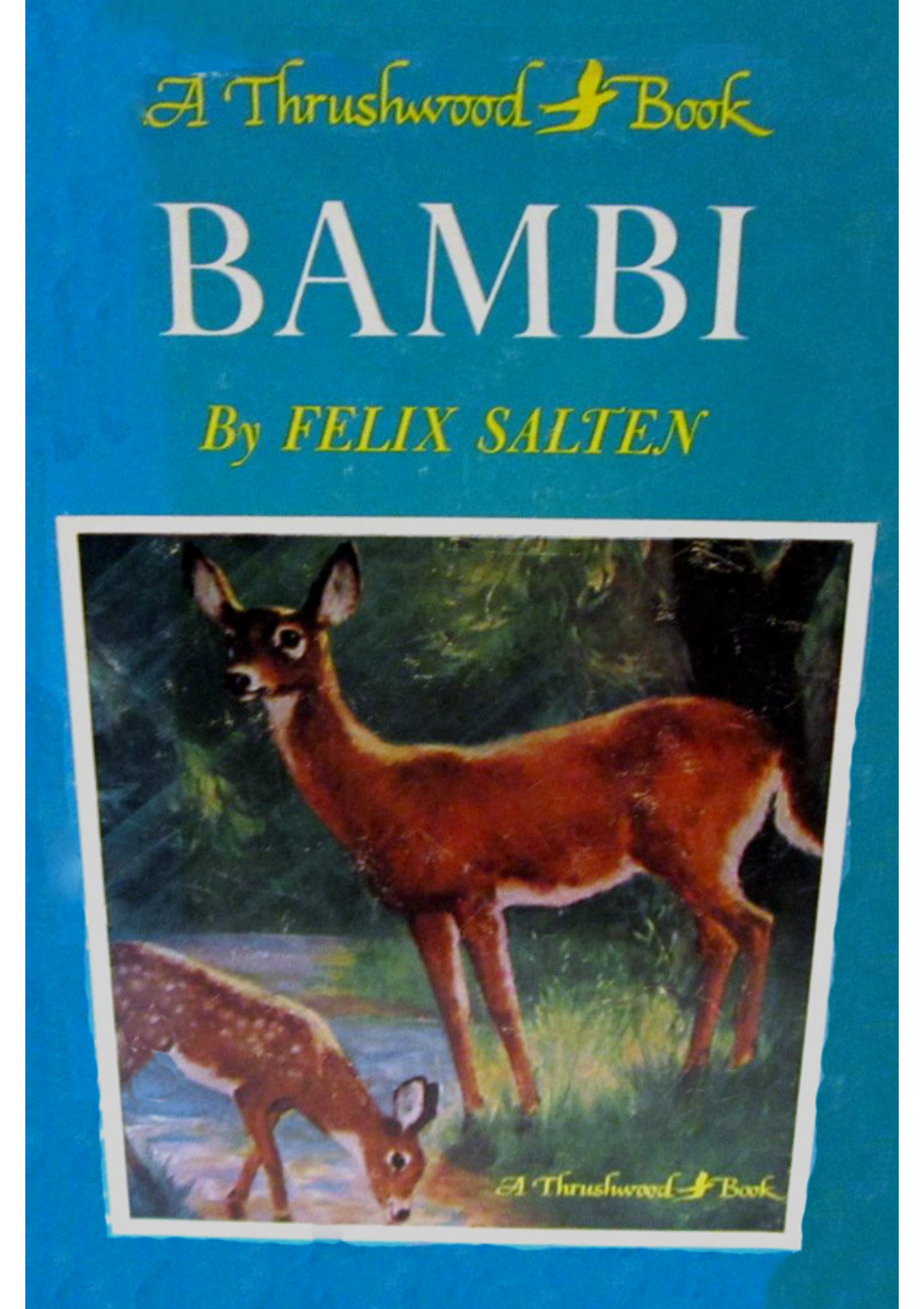

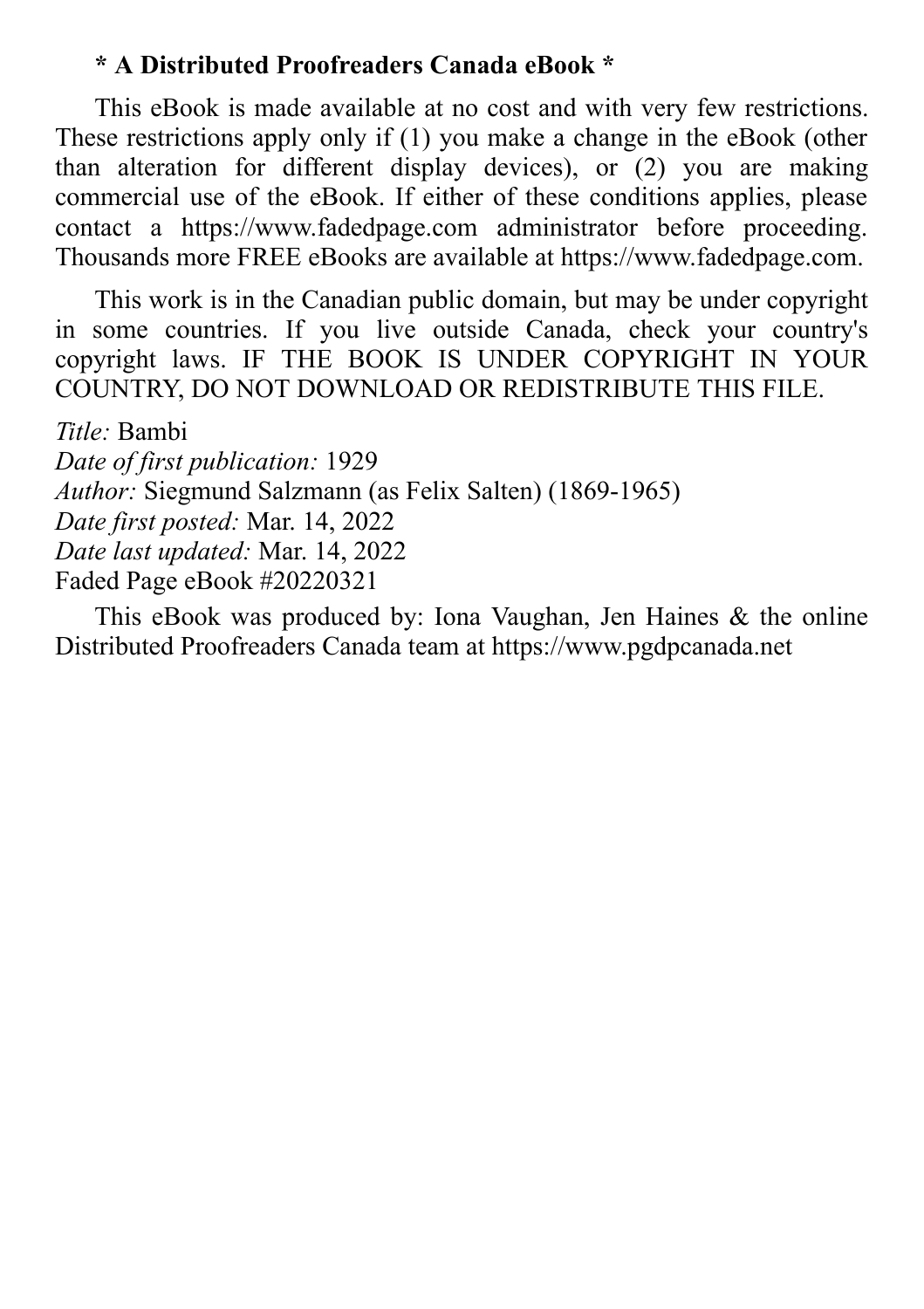#### **\* A Distributed Proofreaders Canada eBook \***

This eBook is made available at no cost and with very few restrictions. These restrictions apply only if (1) you make a change in the eBook (other than alteration for different display devices), or (2) you are making commercial use of the eBook. If either of these conditions applies, please contact a https://www.fadedpage.com administrator before proceeding. Thousands more FREE eBooks are available at https://www.fadedpage.com.

This work is in the Canadian public domain, but may be under copyright in some countries. If you live outside Canada, check your country's copyright laws. IF THE BOOK IS UNDER COPYRIGHT IN YOUR COUNTRY, DO NOT DOWNLOAD OR REDISTRIBUTE THIS FILE.

*Title:* Bambi *Date of first publication:* 1929 *Author:* Siegmund Salzmann (as Felix Salten) (1869-1965) *Date first posted:* Mar. 14, 2022 *Date last updated:* Mar. 14, 2022 Faded Page eBook #20220321

This eBook was produced by: Iona Vaughan, Jen Haines & the online Distributed Proofreaders Canada team at https://www.pgdpcanada.net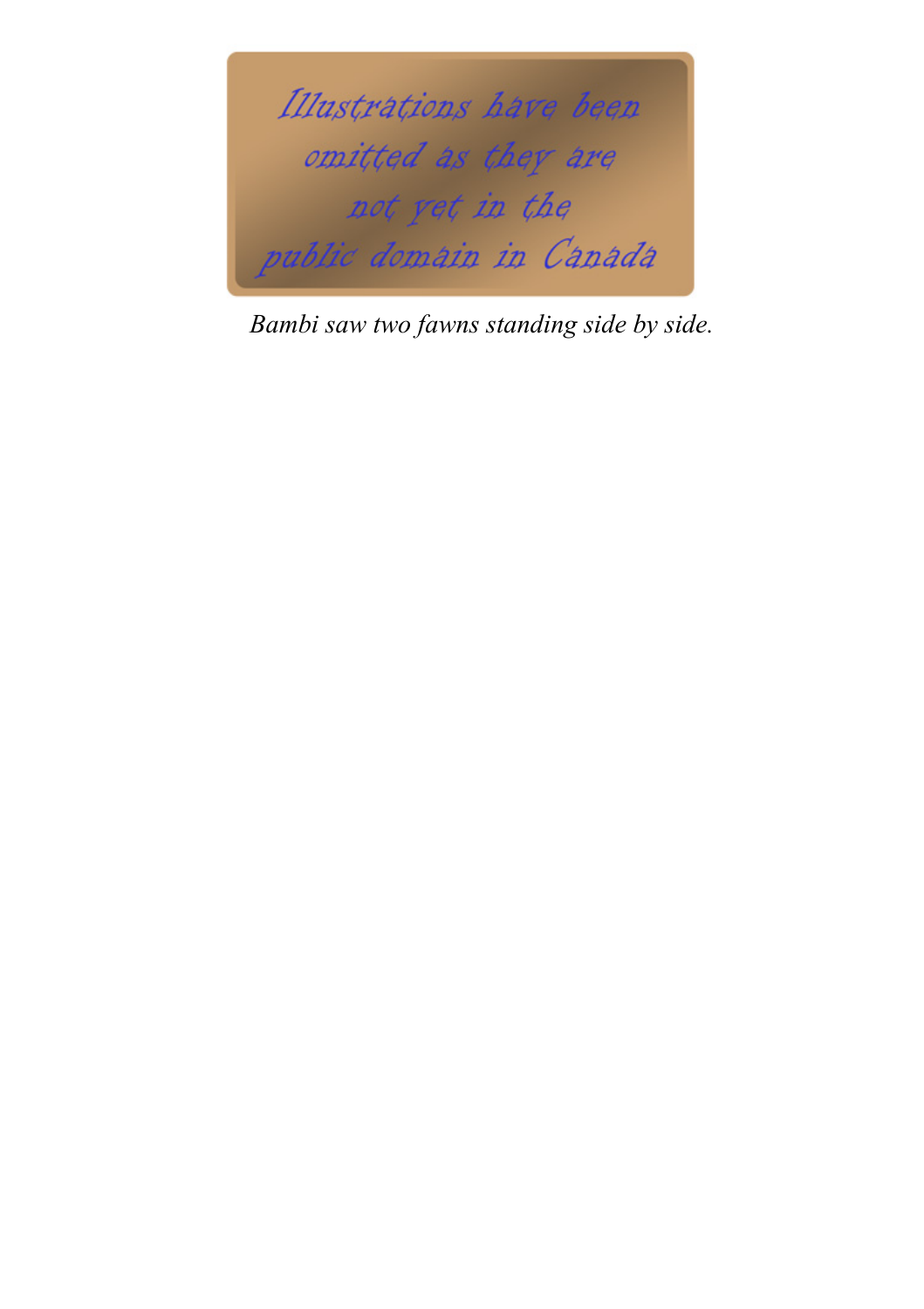

*Bambi saw two fawns standing side by side.*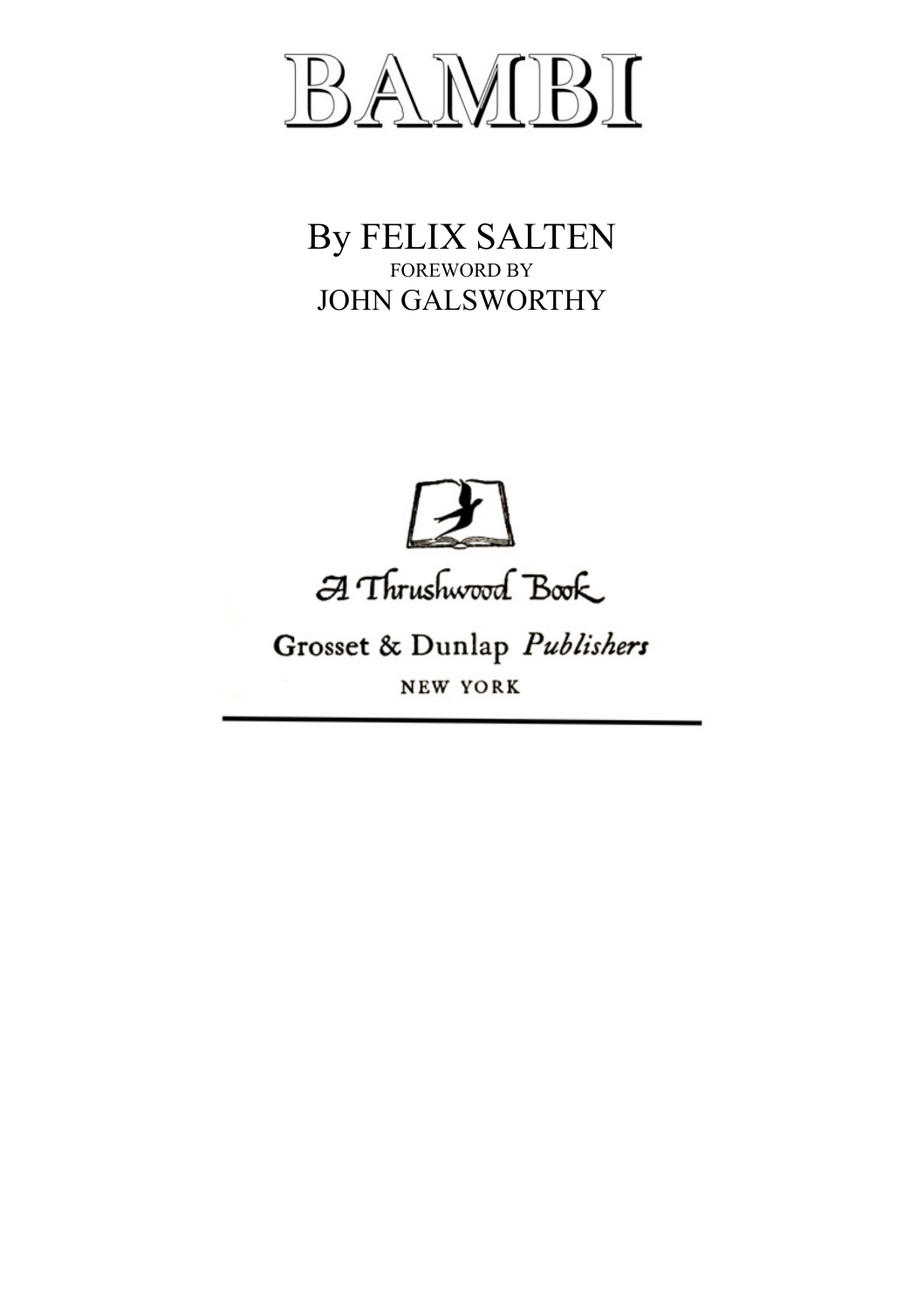

#### By FELIX SALTEN FOREWORD BY JOHN GALSWORTHY



A Thrushwood Book

### Grosset & Dunlap Publishers NEW YORK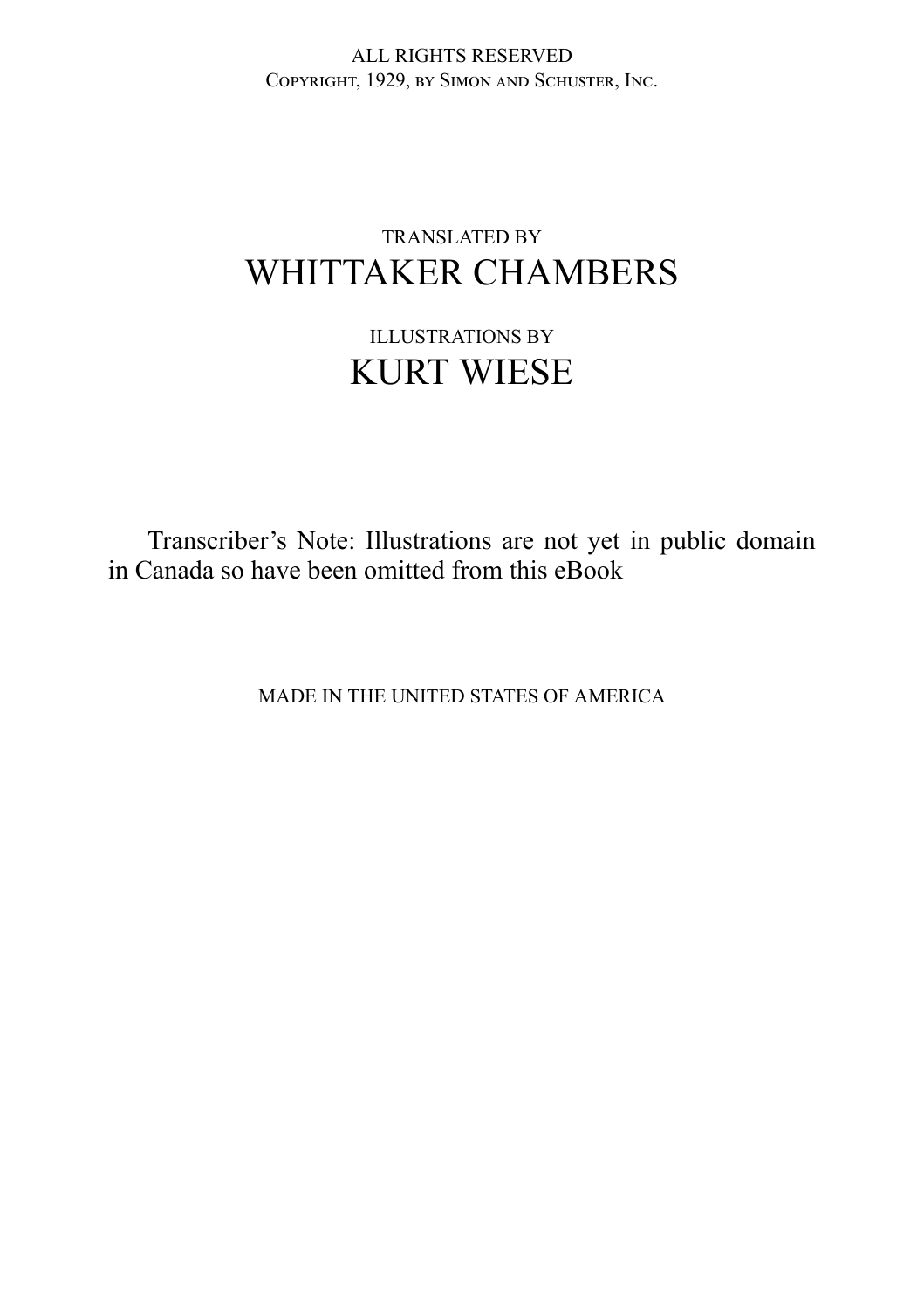ALL RIGHTS RESERVED COPYRIGHT, 1929, BY SIMON AND SCHUSTER, INC.

#### TRANSLATED BY WHITTAKER CHAMBERS

### ILLUSTRATIONS BY KURT WIESE

Transcriber's Note: Illustrations are not yet in public domain in Canada so have been omitted from this eBook

MADE IN THE UNITED STATES OF AMERICA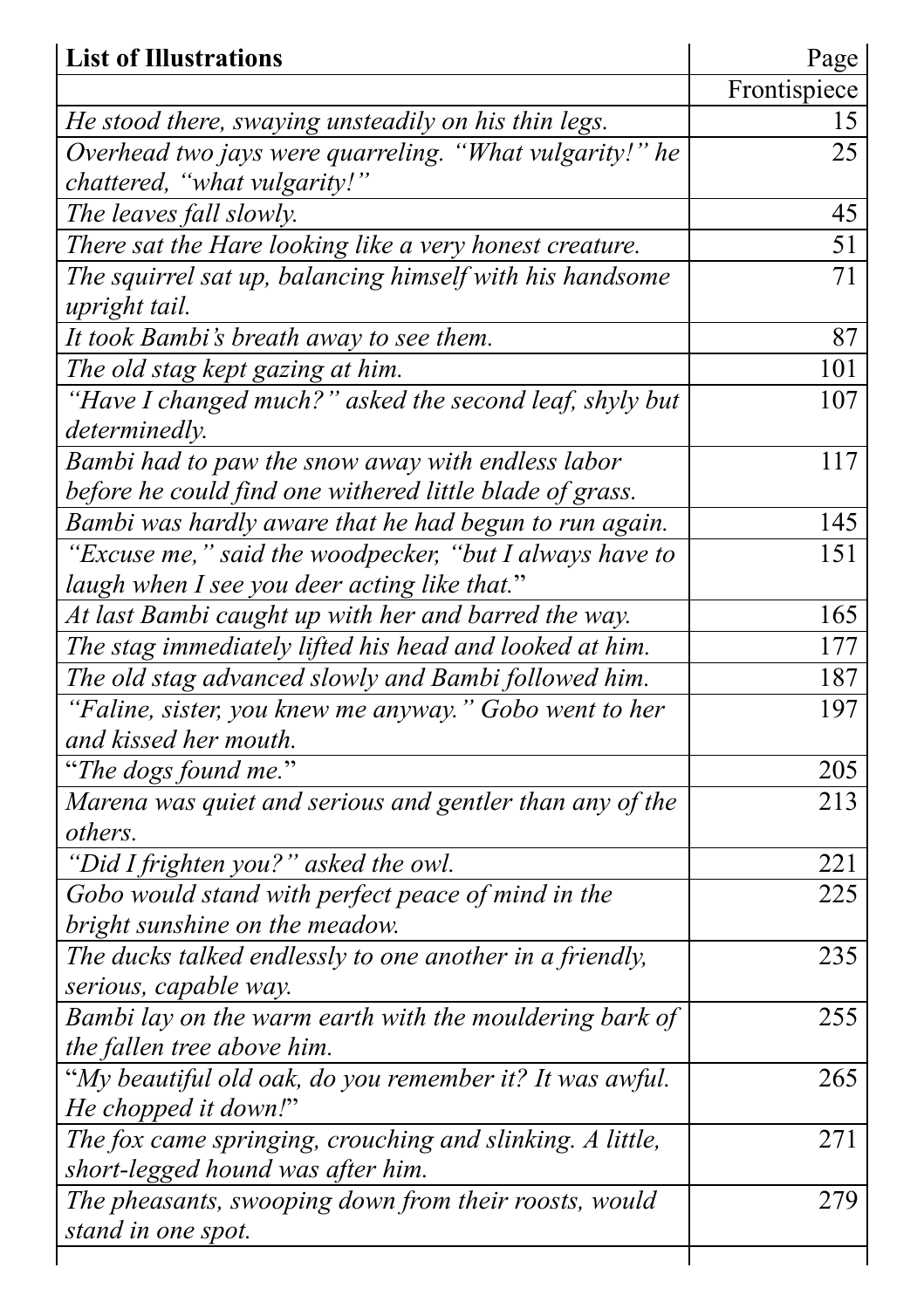| <b>List of Illustrations</b>                              | Page         |
|-----------------------------------------------------------|--------------|
|                                                           | Frontispiece |
| He stood there, swaying unsteadily on his thin legs.      | 15           |
| Overhead two jays were quarreling. "What vulgarity!" he   | 25           |
| chattered, "what vulgarity!"                              |              |
| The leaves fall slowly.                                   | 45           |
| There sat the Hare looking like a very honest creature.   | 51           |
| The squirrel sat up, balancing himself with his handsome  | 71           |
| upright tail.                                             |              |
| It took Bambi's breath away to see them.                  | 87           |
| The old stag kept gazing at him.                          | 101          |
| "Have I changed much?" asked the second leaf, shyly but   | 107          |
| determinedly.                                             |              |
| Bambi had to paw the snow away with endless labor         | 117          |
| before he could find one withered little blade of grass.  |              |
| Bambi was hardly aware that he had begun to run again.    | 145          |
| "Excuse me," said the woodpecker, "but I always have to   | 151          |
| laugh when I see you deer acting like that."              |              |
| At last Bambi caught up with her and barred the way.      | 165          |
| The stag immediately lifted his head and looked at him.   | 177          |
| The old stag advanced slowly and Bambi followed him.      | 187          |
| "Faline, sister, you knew me anyway." Gobo went to her    | 197          |
| and kissed her mouth.                                     |              |
| "The dogs found me."                                      | 205          |
| Marena was quiet and serious and gentler than any of the  | 213          |
| others.                                                   |              |
| "Did I frighten you?" asked the owl.                      | 221          |
| Gobo would stand with perfect peace of mind in the        | 225          |
| bright sunshine on the meadow.                            |              |
| The ducks talked endlessly to one another in a friendly,  | 235          |
| serious, capable way.                                     |              |
| Bambi lay on the warm earth with the mouldering bark of   | 255          |
| the fallen tree above him.                                |              |
| "My beautiful old oak, do you remember it? It was awful.  | 265          |
| He chopped it down!"                                      |              |
| The fox came springing, crouching and slinking. A little, | 271          |
| short-legged hound was after him.                         |              |
| The pheasants, swooping down from their roosts, would     | 279          |
| stand in one spot.                                        |              |
|                                                           |              |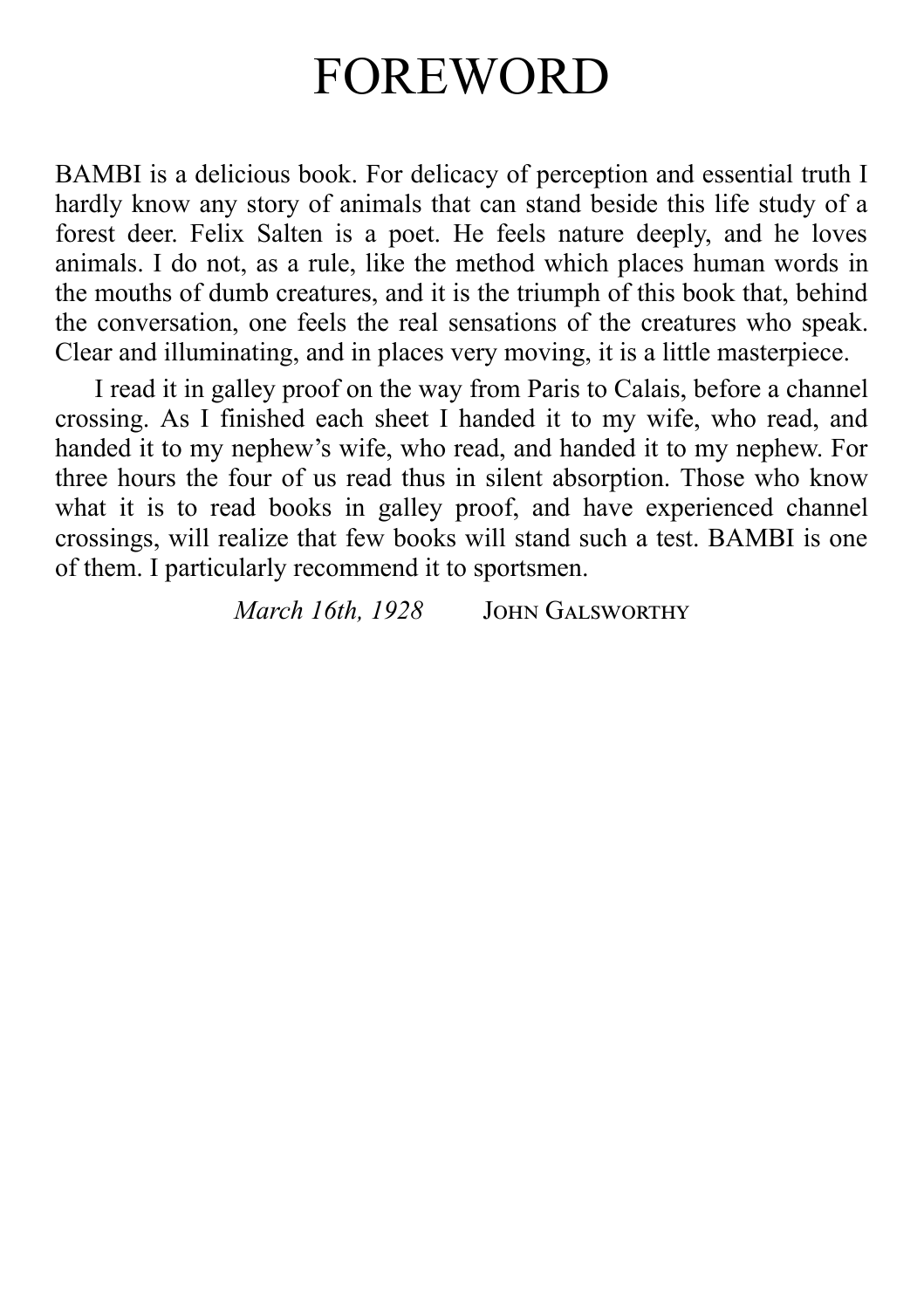### FOREWORD

BAMBI is a delicious book. For delicacy of perception and essential truth I hardly know any story of animals that can stand beside this life study of a forest deer. Felix Salten is a poet. He feels nature deeply, and he loves animals. I do not, as a rule, like the method which places human words in the mouths of dumb creatures, and it is the triumph of this book that, behind the conversation, one feels the real sensations of the creatures who speak. Clear and illuminating, and in places very moving, it is a little masterpiece.

I read it in galley proof on the way from Paris to Calais, before a channel crossing. As I finished each sheet I handed it to my wife, who read, and handed it to my nephew's wife, who read, and handed it to my nephew. For three hours the four of us read thus in silent absorption. Those who know what it is to read books in galley proof, and have experienced channel crossings, will realize that few books will stand such a test. BAMBI is one of them. I particularly recommend it to sportsmen.

*March 16th, 1928* JOHN GALSWORTHY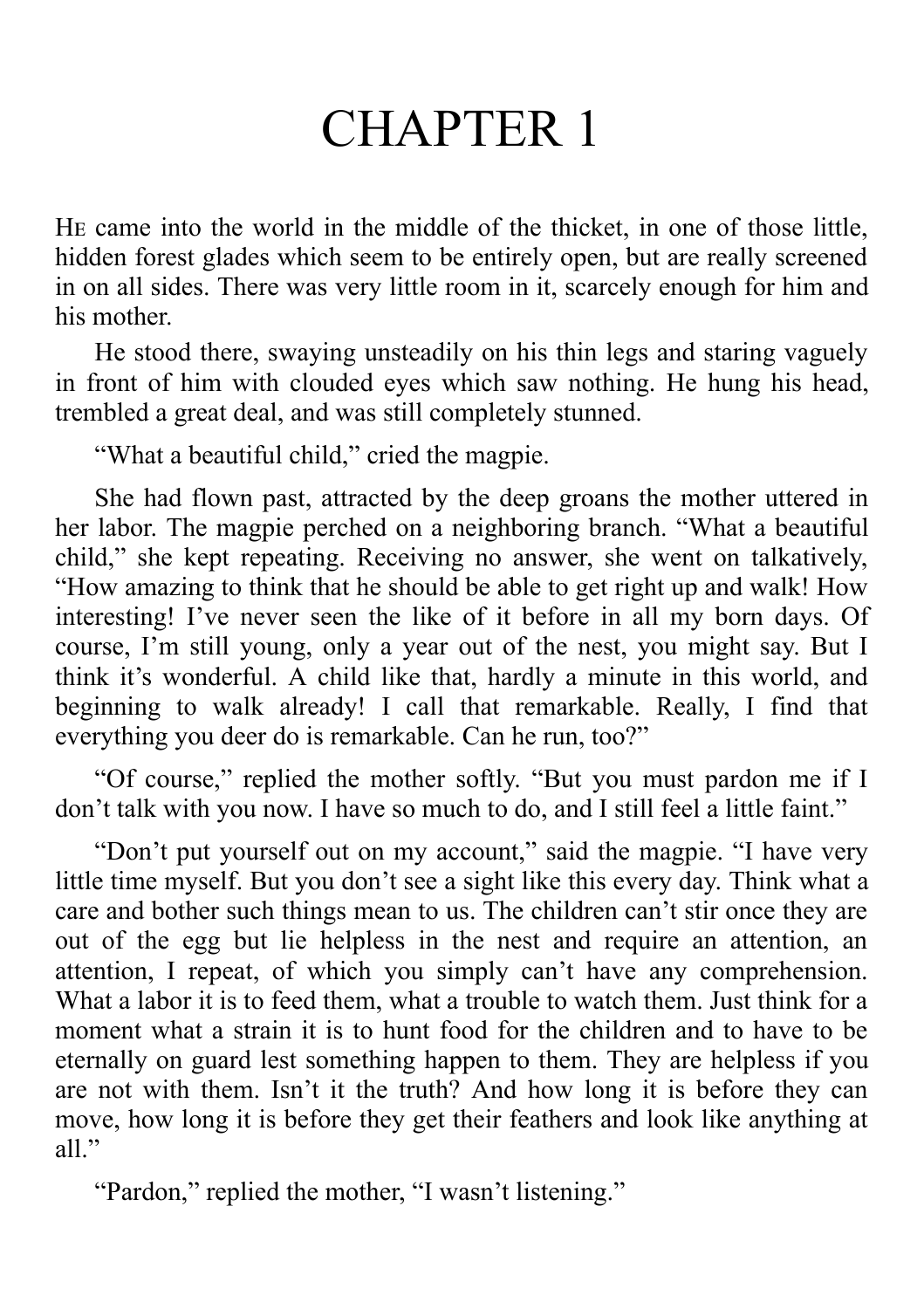# CHAPTER 1

He came into the world in the middle of the thicket, in one of those little, hidden forest glades which seem to be entirely open, but are really screened in on all sides. There was very little room in it, scarcely enough for him and his mother.

He stood there, swaying unsteadily on his thin legs and staring vaguely in front of him with clouded eyes which saw nothing. He hung his head, trembled a great deal, and was still completely stunned.

"What a beautiful child," cried the magpie.

She had flown past, attracted by the deep groans the mother uttered in her labor. The magpie perched on a neighboring branch. "What a beautiful child," she kept repeating. Receiving no answer, she went on talkatively, "How amazing to think that he should be able to get right up and walk! How interesting! I've never seen the like of it before in all my born days. Of course, I'm still young, only a year out of the nest, you might say. But I think it's wonderful. A child like that, hardly a minute in this world, and beginning to walk already! I call that remarkable. Really, I find that everything you deer do is remarkable. Can he run, too?"

"Of course," replied the mother softly. "But you must pardon me if I don't talk with you now. I have so much to do, and I still feel a little faint."

"Don't put yourself out on my account," said the magpie. "I have very little time myself. But you don't see a sight like this every day. Think what a care and bother such things mean to us. The children can't stir once they are out of the egg but lie helpless in the nest and require an attention, an attention, I repeat, of which you simply can't have any comprehension. What a labor it is to feed them, what a trouble to watch them. Just think for a moment what a strain it is to hunt food for the children and to have to be eternally on guard lest something happen to them. They are helpless if you are not with them. Isn't it the truth? And how long it is before they can move, how long it is before they get their feathers and look like anything at all."

"Pardon," replied the mother, "I wasn't listening."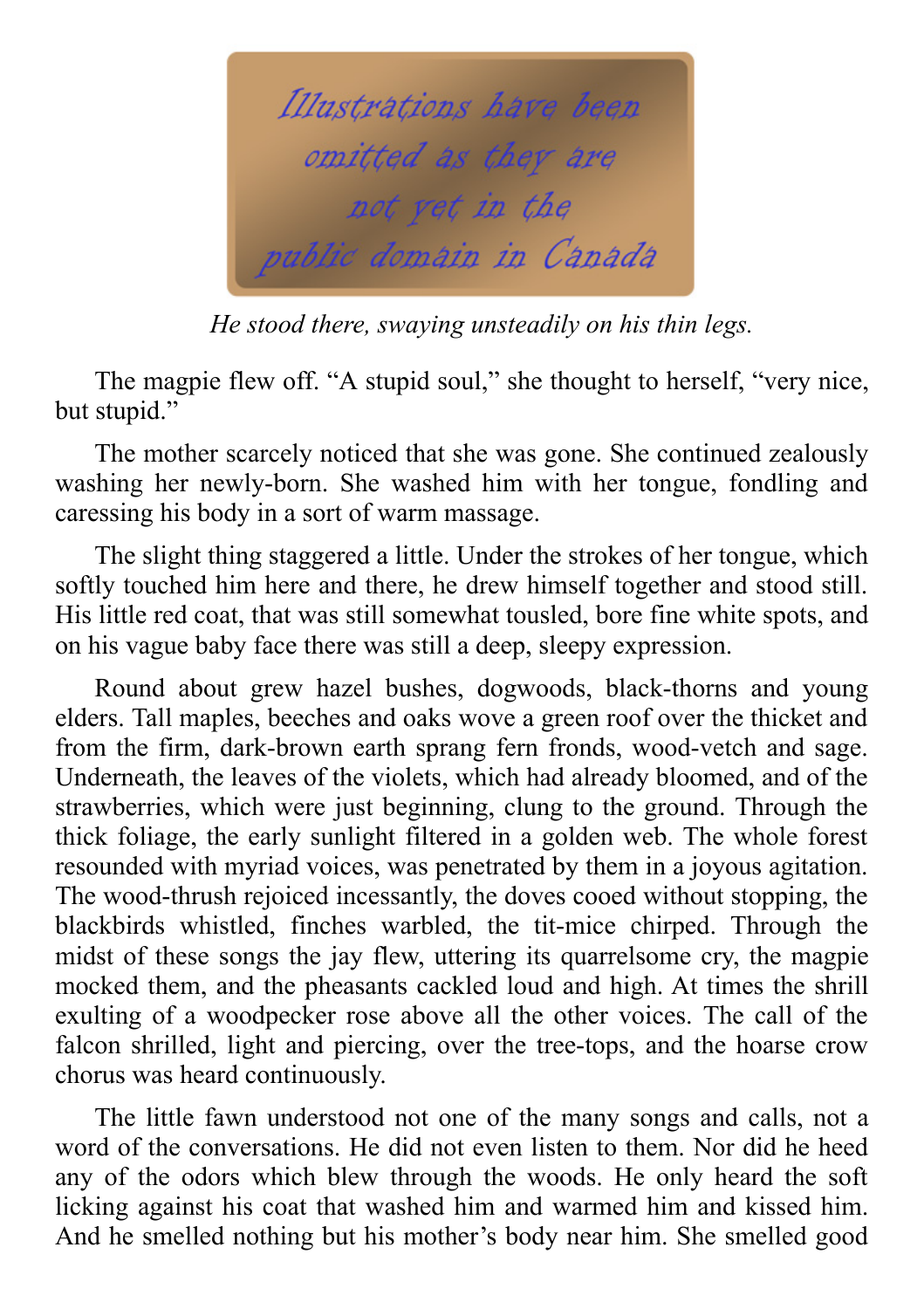

*He stood there, swaying unsteadily on his thin legs.*

The magpie flew off. "A stupid soul," she thought to herself, "very nice, but stupid."

The mother scarcely noticed that she was gone. She continued zealously washing her newly-born. She washed him with her tongue, fondling and caressing his body in a sort of warm massage.

The slight thing staggered a little. Under the strokes of her tongue, which softly touched him here and there, he drew himself together and stood still. His little red coat, that was still somewhat tousled, bore fine white spots, and on his vague baby face there was still a deep, sleepy expression.

Round about grew hazel bushes, dogwoods, black-thorns and young elders. Tall maples, beeches and oaks wove a green roof over the thicket and from the firm, dark-brown earth sprang fern fronds, wood-vetch and sage. Underneath, the leaves of the violets, which had already bloomed, and of the strawberries, which were just beginning, clung to the ground. Through the thick foliage, the early sunlight filtered in a golden web. The whole forest resounded with myriad voices, was penetrated by them in a joyous agitation. The wood-thrush rejoiced incessantly, the doves cooed without stopping, the blackbirds whistled, finches warbled, the tit-mice chirped. Through the midst of these songs the jay flew, uttering its quarrelsome cry, the magpie mocked them, and the pheasants cackled loud and high. At times the shrill exulting of a woodpecker rose above all the other voices. The call of the falcon shrilled, light and piercing, over the tree-tops, and the hoarse crow chorus was heard continuously.

The little fawn understood not one of the many songs and calls, not a word of the conversations. He did not even listen to them. Nor did he heed any of the odors which blew through the woods. He only heard the soft licking against his coat that washed him and warmed him and kissed him. And he smelled nothing but his mother's body near him. She smelled good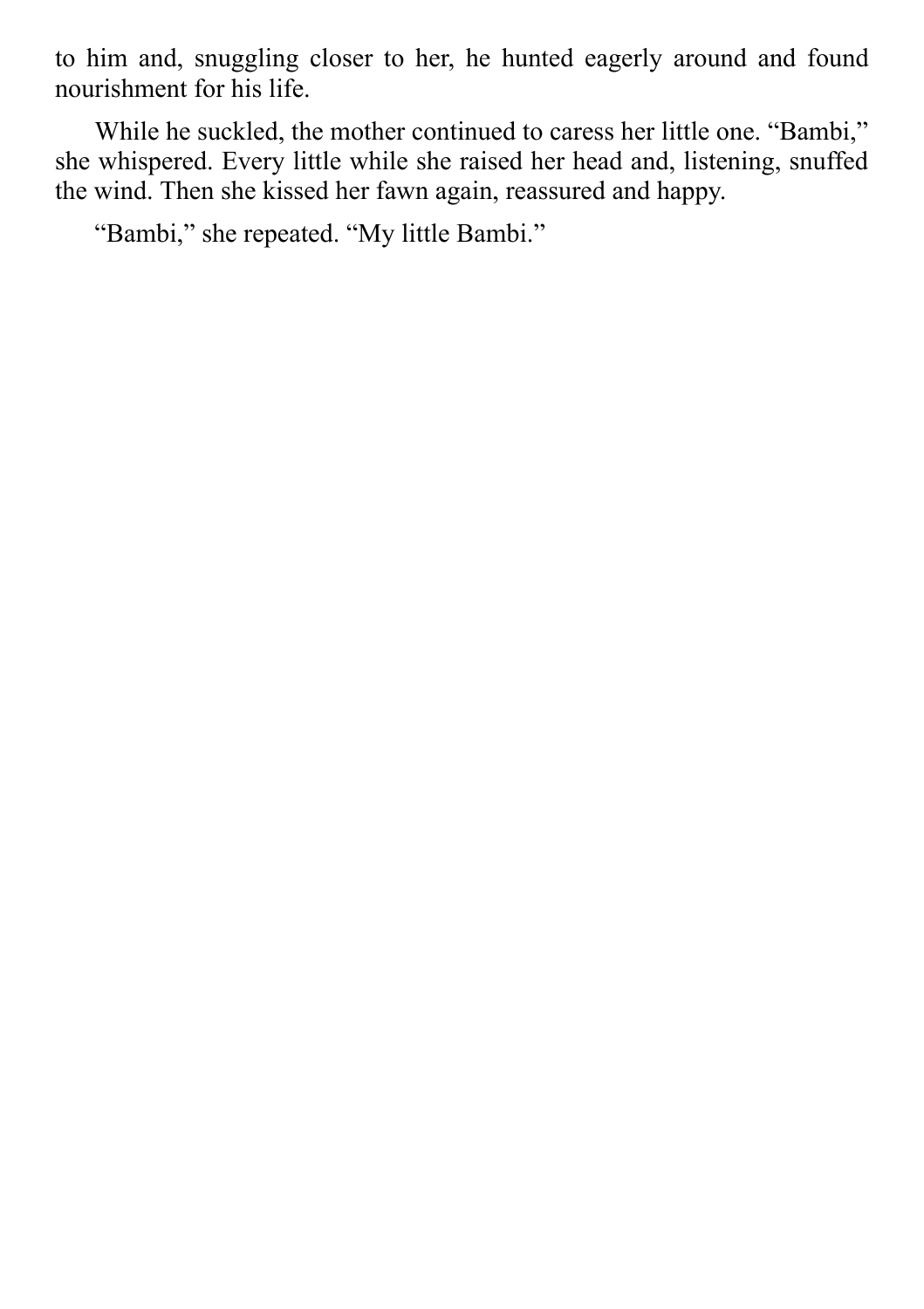to him and, snuggling closer to her, he hunted eagerly around and found nourishment for his life.

While he suckled, the mother continued to caress her little one. "Bambi," she whispered. Every little while she raised her head and, listening, snuffed the wind. Then she kissed her fawn again, reassured and happy.

"Bambi," she repeated. "My little Bambi."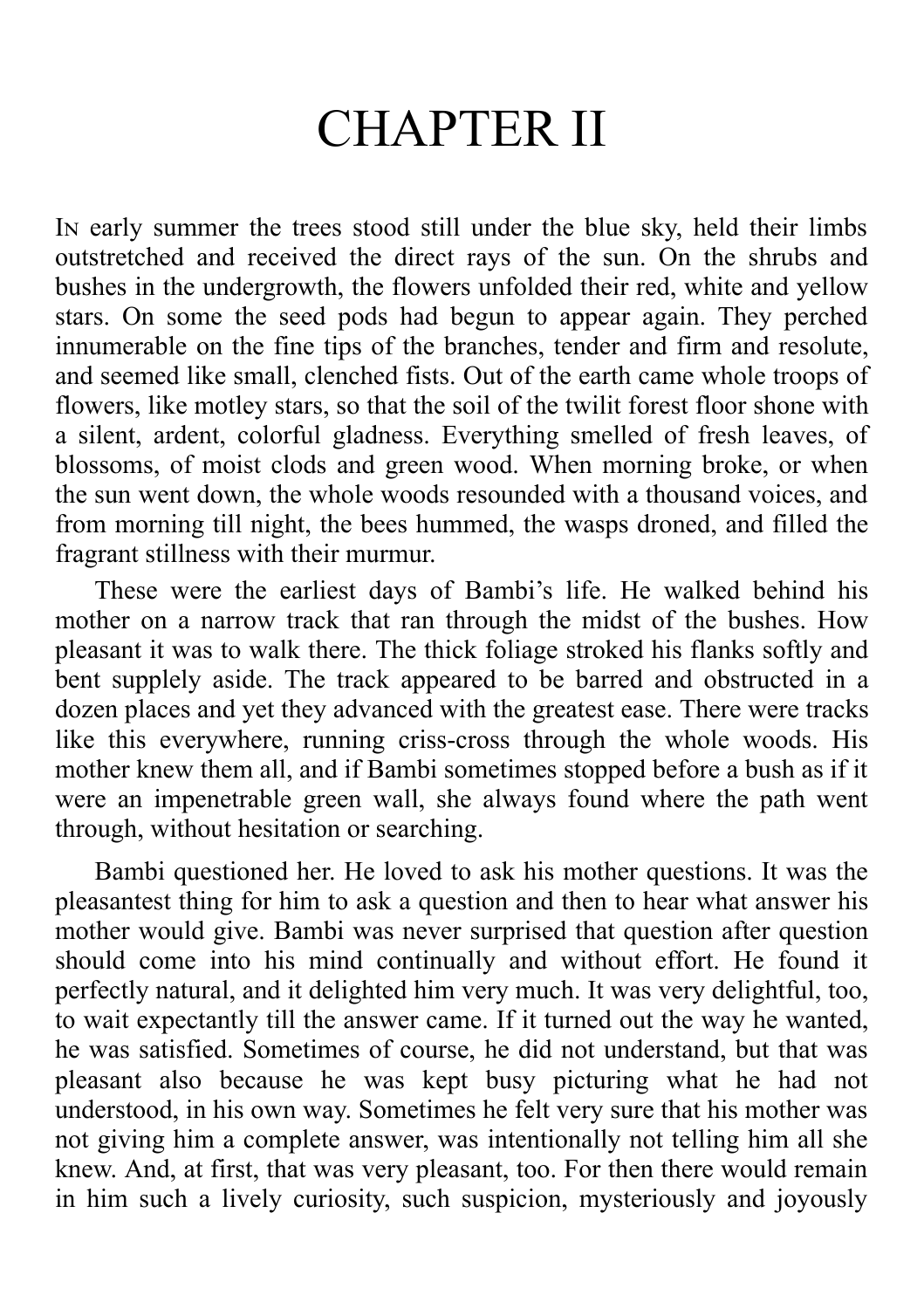# CHAPTER II

In early summer the trees stood still under the blue sky, held their limbs outstretched and received the direct rays of the sun. On the shrubs and bushes in the undergrowth, the flowers unfolded their red, white and yellow stars. On some the seed pods had begun to appear again. They perched innumerable on the fine tips of the branches, tender and firm and resolute, and seemed like small, clenched fists. Out of the earth came whole troops of flowers, like motley stars, so that the soil of the twilit forest floor shone with a silent, ardent, colorful gladness. Everything smelled of fresh leaves, of blossoms, of moist clods and green wood. When morning broke, or when the sun went down, the whole woods resounded with a thousand voices, and from morning till night, the bees hummed, the wasps droned, and filled the fragrant stillness with their murmur.

These were the earliest days of Bambi's life. He walked behind his mother on a narrow track that ran through the midst of the bushes. How pleasant it was to walk there. The thick foliage stroked his flanks softly and bent supplely aside. The track appeared to be barred and obstructed in a dozen places and yet they advanced with the greatest ease. There were tracks like this everywhere, running criss-cross through the whole woods. His mother knew them all, and if Bambi sometimes stopped before a bush as if it were an impenetrable green wall, she always found where the path went through, without hesitation or searching.

Bambi questioned her. He loved to ask his mother questions. It was the pleasantest thing for him to ask a question and then to hear what answer his mother would give. Bambi was never surprised that question after question should come into his mind continually and without effort. He found it perfectly natural, and it delighted him very much. It was very delightful, too, to wait expectantly till the answer came. If it turned out the way he wanted, he was satisfied. Sometimes of course, he did not understand, but that was pleasant also because he was kept busy picturing what he had not understood, in his own way. Sometimes he felt very sure that his mother was not giving him a complete answer, was intentionally not telling him all she knew. And, at first, that was very pleasant, too. For then there would remain in him such a lively curiosity, such suspicion, mysteriously and joyously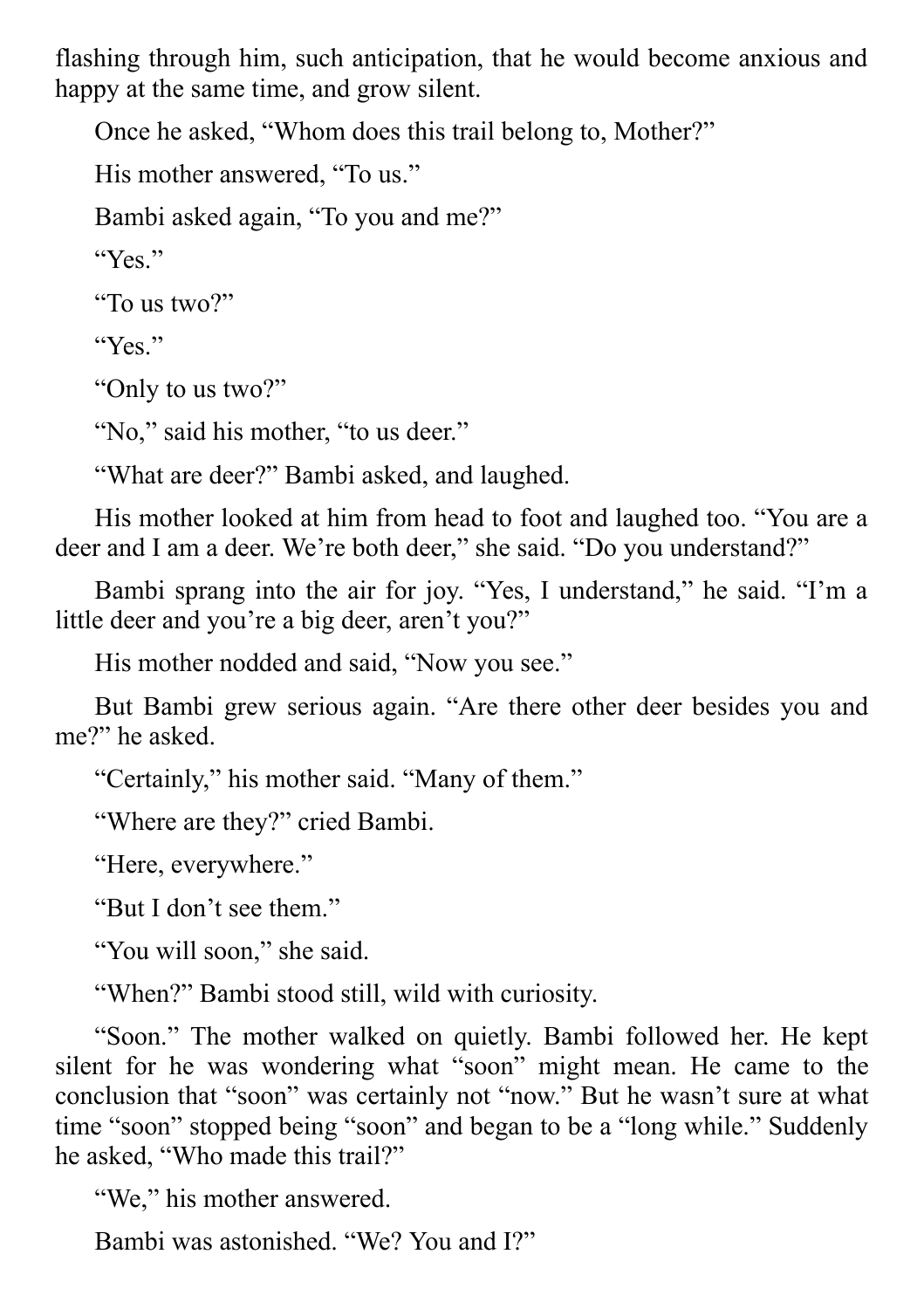flashing through him, such anticipation, that he would become anxious and happy at the same time, and grow silent.

Once he asked, "Whom does this trail belong to, Mother?"

His mother answered, "To us."

Bambi asked again, "To you and me?"

"Yes."

"To us two?"

" $Y_{ex}$ "

"Only to us two?"

"No," said his mother, "to us deer."

"What are deer?" Bambi asked, and laughed.

His mother looked at him from head to foot and laughed too. "You are a deer and I am a deer. We're both deer," she said. "Do you understand?"

Bambi sprang into the air for joy. "Yes, I understand," he said. "I'm a little deer and you're a big deer, aren't you?"

His mother nodded and said, "Now you see."

But Bambi grew serious again. "Are there other deer besides you and me?" he asked.

"Certainly," his mother said. "Many of them."

"Where are they?" cried Bambi.

"Here, everywhere."

"But I don't see them."

"You will soon," she said.

"When?" Bambi stood still, wild with curiosity.

"Soon." The mother walked on quietly. Bambi followed her. He kept silent for he was wondering what "soon" might mean. He came to the conclusion that "soon" was certainly not "now." But he wasn't sure at what time "soon" stopped being "soon" and began to be a "long while." Suddenly he asked, "Who made this trail?"

"We," his mother answered.

Bambi was astonished. "We? You and I?"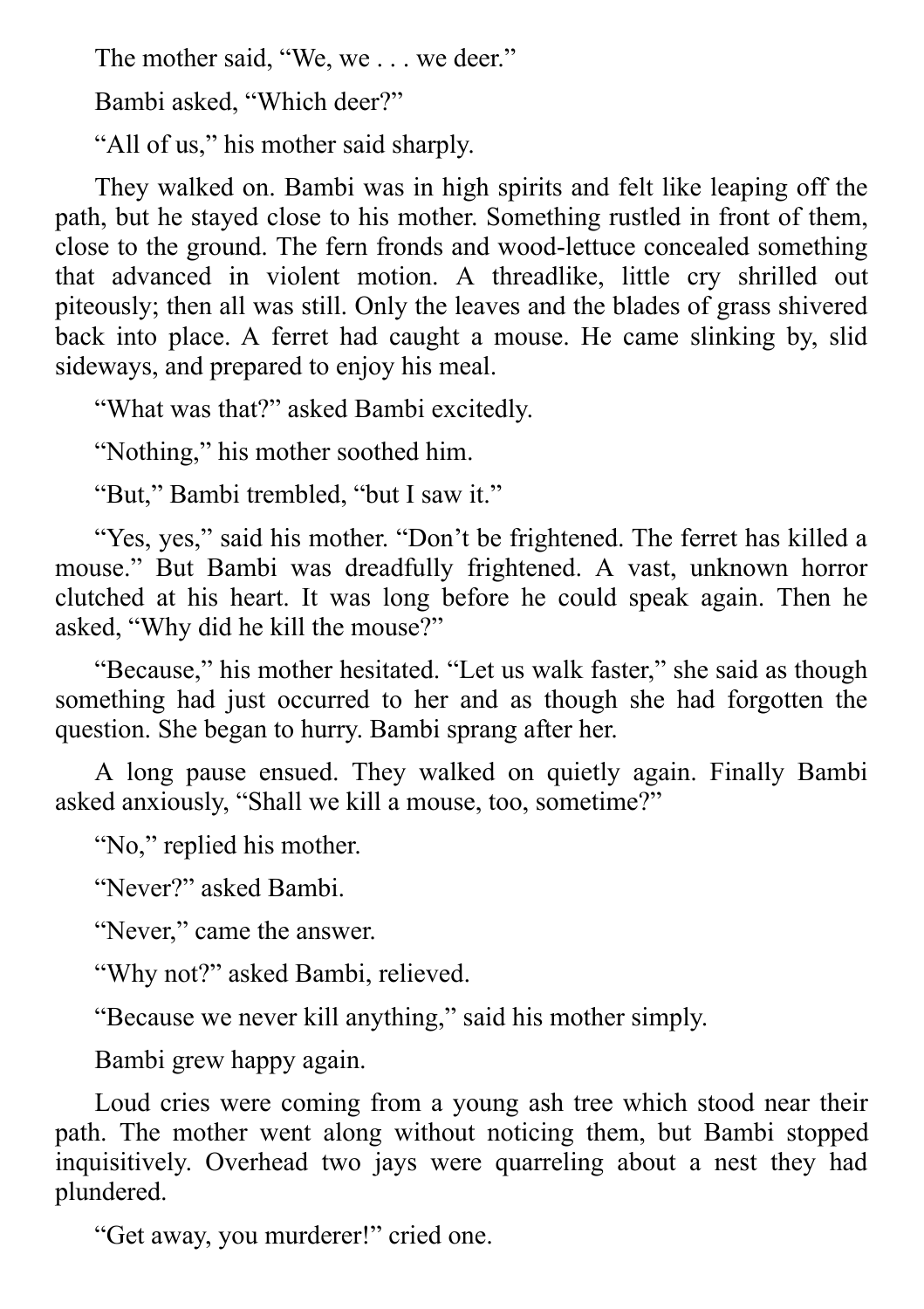The mother said, "We, we . . . we deer."

Bambi asked, "Which deer?"

"All of us," his mother said sharply.

They walked on. Bambi was in high spirits and felt like leaping off the path, but he stayed close to his mother. Something rustled in front of them, close to the ground. The fern fronds and wood-lettuce concealed something that advanced in violent motion. A threadlike, little cry shrilled out piteously; then all was still. Only the leaves and the blades of grass shivered back into place. A ferret had caught a mouse. He came slinking by, slid sideways, and prepared to enjoy his meal.

"What was that?" asked Bambi excitedly.

"Nothing," his mother soothed him.

"But," Bambi trembled, "but I saw it."

"Yes, yes," said his mother. "Don't be frightened. The ferret has killed a mouse." But Bambi was dreadfully frightened. A vast, unknown horror clutched at his heart. It was long before he could speak again. Then he asked, "Why did he kill the mouse?"

"Because," his mother hesitated. "Let us walk faster," she said as though something had just occurred to her and as though she had forgotten the question. She began to hurry. Bambi sprang after her.

A long pause ensued. They walked on quietly again. Finally Bambi asked anxiously, "Shall we kill a mouse, too, sometime?"

"No," replied his mother.

"Never?" asked Bambi.

"Never," came the answer.

"Why not?" asked Bambi, relieved.

"Because we never kill anything," said his mother simply.

Bambi grew happy again.

Loud cries were coming from a young ash tree which stood near their path. The mother went along without noticing them, but Bambi stopped inquisitively. Overhead two jays were quarreling about a nest they had plundered.

"Get away, you murderer!" cried one.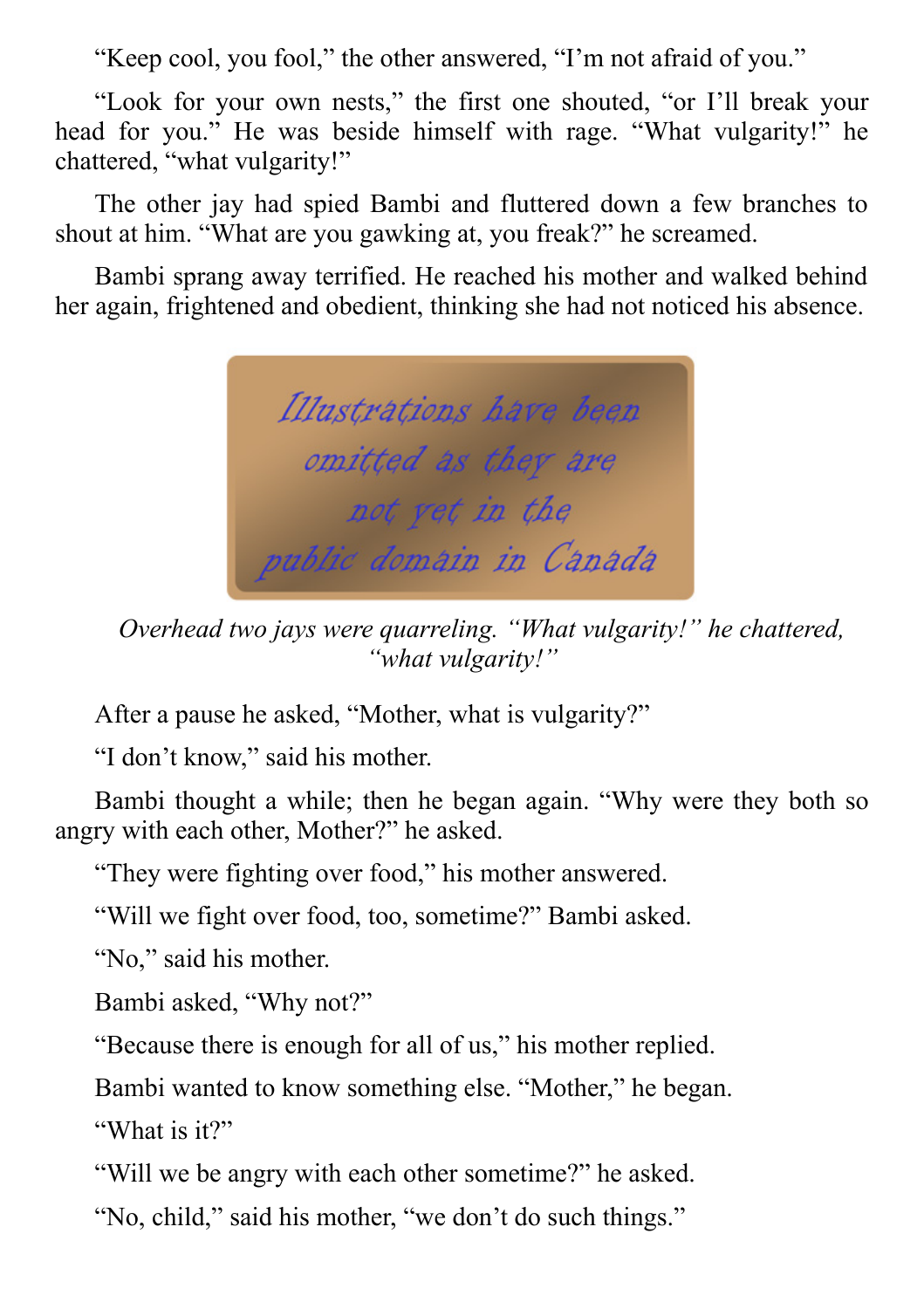"Keep cool, you fool," the other answered, "I'm not afraid of you."

"Look for your own nests," the first one shouted, "or I'll break your head for you." He was beside himself with rage. "What vulgarity!" he chattered, "what vulgarity!"

The other jay had spied Bambi and fluttered down a few branches to shout at him. "What are you gawking at, you freak?" he screamed.

Bambi sprang away terrified. He reached his mother and walked behind her again, frightened and obedient, thinking she had not noticed his absence.



*Overhead two jays were quarreling. "What vulgarity!" he chattered, "what vulgarity!"*

After a pause he asked, "Mother, what is vulgarity?"

"I don't know," said his mother.

Bambi thought a while; then he began again. "Why were they both so angry with each other, Mother?" he asked.

"They were fighting over food," his mother answered.

"Will we fight over food, too, sometime?" Bambi asked.

"No," said his mother.

Bambi asked, "Why not?"

"Because there is enough for all of us," his mother replied.

Bambi wanted to know something else. "Mother," he began.

"What is it?"

"Will we be angry with each other sometime?" he asked.

"No, child," said his mother, "we don't do such things."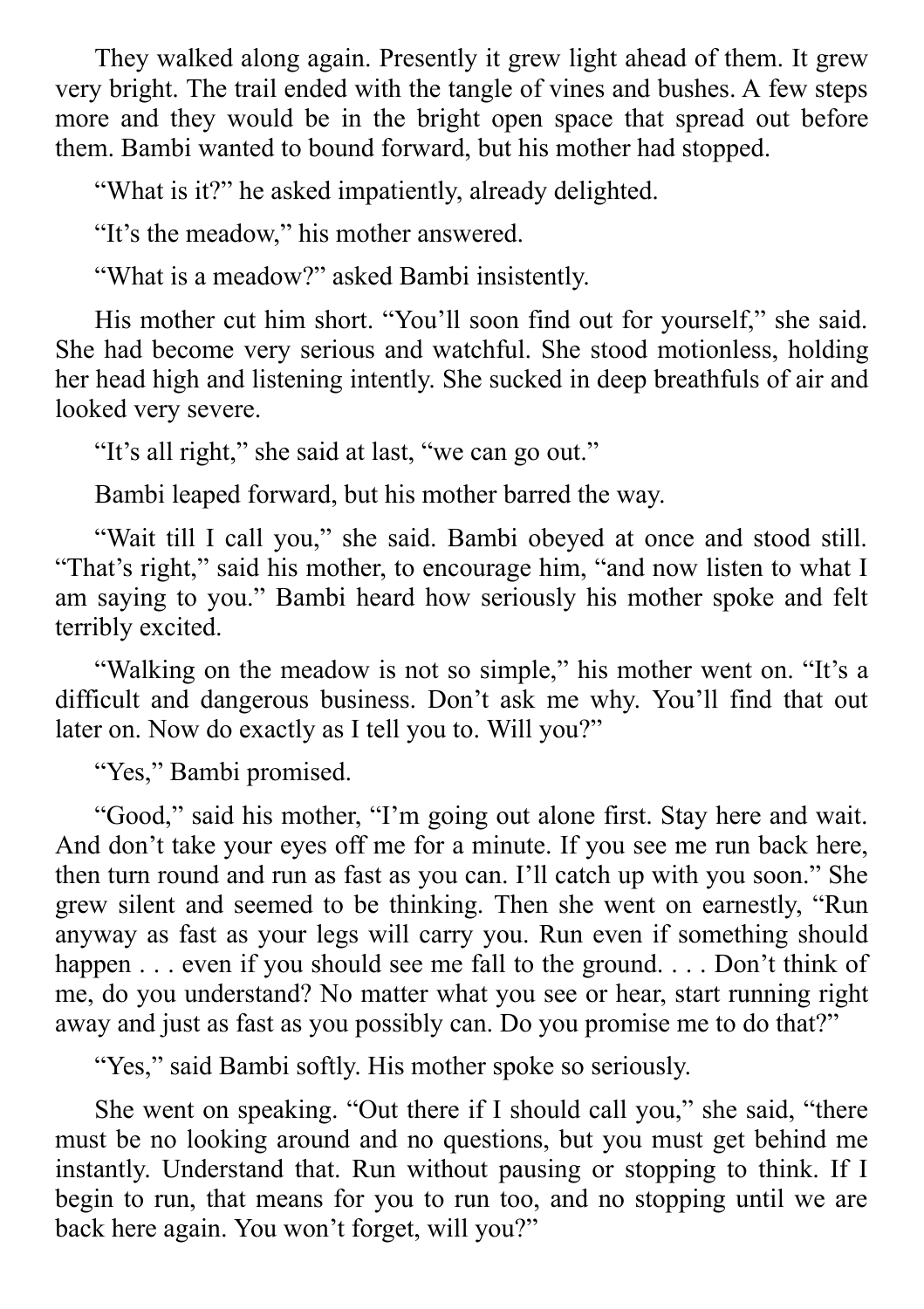They walked along again. Presently it grew light ahead of them. It grew very bright. The trail ended with the tangle of vines and bushes. A few steps more and they would be in the bright open space that spread out before them. Bambi wanted to bound forward, but his mother had stopped.

"What is it?" he asked impatiently, already delighted.

"It's the meadow," his mother answered.

"What is a meadow?" asked Bambi insistently.

His mother cut him short. "You'll soon find out for yourself," she said. She had become very serious and watchful. She stood motionless, holding her head high and listening intently. She sucked in deep breathfuls of air and looked very severe.

"It's all right," she said at last, "we can go out."

Bambi leaped forward, but his mother barred the way.

"Wait till I call you," she said. Bambi obeyed at once and stood still. "That's right," said his mother, to encourage him, "and now listen to what I am saying to you." Bambi heard how seriously his mother spoke and felt terribly excited.

"Walking on the meadow is not so simple," his mother went on. "It's a difficult and dangerous business. Don't ask me why. You'll find that out later on. Now do exactly as I tell you to. Will you?"

"Yes," Bambi promised.

"Good," said his mother, "I'm going out alone first. Stay here and wait. And don't take your eyes off me for a minute. If you see me run back here, then turn round and run as fast as you can. I'll catch up with you soon." She grew silent and seemed to be thinking. Then she went on earnestly, "Run anyway as fast as your legs will carry you. Run even if something should happen . . . even if you should see me fall to the ground. . . . Don't think of me, do you understand? No matter what you see or hear, start running right away and just as fast as you possibly can. Do you promise me to do that?"

"Yes," said Bambi softly. His mother spoke so seriously.

She went on speaking. "Out there if I should call you," she said, "there must be no looking around and no questions, but you must get behind me instantly. Understand that. Run without pausing or stopping to think. If I begin to run, that means for you to run too, and no stopping until we are back here again. You won't forget, will you?"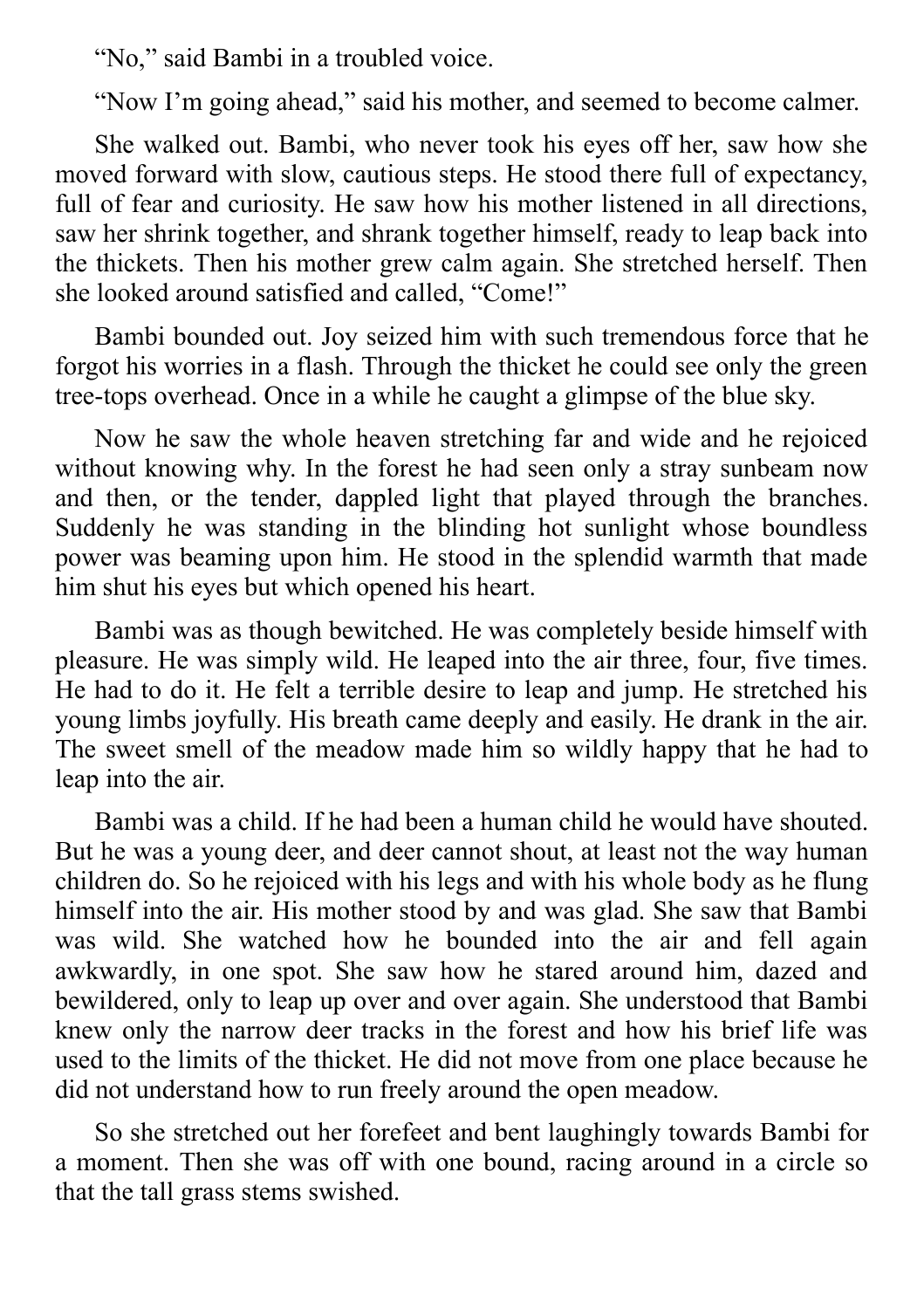"No," said Bambi in a troubled voice.

"Now I'm going ahead," said his mother, and seemed to become calmer.

She walked out. Bambi, who never took his eyes off her, saw how she moved forward with slow, cautious steps. He stood there full of expectancy, full of fear and curiosity. He saw how his mother listened in all directions, saw her shrink together, and shrank together himself, ready to leap back into the thickets. Then his mother grew calm again. She stretched herself. Then she looked around satisfied and called, "Come!"

Bambi bounded out. Joy seized him with such tremendous force that he forgot his worries in a flash. Through the thicket he could see only the green tree-tops overhead. Once in a while he caught a glimpse of the blue sky.

Now he saw the whole heaven stretching far and wide and he rejoiced without knowing why. In the forest he had seen only a stray sunbeam now and then, or the tender, dappled light that played through the branches. Suddenly he was standing in the blinding hot sunlight whose boundless power was beaming upon him. He stood in the splendid warmth that made him shut his eyes but which opened his heart.

Bambi was as though bewitched. He was completely beside himself with pleasure. He was simply wild. He leaped into the air three, four, five times. He had to do it. He felt a terrible desire to leap and jump. He stretched his young limbs joyfully. His breath came deeply and easily. He drank in the air. The sweet smell of the meadow made him so wildly happy that he had to leap into the air.

Bambi was a child. If he had been a human child he would have shouted. But he was a young deer, and deer cannot shout, at least not the way human children do. So he rejoiced with his legs and with his whole body as he flung himself into the air. His mother stood by and was glad. She saw that Bambi was wild. She watched how he bounded into the air and fell again awkwardly, in one spot. She saw how he stared around him, dazed and bewildered, only to leap up over and over again. She understood that Bambi knew only the narrow deer tracks in the forest and how his brief life was used to the limits of the thicket. He did not move from one place because he did not understand how to run freely around the open meadow.

So she stretched out her forefeet and bent laughingly towards Bambi for a moment. Then she was off with one bound, racing around in a circle so that the tall grass stems swished.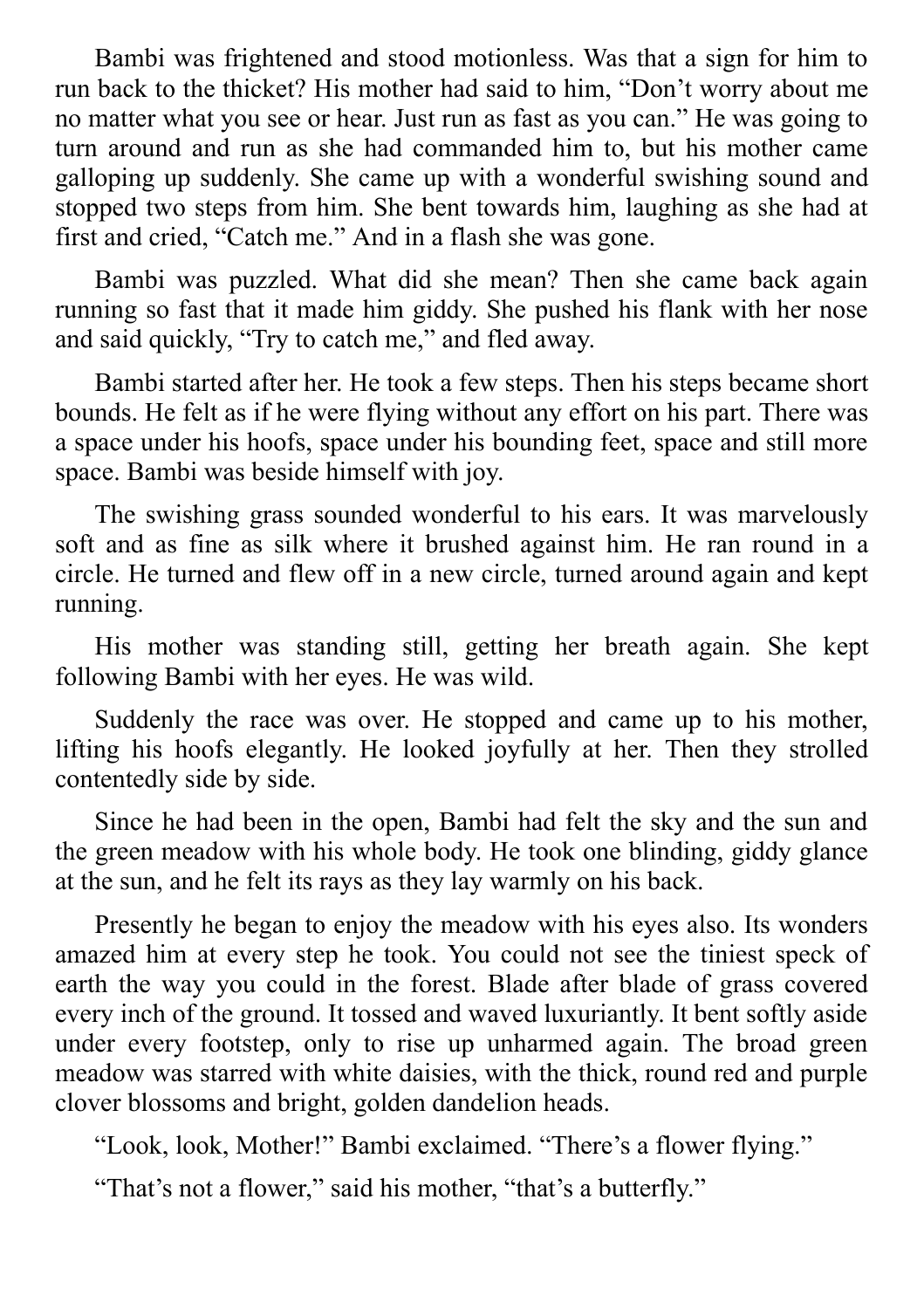Bambi was frightened and stood motionless. Was that a sign for him to run back to the thicket? His mother had said to him, "Don't worry about me no matter what you see or hear. Just run as fast as you can." He was going to turn around and run as she had commanded him to, but his mother came galloping up suddenly. She came up with a wonderful swishing sound and stopped two steps from him. She bent towards him, laughing as she had at first and cried, "Catch me." And in a flash she was gone.

Bambi was puzzled. What did she mean? Then she came back again running so fast that it made him giddy. She pushed his flank with her nose and said quickly, "Try to catch me," and fled away.

Bambi started after her. He took a few steps. Then his steps became short bounds. He felt as if he were flying without any effort on his part. There was a space under his hoofs, space under his bounding feet, space and still more space. Bambi was beside himself with joy.

The swishing grass sounded wonderful to his ears. It was marvelously soft and as fine as silk where it brushed against him. He ran round in a circle. He turned and flew off in a new circle, turned around again and kept running.

His mother was standing still, getting her breath again. She kept following Bambi with her eyes. He was wild.

Suddenly the race was over. He stopped and came up to his mother, lifting his hoofs elegantly. He looked joyfully at her. Then they strolled contentedly side by side.

Since he had been in the open, Bambi had felt the sky and the sun and the green meadow with his whole body. He took one blinding, giddy glance at the sun, and he felt its rays as they lay warmly on his back.

Presently he began to enjoy the meadow with his eyes also. Its wonders amazed him at every step he took. You could not see the tiniest speck of earth the way you could in the forest. Blade after blade of grass covered every inch of the ground. It tossed and waved luxuriantly. It bent softly aside under every footstep, only to rise up unharmed again. The broad green meadow was starred with white daisies, with the thick, round red and purple clover blossoms and bright, golden dandelion heads.

"Look, look, Mother!" Bambi exclaimed. "There's a flower flying."

"That's not a flower," said his mother, "that's a butterfly."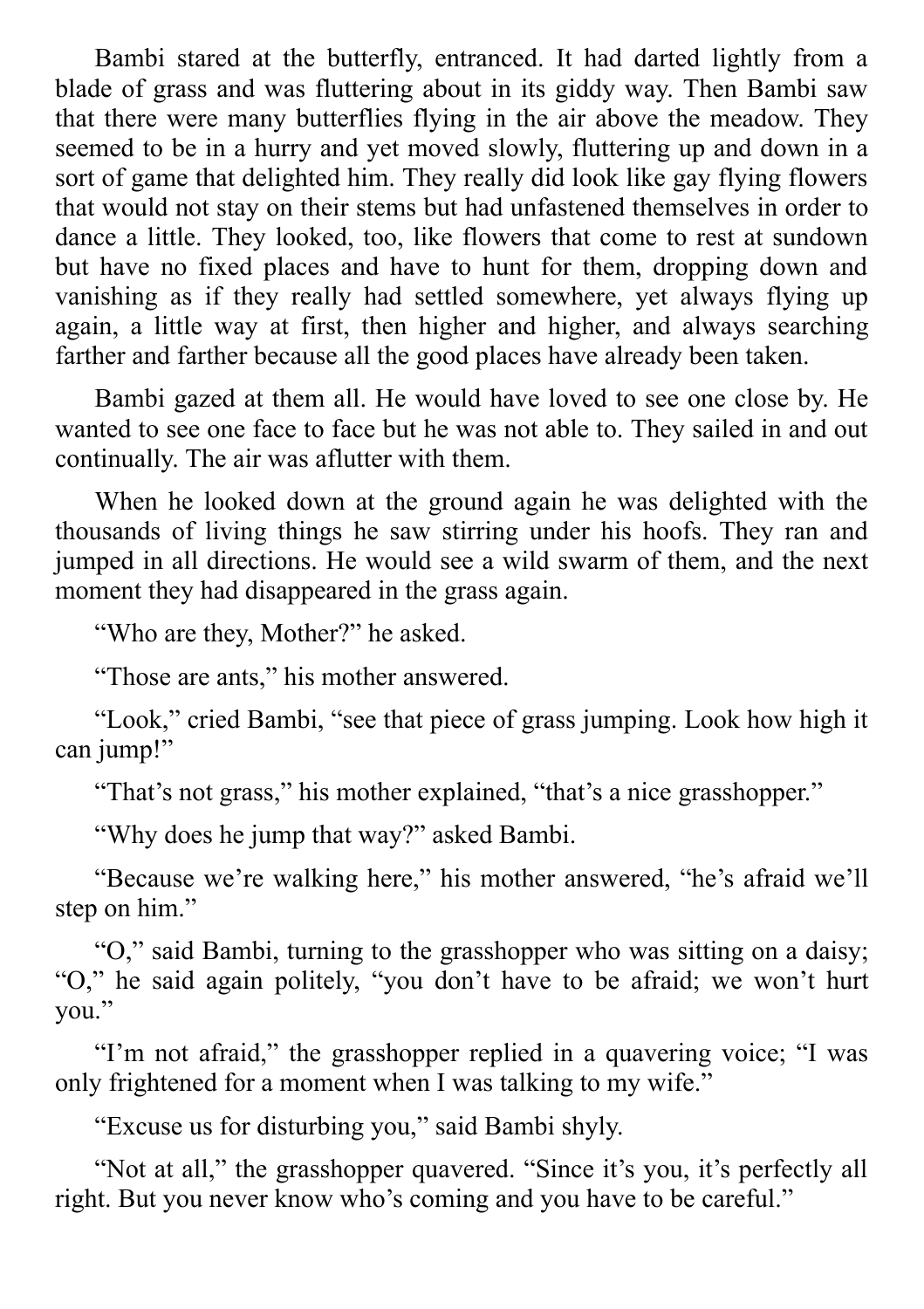Bambi stared at the butterfly, entranced. It had darted lightly from a blade of grass and was fluttering about in its giddy way. Then Bambi saw that there were many butterflies flying in the air above the meadow. They seemed to be in a hurry and yet moved slowly, fluttering up and down in a sort of game that delighted him. They really did look like gay flying flowers that would not stay on their stems but had unfastened themselves in order to dance a little. They looked, too, like flowers that come to rest at sundown but have no fixed places and have to hunt for them, dropping down and vanishing as if they really had settled somewhere, yet always flying up again, a little way at first, then higher and higher, and always searching farther and farther because all the good places have already been taken.

Bambi gazed at them all. He would have loved to see one close by. He wanted to see one face to face but he was not able to. They sailed in and out continually. The air was aflutter with them.

When he looked down at the ground again he was delighted with the thousands of living things he saw stirring under his hoofs. They ran and jumped in all directions. He would see a wild swarm of them, and the next moment they had disappeared in the grass again.

"Who are they, Mother?" he asked.

"Those are ants," his mother answered.

"Look," cried Bambi, "see that piece of grass jumping. Look how high it can jump!"

"That's not grass," his mother explained, "that's a nice grasshopper."

"Why does he jump that way?" asked Bambi.

"Because we're walking here," his mother answered, "he's afraid we'll step on him."

"O," said Bambi, turning to the grasshopper who was sitting on a daisy; "O," he said again politely, "you don't have to be afraid; we won't hurt you."

"I'm not afraid," the grasshopper replied in a quavering voice; "I was only frightened for a moment when I was talking to my wife."

"Excuse us for disturbing you," said Bambi shyly.

"Not at all," the grasshopper quavered. "Since it's you, it's perfectly all right. But you never know who's coming and you have to be careful."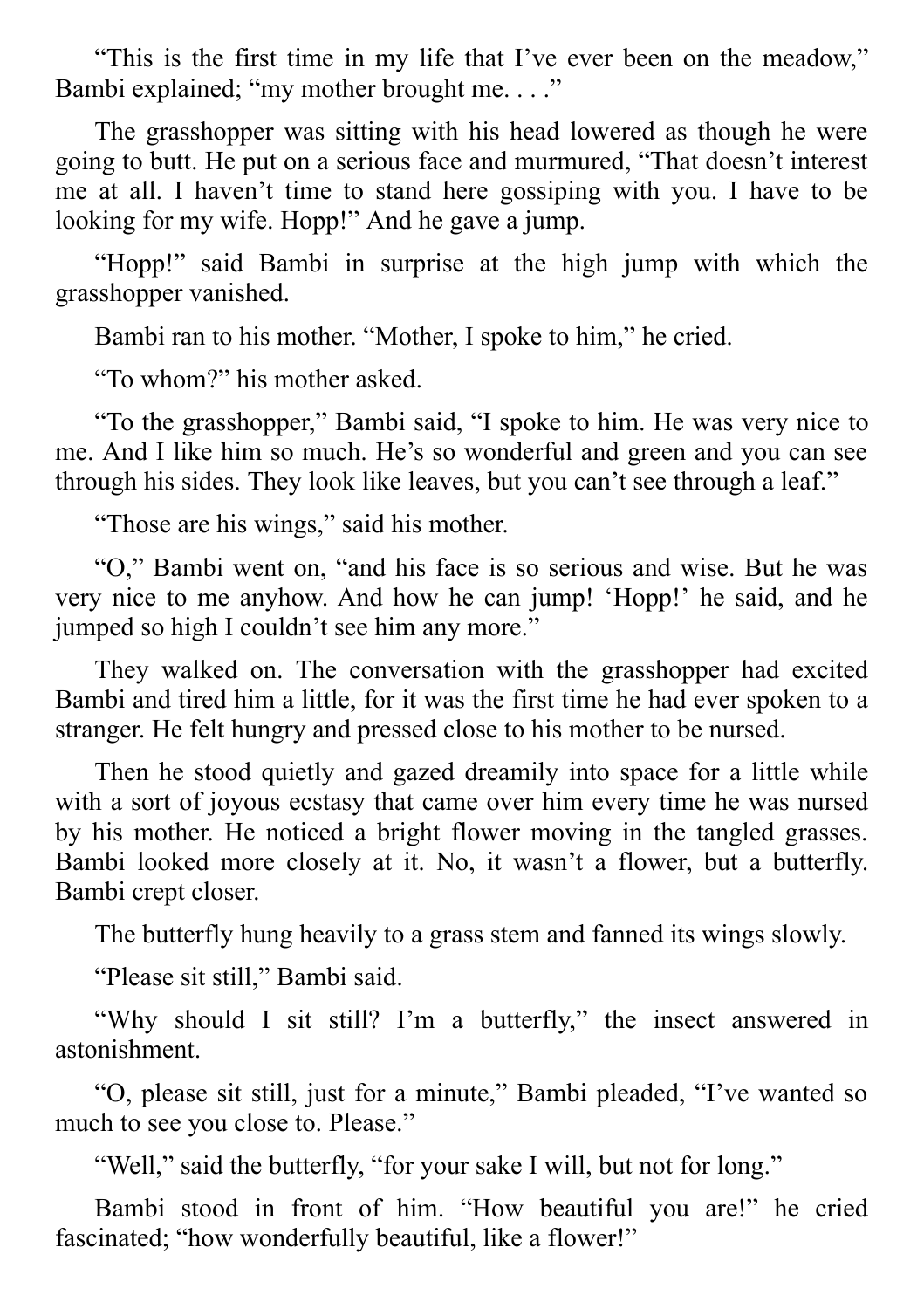"This is the first time in my life that I've ever been on the meadow," Bambi explained; "my mother brought me. . . ."

The grasshopper was sitting with his head lowered as though he were going to butt. He put on a serious face and murmured, "That doesn't interest me at all. I haven't time to stand here gossiping with you. I have to be looking for my wife. Hopp!" And he gave a jump.

"Hopp!" said Bambi in surprise at the high jump with which the grasshopper vanished.

Bambi ran to his mother. "Mother, I spoke to him," he cried.

"To whom?" his mother asked.

"To the grasshopper," Bambi said, "I spoke to him. He was very nice to me. And I like him so much. He's so wonderful and green and you can see through his sides. They look like leaves, but you can't see through a leaf."

"Those are his wings," said his mother.

"O," Bambi went on, "and his face is so serious and wise. But he was very nice to me anyhow. And how he can jump! 'Hopp!' he said, and he jumped so high I couldn't see him any more."

They walked on. The conversation with the grasshopper had excited Bambi and tired him a little, for it was the first time he had ever spoken to a stranger. He felt hungry and pressed close to his mother to be nursed.

Then he stood quietly and gazed dreamily into space for a little while with a sort of joyous ecstasy that came over him every time he was nursed by his mother. He noticed a bright flower moving in the tangled grasses. Bambi looked more closely at it. No, it wasn't a flower, but a butterfly. Bambi crept closer.

The butterfly hung heavily to a grass stem and fanned its wings slowly.

"Please sit still," Bambi said.

"Why should I sit still? I'm a butterfly," the insect answered in astonishment.

"O, please sit still, just for a minute," Bambi pleaded, "I've wanted so much to see you close to. Please."

"Well," said the butterfly, "for your sake I will, but not for long."

Bambi stood in front of him. "How beautiful you are!" he cried fascinated; "how wonderfully beautiful, like a flower!"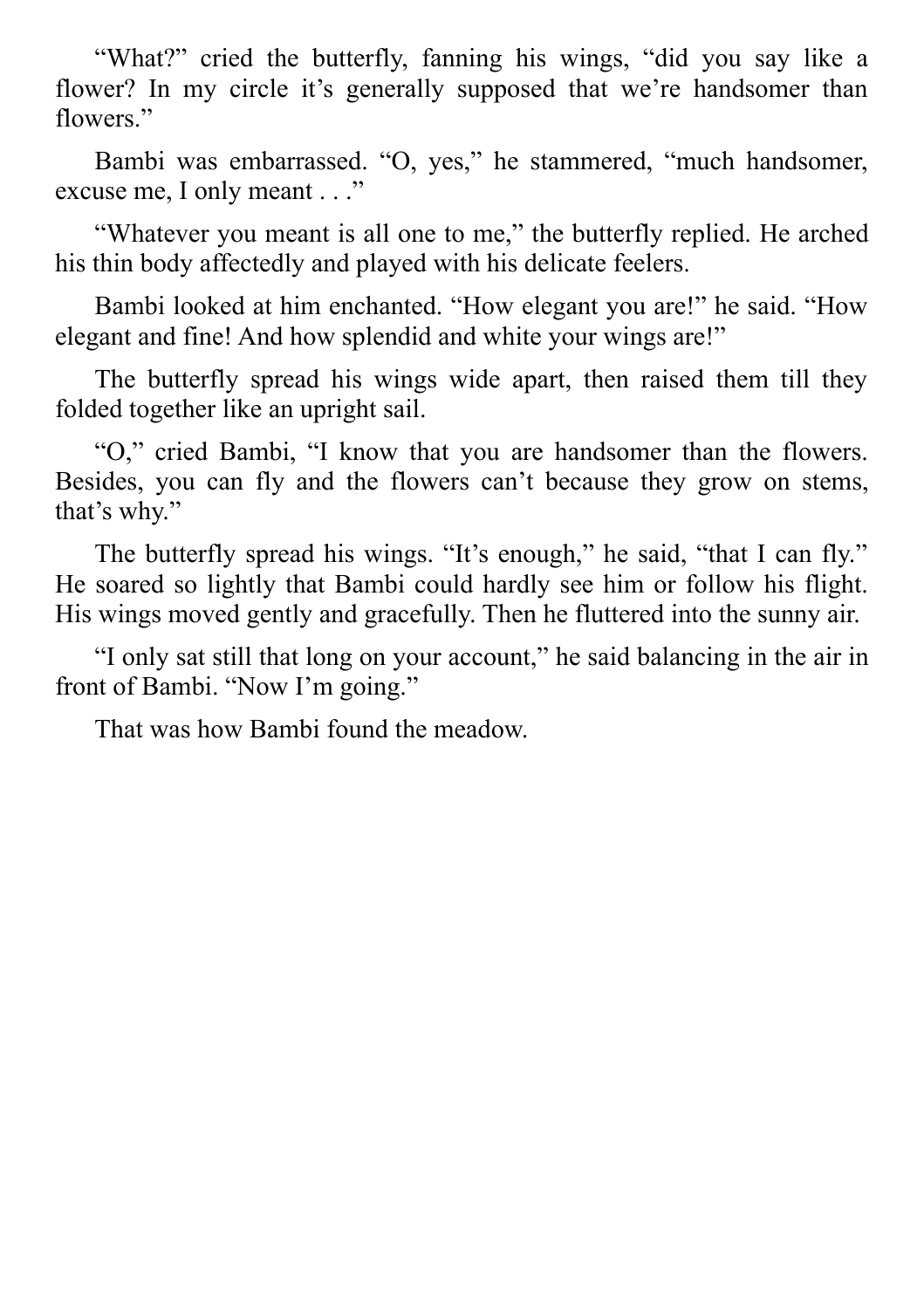"What?" cried the butterfly, fanning his wings, "did you say like a flower? In my circle it's generally supposed that we're handsomer than flowers."

Bambi was embarrassed. "O, yes," he stammered, "much handsomer, excuse me, I only meant . . ."

"Whatever you meant is all one to me," the butterfly replied. He arched his thin body affectedly and played with his delicate feelers.

Bambi looked at him enchanted. "How elegant you are!" he said. "How elegant and fine! And how splendid and white your wings are!"

The butterfly spread his wings wide apart, then raised them till they folded together like an upright sail.

"O," cried Bambi, "I know that you are handsomer than the flowers. Besides, you can fly and the flowers can't because they grow on stems, that's why."

The butterfly spread his wings. "It's enough," he said, "that I can fly." He soared so lightly that Bambi could hardly see him or follow his flight. His wings moved gently and gracefully. Then he fluttered into the sunny air.

"I only sat still that long on your account," he said balancing in the air in front of Bambi. "Now I'm going."

That was how Bambi found the meadow.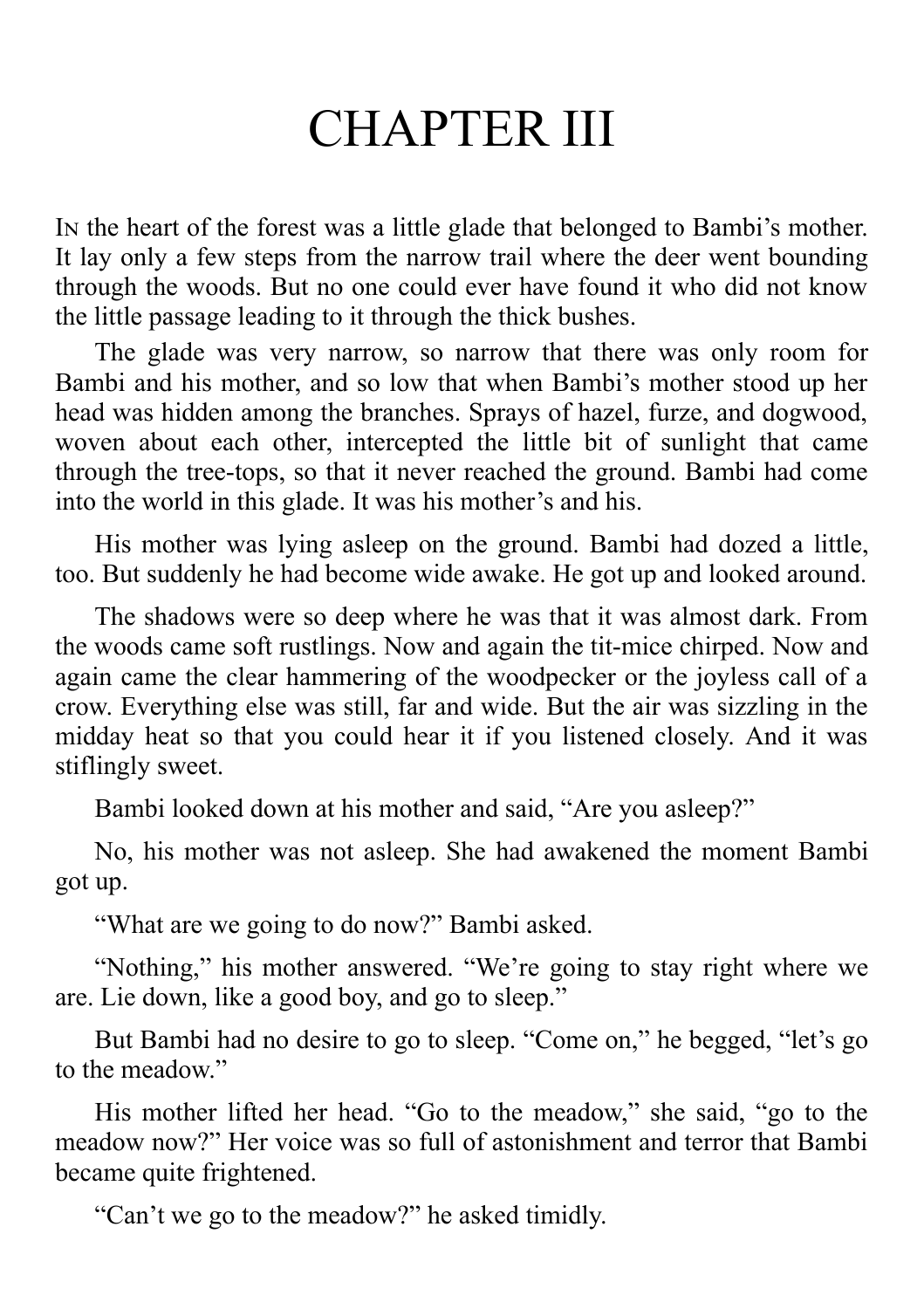# CHAPTER III

In the heart of the forest was a little glade that belonged to Bambi's mother. It lay only a few steps from the narrow trail where the deer went bounding through the woods. But no one could ever have found it who did not know the little passage leading to it through the thick bushes.

The glade was very narrow, so narrow that there was only room for Bambi and his mother, and so low that when Bambi's mother stood up her head was hidden among the branches. Sprays of hazel, furze, and dogwood, woven about each other, intercepted the little bit of sunlight that came through the tree-tops, so that it never reached the ground. Bambi had come into the world in this glade. It was his mother's and his.

His mother was lying asleep on the ground. Bambi had dozed a little, too. But suddenly he had become wide awake. He got up and looked around.

The shadows were so deep where he was that it was almost dark. From the woods came soft rustlings. Now and again the tit-mice chirped. Now and again came the clear hammering of the woodpecker or the joyless call of a crow. Everything else was still, far and wide. But the air was sizzling in the midday heat so that you could hear it if you listened closely. And it was stiflingly sweet.

Bambi looked down at his mother and said, "Are you asleep?"

No, his mother was not asleep. She had awakened the moment Bambi got up.

"What are we going to do now?" Bambi asked.

"Nothing," his mother answered. "We're going to stay right where we are. Lie down, like a good boy, and go to sleep."

But Bambi had no desire to go to sleep. "Come on," he begged, "let's go to the meadow."

His mother lifted her head. "Go to the meadow," she said, "go to the meadow now?" Her voice was so full of astonishment and terror that Bambi became quite frightened.

"Can't we go to the meadow?" he asked timidly.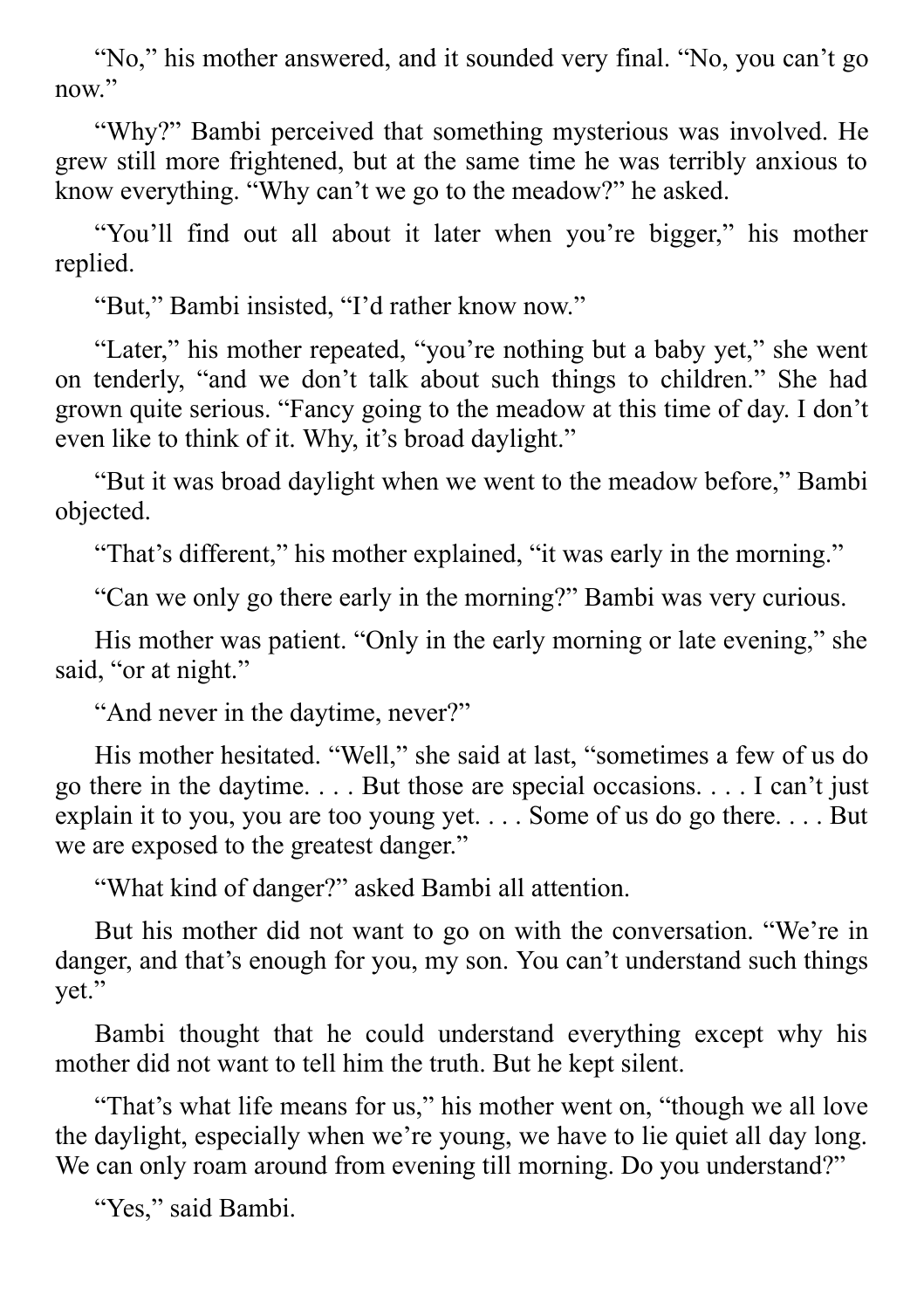"No," his mother answered, and it sounded very final. "No, you can't go now."

"Why?" Bambi perceived that something mysterious was involved. He grew still more frightened, but at the same time he was terribly anxious to know everything. "Why can't we go to the meadow?" he asked.

"You'll find out all about it later when you're bigger," his mother replied.

"But," Bambi insisted, "I'd rather know now."

"Later," his mother repeated, "you're nothing but a baby yet," she went on tenderly, "and we don't talk about such things to children." She had grown quite serious. "Fancy going to the meadow at this time of day. I don't even like to think of it. Why, it's broad daylight."

"But it was broad daylight when we went to the meadow before," Bambi objected.

"That's different," his mother explained, "it was early in the morning."

"Can we only go there early in the morning?" Bambi was very curious.

His mother was patient. "Only in the early morning or late evening," she said, "or at night."

"And never in the daytime, never?"

His mother hesitated. "Well," she said at last, "sometimes a few of us do go there in the daytime. . . . But those are special occasions. . . . I can't just explain it to you, you are too young yet. . . . Some of us do go there. . . . But we are exposed to the greatest danger."

"What kind of danger?" asked Bambi all attention.

But his mother did not want to go on with the conversation. "We're in danger, and that's enough for you, my son. You can't understand such things yet."

Bambi thought that he could understand everything except why his mother did not want to tell him the truth. But he kept silent.

"That's what life means for us," his mother went on, "though we all love the daylight, especially when we're young, we have to lie quiet all day long. We can only roam around from evening till morning. Do you understand?"

"Yes," said Bambi.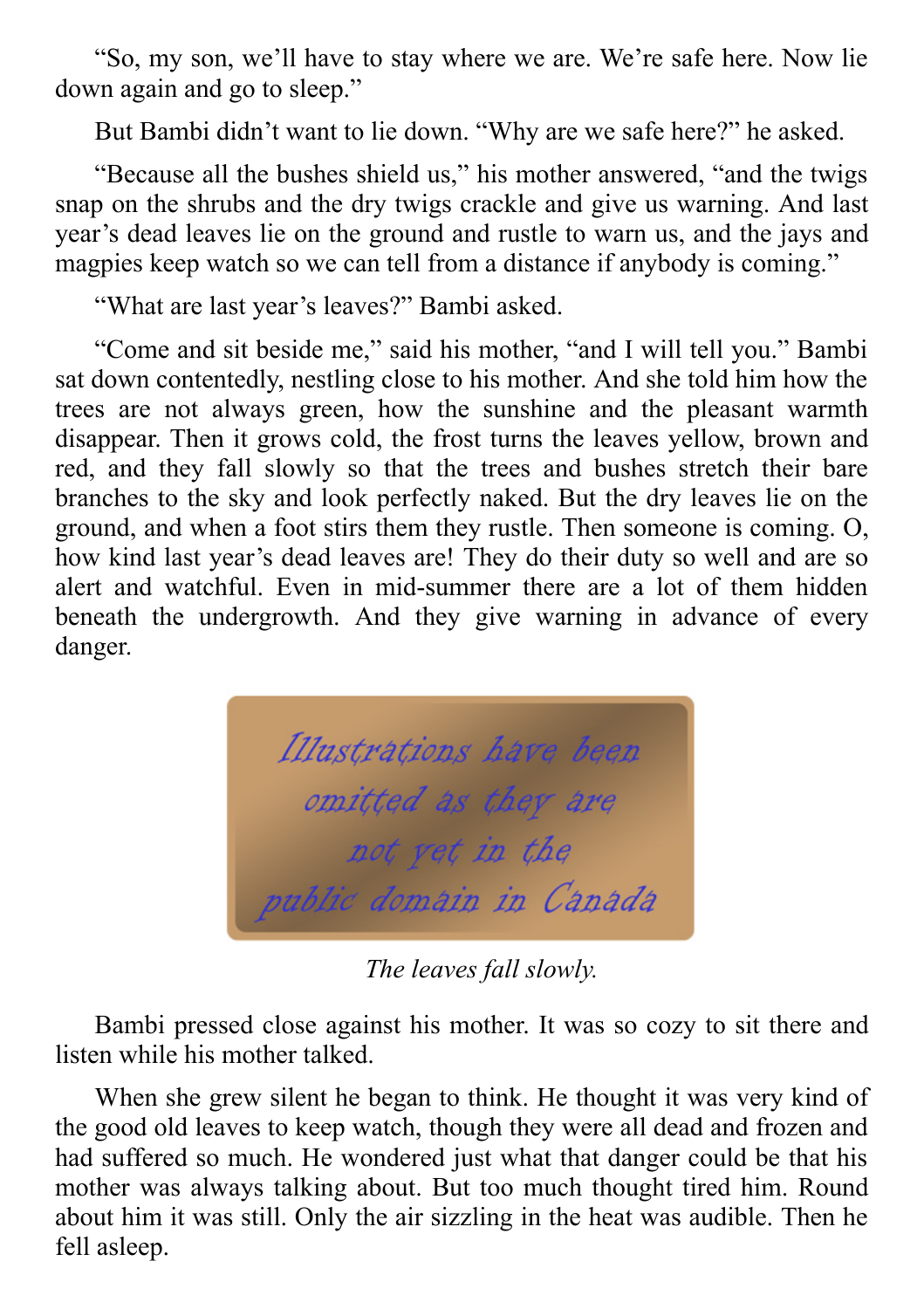"So, my son, we'll have to stay where we are. We're safe here. Now lie down again and go to sleep."

But Bambi didn't want to lie down. "Why are we safe here?" he asked.

"Because all the bushes shield us," his mother answered, "and the twigs snap on the shrubs and the dry twigs crackle and give us warning. And last year's dead leaves lie on the ground and rustle to warn us, and the jays and magpies keep watch so we can tell from a distance if anybody is coming."

"What are last year's leaves?" Bambi asked.

"Come and sit beside me," said his mother, "and I will tell you." Bambi sat down contentedly, nestling close to his mother. And she told him how the trees are not always green, how the sunshine and the pleasant warmth disappear. Then it grows cold, the frost turns the leaves yellow, brown and red, and they fall slowly so that the trees and bushes stretch their bare branches to the sky and look perfectly naked. But the dry leaves lie on the ground, and when a foot stirs them they rustle. Then someone is coming. O, how kind last year's dead leaves are! They do their duty so well and are so alert and watchful. Even in mid-summer there are a lot of them hidden beneath the undergrowth. And they give warning in advance of every danger.

Illustrations have been omitted as they are not yet in the public domain in Canada

*The leaves fall slowly.*

Bambi pressed close against his mother. It was so cozy to sit there and listen while his mother talked.

When she grew silent he began to think. He thought it was very kind of the good old leaves to keep watch, though they were all dead and frozen and had suffered so much. He wondered just what that danger could be that his mother was always talking about. But too much thought tired him. Round about him it was still. Only the air sizzling in the heat was audible. Then he fell asleep.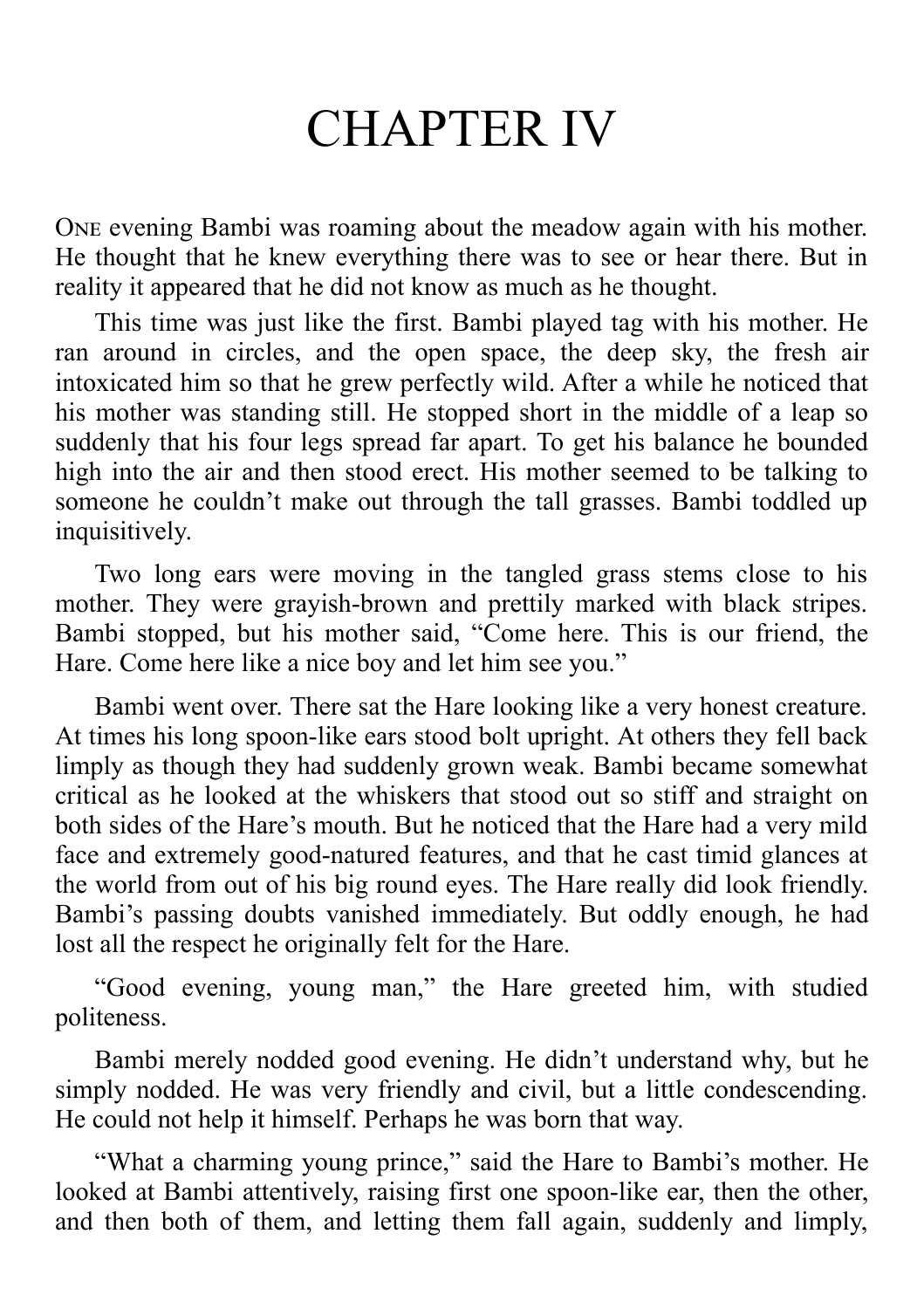## CHAPTER IV

ONE evening Bambi was roaming about the meadow again with his mother. He thought that he knew everything there was to see or hear there. But in reality it appeared that he did not know as much as he thought.

This time was just like the first. Bambi played tag with his mother. He ran around in circles, and the open space, the deep sky, the fresh air intoxicated him so that he grew perfectly wild. After a while he noticed that his mother was standing still. He stopped short in the middle of a leap so suddenly that his four legs spread far apart. To get his balance he bounded high into the air and then stood erect. His mother seemed to be talking to someone he couldn't make out through the tall grasses. Bambi toddled up inquisitively.

Two long ears were moving in the tangled grass stems close to his mother. They were grayish-brown and prettily marked with black stripes. Bambi stopped, but his mother said, "Come here. This is our friend, the Hare. Come here like a nice boy and let him see you."

Bambi went over. There sat the Hare looking like a very honest creature. At times his long spoon-like ears stood bolt upright. At others they fell back limply as though they had suddenly grown weak. Bambi became somewhat critical as he looked at the whiskers that stood out so stiff and straight on both sides of the Hare's mouth. But he noticed that the Hare had a very mild face and extremely good-natured features, and that he cast timid glances at the world from out of his big round eyes. The Hare really did look friendly. Bambi's passing doubts vanished immediately. But oddly enough, he had lost all the respect he originally felt for the Hare.

"Good evening, young man," the Hare greeted him, with studied politeness.

Bambi merely nodded good evening. He didn't understand why, but he simply nodded. He was very friendly and civil, but a little condescending. He could not help it himself. Perhaps he was born that way.

"What a charming young prince," said the Hare to Bambi's mother. He looked at Bambi attentively, raising first one spoon-like ear, then the other, and then both of them, and letting them fall again, suddenly and limply,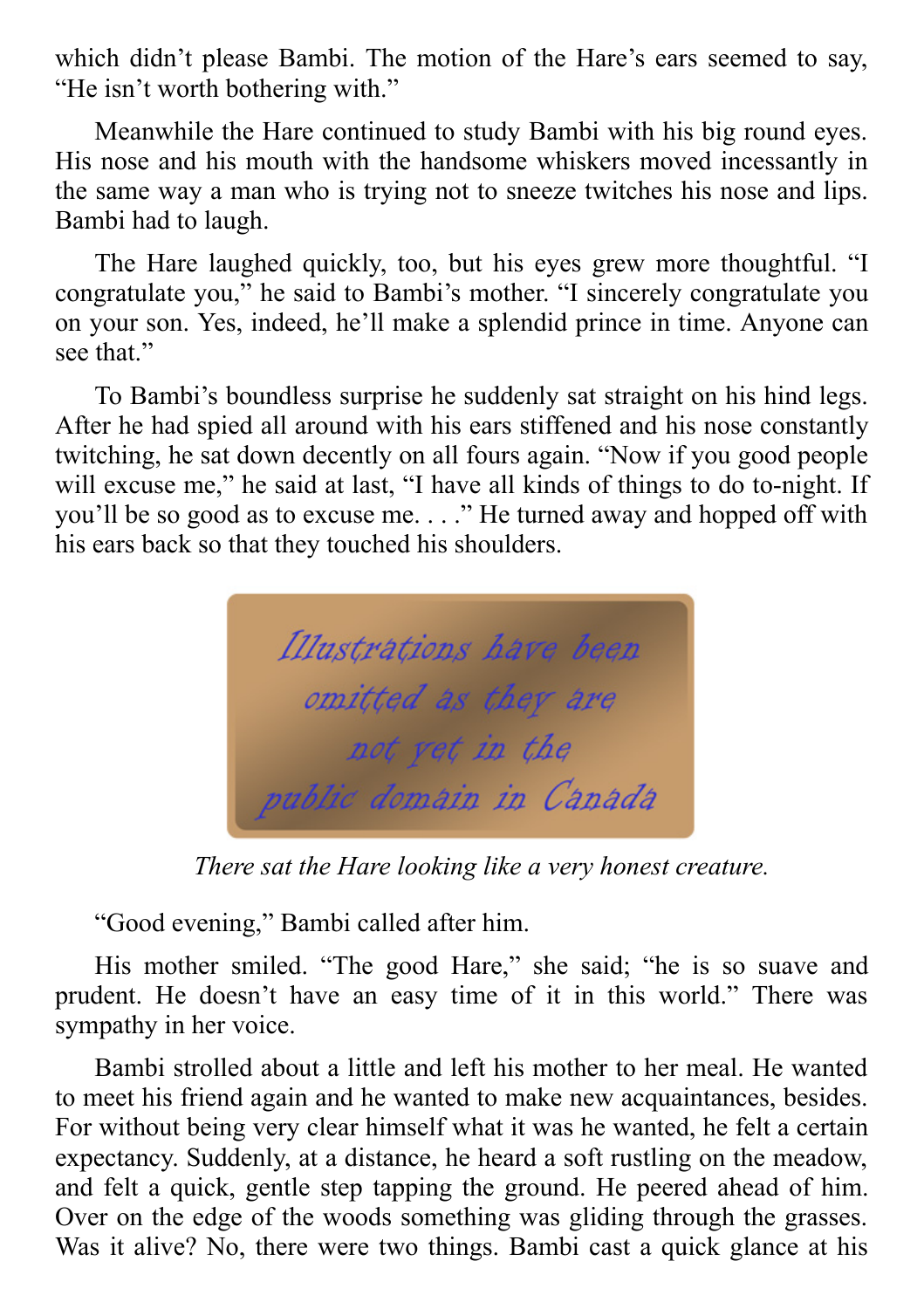which didn't please Bambi. The motion of the Hare's ears seemed to say, "He isn't worth bothering with."

Meanwhile the Hare continued to study Bambi with his big round eyes. His nose and his mouth with the handsome whiskers moved incessantly in the same way a man who is trying not to sneeze twitches his nose and lips. Bambi had to laugh.

The Hare laughed quickly, too, but his eyes grew more thoughtful. "I congratulate you," he said to Bambi's mother. "I sincerely congratulate you on your son. Yes, indeed, he'll make a splendid prince in time. Anyone can see that."

To Bambi's boundless surprise he suddenly sat straight on his hind legs. After he had spied all around with his ears stiffened and his nose constantly twitching, he sat down decently on all fours again. "Now if you good people will excuse me," he said at last, "I have all kinds of things to do to-night. If you'll be so good as to excuse me. . . ." He turned away and hopped off with his ears back so that they touched his shoulders.



*There sat the Hare looking like a very honest creature.*

"Good evening," Bambi called after him.

His mother smiled. "The good Hare," she said; "he is so suave and prudent. He doesn't have an easy time of it in this world." There was sympathy in her voice.

Bambi strolled about a little and left his mother to her meal. He wanted to meet his friend again and he wanted to make new acquaintances, besides. For without being very clear himself what it was he wanted, he felt a certain expectancy. Suddenly, at a distance, he heard a soft rustling on the meadow, and felt a quick, gentle step tapping the ground. He peered ahead of him. Over on the edge of the woods something was gliding through the grasses. Was it alive? No, there were two things. Bambi cast a quick glance at his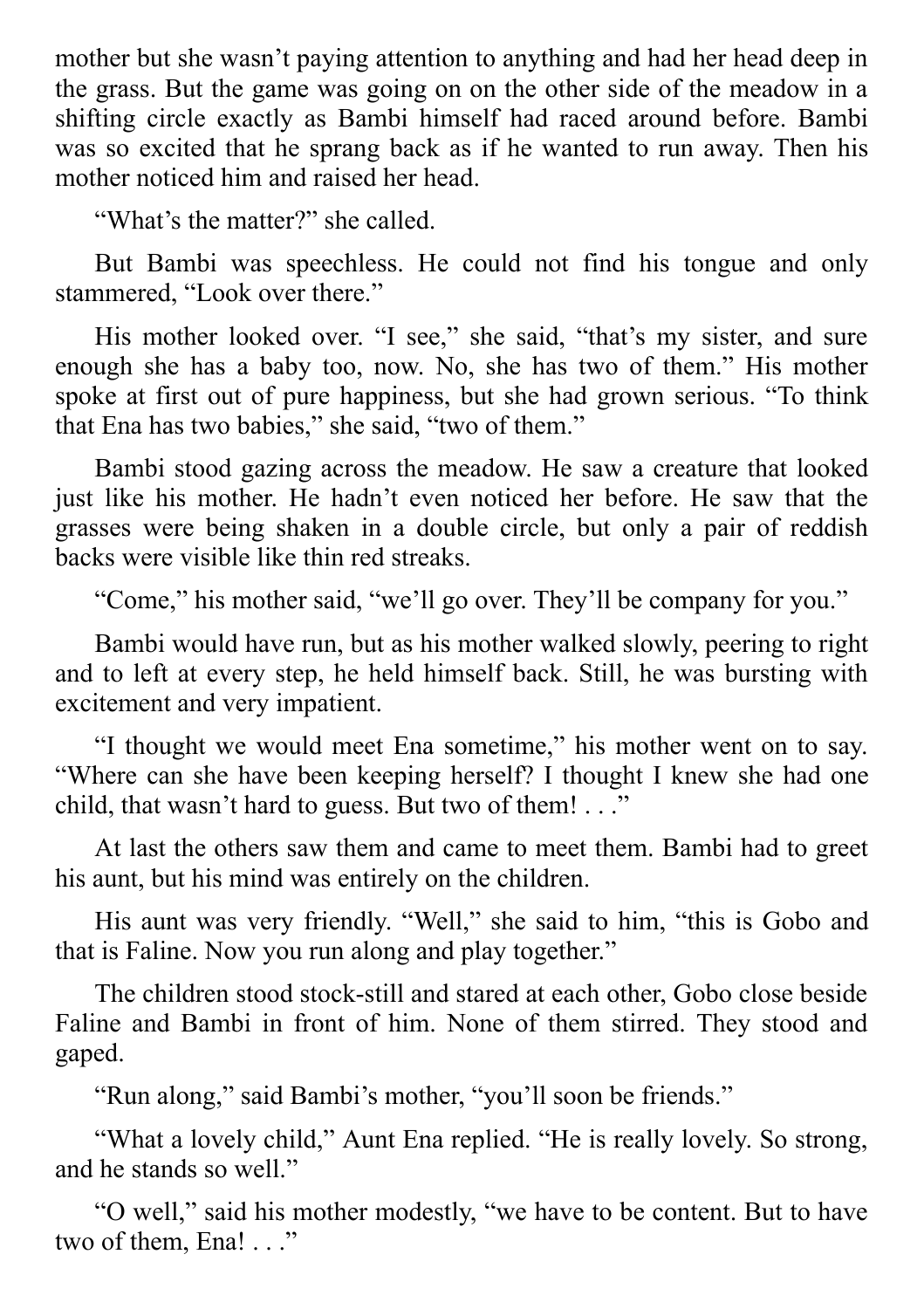mother but she wasn't paying attention to anything and had her head deep in the grass. But the game was going on on the other side of the meadow in a shifting circle exactly as Bambi himself had raced around before. Bambi was so excited that he sprang back as if he wanted to run away. Then his mother noticed him and raised her head.

"What's the matter?" she called.

But Bambi was speechless. He could not find his tongue and only stammered, "Look over there."

His mother looked over. "I see," she said, "that's my sister, and sure enough she has a baby too, now. No, she has two of them." His mother spoke at first out of pure happiness, but she had grown serious. "To think that Ena has two babies," she said, "two of them."

Bambi stood gazing across the meadow. He saw a creature that looked just like his mother. He hadn't even noticed her before. He saw that the grasses were being shaken in a double circle, but only a pair of reddish backs were visible like thin red streaks.

"Come," his mother said, "we'll go over. They'll be company for you."

Bambi would have run, but as his mother walked slowly, peering to right and to left at every step, he held himself back. Still, he was bursting with excitement and very impatient.

"I thought we would meet Ena sometime," his mother went on to say. "Where can she have been keeping herself? I thought I knew she had one child, that wasn't hard to guess. But two of them! . . ."

At last the others saw them and came to meet them. Bambi had to greet his aunt, but his mind was entirely on the children.

His aunt was very friendly. "Well," she said to him, "this is Gobo and that is Faline. Now you run along and play together."

The children stood stock-still and stared at each other, Gobo close beside Faline and Bambi in front of him. None of them stirred. They stood and gaped.

"Run along," said Bambi's mother, "you'll soon be friends."

"What a lovely child," Aunt Ena replied. "He is really lovely. So strong, and he stands so well."

"O well," said his mother modestly, "we have to be content. But to have two of them, Ena! . . ."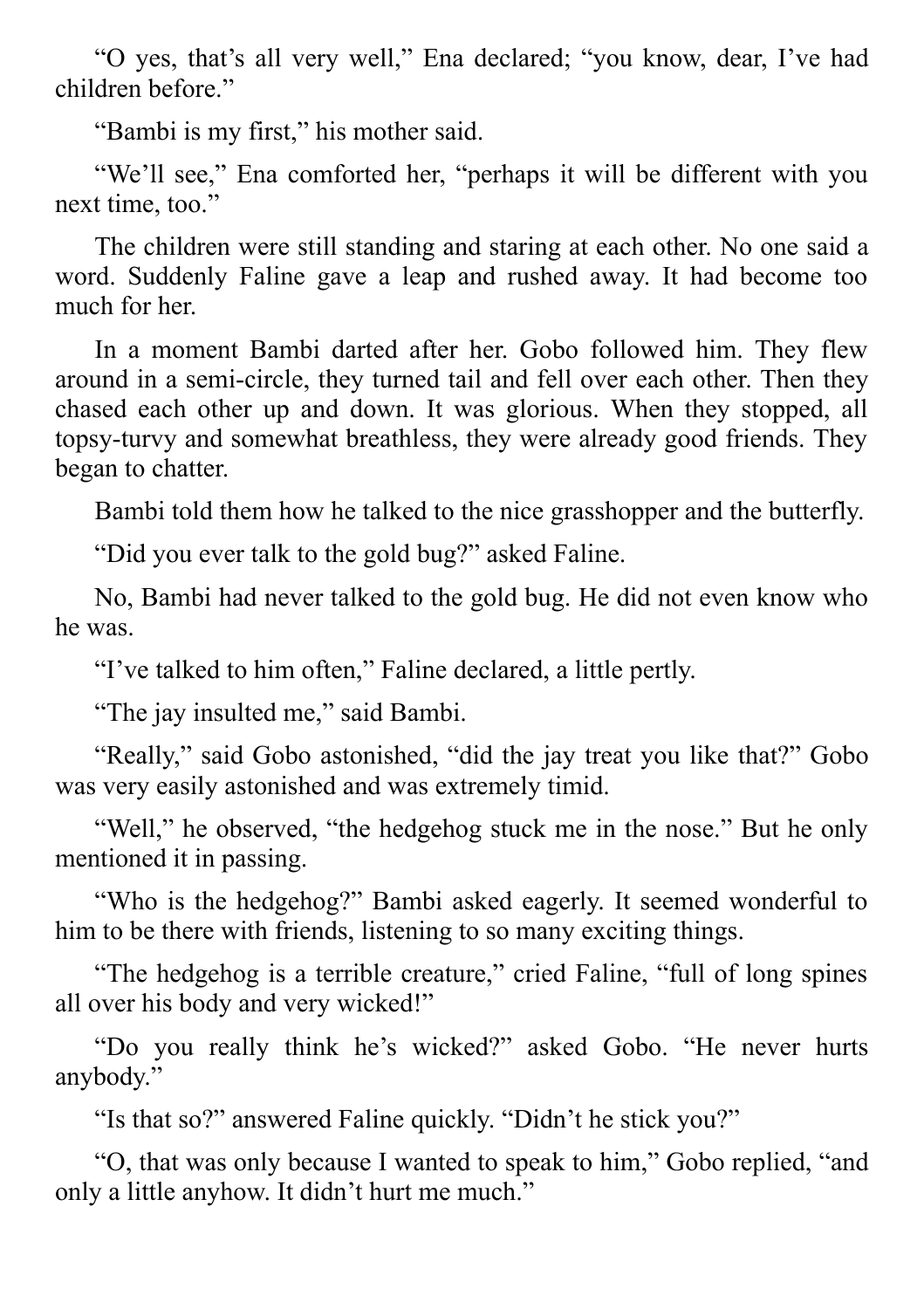"O yes, that's all very well," Ena declared; "you know, dear, I've had children before."

"Bambi is my first," his mother said.

"We'll see," Ena comforted her, "perhaps it will be different with you next time, too."

The children were still standing and staring at each other. No one said a word. Suddenly Faline gave a leap and rushed away. It had become too much for her.

In a moment Bambi darted after her. Gobo followed him. They flew around in a semi-circle, they turned tail and fell over each other. Then they chased each other up and down. It was glorious. When they stopped, all topsy-turvy and somewhat breathless, they were already good friends. They began to chatter.

Bambi told them how he talked to the nice grasshopper and the butterfly.

"Did you ever talk to the gold bug?" asked Faline.

No, Bambi had never talked to the gold bug. He did not even know who he was.

"I've talked to him often," Faline declared, a little pertly.

"The jay insulted me," said Bambi.

"Really," said Gobo astonished, "did the jay treat you like that?" Gobo was very easily astonished and was extremely timid.

"Well," he observed, "the hedgehog stuck me in the nose." But he only mentioned it in passing.

"Who is the hedgehog?" Bambi asked eagerly. It seemed wonderful to him to be there with friends, listening to so many exciting things.

"The hedgehog is a terrible creature," cried Faline, "full of long spines all over his body and very wicked!"

"Do you really think he's wicked?" asked Gobo. "He never hurts anybody."

"Is that so?" answered Faline quickly. "Didn't he stick you?"

"O, that was only because I wanted to speak to him," Gobo replied, "and only a little anyhow. It didn't hurt me much."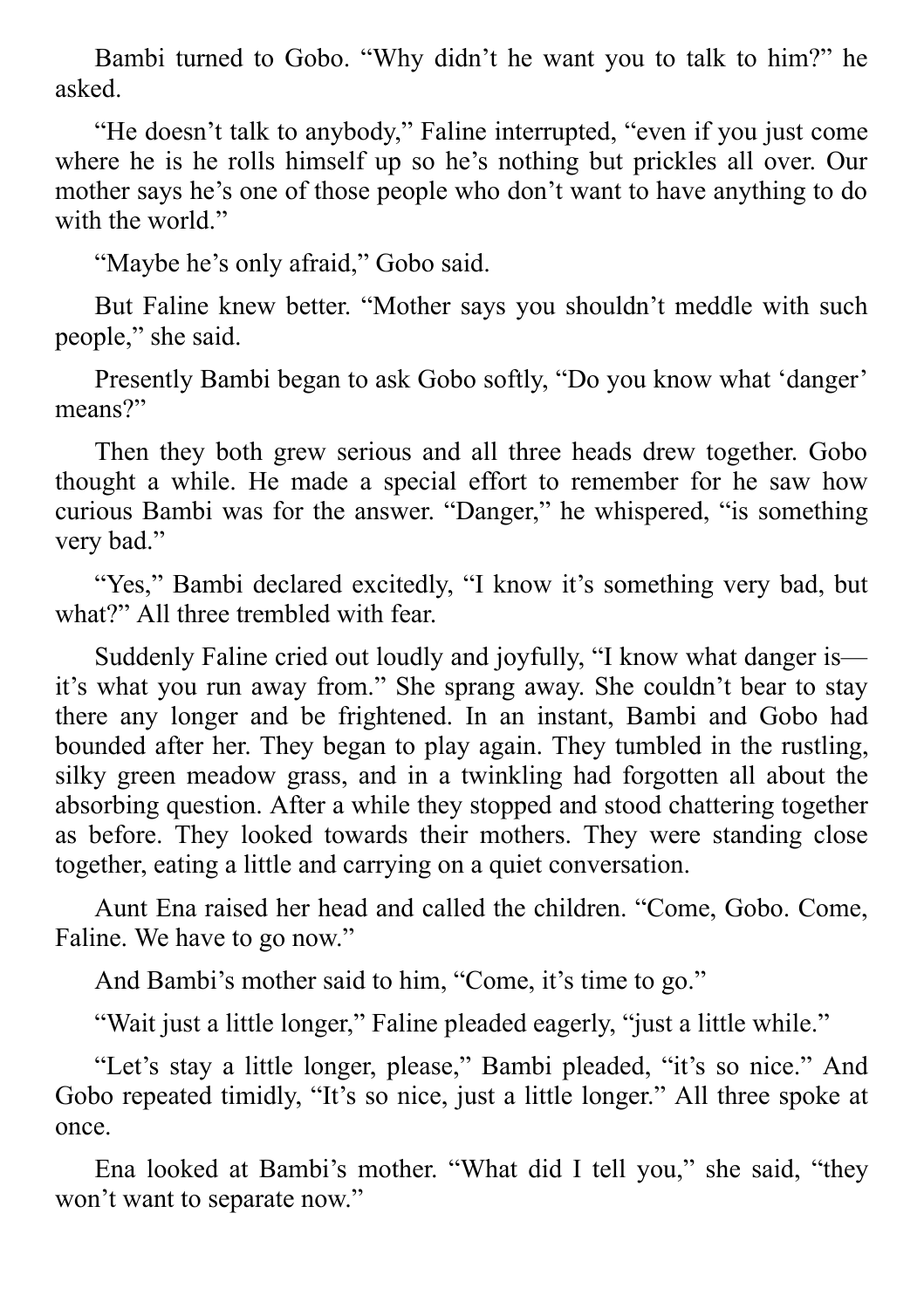Bambi turned to Gobo. "Why didn't he want you to talk to him?" he asked.

"He doesn't talk to anybody," Faline interrupted, "even if you just come where he is he rolls himself up so he's nothing but prickles all over. Our mother says he's one of those people who don't want to have anything to do with the world."

"Maybe he's only afraid," Gobo said.

But Faline knew better. "Mother says you shouldn't meddle with such people," she said.

Presently Bambi began to ask Gobo softly, "Do you know what 'danger' means?"

Then they both grew serious and all three heads drew together. Gobo thought a while. He made a special effort to remember for he saw how curious Bambi was for the answer. "Danger," he whispered, "is something very bad."

"Yes," Bambi declared excitedly, "I know it's something very bad, but what?" All three trembled with fear.

Suddenly Faline cried out loudly and joyfully, "I know what danger is it's what you run away from." She sprang away. She couldn't bear to stay there any longer and be frightened. In an instant, Bambi and Gobo had bounded after her. They began to play again. They tumbled in the rustling, silky green meadow grass, and in a twinkling had forgotten all about the absorbing question. After a while they stopped and stood chattering together as before. They looked towards their mothers. They were standing close together, eating a little and carrying on a quiet conversation.

Aunt Ena raised her head and called the children. "Come, Gobo. Come, Faline. We have to go now."

And Bambi's mother said to him, "Come, it's time to go."

"Wait just a little longer," Faline pleaded eagerly, "just a little while."

"Let's stay a little longer, please," Bambi pleaded, "it's so nice." And Gobo repeated timidly, "It's so nice, just a little longer." All three spoke at once.

Ena looked at Bambi's mother. "What did I tell you," she said, "they won't want to separate now."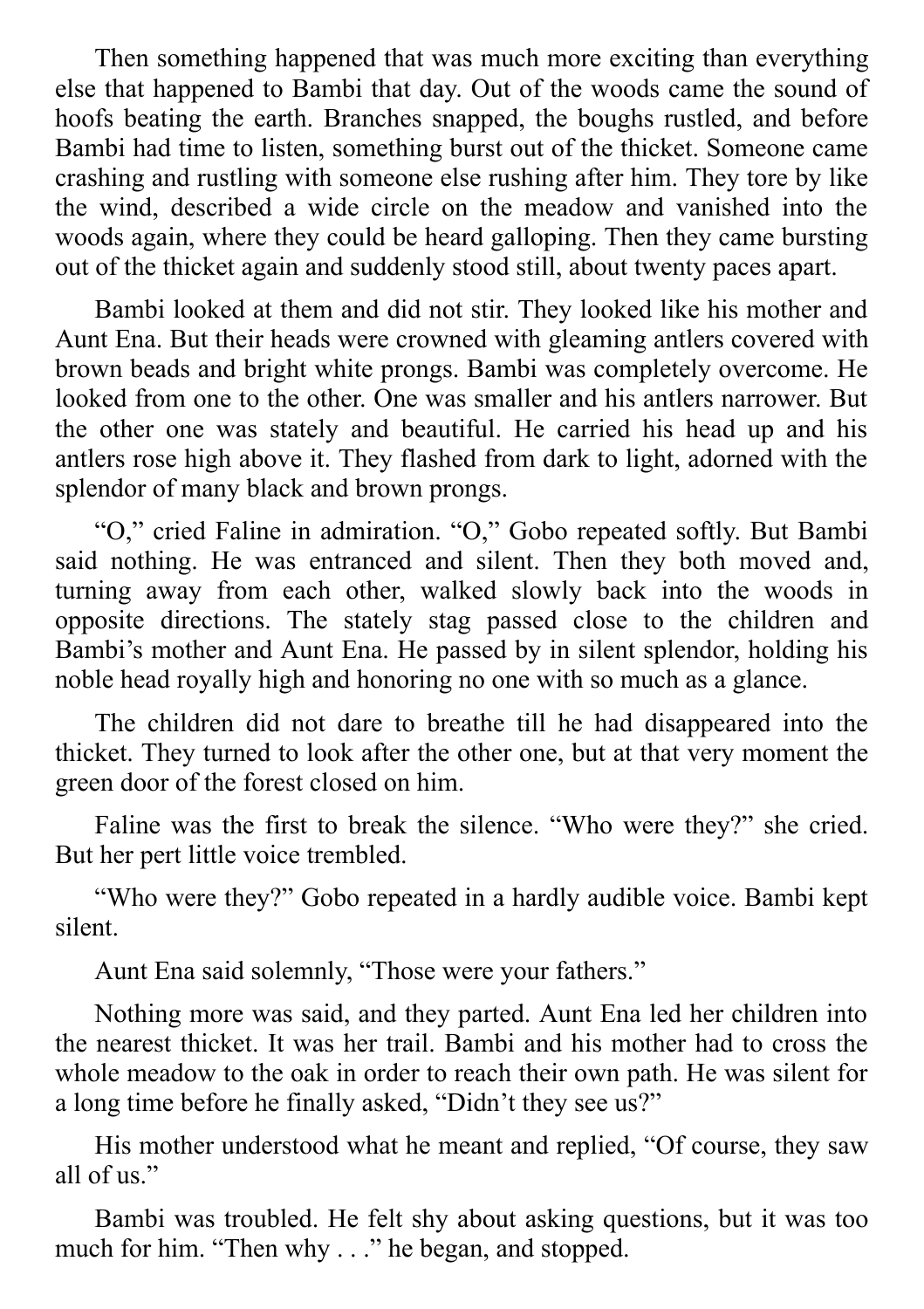Then something happened that was much more exciting than everything else that happened to Bambi that day. Out of the woods came the sound of hoofs beating the earth. Branches snapped, the boughs rustled, and before Bambi had time to listen, something burst out of the thicket. Someone came crashing and rustling with someone else rushing after him. They tore by like the wind, described a wide circle on the meadow and vanished into the woods again, where they could be heard galloping. Then they came bursting out of the thicket again and suddenly stood still, about twenty paces apart.

Bambi looked at them and did not stir. They looked like his mother and Aunt Ena. But their heads were crowned with gleaming antlers covered with brown beads and bright white prongs. Bambi was completely overcome. He looked from one to the other. One was smaller and his antlers narrower. But the other one was stately and beautiful. He carried his head up and his antlers rose high above it. They flashed from dark to light, adorned with the splendor of many black and brown prongs.

"O," cried Faline in admiration. "O," Gobo repeated softly. But Bambi said nothing. He was entranced and silent. Then they both moved and, turning away from each other, walked slowly back into the woods in opposite directions. The stately stag passed close to the children and Bambi's mother and Aunt Ena. He passed by in silent splendor, holding his noble head royally high and honoring no one with so much as a glance.

The children did not dare to breathe till he had disappeared into the thicket. They turned to look after the other one, but at that very moment the green door of the forest closed on him.

Faline was the first to break the silence. "Who were they?" she cried. But her pert little voice trembled.

"Who were they?" Gobo repeated in a hardly audible voice. Bambi kept silent.

Aunt Ena said solemnly, "Those were your fathers."

Nothing more was said, and they parted. Aunt Ena led her children into the nearest thicket. It was her trail. Bambi and his mother had to cross the whole meadow to the oak in order to reach their own path. He was silent for a long time before he finally asked, "Didn't they see us?"

His mother understood what he meant and replied, "Of course, they saw all of us."

Bambi was troubled. He felt shy about asking questions, but it was too much for him. "Then why . . ." he began, and stopped.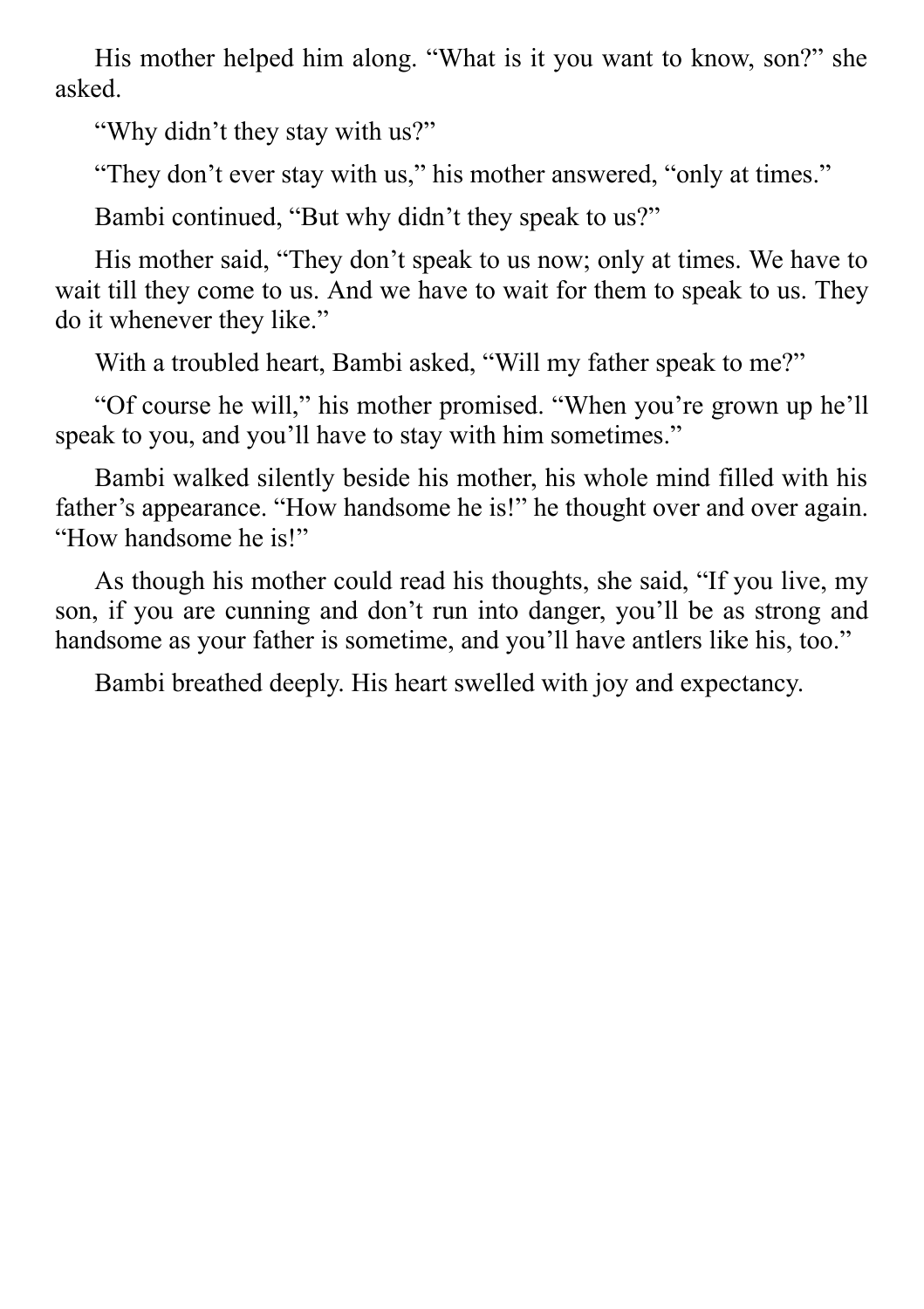His mother helped him along. "What is it you want to know, son?" she asked.

"Why didn't they stay with us?"

"They don't ever stay with us," his mother answered, "only at times."

Bambi continued, "But why didn't they speak to us?"

His mother said, "They don't speak to us now; only at times. We have to wait till they come to us. And we have to wait for them to speak to us. They do it whenever they like."

With a troubled heart, Bambi asked, "Will my father speak to me?"

"Of course he will," his mother promised. "When you're grown up he'll speak to you, and you'll have to stay with him sometimes."

Bambi walked silently beside his mother, his whole mind filled with his father's appearance. "How handsome he is!" he thought over and over again. "How handsome he is!"

As though his mother could read his thoughts, she said, "If you live, my son, if you are cunning and don't run into danger, you'll be as strong and handsome as your father is sometime, and you'll have antlers like his, too."

Bambi breathed deeply. His heart swelled with joy and expectancy.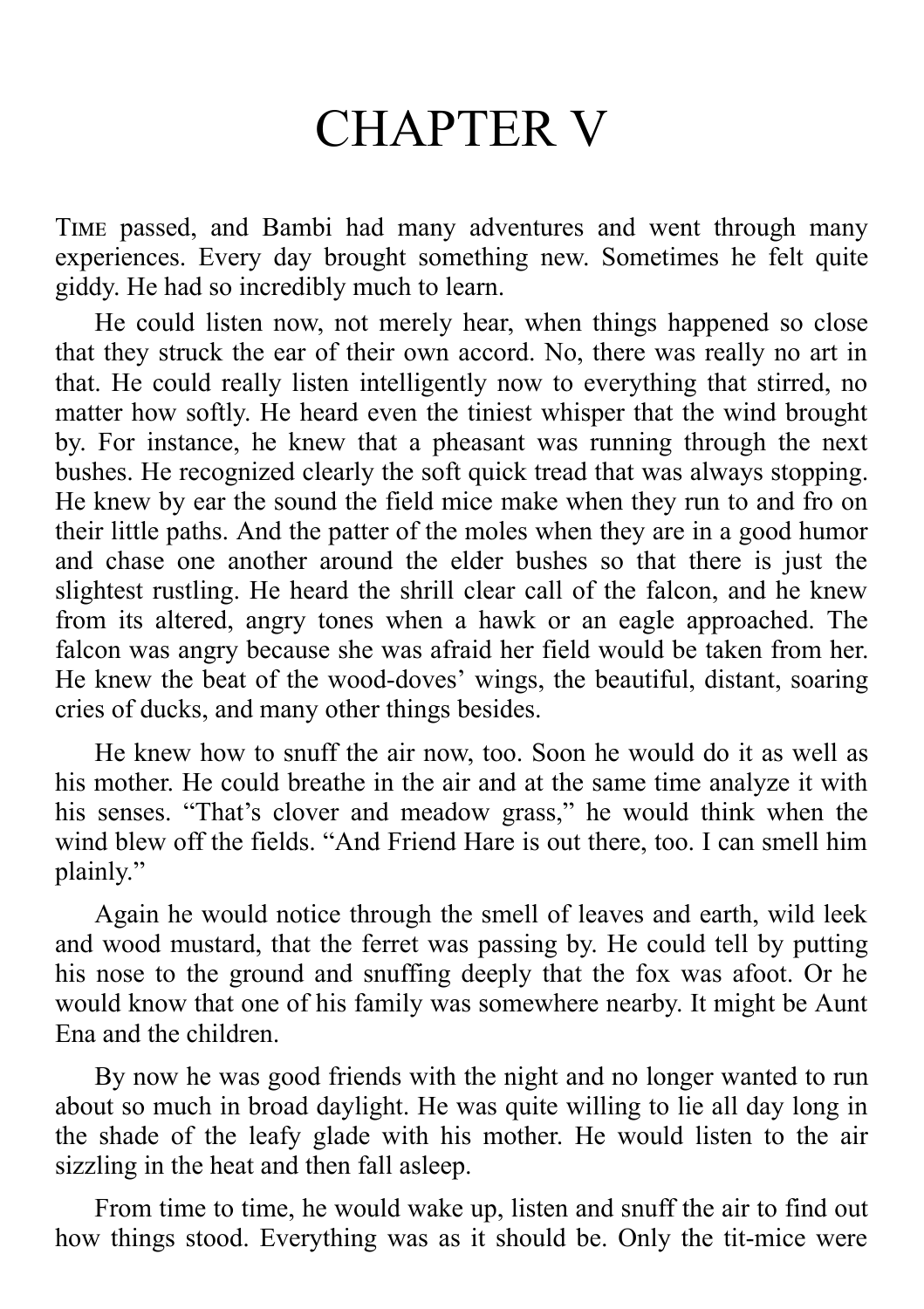## CHAPTER V

TIME passed, and Bambi had many adventures and went through many experiences. Every day brought something new. Sometimes he felt quite giddy. He had so incredibly much to learn.

He could listen now, not merely hear, when things happened so close that they struck the ear of their own accord. No, there was really no art in that. He could really listen intelligently now to everything that stirred, no matter how softly. He heard even the tiniest whisper that the wind brought by. For instance, he knew that a pheasant was running through the next bushes. He recognized clearly the soft quick tread that was always stopping. He knew by ear the sound the field mice make when they run to and fro on their little paths. And the patter of the moles when they are in a good humor and chase one another around the elder bushes so that there is just the slightest rustling. He heard the shrill clear call of the falcon, and he knew from its altered, angry tones when a hawk or an eagle approached. The falcon was angry because she was afraid her field would be taken from her. He knew the beat of the wood-doves' wings, the beautiful, distant, soaring cries of ducks, and many other things besides.

He knew how to snuff the air now, too. Soon he would do it as well as his mother. He could breathe in the air and at the same time analyze it with his senses. "That's clover and meadow grass," he would think when the wind blew off the fields. "And Friend Hare is out there, too. I can smell him plainly."

Again he would notice through the smell of leaves and earth, wild leek and wood mustard, that the ferret was passing by. He could tell by putting his nose to the ground and snuffing deeply that the fox was afoot. Or he would know that one of his family was somewhere nearby. It might be Aunt Ena and the children.

By now he was good friends with the night and no longer wanted to run about so much in broad daylight. He was quite willing to lie all day long in the shade of the leafy glade with his mother. He would listen to the air sizzling in the heat and then fall asleep.

From time to time, he would wake up, listen and snuff the air to find out how things stood. Everything was as it should be. Only the tit-mice were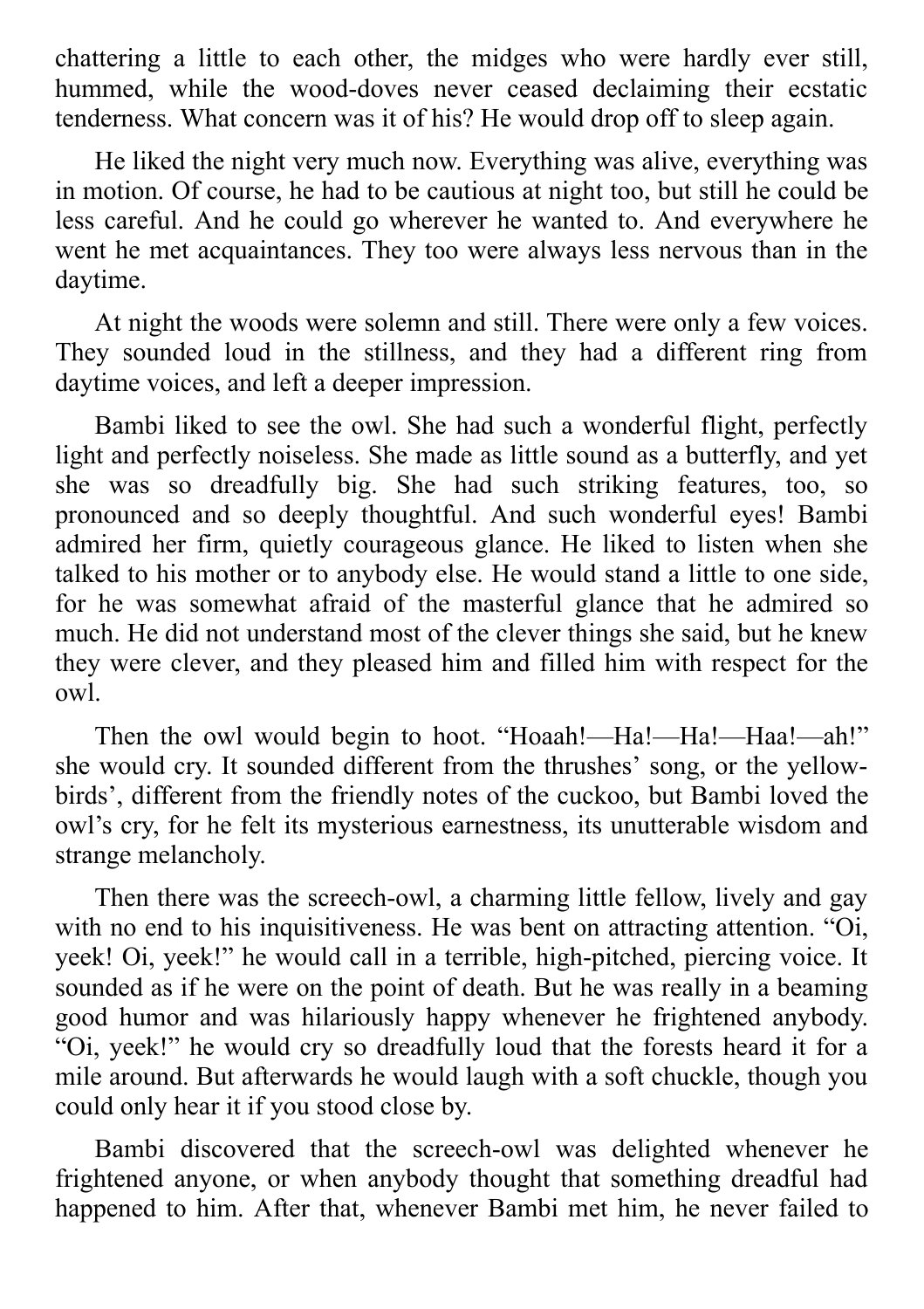chattering a little to each other, the midges who were hardly ever still, hummed, while the wood-doves never ceased declaiming their ecstatic tenderness. What concern was it of his? He would drop off to sleep again.

He liked the night very much now. Everything was alive, everything was in motion. Of course, he had to be cautious at night too, but still he could be less careful. And he could go wherever he wanted to. And everywhere he went he met acquaintances. They too were always less nervous than in the daytime.

At night the woods were solemn and still. There were only a few voices. They sounded loud in the stillness, and they had a different ring from daytime voices, and left a deeper impression.

Bambi liked to see the owl. She had such a wonderful flight, perfectly light and perfectly noiseless. She made as little sound as a butterfly, and yet she was so dreadfully big. She had such striking features, too, so pronounced and so deeply thoughtful. And such wonderful eyes! Bambi admired her firm, quietly courageous glance. He liked to listen when she talked to his mother or to anybody else. He would stand a little to one side, for he was somewhat afraid of the masterful glance that he admired so much. He did not understand most of the clever things she said, but he knew they were clever, and they pleased him and filled him with respect for the owl.

Then the owl would begin to hoot. "Hoaah!—Ha!—Ha!—Haa!—ah!" she would cry. It sounded different from the thrushes' song, or the yellowbirds', different from the friendly notes of the cuckoo, but Bambi loved the owl's cry, for he felt its mysterious earnestness, its unutterable wisdom and strange melancholy.

Then there was the screech-owl, a charming little fellow, lively and gay with no end to his inquisitiveness. He was bent on attracting attention. "Oi, yeek! Oi, yeek!" he would call in a terrible, high-pitched, piercing voice. It sounded as if he were on the point of death. But he was really in a beaming good humor and was hilariously happy whenever he frightened anybody. "Oi, yeek!" he would cry so dreadfully loud that the forests heard it for a mile around. But afterwards he would laugh with a soft chuckle, though you could only hear it if you stood close by.

Bambi discovered that the screech-owl was delighted whenever he frightened anyone, or when anybody thought that something dreadful had happened to him. After that, whenever Bambi met him, he never failed to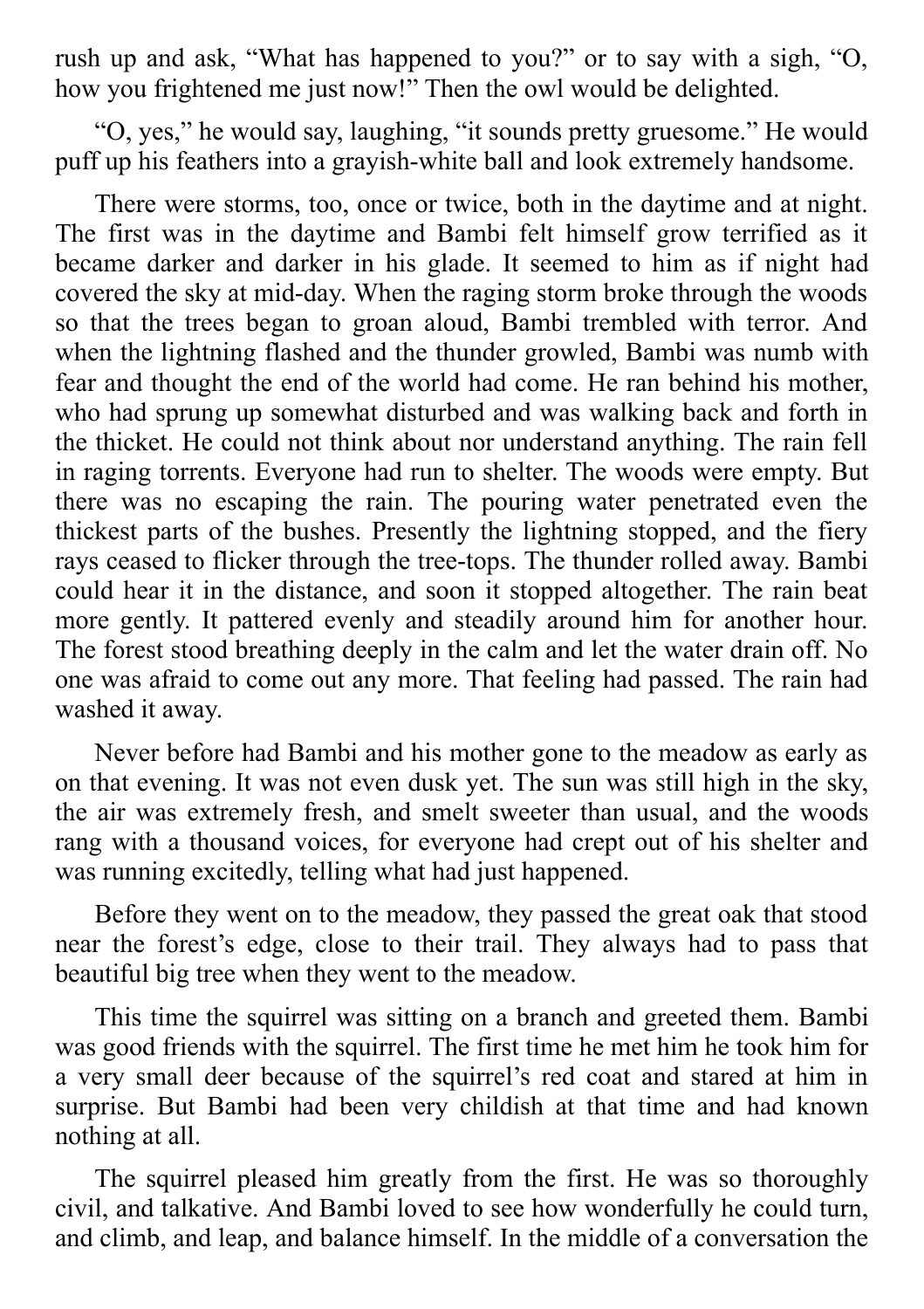rush up and ask, "What has happened to you?" or to say with a sigh, "O, how you frightened me just now!" Then the owl would be delighted.

"O, yes," he would say, laughing, "it sounds pretty gruesome." He would puff up his feathers into a grayish-white ball and look extremely handsome.

There were storms, too, once or twice, both in the daytime and at night. The first was in the daytime and Bambi felt himself grow terrified as it became darker and darker in his glade. It seemed to him as if night had covered the sky at mid-day. When the raging storm broke through the woods so that the trees began to groan aloud, Bambi trembled with terror. And when the lightning flashed and the thunder growled, Bambi was numb with fear and thought the end of the world had come. He ran behind his mother, who had sprung up somewhat disturbed and was walking back and forth in the thicket. He could not think about nor understand anything. The rain fell in raging torrents. Everyone had run to shelter. The woods were empty. But there was no escaping the rain. The pouring water penetrated even the thickest parts of the bushes. Presently the lightning stopped, and the fiery rays ceased to flicker through the tree-tops. The thunder rolled away. Bambi could hear it in the distance, and soon it stopped altogether. The rain beat more gently. It pattered evenly and steadily around him for another hour. The forest stood breathing deeply in the calm and let the water drain off. No one was afraid to come out any more. That feeling had passed. The rain had washed it away.

Never before had Bambi and his mother gone to the meadow as early as on that evening. It was not even dusk yet. The sun was still high in the sky, the air was extremely fresh, and smelt sweeter than usual, and the woods rang with a thousand voices, for everyone had crept out of his shelter and was running excitedly, telling what had just happened.

Before they went on to the meadow, they passed the great oak that stood near the forest's edge, close to their trail. They always had to pass that beautiful big tree when they went to the meadow.

This time the squirrel was sitting on a branch and greeted them. Bambi was good friends with the squirrel. The first time he met him he took him for a very small deer because of the squirrel's red coat and stared at him in surprise. But Bambi had been very childish at that time and had known nothing at all.

The squirrel pleased him greatly from the first. He was so thoroughly civil, and talkative. And Bambi loved to see how wonderfully he could turn, and climb, and leap, and balance himself. In the middle of a conversation the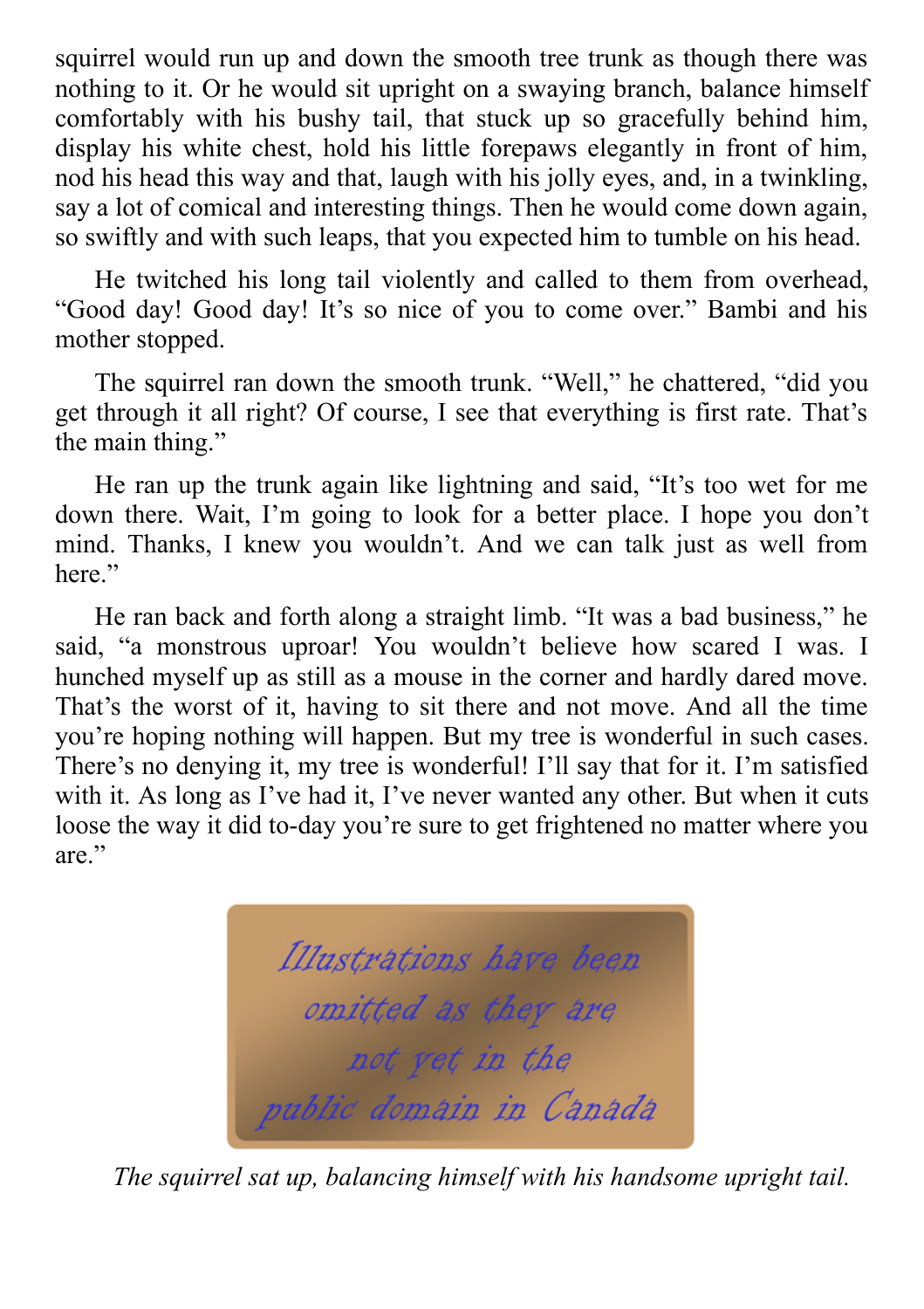squirrel would run up and down the smooth tree trunk as though there was nothing to it. Or he would sit upright on a swaying branch, balance himself comfortably with his bushy tail, that stuck up so gracefully behind him, display his white chest, hold his little forepaws elegantly in front of him, nod his head this way and that, laugh with his jolly eyes, and, in a twinkling, say a lot of comical and interesting things. Then he would come down again, so swiftly and with such leaps, that you expected him to tumble on his head.

He twitched his long tail violently and called to them from overhead, "Good day! Good day! It's so nice of you to come over." Bambi and his mother stopped.

The squirrel ran down the smooth trunk. "Well," he chattered, "did you get through it all right? Of course, I see that everything is first rate. That's the main thing."

He ran up the trunk again like lightning and said, "It's too wet for me down there. Wait, I'm going to look for a better place. I hope you don't mind. Thanks, I knew you wouldn't. And we can talk just as well from here."

He ran back and forth along a straight limb. "It was a bad business," he said, "a monstrous uproar! You wouldn't believe how scared I was. I hunched myself up as still as a mouse in the corner and hardly dared move. That's the worst of it, having to sit there and not move. And all the time you're hoping nothing will happen. But my tree is wonderful in such cases. There's no denying it, my tree is wonderful! I'll say that for it. I'm satisfied with it. As long as I've had it, I've never wanted any other. But when it cuts loose the way it did to-day you're sure to get frightened no matter where you are."



*The squirrel sat up, balancing himself with his handsome upright tail.*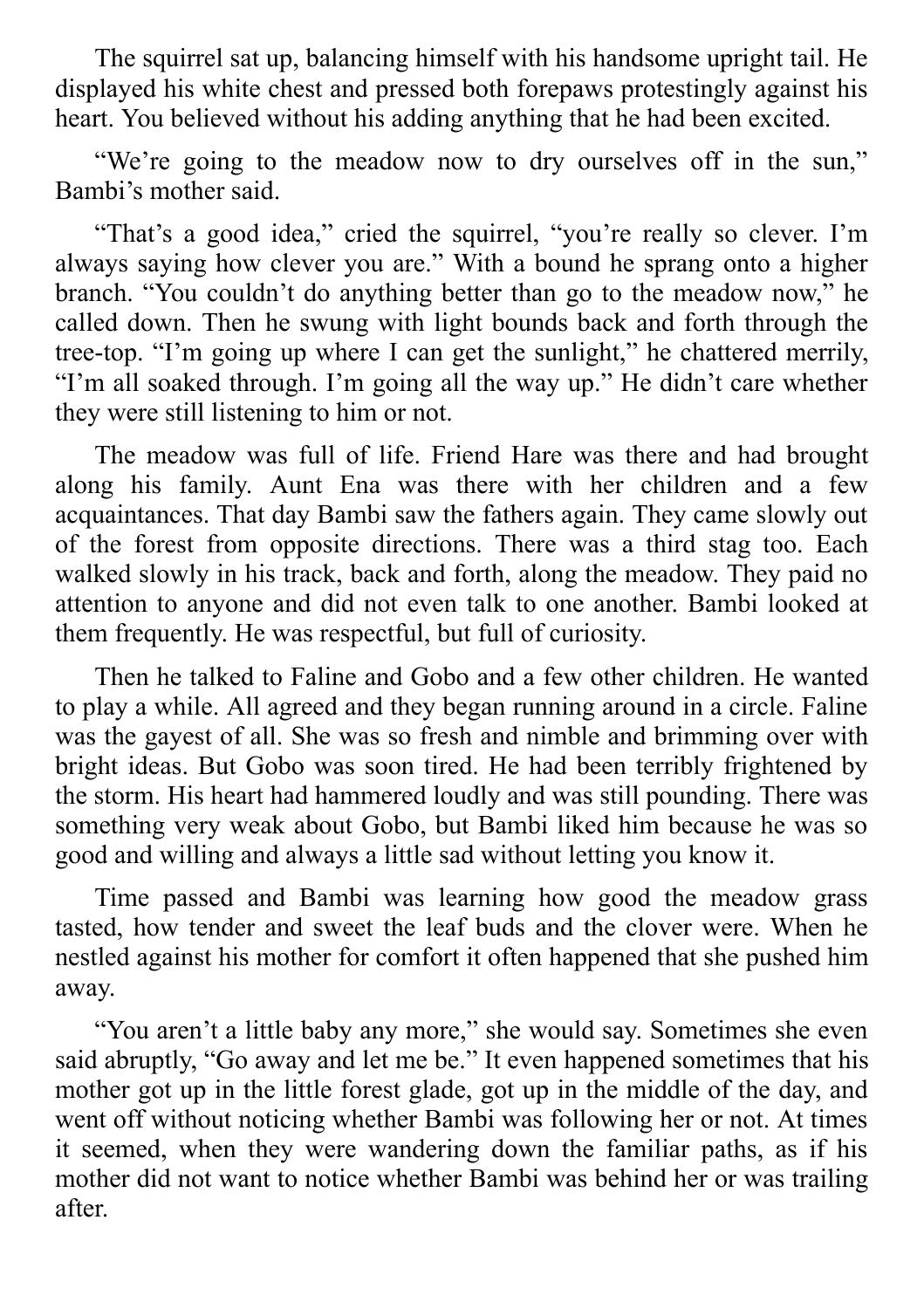The squirrel sat up, balancing himself with his handsome upright tail. He displayed his white chest and pressed both forepaws protestingly against his heart. You believed without his adding anything that he had been excited.

"We're going to the meadow now to dry ourselves off in the sun," Bambi's mother said.

"That's a good idea," cried the squirrel, "you're really so clever. I'm always saying how clever you are." With a bound he sprang onto a higher branch. "You couldn't do anything better than go to the meadow now," he called down. Then he swung with light bounds back and forth through the tree-top. "I'm going up where I can get the sunlight," he chattered merrily, "I'm all soaked through. I'm going all the way up." He didn't care whether they were still listening to him or not.

The meadow was full of life. Friend Hare was there and had brought along his family. Aunt Ena was there with her children and a few acquaintances. That day Bambi saw the fathers again. They came slowly out of the forest from opposite directions. There was a third stag too. Each walked slowly in his track, back and forth, along the meadow. They paid no attention to anyone and did not even talk to one another. Bambi looked at them frequently. He was respectful, but full of curiosity.

Then he talked to Faline and Gobo and a few other children. He wanted to play a while. All agreed and they began running around in a circle. Faline was the gayest of all. She was so fresh and nimble and brimming over with bright ideas. But Gobo was soon tired. He had been terribly frightened by the storm. His heart had hammered loudly and was still pounding. There was something very weak about Gobo, but Bambi liked him because he was so good and willing and always a little sad without letting you know it.

Time passed and Bambi was learning how good the meadow grass tasted, how tender and sweet the leaf buds and the clover were. When he nestled against his mother for comfort it often happened that she pushed him away.

"You aren't a little baby any more," she would say. Sometimes she even said abruptly, "Go away and let me be." It even happened sometimes that his mother got up in the little forest glade, got up in the middle of the day, and went off without noticing whether Bambi was following her or not. At times it seemed, when they were wandering down the familiar paths, as if his mother did not want to notice whether Bambi was behind her or was trailing after.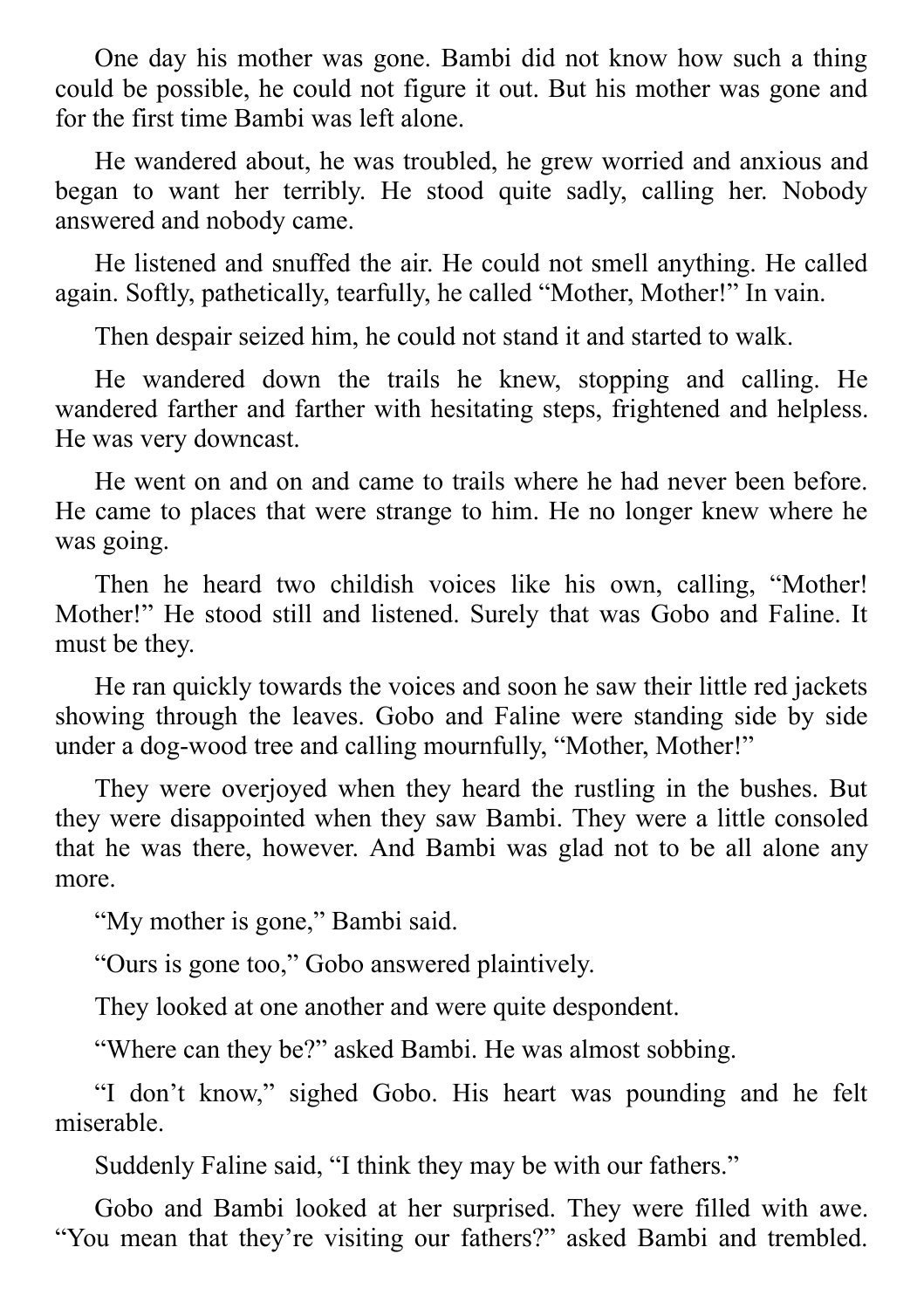One day his mother was gone. Bambi did not know how such a thing could be possible, he could not figure it out. But his mother was gone and for the first time Bambi was left alone.

He wandered about, he was troubled, he grew worried and anxious and began to want her terribly. He stood quite sadly, calling her. Nobody answered and nobody came.

He listened and snuffed the air. He could not smell anything. He called again. Softly, pathetically, tearfully, he called "Mother, Mother!" In vain.

Then despair seized him, he could not stand it and started to walk.

He wandered down the trails he knew, stopping and calling. He wandered farther and farther with hesitating steps, frightened and helpless. He was very downcast.

He went on and on and came to trails where he had never been before. He came to places that were strange to him. He no longer knew where he was going.

Then he heard two childish voices like his own, calling, "Mother! Mother!" He stood still and listened. Surely that was Gobo and Faline. It must be they.

He ran quickly towards the voices and soon he saw their little red jackets showing through the leaves. Gobo and Faline were standing side by side under a dog-wood tree and calling mournfully, "Mother, Mother!"

They were overjoyed when they heard the rustling in the bushes. But they were disappointed when they saw Bambi. They were a little consoled that he was there, however. And Bambi was glad not to be all alone any more.

"My mother is gone," Bambi said.

"Ours is gone too," Gobo answered plaintively.

They looked at one another and were quite despondent.

"Where can they be?" asked Bambi. He was almost sobbing.

"I don't know," sighed Gobo. His heart was pounding and he felt miserable.

Suddenly Faline said, "I think they may be with our fathers."

Gobo and Bambi looked at her surprised. They were filled with awe. "You mean that they're visiting our fathers?" asked Bambi and trembled.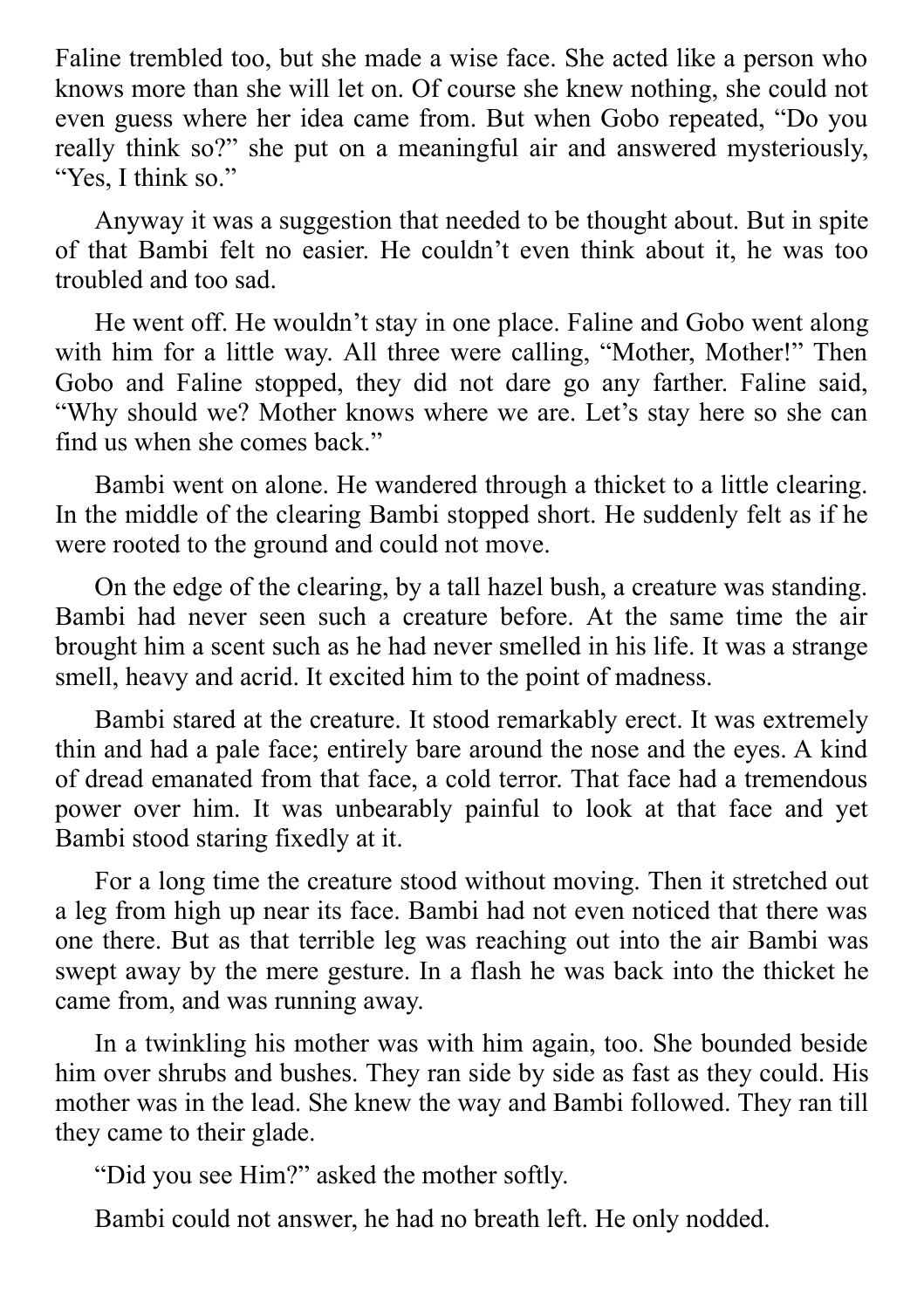Faline trembled too, but she made a wise face. She acted like a person who knows more than she will let on. Of course she knew nothing, she could not even guess where her idea came from. But when Gobo repeated, "Do you really think so?" she put on a meaningful air and answered mysteriously, "Yes, I think so."

Anyway it was a suggestion that needed to be thought about. But in spite of that Bambi felt no easier. He couldn't even think about it, he was too troubled and too sad.

He went off. He wouldn't stay in one place. Faline and Gobo went along with him for a little way. All three were calling, "Mother, Mother!" Then Gobo and Faline stopped, they did not dare go any farther. Faline said, "Why should we? Mother knows where we are. Let's stay here so she can find us when she comes back."

Bambi went on alone. He wandered through a thicket to a little clearing. In the middle of the clearing Bambi stopped short. He suddenly felt as if he were rooted to the ground and could not move.

On the edge of the clearing, by a tall hazel bush, a creature was standing. Bambi had never seen such a creature before. At the same time the air brought him a scent such as he had never smelled in his life. It was a strange smell, heavy and acrid. It excited him to the point of madness.

Bambi stared at the creature. It stood remarkably erect. It was extremely thin and had a pale face; entirely bare around the nose and the eyes. A kind of dread emanated from that face, a cold terror. That face had a tremendous power over him. It was unbearably painful to look at that face and yet Bambi stood staring fixedly at it.

For a long time the creature stood without moving. Then it stretched out a leg from high up near its face. Bambi had not even noticed that there was one there. But as that terrible leg was reaching out into the air Bambi was swept away by the mere gesture. In a flash he was back into the thicket he came from, and was running away.

In a twinkling his mother was with him again, too. She bounded beside him over shrubs and bushes. They ran side by side as fast as they could. His mother was in the lead. She knew the way and Bambi followed. They ran till they came to their glade.

"Did you see Him?" asked the mother softly.

Bambi could not answer, he had no breath left. He only nodded.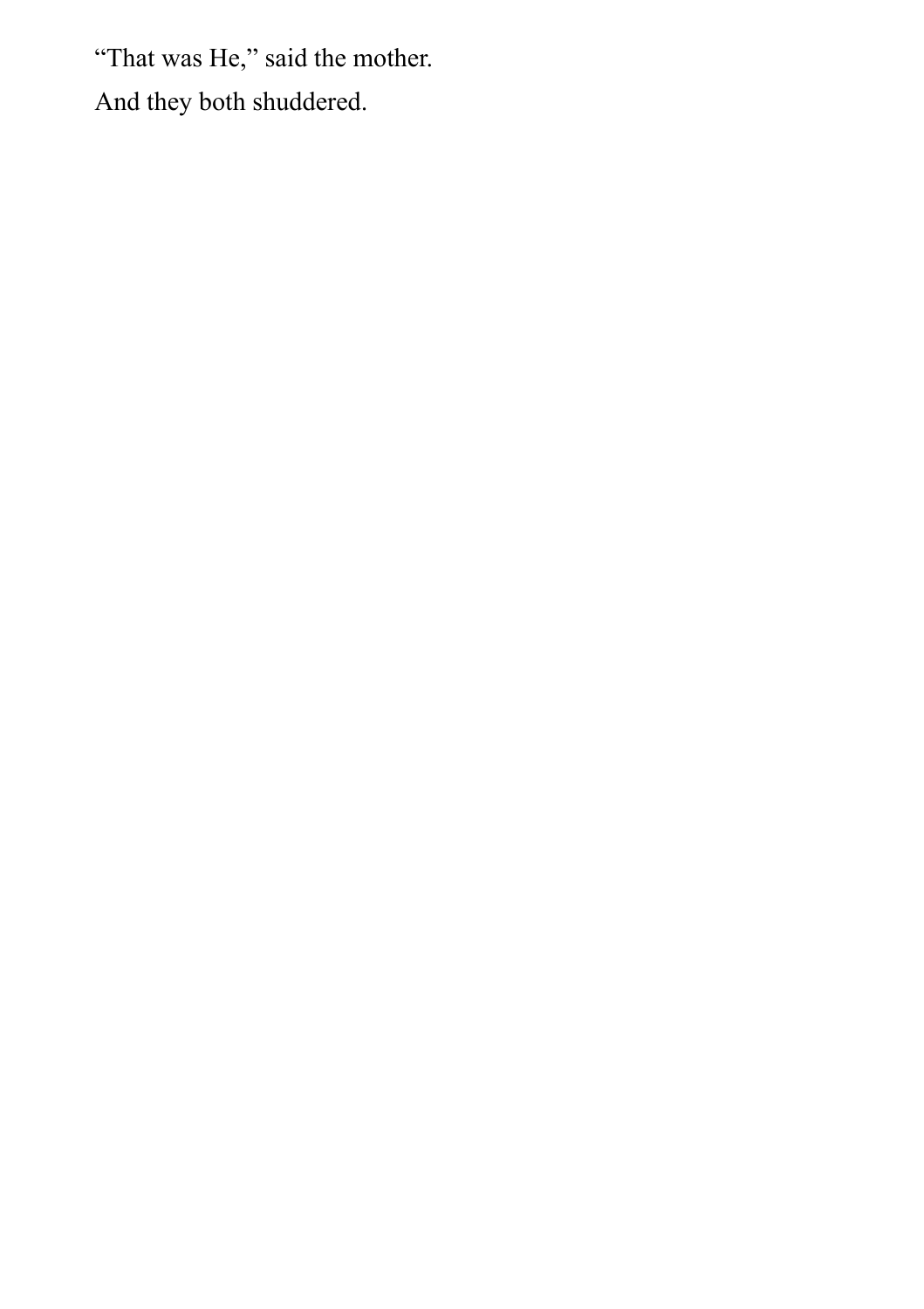"That was He," said the mother. And they both shuddered.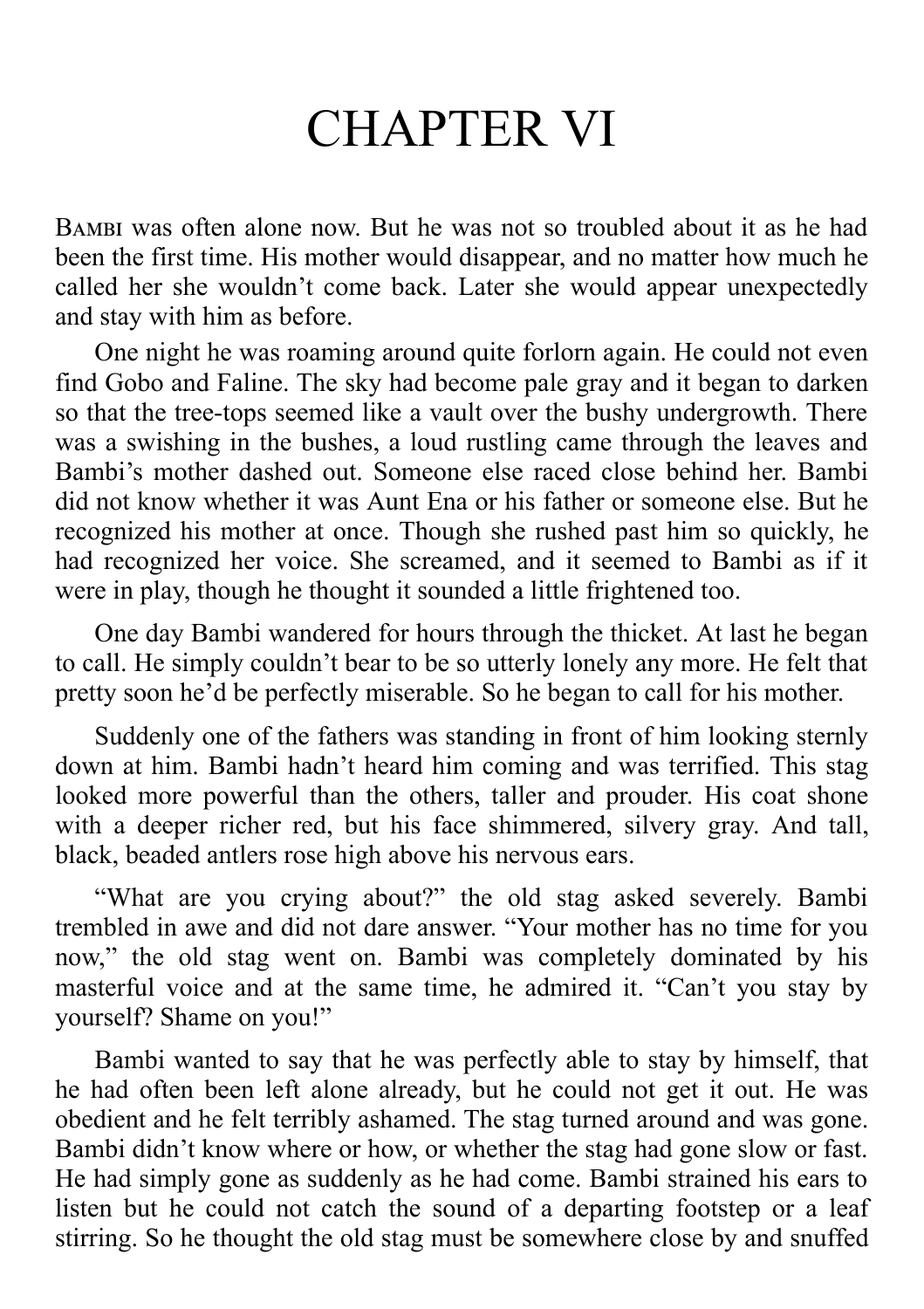## CHAPTER VI

B was often alone now. But he was not so troubled about it as he had been the first time. His mother would disappear, and no matter how much he called her she wouldn't come back. Later she would appear unexpectedly and stay with him as before.

One night he was roaming around quite forlorn again. He could not even find Gobo and Faline. The sky had become pale gray and it began to darken so that the tree-tops seemed like a vault over the bushy undergrowth. There was a swishing in the bushes, a loud rustling came through the leaves and Bambi's mother dashed out. Someone else raced close behind her. Bambi did not know whether it was Aunt Ena or his father or someone else. But he recognized his mother at once. Though she rushed past him so quickly, he had recognized her voice. She screamed, and it seemed to Bambi as if it were in play, though he thought it sounded a little frightened too.

One day Bambi wandered for hours through the thicket. At last he began to call. He simply couldn't bear to be so utterly lonely any more. He felt that pretty soon he'd be perfectly miserable. So he began to call for his mother.

Suddenly one of the fathers was standing in front of him looking sternly down at him. Bambi hadn't heard him coming and was terrified. This stag looked more powerful than the others, taller and prouder. His coat shone with a deeper richer red, but his face shimmered, silvery gray. And tall, black, beaded antlers rose high above his nervous ears.

"What are you crying about?" the old stag asked severely. Bambi trembled in awe and did not dare answer. "Your mother has no time for you now," the old stag went on. Bambi was completely dominated by his masterful voice and at the same time, he admired it. "Can't you stay by yourself? Shame on you!"

Bambi wanted to say that he was perfectly able to stay by himself, that he had often been left alone already, but he could not get it out. He was obedient and he felt terribly ashamed. The stag turned around and was gone. Bambi didn't know where or how, or whether the stag had gone slow or fast. He had simply gone as suddenly as he had come. Bambi strained his ears to listen but he could not catch the sound of a departing footstep or a leaf stirring. So he thought the old stag must be somewhere close by and snuffed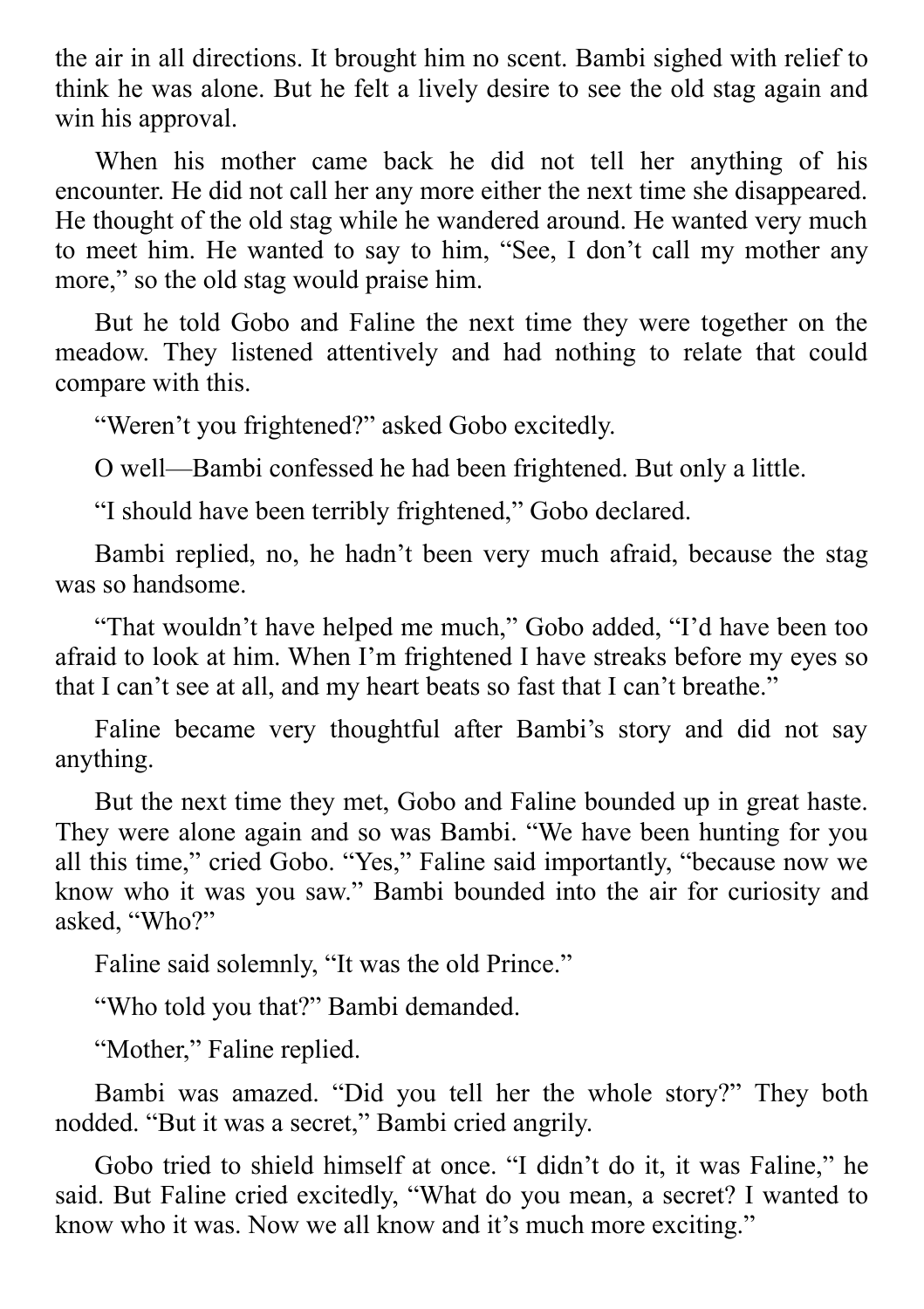the air in all directions. It brought him no scent. Bambi sighed with relief to think he was alone. But he felt a lively desire to see the old stag again and win his approval.

When his mother came back he did not tell her anything of his encounter. He did not call her any more either the next time she disappeared. He thought of the old stag while he wandered around. He wanted very much to meet him. He wanted to say to him, "See, I don't call my mother any more," so the old stag would praise him.

But he told Gobo and Faline the next time they were together on the meadow. They listened attentively and had nothing to relate that could compare with this.

"Weren't you frightened?" asked Gobo excitedly.

O well—Bambi confessed he had been frightened. But only a little.

"I should have been terribly frightened," Gobo declared.

Bambi replied, no, he hadn't been very much afraid, because the stag was so handsome.

"That wouldn't have helped me much," Gobo added, "I'd have been too afraid to look at him. When I'm frightened I have streaks before my eyes so that I can't see at all, and my heart beats so fast that I can't breathe."

Faline became very thoughtful after Bambi's story and did not say anything.

But the next time they met, Gobo and Faline bounded up in great haste. They were alone again and so was Bambi. "We have been hunting for you all this time," cried Gobo. "Yes," Faline said importantly, "because now we know who it was you saw." Bambi bounded into the air for curiosity and asked, "Who?"

Faline said solemnly, "It was the old Prince."

"Who told you that?" Bambi demanded.

"Mother," Faline replied.

Bambi was amazed. "Did you tell her the whole story?" They both nodded. "But it was a secret," Bambi cried angrily.

Gobo tried to shield himself at once. "I didn't do it, it was Faline," he said. But Faline cried excitedly, "What do you mean, a secret? I wanted to know who it was. Now we all know and it's much more exciting."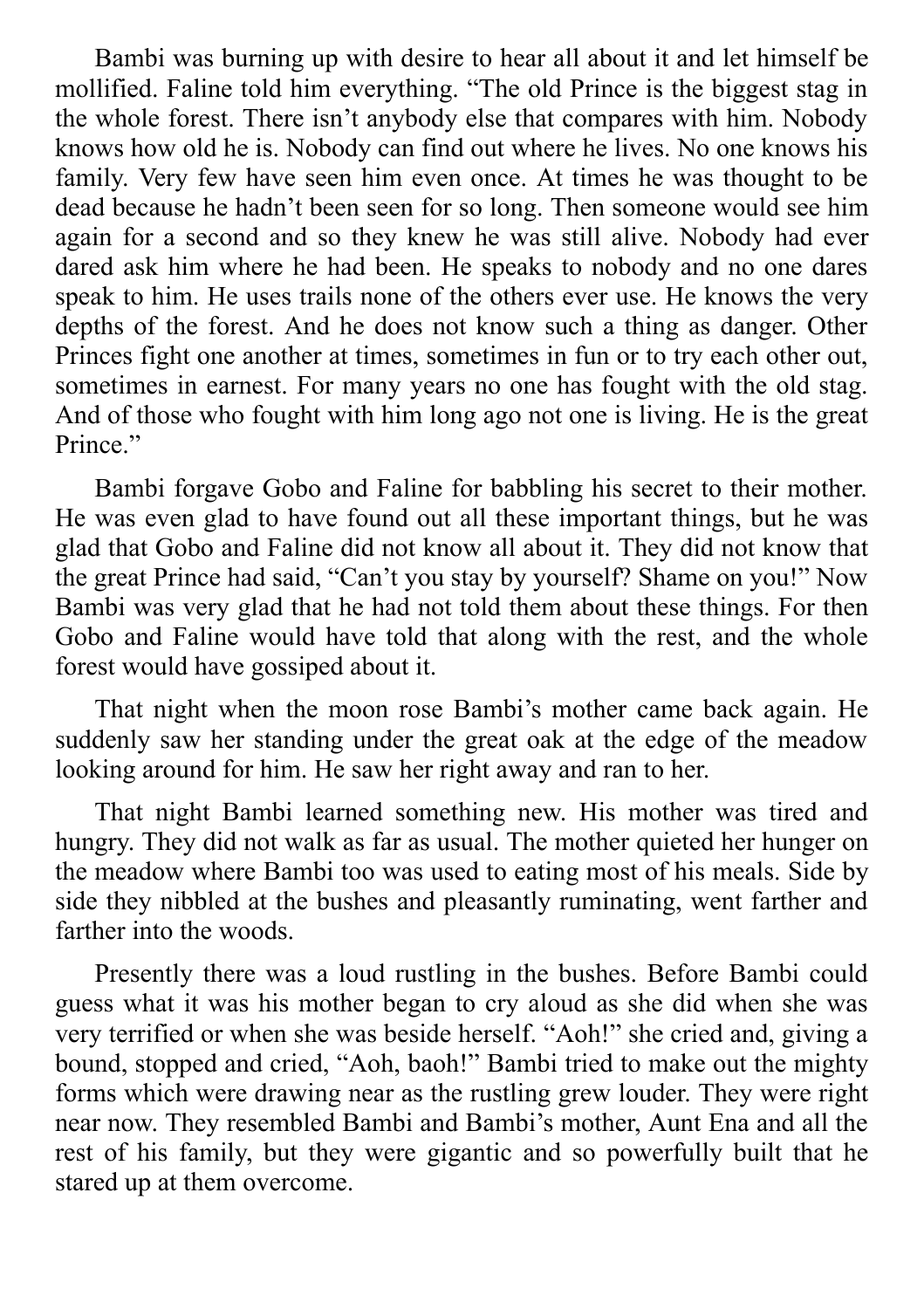Bambi was burning up with desire to hear all about it and let himself be mollified. Faline told him everything. "The old Prince is the biggest stag in the whole forest. There isn't anybody else that compares with him. Nobody knows how old he is. Nobody can find out where he lives. No one knows his family. Very few have seen him even once. At times he was thought to be dead because he hadn't been seen for so long. Then someone would see him again for a second and so they knew he was still alive. Nobody had ever dared ask him where he had been. He speaks to nobody and no one dares speak to him. He uses trails none of the others ever use. He knows the very depths of the forest. And he does not know such a thing as danger. Other Princes fight one another at times, sometimes in fun or to try each other out, sometimes in earnest. For many years no one has fought with the old stag. And of those who fought with him long ago not one is living. He is the great Prince."

Bambi forgave Gobo and Faline for babbling his secret to their mother. He was even glad to have found out all these important things, but he was glad that Gobo and Faline did not know all about it. They did not know that the great Prince had said, "Can't you stay by yourself? Shame on you!" Now Bambi was very glad that he had not told them about these things. For then Gobo and Faline would have told that along with the rest, and the whole forest would have gossiped about it.

That night when the moon rose Bambi's mother came back again. He suddenly saw her standing under the great oak at the edge of the meadow looking around for him. He saw her right away and ran to her.

That night Bambi learned something new. His mother was tired and hungry. They did not walk as far as usual. The mother quieted her hunger on the meadow where Bambi too was used to eating most of his meals. Side by side they nibbled at the bushes and pleasantly ruminating, went farther and farther into the woods.

Presently there was a loud rustling in the bushes. Before Bambi could guess what it was his mother began to cry aloud as she did when she was very terrified or when she was beside herself. "Aoh!" she cried and, giving a bound, stopped and cried, "Aoh, baoh!" Bambi tried to make out the mighty forms which were drawing near as the rustling grew louder. They were right near now. They resembled Bambi and Bambi's mother, Aunt Ena and all the rest of his family, but they were gigantic and so powerfully built that he stared up at them overcome.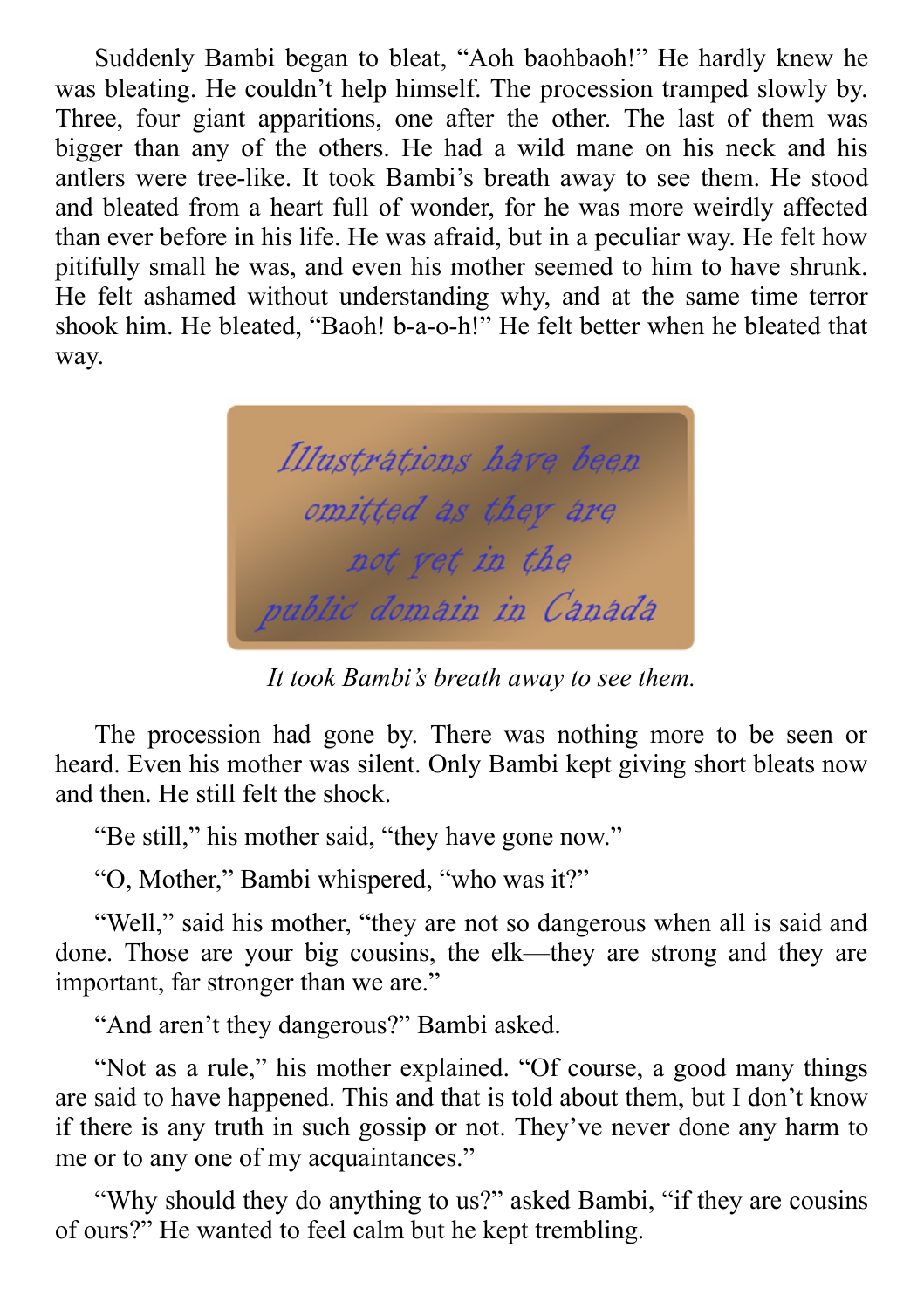Suddenly Bambi began to bleat, "Aoh baohbaoh!" He hardly knew he was bleating. He couldn't help himself. The procession tramped slowly by. Three, four giant apparitions, one after the other. The last of them was bigger than any of the others. He had a wild mane on his neck and his antlers were tree-like. It took Bambi's breath away to see them. He stood and bleated from a heart full of wonder, for he was more weirdly affected than ever before in his life. He was afraid, but in a peculiar way. He felt how pitifully small he was, and even his mother seemed to him to have shrunk. He felt ashamed without understanding why, and at the same time terror shook him. He bleated, "Baoh! b-a-o-h!" He felt better when he bleated that way.



*It took Bambi's breath away to see them.*

The procession had gone by. There was nothing more to be seen or heard. Even his mother was silent. Only Bambi kept giving short bleats now and then. He still felt the shock.

"Be still," his mother said, "they have gone now."

"O, Mother," Bambi whispered, "who was it?"

"Well," said his mother, "they are not so dangerous when all is said and done. Those are your big cousins, the elk—they are strong and they are important, far stronger than we are."

"And aren't they dangerous?" Bambi asked.

"Not as a rule," his mother explained. "Of course, a good many things are said to have happened. This and that is told about them, but I don't know if there is any truth in such gossip or not. They've never done any harm to me or to any one of my acquaintances."

"Why should they do anything to us?" asked Bambi, "if they are cousins of ours?" He wanted to feel calm but he kept trembling.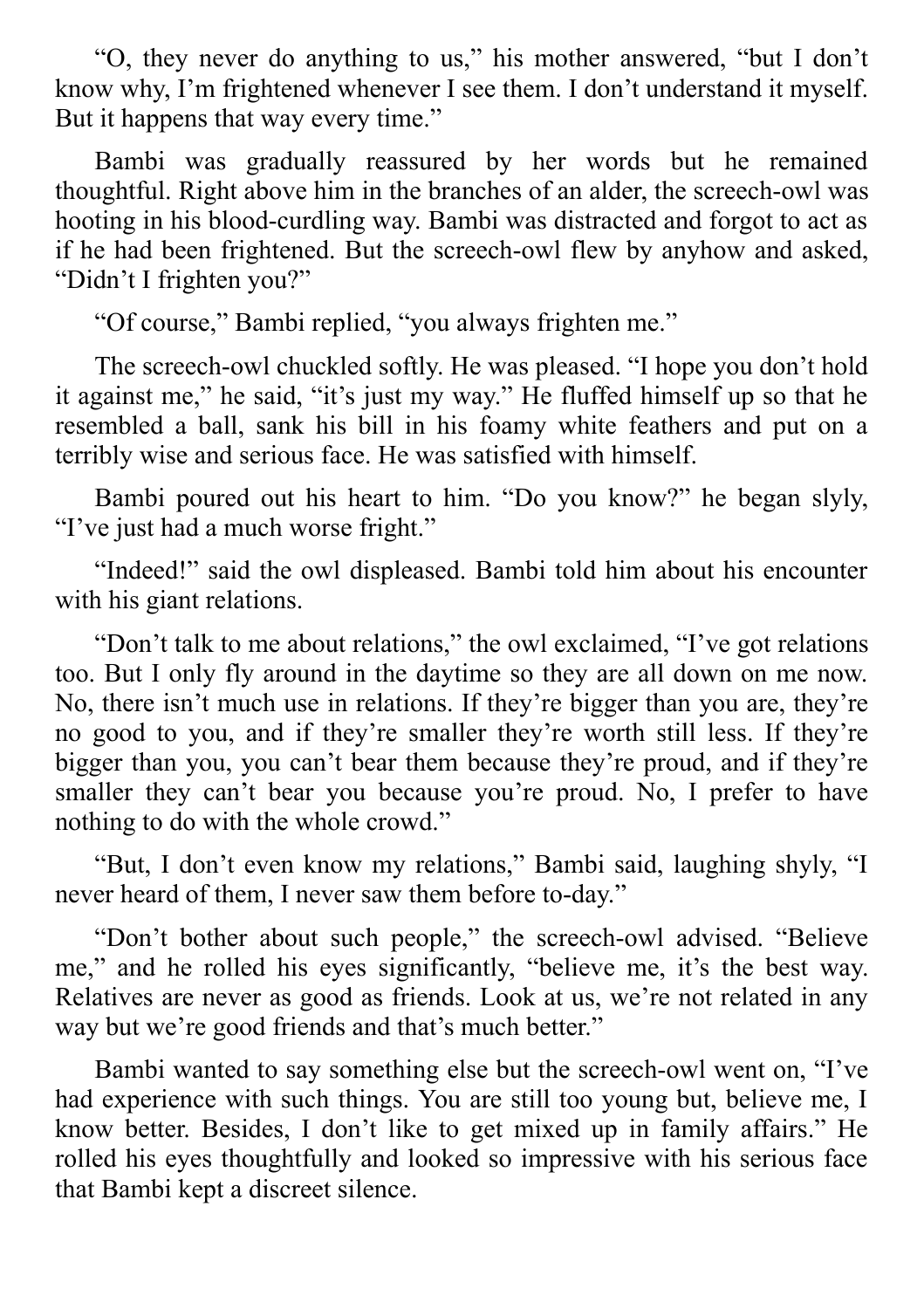"O, they never do anything to us," his mother answered, "but I don't know why, I'm frightened whenever I see them. I don't understand it myself. But it happens that way every time."

Bambi was gradually reassured by her words but he remained thoughtful. Right above him in the branches of an alder, the screech-owl was hooting in his blood-curdling way. Bambi was distracted and forgot to act as if he had been frightened. But the screech-owl flew by anyhow and asked, "Didn't I frighten you?"

"Of course," Bambi replied, "you always frighten me."

The screech-owl chuckled softly. He was pleased. "I hope you don't hold it against me," he said, "it's just my way." He fluffed himself up so that he resembled a ball, sank his bill in his foamy white feathers and put on a terribly wise and serious face. He was satisfied with himself.

Bambi poured out his heart to him. "Do you know?" he began slyly, "I've just had a much worse fright."

"Indeed!" said the owl displeased. Bambi told him about his encounter with his giant relations.

"Don't talk to me about relations," the owl exclaimed, "I've got relations too. But I only fly around in the daytime so they are all down on me now. No, there isn't much use in relations. If they're bigger than you are, they're no good to you, and if they're smaller they're worth still less. If they're bigger than you, you can't bear them because they're proud, and if they're smaller they can't bear you because you're proud. No, I prefer to have nothing to do with the whole crowd."

"But, I don't even know my relations," Bambi said, laughing shyly, "I never heard of them, I never saw them before to-day."

"Don't bother about such people," the screech-owl advised. "Believe me," and he rolled his eyes significantly, "believe me, it's the best way. Relatives are never as good as friends. Look at us, we're not related in any way but we're good friends and that's much better."

Bambi wanted to say something else but the screech-owl went on, "I've had experience with such things. You are still too young but, believe me, I know better. Besides, I don't like to get mixed up in family affairs." He rolled his eyes thoughtfully and looked so impressive with his serious face that Bambi kept a discreet silence.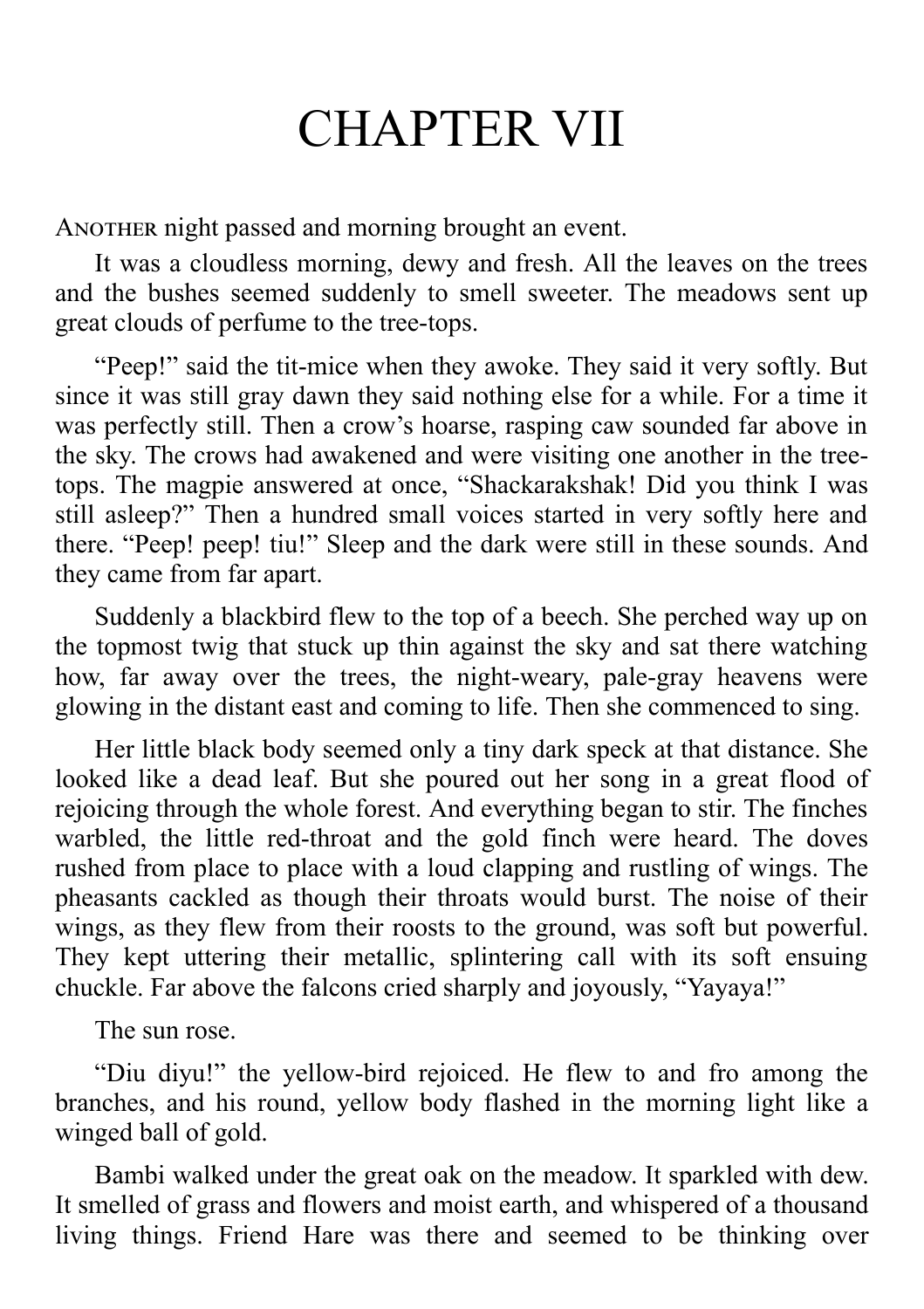## CHAPTER VII

A NOTHER night passed and morning brought an event.

It was a cloudless morning, dewy and fresh. All the leaves on the trees and the bushes seemed suddenly to smell sweeter. The meadows sent up great clouds of perfume to the tree-tops.

"Peep!" said the tit-mice when they awoke. They said it very softly. But since it was still gray dawn they said nothing else for a while. For a time it was perfectly still. Then a crow's hoarse, rasping caw sounded far above in the sky. The crows had awakened and were visiting one another in the treetops. The magpie answered at once, "Shackarakshak! Did you think I was still asleep?" Then a hundred small voices started in very softly here and there. "Peep! peep! tiu!" Sleep and the dark were still in these sounds. And they came from far apart.

Suddenly a blackbird flew to the top of a beech. She perched way up on the topmost twig that stuck up thin against the sky and sat there watching how, far away over the trees, the night-weary, pale-gray heavens were glowing in the distant east and coming to life. Then she commenced to sing.

Her little black body seemed only a tiny dark speck at that distance. She looked like a dead leaf. But she poured out her song in a great flood of rejoicing through the whole forest. And everything began to stir. The finches warbled, the little red-throat and the gold finch were heard. The doves rushed from place to place with a loud clapping and rustling of wings. The pheasants cackled as though their throats would burst. The noise of their wings, as they flew from their roosts to the ground, was soft but powerful. They kept uttering their metallic, splintering call with its soft ensuing chuckle. Far above the falcons cried sharply and joyously, "Yayaya!"

The sun rose.

"Diu diyu!" the yellow-bird rejoiced. He flew to and fro among the branches, and his round, yellow body flashed in the morning light like a winged ball of gold.

Bambi walked under the great oak on the meadow. It sparkled with dew. It smelled of grass and flowers and moist earth, and whispered of a thousand living things. Friend Hare was there and seemed to be thinking over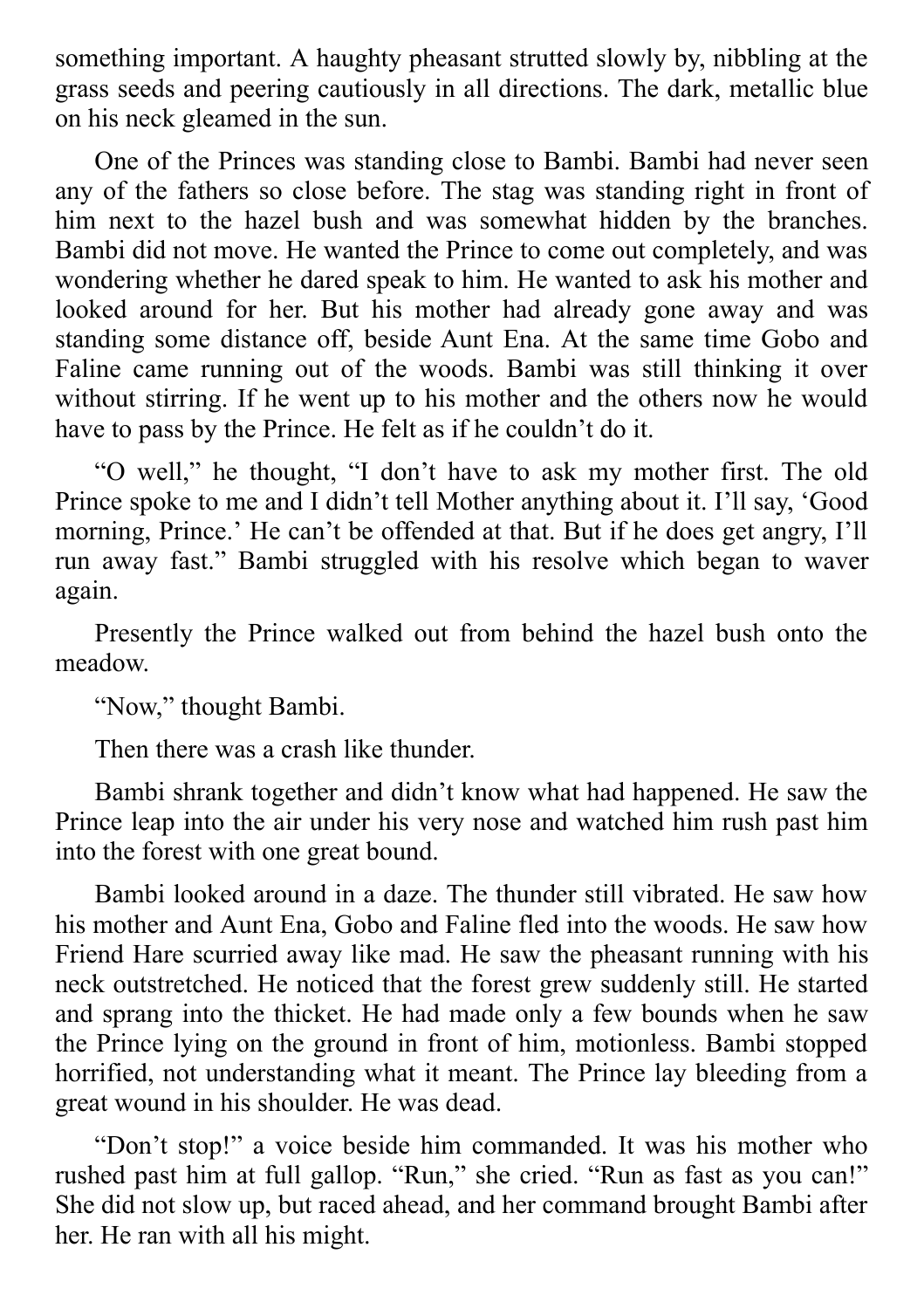something important. A haughty pheasant strutted slowly by, nibbling at the grass seeds and peering cautiously in all directions. The dark, metallic blue on his neck gleamed in the sun.

One of the Princes was standing close to Bambi. Bambi had never seen any of the fathers so close before. The stag was standing right in front of him next to the hazel bush and was somewhat hidden by the branches. Bambi did not move. He wanted the Prince to come out completely, and was wondering whether he dared speak to him. He wanted to ask his mother and looked around for her. But his mother had already gone away and was standing some distance off, beside Aunt Ena. At the same time Gobo and Faline came running out of the woods. Bambi was still thinking it over without stirring. If he went up to his mother and the others now he would have to pass by the Prince. He felt as if he couldn't do it.

"O well," he thought, "I don't have to ask my mother first. The old Prince spoke to me and I didn't tell Mother anything about it. I'll say, 'Good morning, Prince.' He can't be offended at that. But if he does get angry, I'll run away fast." Bambi struggled with his resolve which began to waver again.

Presently the Prince walked out from behind the hazel bush onto the meadow.

"Now," thought Bambi.

Then there was a crash like thunder.

Bambi shrank together and didn't know what had happened. He saw the Prince leap into the air under his very nose and watched him rush past him into the forest with one great bound.

Bambi looked around in a daze. The thunder still vibrated. He saw how his mother and Aunt Ena, Gobo and Faline fled into the woods. He saw how Friend Hare scurried away like mad. He saw the pheasant running with his neck outstretched. He noticed that the forest grew suddenly still. He started and sprang into the thicket. He had made only a few bounds when he saw the Prince lying on the ground in front of him, motionless. Bambi stopped horrified, not understanding what it meant. The Prince lay bleeding from a great wound in his shoulder. He was dead.

"Don't stop!" a voice beside him commanded. It was his mother who rushed past him at full gallop. "Run," she cried. "Run as fast as you can!" She did not slow up, but raced ahead, and her command brought Bambi after her. He ran with all his might.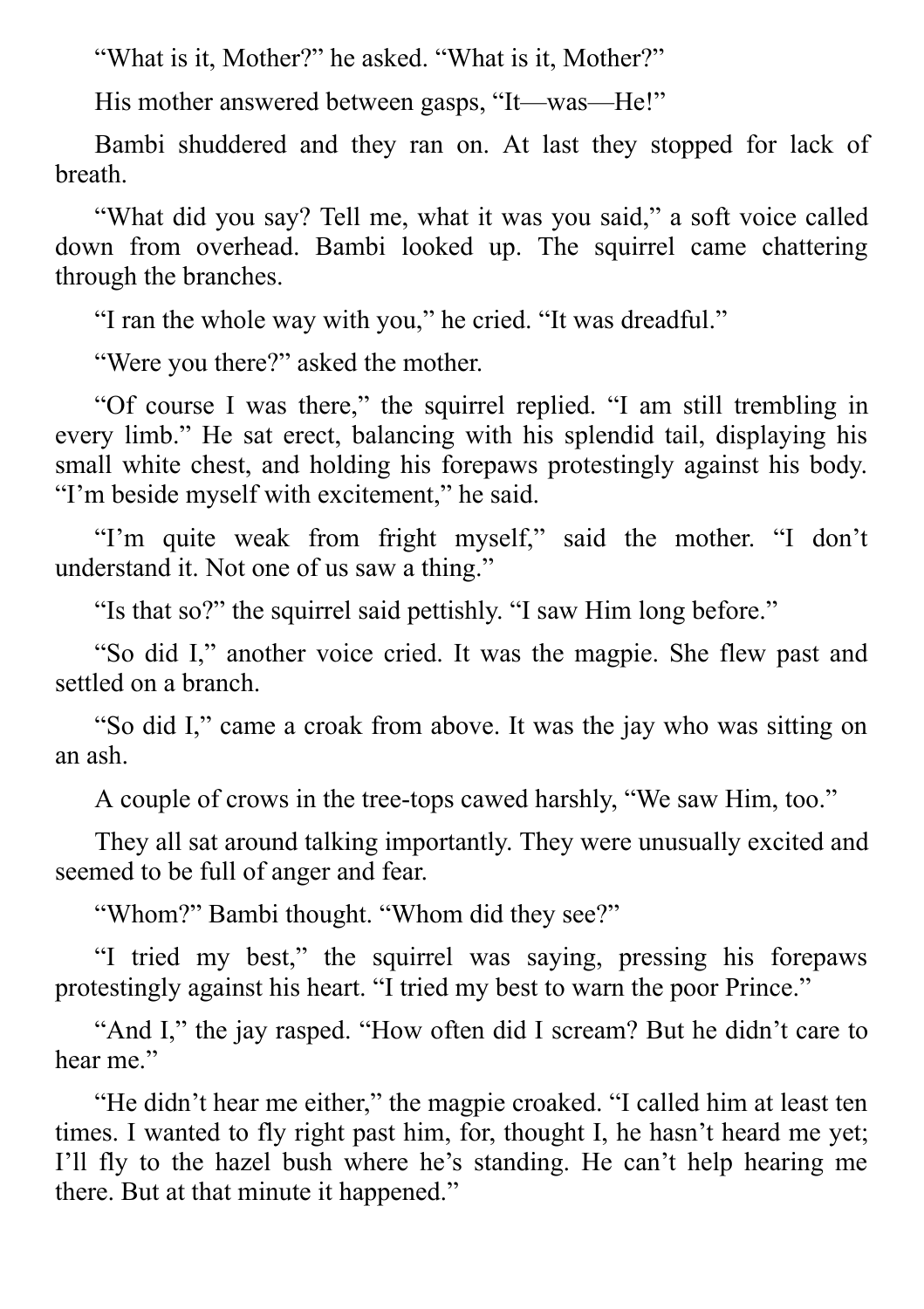"What is it, Mother?" he asked. "What is it, Mother?"

His mother answered between gasps, "It—was—He!"

Bambi shuddered and they ran on. At last they stopped for lack of breath.

"What did you say? Tell me, what it was you said," a soft voice called down from overhead. Bambi looked up. The squirrel came chattering through the branches.

"I ran the whole way with you," he cried. "It was dreadful."

"Were you there?" asked the mother.

"Of course I was there," the squirrel replied. "I am still trembling in every limb." He sat erect, balancing with his splendid tail, displaying his small white chest, and holding his forepaws protestingly against his body. "I'm beside myself with excitement," he said.

"I'm quite weak from fright myself," said the mother. "I don't understand it. Not one of us saw a thing."

"Is that so?" the squirrel said pettishly. "I saw Him long before."

"So did I," another voice cried. It was the magpie. She flew past and settled on a branch.

"So did I," came a croak from above. It was the jay who was sitting on an ash.

A couple of crows in the tree-tops cawed harshly, "We saw Him, too."

They all sat around talking importantly. They were unusually excited and seemed to be full of anger and fear.

"Whom?" Bambi thought. "Whom did they see?"

"I tried my best," the squirrel was saying, pressing his forepaws protestingly against his heart. "I tried my best to warn the poor Prince."

"And I," the jay rasped. "How often did I scream? But he didn't care to hear me."

"He didn't hear me either," the magpie croaked. "I called him at least ten times. I wanted to fly right past him, for, thought I, he hasn't heard me yet; I'll fly to the hazel bush where he's standing. He can't help hearing me there. But at that minute it happened."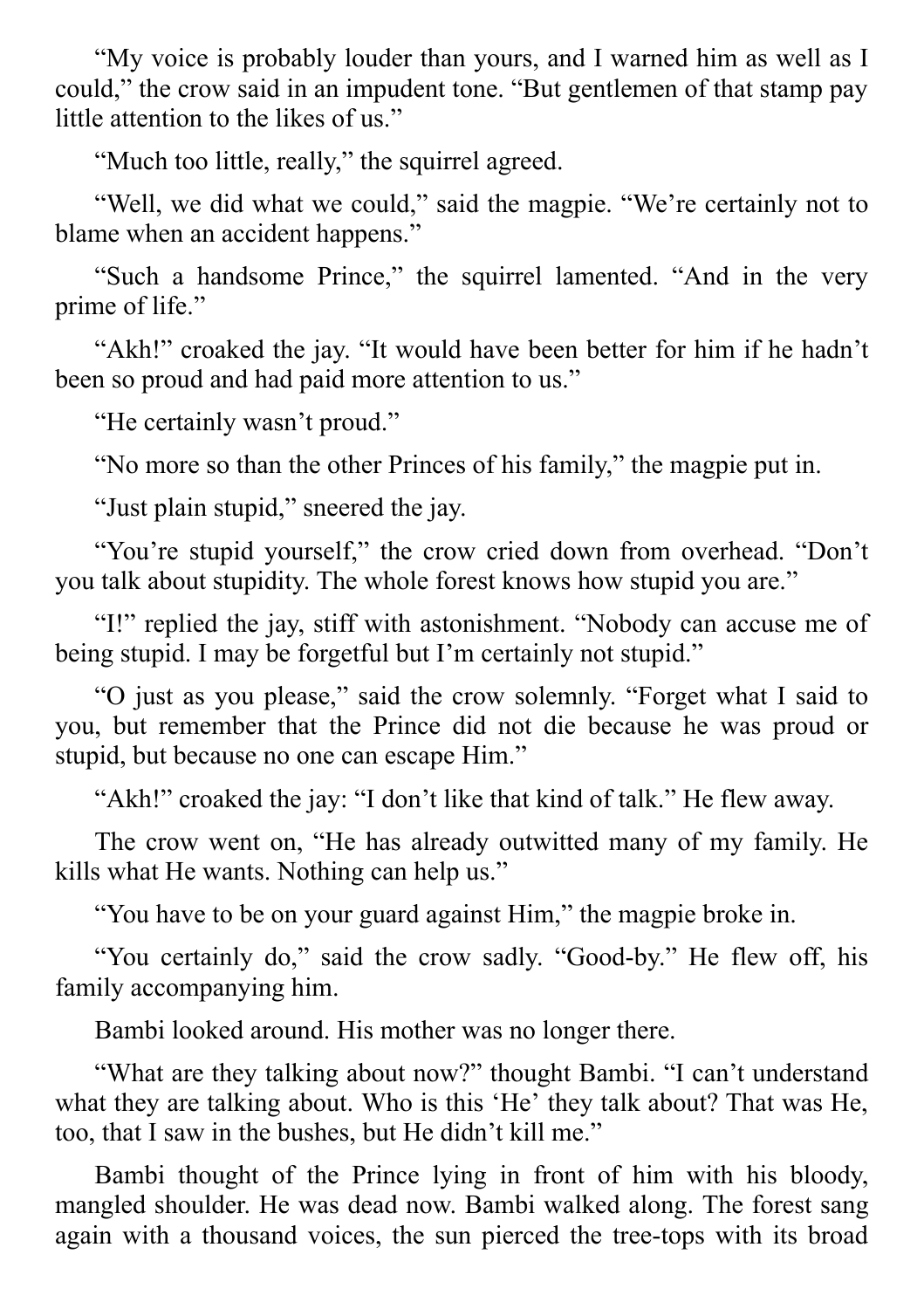"My voice is probably louder than yours, and I warned him as well as I could," the crow said in an impudent tone. "But gentlemen of that stamp pay little attention to the likes of us."

"Much too little, really," the squirrel agreed.

"Well, we did what we could," said the magpie. "We're certainly not to blame when an accident happens."

"Such a handsome Prince," the squirrel lamented. "And in the very prime of life."

"Akh!" croaked the jay. "It would have been better for him if he hadn't been so proud and had paid more attention to us."

"He certainly wasn't proud."

"No more so than the other Princes of his family," the magpie put in.

"Just plain stupid," sneered the jay.

"You're stupid yourself," the crow cried down from overhead. "Don't you talk about stupidity. The whole forest knows how stupid you are."

"I!" replied the jay, stiff with astonishment. "Nobody can accuse me of being stupid. I may be forgetful but I'm certainly not stupid."

"O just as you please," said the crow solemnly. "Forget what I said to you, but remember that the Prince did not die because he was proud or stupid, but because no one can escape Him."

"Akh!" croaked the jay: "I don't like that kind of talk." He flew away.

The crow went on, "He has already outwitted many of my family. He kills what He wants. Nothing can help us."

"You have to be on your guard against Him," the magpie broke in.

"You certainly do," said the crow sadly. "Good-by." He flew off, his family accompanying him.

Bambi looked around. His mother was no longer there.

"What are they talking about now?" thought Bambi. "I can't understand what they are talking about. Who is this 'He' they talk about? That was He, too, that I saw in the bushes, but He didn't kill me."

Bambi thought of the Prince lying in front of him with his bloody, mangled shoulder. He was dead now. Bambi walked along. The forest sang again with a thousand voices, the sun pierced the tree-tops with its broad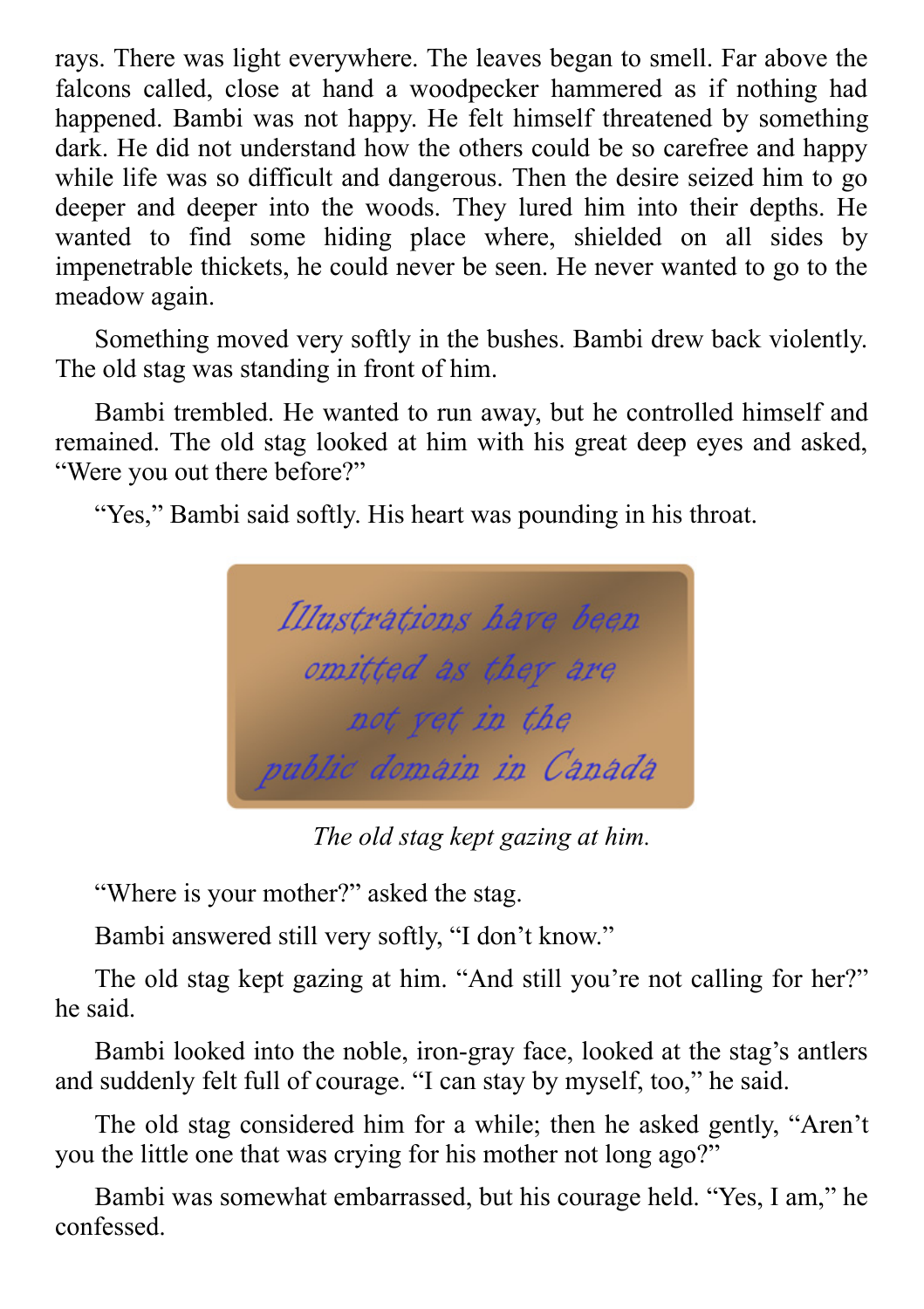rays. There was light everywhere. The leaves began to smell. Far above the falcons called, close at hand a woodpecker hammered as if nothing had happened. Bambi was not happy. He felt himself threatened by something dark. He did not understand how the others could be so carefree and happy while life was so difficult and dangerous. Then the desire seized him to go deeper and deeper into the woods. They lured him into their depths. He wanted to find some hiding place where, shielded on all sides by impenetrable thickets, he could never be seen. He never wanted to go to the meadow again.

Something moved very softly in the bushes. Bambi drew back violently. The old stag was standing in front of him.

Bambi trembled. He wanted to run away, but he controlled himself and remained. The old stag looked at him with his great deep eyes and asked, "Were you out there before?"

"Yes," Bambi said softly. His heart was pounding in his throat.



*The old stag kept gazing at him.*

"Where is your mother?" asked the stag.

Bambi answered still very softly, "I don't know."

The old stag kept gazing at him. "And still you're not calling for her?" he said.

Bambi looked into the noble, iron-gray face, looked at the stag's antlers and suddenly felt full of courage. "I can stay by myself, too," he said.

The old stag considered him for a while; then he asked gently, "Aren't you the little one that was crying for his mother not long ago?"

Bambi was somewhat embarrassed, but his courage held. "Yes, I am," he confessed.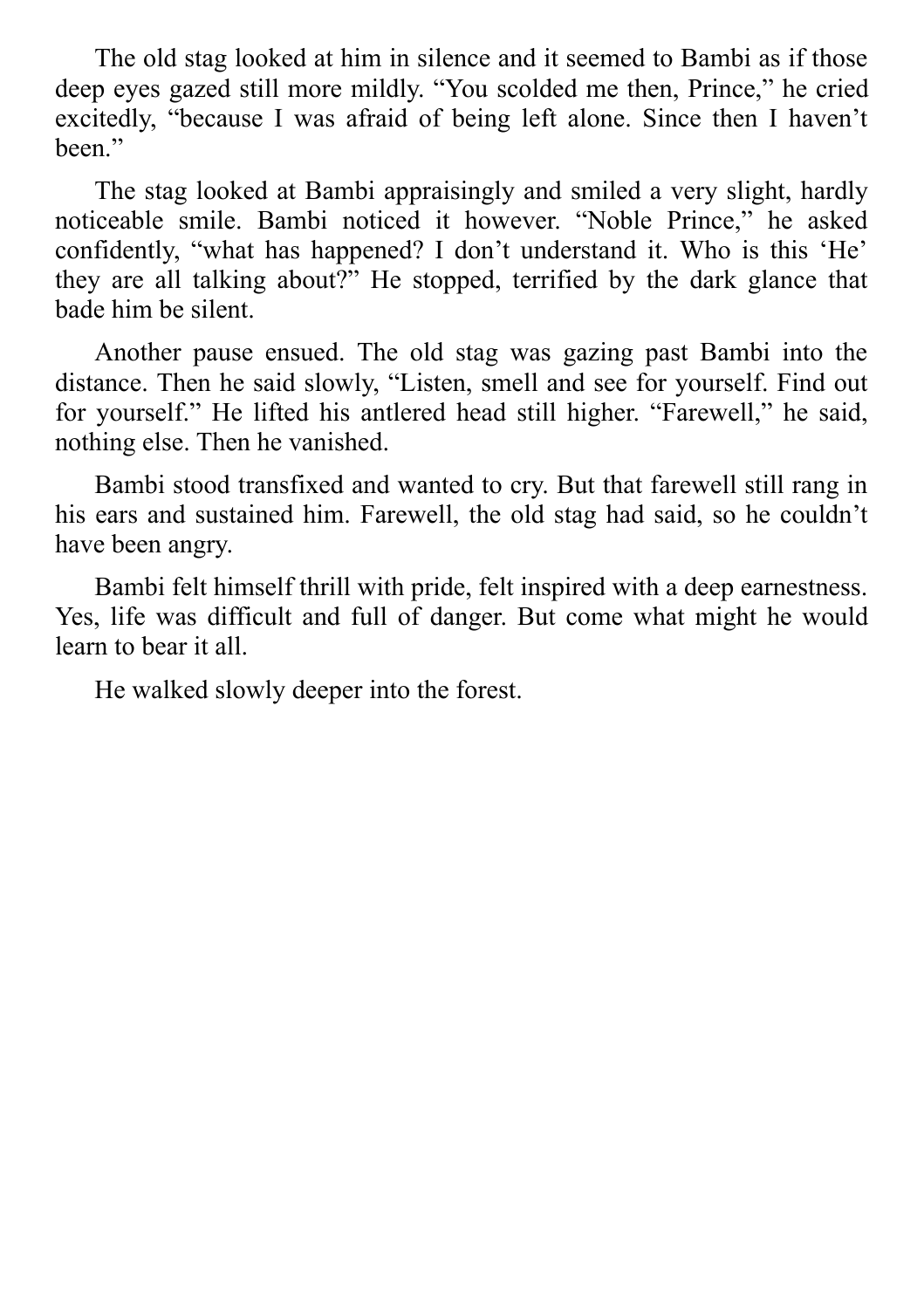The old stag looked at him in silence and it seemed to Bambi as if those deep eyes gazed still more mildly. "You scolded me then, Prince," he cried excitedly, "because I was afraid of being left alone. Since then I haven't been."

The stag looked at Bambi appraisingly and smiled a very slight, hardly noticeable smile. Bambi noticed it however. "Noble Prince," he asked confidently, "what has happened? I don't understand it. Who is this 'He' they are all talking about?" He stopped, terrified by the dark glance that bade him be silent.

Another pause ensued. The old stag was gazing past Bambi into the distance. Then he said slowly, "Listen, smell and see for yourself. Find out for yourself." He lifted his antlered head still higher. "Farewell," he said, nothing else. Then he vanished.

Bambi stood transfixed and wanted to cry. But that farewell still rang in his ears and sustained him. Farewell, the old stag had said, so he couldn't have been angry.

Bambi felt himself thrill with pride, felt inspired with a deep earnestness. Yes, life was difficult and full of danger. But come what might he would learn to bear it all.

He walked slowly deeper into the forest.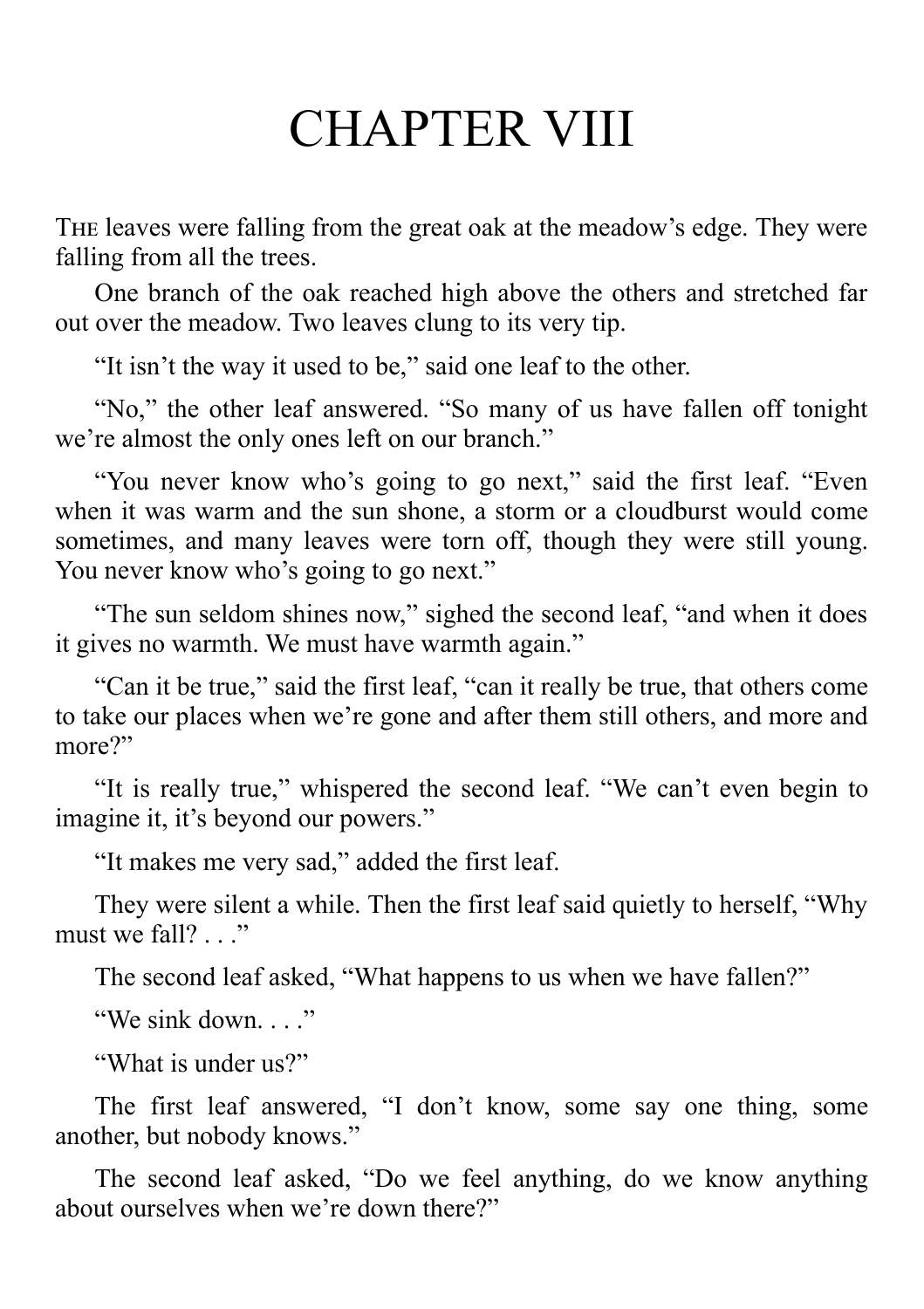# CHAPTER VIII

THE leaves were falling from the great oak at the meadow's edge. They were falling from all the trees.

One branch of the oak reached high above the others and stretched far out over the meadow. Two leaves clung to its very tip.

"It isn't the way it used to be," said one leaf to the other.

"No," the other leaf answered. "So many of us have fallen off tonight we're almost the only ones left on our branch."

"You never know who's going to go next," said the first leaf. "Even when it was warm and the sun shone, a storm or a cloudburst would come sometimes, and many leaves were torn off, though they were still young. You never know who's going to go next."

"The sun seldom shines now," sighed the second leaf, "and when it does it gives no warmth. We must have warmth again."

"Can it be true," said the first leaf, "can it really be true, that others come to take our places when we're gone and after them still others, and more and more?"

"It is really true," whispered the second leaf. "We can't even begin to imagine it, it's beyond our powers."

"It makes me very sad," added the first leaf.

They were silent a while. Then the first leaf said quietly to herself, "Why must we fall? . . ."

The second leaf asked, "What happens to us when we have fallen?"

"We sink down..."

"What is under us?"

The first leaf answered, "I don't know, some say one thing, some another, but nobody knows."

The second leaf asked, "Do we feel anything, do we know anything about ourselves when we're down there?"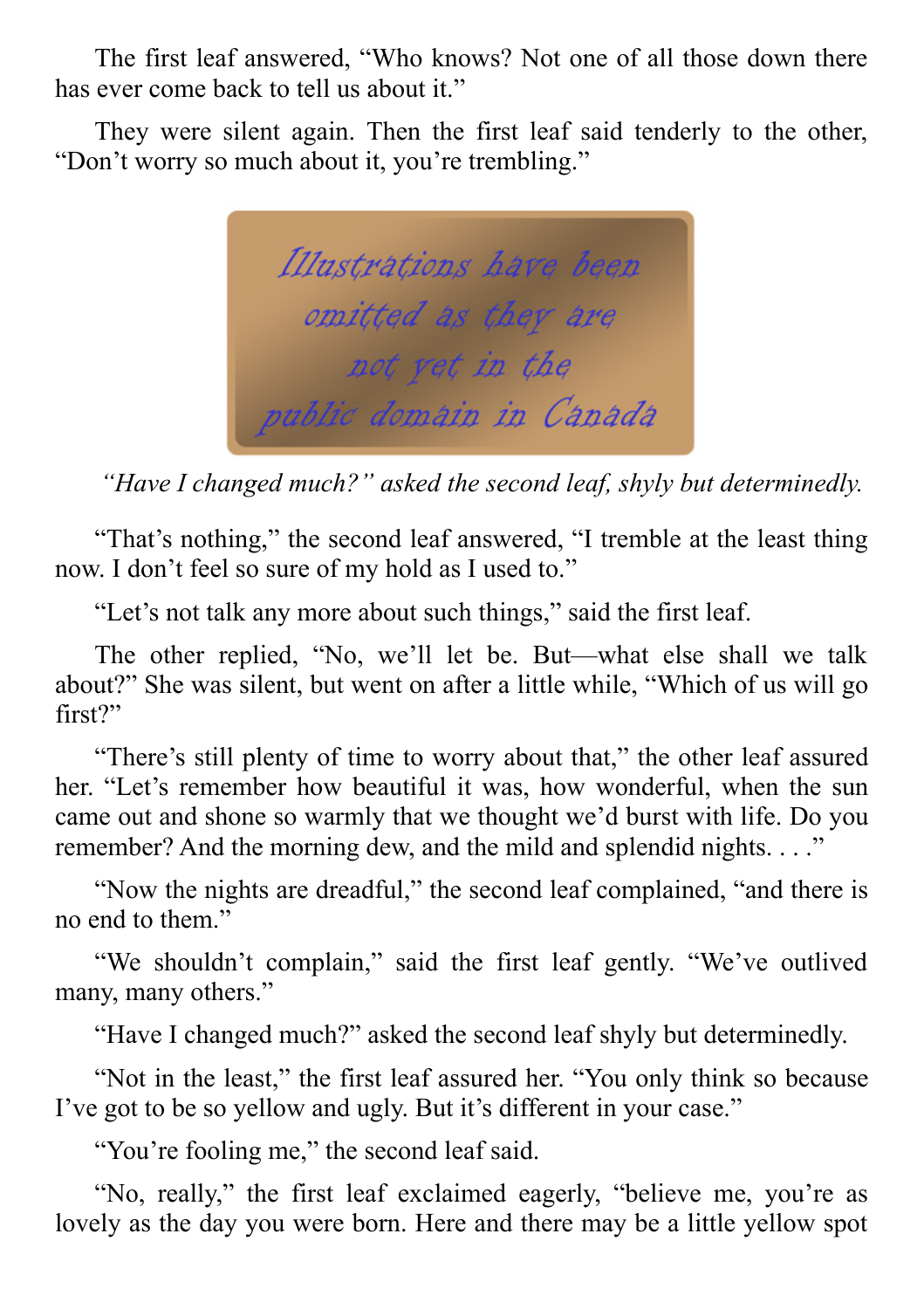The first leaf answered, "Who knows? Not one of all those down there has ever come back to tell us about it."

They were silent again. Then the first leaf said tenderly to the other, "Don't worry so much about it, you're trembling."

Illustrations have been omitted as they are not vet in the public domain in Canada

*"Have I changed much?" asked the second leaf, shyly but determinedly.*

"That's nothing," the second leaf answered, "I tremble at the least thing now. I don't feel so sure of my hold as I used to."

"Let's not talk any more about such things," said the first leaf.

The other replied, "No, we'll let be. But—what else shall we talk about?" She was silent, but went on after a little while, "Which of us will go first?"

"There's still plenty of time to worry about that," the other leaf assured her. "Let's remember how beautiful it was, how wonderful, when the sun came out and shone so warmly that we thought we'd burst with life. Do you remember? And the morning dew, and the mild and splendid nights. . . ."

"Now the nights are dreadful," the second leaf complained, "and there is no end to them."

"We shouldn't complain," said the first leaf gently. "We've outlived many, many others."

"Have I changed much?" asked the second leaf shyly but determinedly.

"Not in the least," the first leaf assured her. "You only think so because I've got to be so yellow and ugly. But it's different in your case."

"You're fooling me," the second leaf said.

"No, really," the first leaf exclaimed eagerly, "believe me, you're as lovely as the day you were born. Here and there may be a little yellow spot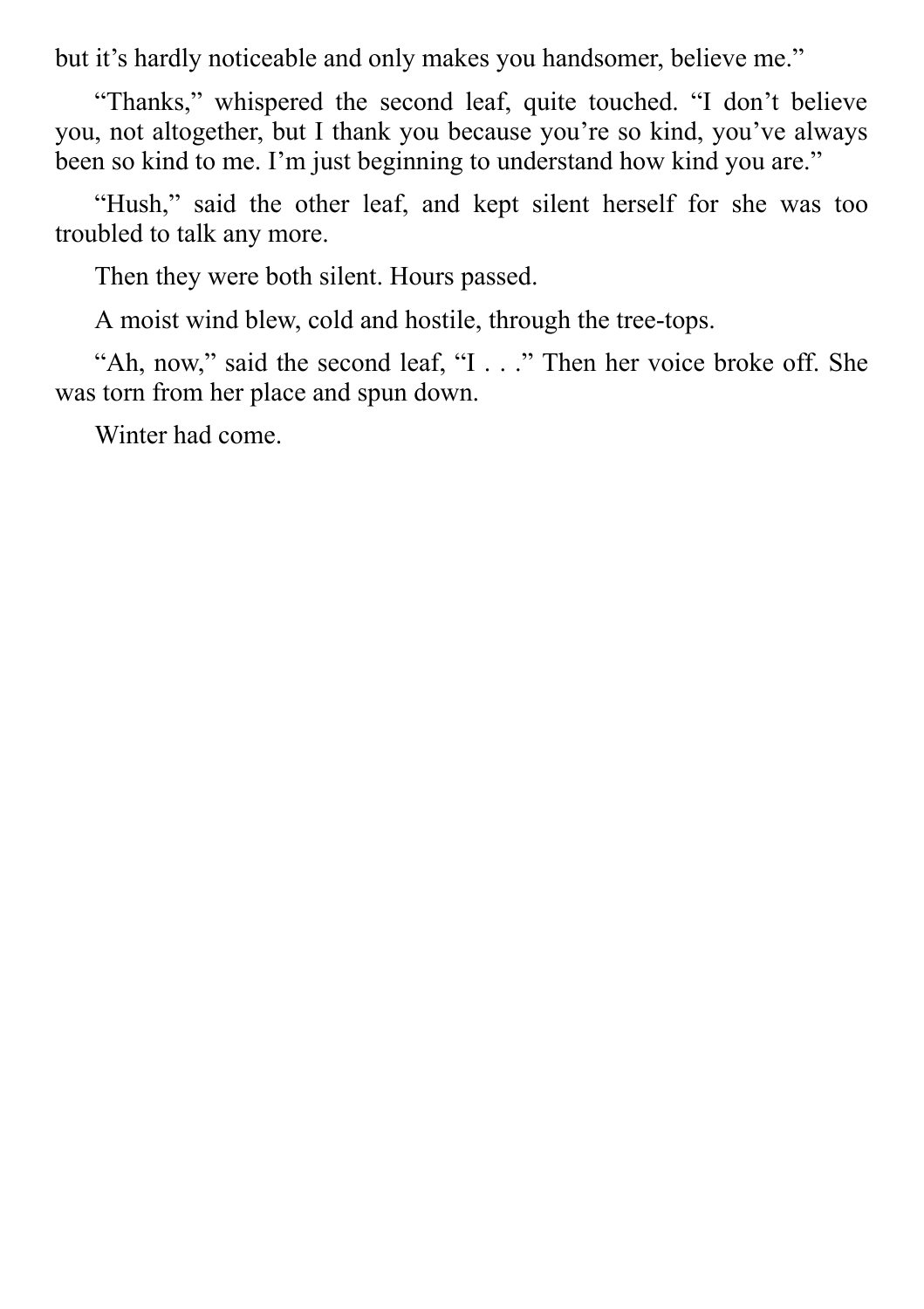but it's hardly noticeable and only makes you handsomer, believe me."

"Thanks," whispered the second leaf, quite touched. "I don't believe you, not altogether, but I thank you because you're so kind, you've always been so kind to me. I'm just beginning to understand how kind you are."

"Hush," said the other leaf, and kept silent herself for she was too troubled to talk any more.

Then they were both silent. Hours passed.

A moist wind blew, cold and hostile, through the tree-tops.

"Ah, now," said the second leaf, "I . . ." Then her voice broke off. She was torn from her place and spun down.

Winter had come.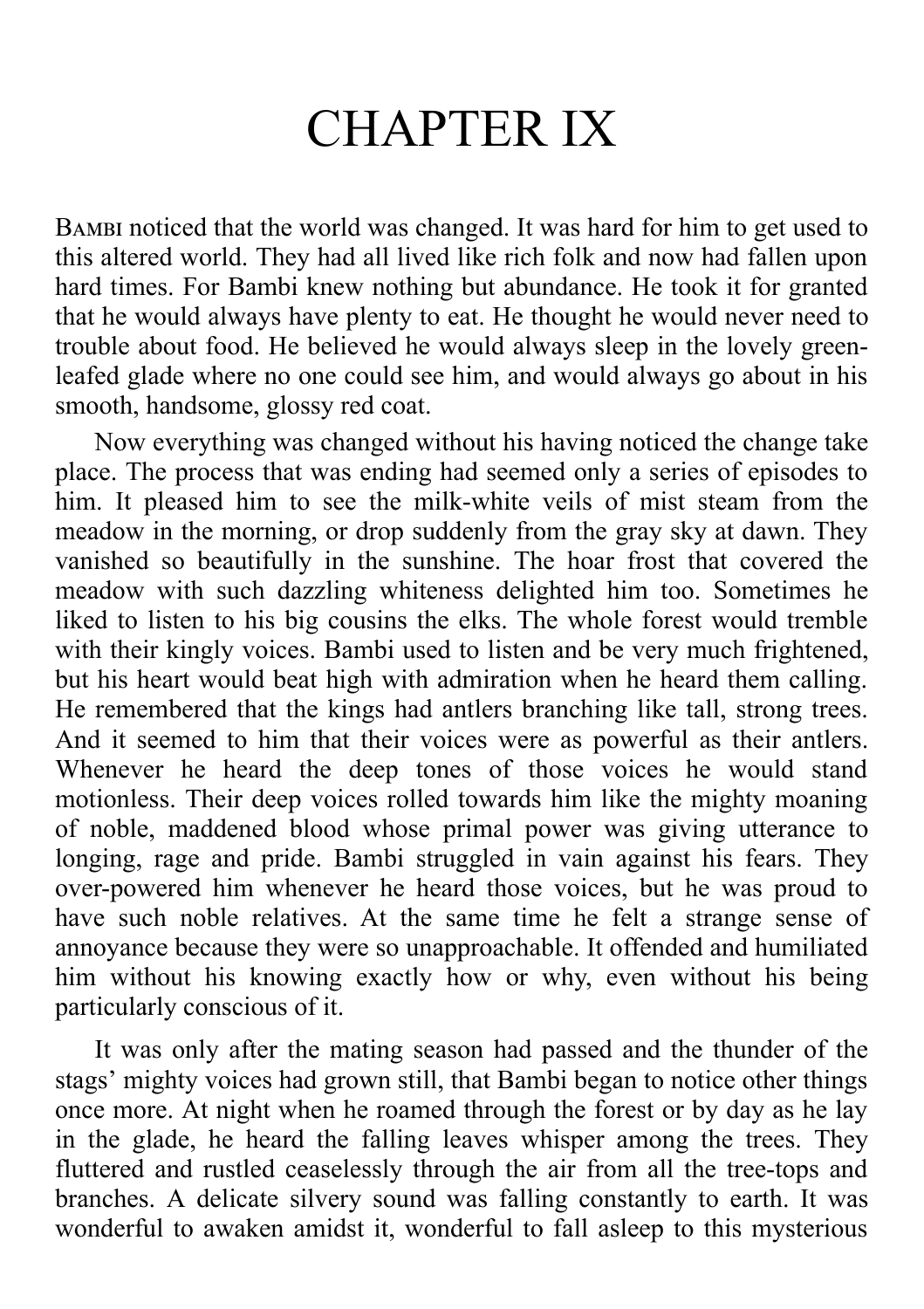### CHAPTER IX

BAMBI noticed that the world was changed. It was hard for him to get used to this altered world. They had all lived like rich folk and now had fallen upon hard times. For Bambi knew nothing but abundance. He took it for granted that he would always have plenty to eat. He thought he would never need to trouble about food. He believed he would always sleep in the lovely greenleafed glade where no one could see him, and would always go about in his smooth, handsome, glossy red coat.

Now everything was changed without his having noticed the change take place. The process that was ending had seemed only a series of episodes to him. It pleased him to see the milk-white veils of mist steam from the meadow in the morning, or drop suddenly from the gray sky at dawn. They vanished so beautifully in the sunshine. The hoar frost that covered the meadow with such dazzling whiteness delighted him too. Sometimes he liked to listen to his big cousins the elks. The whole forest would tremble with their kingly voices. Bambi used to listen and be very much frightened, but his heart would beat high with admiration when he heard them calling. He remembered that the kings had antlers branching like tall, strong trees. And it seemed to him that their voices were as powerful as their antlers. Whenever he heard the deep tones of those voices he would stand motionless. Their deep voices rolled towards him like the mighty moaning of noble, maddened blood whose primal power was giving utterance to longing, rage and pride. Bambi struggled in vain against his fears. They over-powered him whenever he heard those voices, but he was proud to have such noble relatives. At the same time he felt a strange sense of annoyance because they were so unapproachable. It offended and humiliated him without his knowing exactly how or why, even without his being particularly conscious of it.

It was only after the mating season had passed and the thunder of the stags' mighty voices had grown still, that Bambi began to notice other things once more. At night when he roamed through the forest or by day as he lay in the glade, he heard the falling leaves whisper among the trees. They fluttered and rustled ceaselessly through the air from all the tree-tops and branches. A delicate silvery sound was falling constantly to earth. It was wonderful to awaken amidst it, wonderful to fall asleep to this mysterious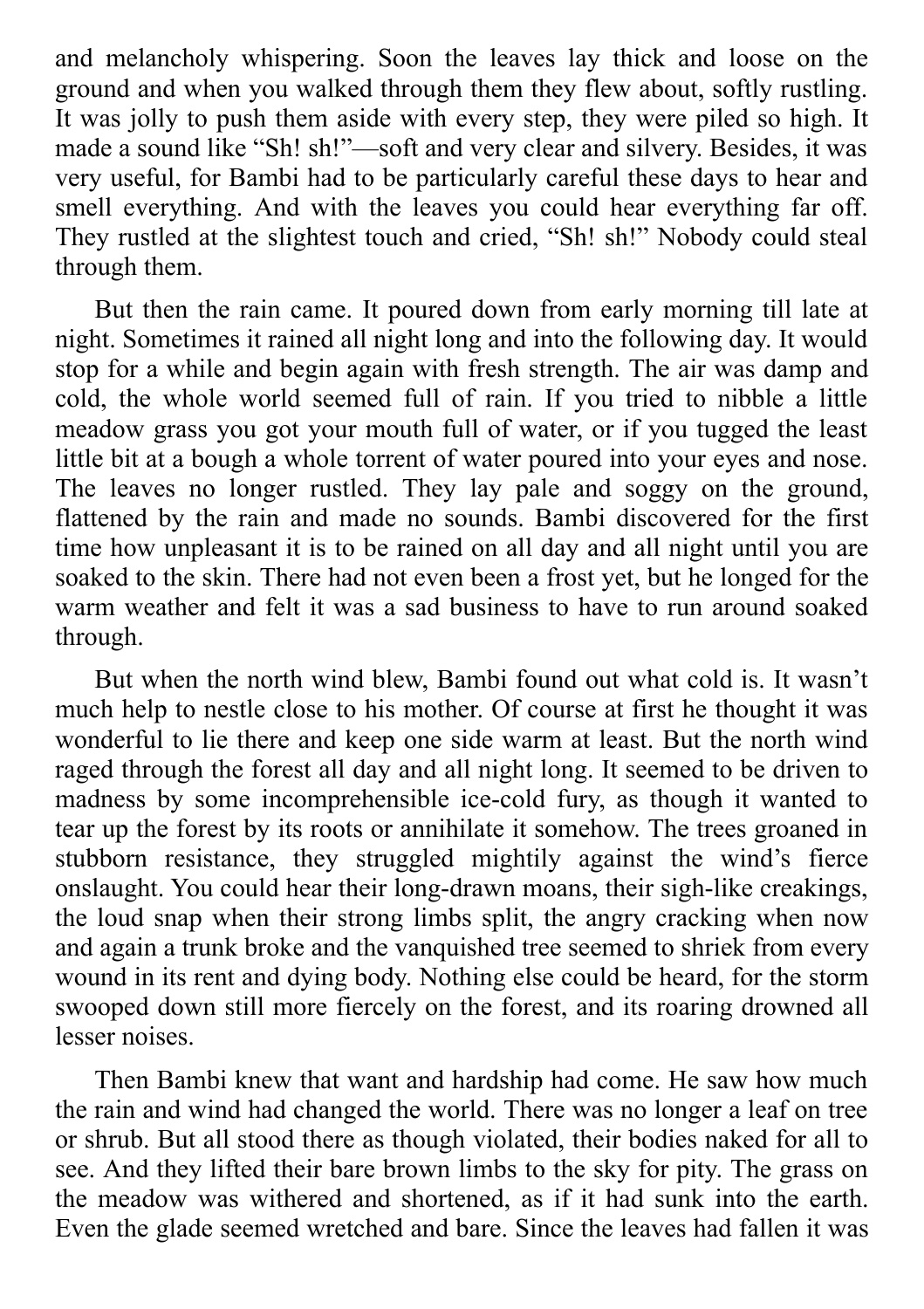and melancholy whispering. Soon the leaves lay thick and loose on the ground and when you walked through them they flew about, softly rustling. It was jolly to push them aside with every step, they were piled so high. It made a sound like "Sh! sh!"—soft and very clear and silvery. Besides, it was very useful, for Bambi had to be particularly careful these days to hear and smell everything. And with the leaves you could hear everything far off. They rustled at the slightest touch and cried, "Sh! sh!" Nobody could steal through them.

But then the rain came. It poured down from early morning till late at night. Sometimes it rained all night long and into the following day. It would stop for a while and begin again with fresh strength. The air was damp and cold, the whole world seemed full of rain. If you tried to nibble a little meadow grass you got your mouth full of water, or if you tugged the least little bit at a bough a whole torrent of water poured into your eyes and nose. The leaves no longer rustled. They lay pale and soggy on the ground, flattened by the rain and made no sounds. Bambi discovered for the first time how unpleasant it is to be rained on all day and all night until you are soaked to the skin. There had not even been a frost yet, but he longed for the warm weather and felt it was a sad business to have to run around soaked through.

But when the north wind blew, Bambi found out what cold is. It wasn't much help to nestle close to his mother. Of course at first he thought it was wonderful to lie there and keep one side warm at least. But the north wind raged through the forest all day and all night long. It seemed to be driven to madness by some incomprehensible ice-cold fury, as though it wanted to tear up the forest by its roots or annihilate it somehow. The trees groaned in stubborn resistance, they struggled mightily against the wind's fierce onslaught. You could hear their long-drawn moans, their sigh-like creakings, the loud snap when their strong limbs split, the angry cracking when now and again a trunk broke and the vanquished tree seemed to shriek from every wound in its rent and dying body. Nothing else could be heard, for the storm swooped down still more fiercely on the forest, and its roaring drowned all lesser noises.

Then Bambi knew that want and hardship had come. He saw how much the rain and wind had changed the world. There was no longer a leaf on tree or shrub. But all stood there as though violated, their bodies naked for all to see. And they lifted their bare brown limbs to the sky for pity. The grass on the meadow was withered and shortened, as if it had sunk into the earth. Even the glade seemed wretched and bare. Since the leaves had fallen it was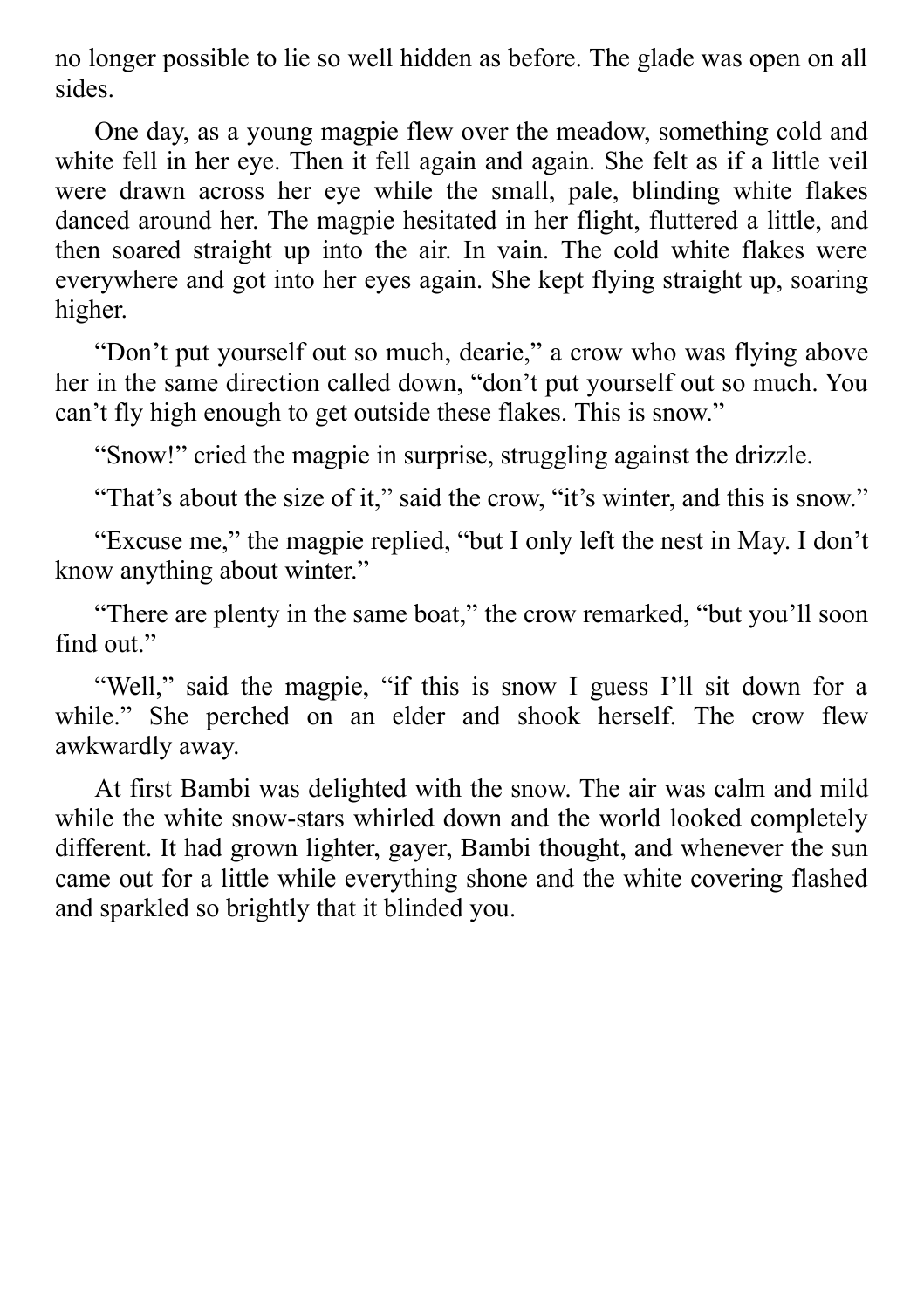no longer possible to lie so well hidden as before. The glade was open on all sides.

One day, as a young magpie flew over the meadow, something cold and white fell in her eye. Then it fell again and again. She felt as if a little veil were drawn across her eye while the small, pale, blinding white flakes danced around her. The magpie hesitated in her flight, fluttered a little, and then soared straight up into the air. In vain. The cold white flakes were everywhere and got into her eyes again. She kept flying straight up, soaring higher.

"Don't put yourself out so much, dearie," a crow who was flying above her in the same direction called down, "don't put yourself out so much. You can't fly high enough to get outside these flakes. This is snow."

"Snow!" cried the magpie in surprise, struggling against the drizzle.

"That's about the size of it," said the crow, "it's winter, and this is snow."

"Excuse me," the magpie replied, "but I only left the nest in May. I don't know anything about winter."

"There are plenty in the same boat," the crow remarked, "but you'll soon find out."

"Well," said the magpie, "if this is snow I guess I'll sit down for a while." She perched on an elder and shook herself. The crow flew awkwardly away.

At first Bambi was delighted with the snow. The air was calm and mild while the white snow-stars whirled down and the world looked completely different. It had grown lighter, gayer, Bambi thought, and whenever the sun came out for a little while everything shone and the white covering flashed and sparkled so brightly that it blinded you.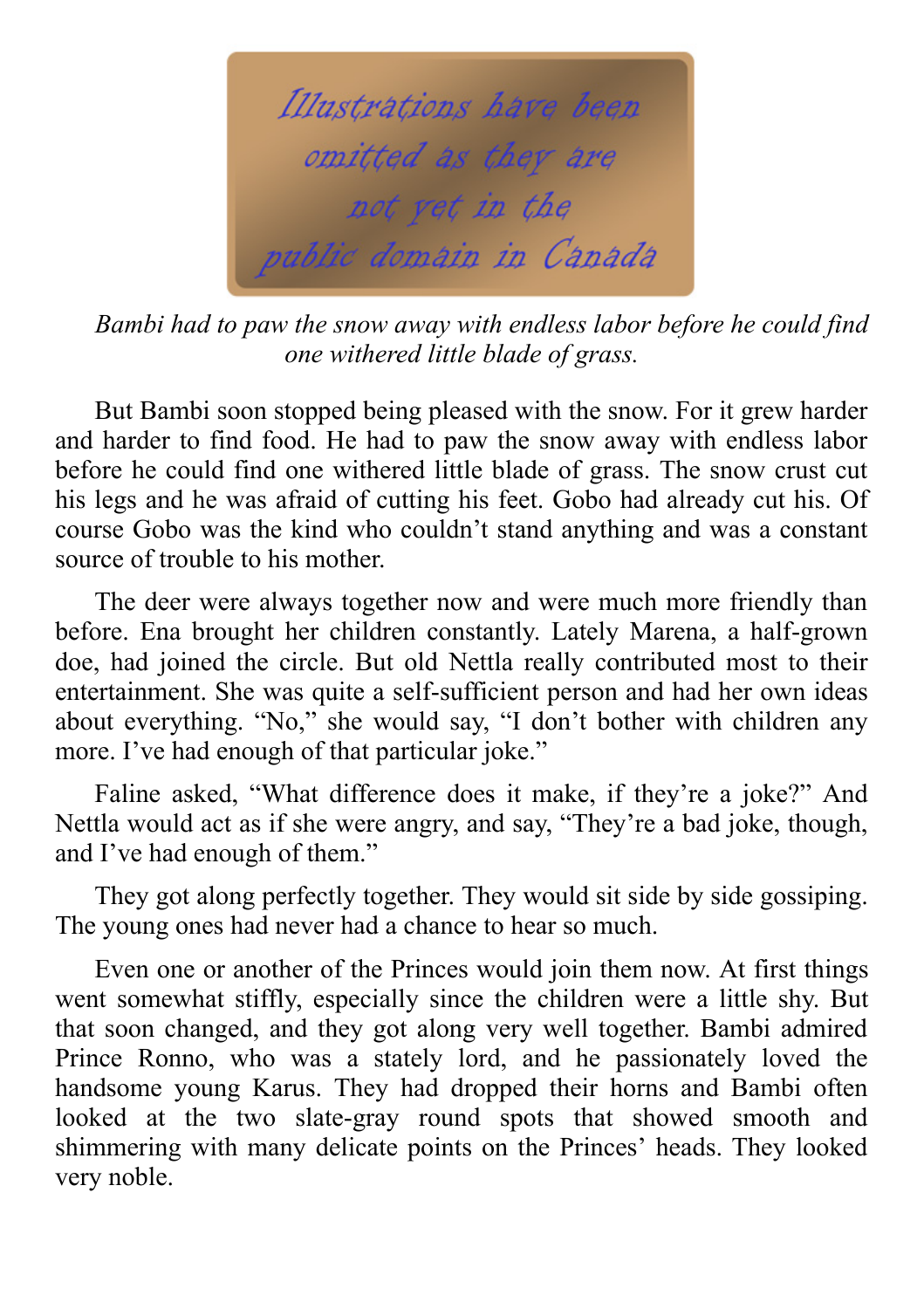

*Bambi had to paw the snow away with endless labor before he could find one withered little blade of grass.*

But Bambi soon stopped being pleased with the snow. For it grew harder and harder to find food. He had to paw the snow away with endless labor before he could find one withered little blade of grass. The snow crust cut his legs and he was afraid of cutting his feet. Gobo had already cut his. Of course Gobo was the kind who couldn't stand anything and was a constant source of trouble to his mother.

The deer were always together now and were much more friendly than before. Ena brought her children constantly. Lately Marena, a half-grown doe, had joined the circle. But old Nettla really contributed most to their entertainment. She was quite a self-sufficient person and had her own ideas about everything. "No," she would say, "I don't bother with children any more. I've had enough of that particular joke."

Faline asked, "What difference does it make, if they're a joke?" And Nettla would act as if she were angry, and say, "They're a bad joke, though, and I've had enough of them."

They got along perfectly together. They would sit side by side gossiping. The young ones had never had a chance to hear so much.

Even one or another of the Princes would join them now. At first things went somewhat stiffly, especially since the children were a little shy. But that soon changed, and they got along very well together. Bambi admired Prince Ronno, who was a stately lord, and he passionately loved the handsome young Karus. They had dropped their horns and Bambi often looked at the two slate-gray round spots that showed smooth and shimmering with many delicate points on the Princes' heads. They looked very noble.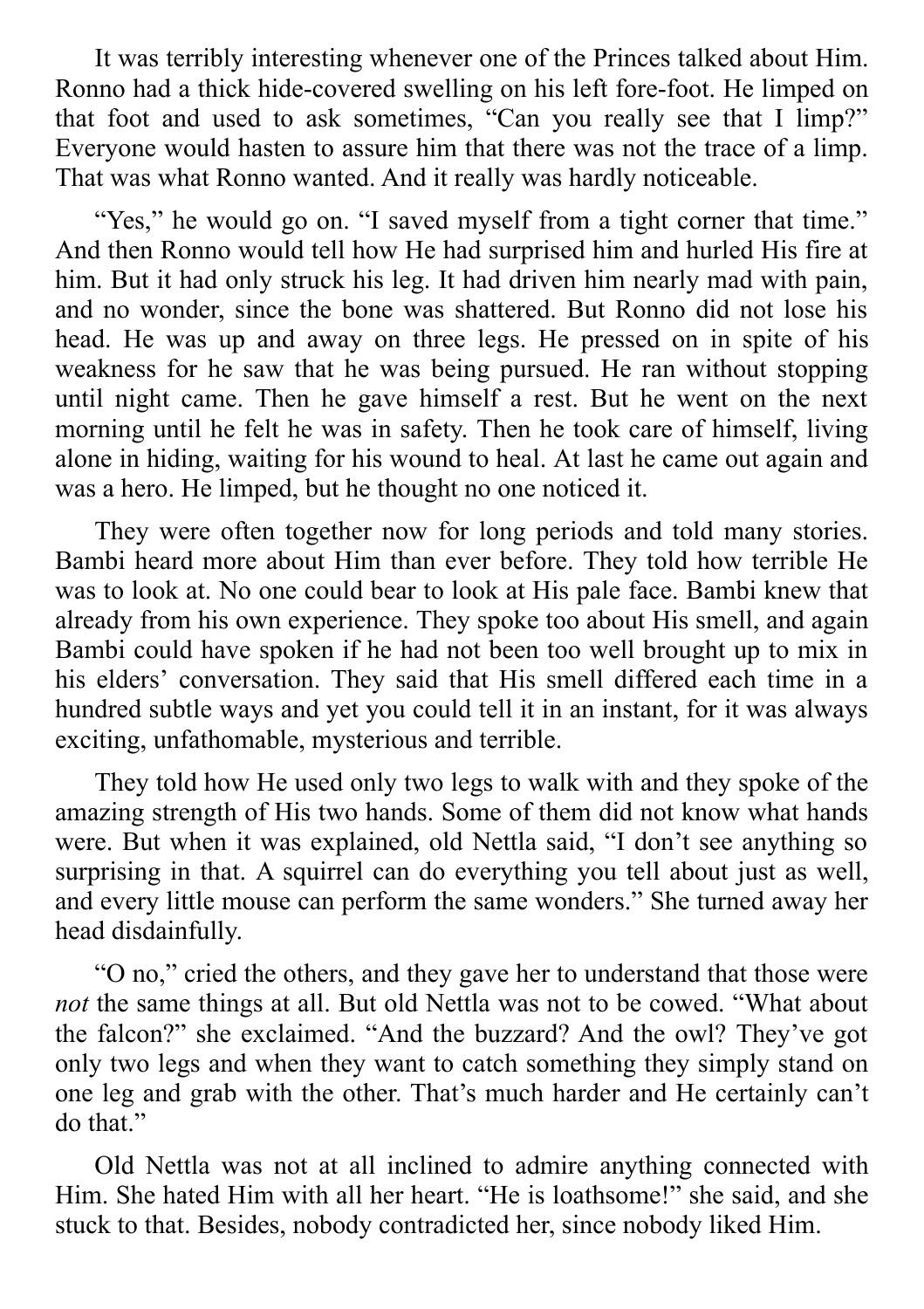It was terribly interesting whenever one of the Princes talked about Him. Ronno had a thick hide-covered swelling on his left fore-foot. He limped on that foot and used to ask sometimes, "Can you really see that I limp?" Everyone would hasten to assure him that there was not the trace of a limp. That was what Ronno wanted. And it really was hardly noticeable.

"Yes," he would go on. "I saved myself from a tight corner that time." And then Ronno would tell how He had surprised him and hurled His fire at him. But it had only struck his leg. It had driven him nearly mad with pain, and no wonder, since the bone was shattered. But Ronno did not lose his head. He was up and away on three legs. He pressed on in spite of his weakness for he saw that he was being pursued. He ran without stopping until night came. Then he gave himself a rest. But he went on the next morning until he felt he was in safety. Then he took care of himself, living alone in hiding, waiting for his wound to heal. At last he came out again and was a hero. He limped, but he thought no one noticed it.

They were often together now for long periods and told many stories. Bambi heard more about Him than ever before. They told how terrible He was to look at. No one could bear to look at His pale face. Bambi knew that already from his own experience. They spoke too about His smell, and again Bambi could have spoken if he had not been too well brought up to mix in his elders' conversation. They said that His smell differed each time in a hundred subtle ways and yet you could tell it in an instant, for it was always exciting, unfathomable, mysterious and terrible.

They told how He used only two legs to walk with and they spoke of the amazing strength of His two hands. Some of them did not know what hands were. But when it was explained, old Nettla said, "I don't see anything so surprising in that. A squirrel can do everything you tell about just as well, and every little mouse can perform the same wonders." She turned away her head disdainfully.

"O no," cried the others, and they gave her to understand that those were *not* the same things at all. But old Nettla was not to be cowed. "What about the falcon?" she exclaimed. "And the buzzard? And the owl? They've got only two legs and when they want to catch something they simply stand on one leg and grab with the other. That's much harder and He certainly can't do that."

Old Nettla was not at all inclined to admire anything connected with Him. She hated Him with all her heart. "He is loathsome!" she said, and she stuck to that. Besides, nobody contradicted her, since nobody liked Him.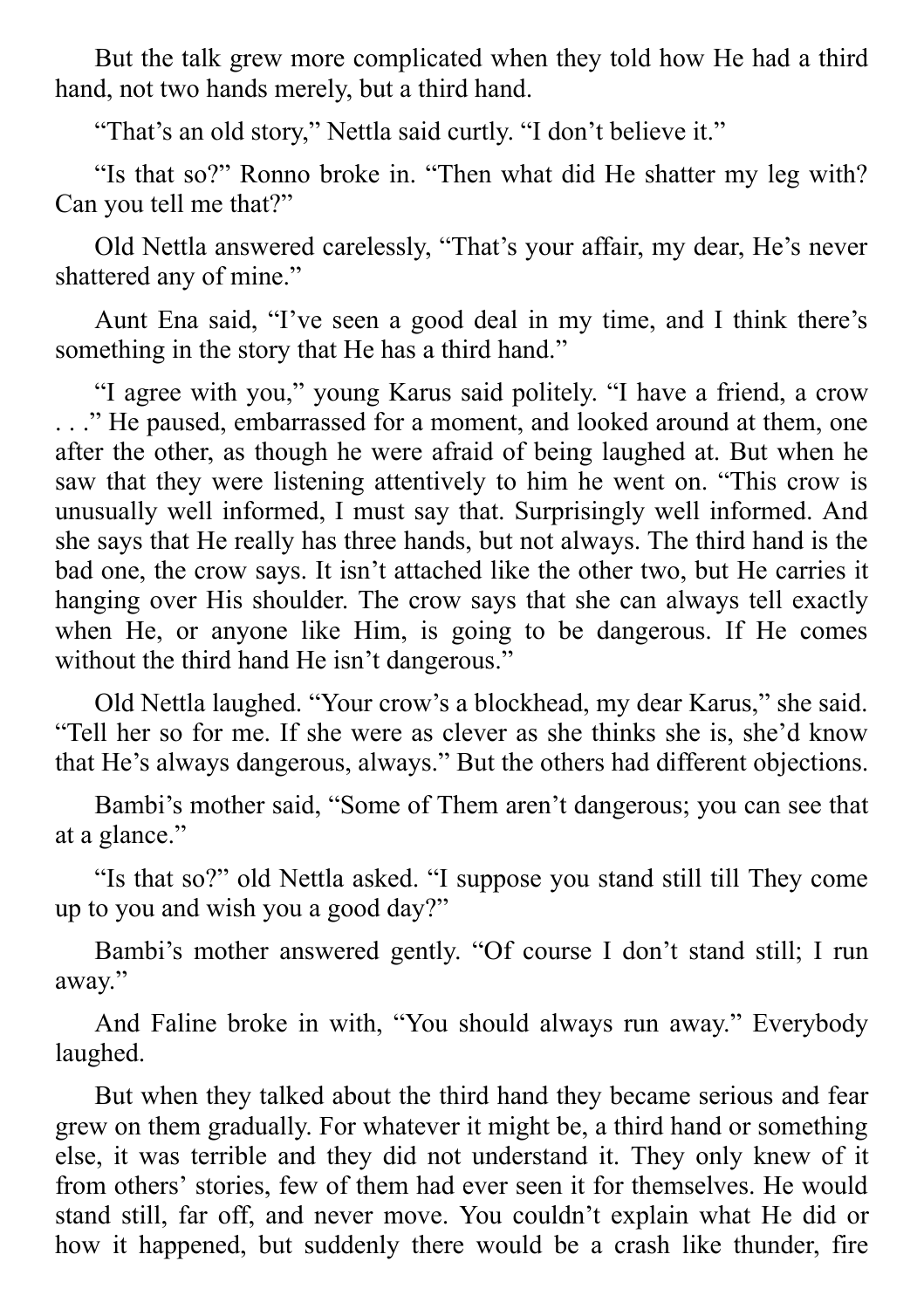But the talk grew more complicated when they told how He had a third hand, not two hands merely, but a third hand.

"That's an old story," Nettla said curtly. "I don't believe it."

"Is that so?" Ronno broke in. "Then what did He shatter my leg with? Can you tell me that?"

Old Nettla answered carelessly, "That's your affair, my dear, He's never shattered any of mine."

Aunt Ena said, "I've seen a good deal in my time, and I think there's something in the story that He has a third hand."

"I agree with you," young Karus said politely. "I have a friend, a crow . . ." He paused, embarrassed for a moment, and looked around at them, one after the other, as though he were afraid of being laughed at. But when he saw that they were listening attentively to him he went on. "This crow is unusually well informed, I must say that. Surprisingly well informed. And she says that He really has three hands, but not always. The third hand is the bad one, the crow says. It isn't attached like the other two, but He carries it hanging over His shoulder. The crow says that she can always tell exactly when He, or anyone like Him, is going to be dangerous. If He comes without the third hand He isn't dangerous."

Old Nettla laughed. "Your crow's a blockhead, my dear Karus," she said. "Tell her so for me. If she were as clever as she thinks she is, she'd know that He's always dangerous, always." But the others had different objections.

Bambi's mother said, "Some of Them aren't dangerous; you can see that at a glance."

"Is that so?" old Nettla asked. "I suppose you stand still till They come up to you and wish you a good day?"

Bambi's mother answered gently. "Of course I don't stand still; I run away."

And Faline broke in with, "You should always run away." Everybody laughed.

But when they talked about the third hand they became serious and fear grew on them gradually. For whatever it might be, a third hand or something else, it was terrible and they did not understand it. They only knew of it from others' stories, few of them had ever seen it for themselves. He would stand still, far off, and never move. You couldn't explain what He did or how it happened, but suddenly there would be a crash like thunder, fire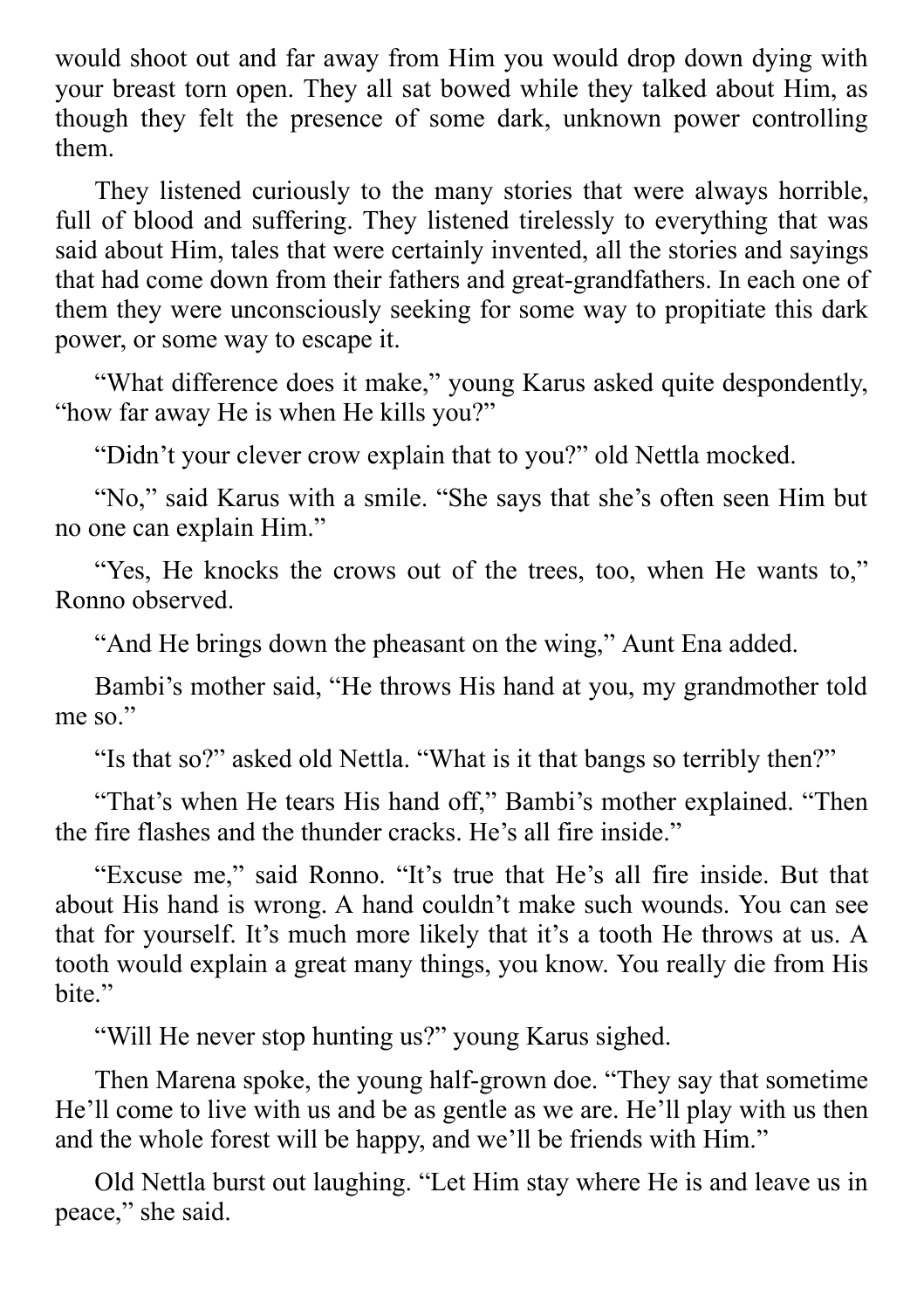would shoot out and far away from Him you would drop down dying with your breast torn open. They all sat bowed while they talked about Him, as though they felt the presence of some dark, unknown power controlling them.

They listened curiously to the many stories that were always horrible, full of blood and suffering. They listened tirelessly to everything that was said about Him, tales that were certainly invented, all the stories and sayings that had come down from their fathers and great-grandfathers. In each one of them they were unconsciously seeking for some way to propitiate this dark power, or some way to escape it.

"What difference does it make," young Karus asked quite despondently, "how far away He is when He kills you?"

"Didn't your clever crow explain that to you?" old Nettla mocked.

"No," said Karus with a smile. "She says that she's often seen Him but no one can explain Him."

"Yes, He knocks the crows out of the trees, too, when He wants to," Ronno observed.

"And He brings down the pheasant on the wing," Aunt Ena added.

Bambi's mother said, "He throws His hand at you, my grandmother told me so."

"Is that so?" asked old Nettla. "What is it that bangs so terribly then?"

"That's when He tears His hand off," Bambi's mother explained. "Then the fire flashes and the thunder cracks. He's all fire inside."

"Excuse me," said Ronno. "It's true that He's all fire inside. But that about His hand is wrong. A hand couldn't make such wounds. You can see that for yourself. It's much more likely that it's a tooth He throws at us. A tooth would explain a great many things, you know. You really die from His bite."

"Will He never stop hunting us?" young Karus sighed.

Then Marena spoke, the young half-grown doe. "They say that sometime He'll come to live with us and be as gentle as we are. He'll play with us then and the whole forest will be happy, and we'll be friends with Him."

Old Nettla burst out laughing. "Let Him stay where He is and leave us in peace," she said.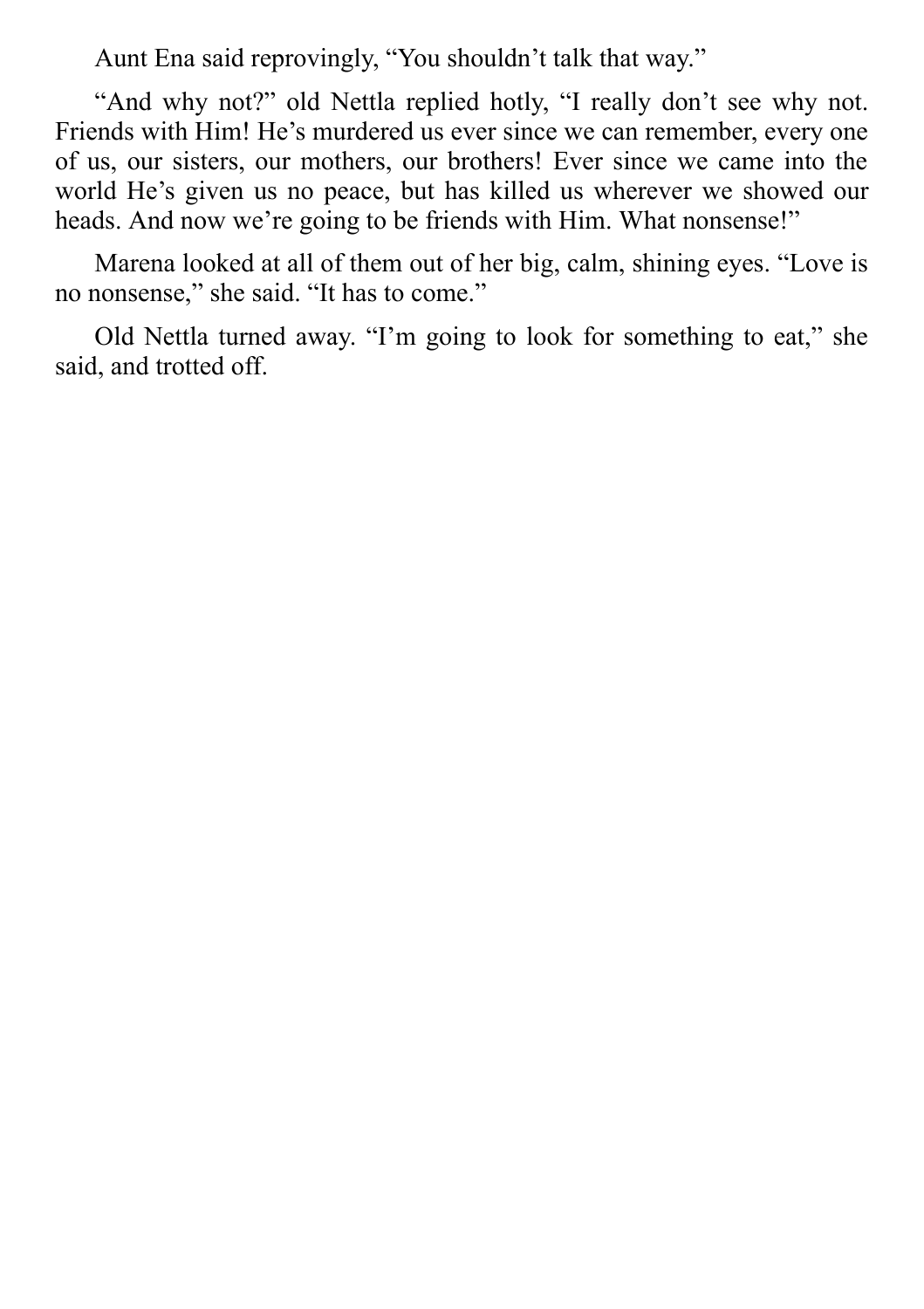Aunt Ena said reprovingly, "You shouldn't talk that way."

"And why not?" old Nettla replied hotly, "I really don't see why not. Friends with Him! He's murdered us ever since we can remember, every one of us, our sisters, our mothers, our brothers! Ever since we came into the world He's given us no peace, but has killed us wherever we showed our heads. And now we're going to be friends with Him. What nonsense!"

Marena looked at all of them out of her big, calm, shining eyes. "Love is no nonsense," she said. "It has to come."

Old Nettla turned away. "I'm going to look for something to eat," she said, and trotted off.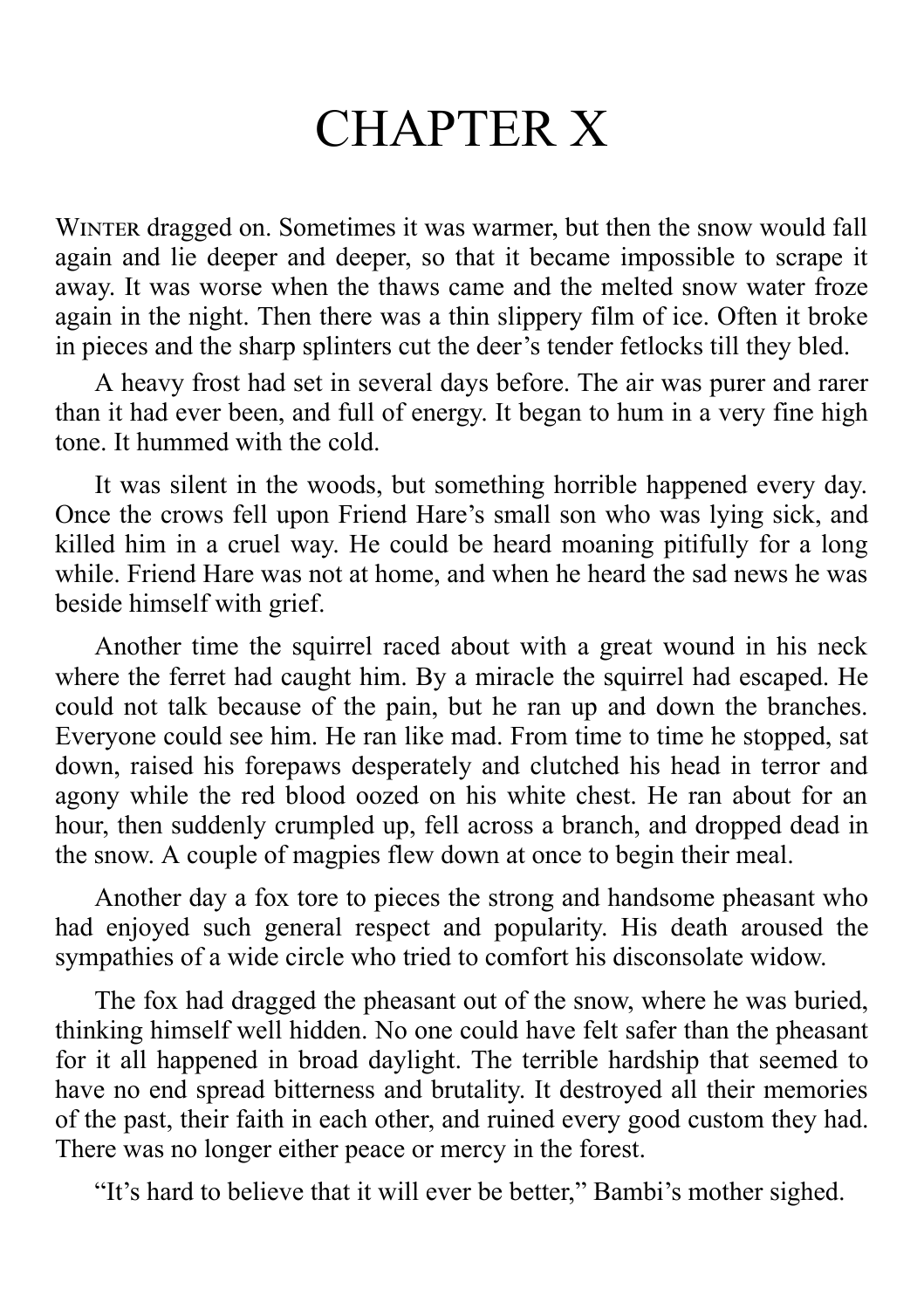# CHAPTER X

WINTER dragged on. Sometimes it was warmer, but then the snow would fall again and lie deeper and deeper, so that it became impossible to scrape it away. It was worse when the thaws came and the melted snow water froze again in the night. Then there was a thin slippery film of ice. Often it broke in pieces and the sharp splinters cut the deer's tender fetlocks till they bled.

A heavy frost had set in several days before. The air was purer and rarer than it had ever been, and full of energy. It began to hum in a very fine high tone. It hummed with the cold.

It was silent in the woods, but something horrible happened every day. Once the crows fell upon Friend Hare's small son who was lying sick, and killed him in a cruel way. He could be heard moaning pitifully for a long while. Friend Hare was not at home, and when he heard the sad news he was beside himself with grief.

Another time the squirrel raced about with a great wound in his neck where the ferret had caught him. By a miracle the squirrel had escaped. He could not talk because of the pain, but he ran up and down the branches. Everyone could see him. He ran like mad. From time to time he stopped, sat down, raised his forepaws desperately and clutched his head in terror and agony while the red blood oozed on his white chest. He ran about for an hour, then suddenly crumpled up, fell across a branch, and dropped dead in the snow. A couple of magpies flew down at once to begin their meal.

Another day a fox tore to pieces the strong and handsome pheasant who had enjoyed such general respect and popularity. His death aroused the sympathies of a wide circle who tried to comfort his disconsolate widow.

The fox had dragged the pheasant out of the snow, where he was buried, thinking himself well hidden. No one could have felt safer than the pheasant for it all happened in broad daylight. The terrible hardship that seemed to have no end spread bitterness and brutality. It destroyed all their memories of the past, their faith in each other, and ruined every good custom they had. There was no longer either peace or mercy in the forest.

"It's hard to believe that it will ever be better," Bambi's mother sighed.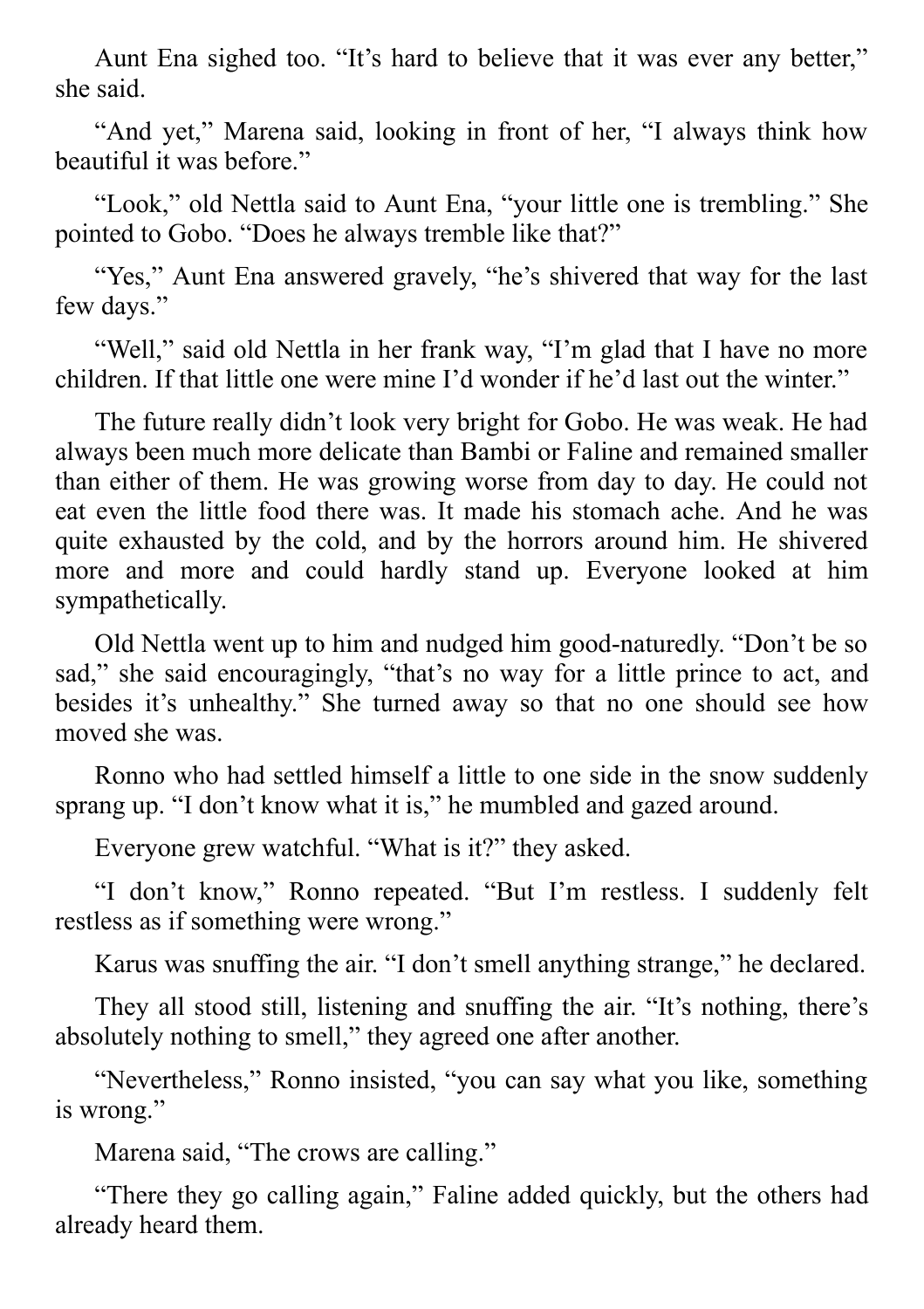Aunt Ena sighed too. "It's hard to believe that it was ever any better," she said.

"And yet," Marena said, looking in front of her, "I always think how beautiful it was before."

"Look," old Nettla said to Aunt Ena, "your little one is trembling." She pointed to Gobo. "Does he always tremble like that?"

"Yes," Aunt Ena answered gravely, "he's shivered that way for the last few days."

"Well," said old Nettla in her frank way, "I'm glad that I have no more children. If that little one were mine I'd wonder if he'd last out the winter."

The future really didn't look very bright for Gobo. He was weak. He had always been much more delicate than Bambi or Faline and remained smaller than either of them. He was growing worse from day to day. He could not eat even the little food there was. It made his stomach ache. And he was quite exhausted by the cold, and by the horrors around him. He shivered more and more and could hardly stand up. Everyone looked at him sympathetically.

Old Nettla went up to him and nudged him good-naturedly. "Don't be so sad," she said encouragingly, "that's no way for a little prince to act, and besides it's unhealthy." She turned away so that no one should see how moved she was.

Ronno who had settled himself a little to one side in the snow suddenly sprang up. "I don't know what it is," he mumbled and gazed around.

Everyone grew watchful. "What is it?" they asked.

"I don't know," Ronno repeated. "But I'm restless. I suddenly felt restless as if something were wrong."

Karus was snuffing the air. "I don't smell anything strange," he declared.

They all stood still, listening and snuffing the air. "It's nothing, there's absolutely nothing to smell," they agreed one after another.

"Nevertheless," Ronno insisted, "you can say what you like, something is wrong."

Marena said, "The crows are calling."

"There they go calling again," Faline added quickly, but the others had already heard them.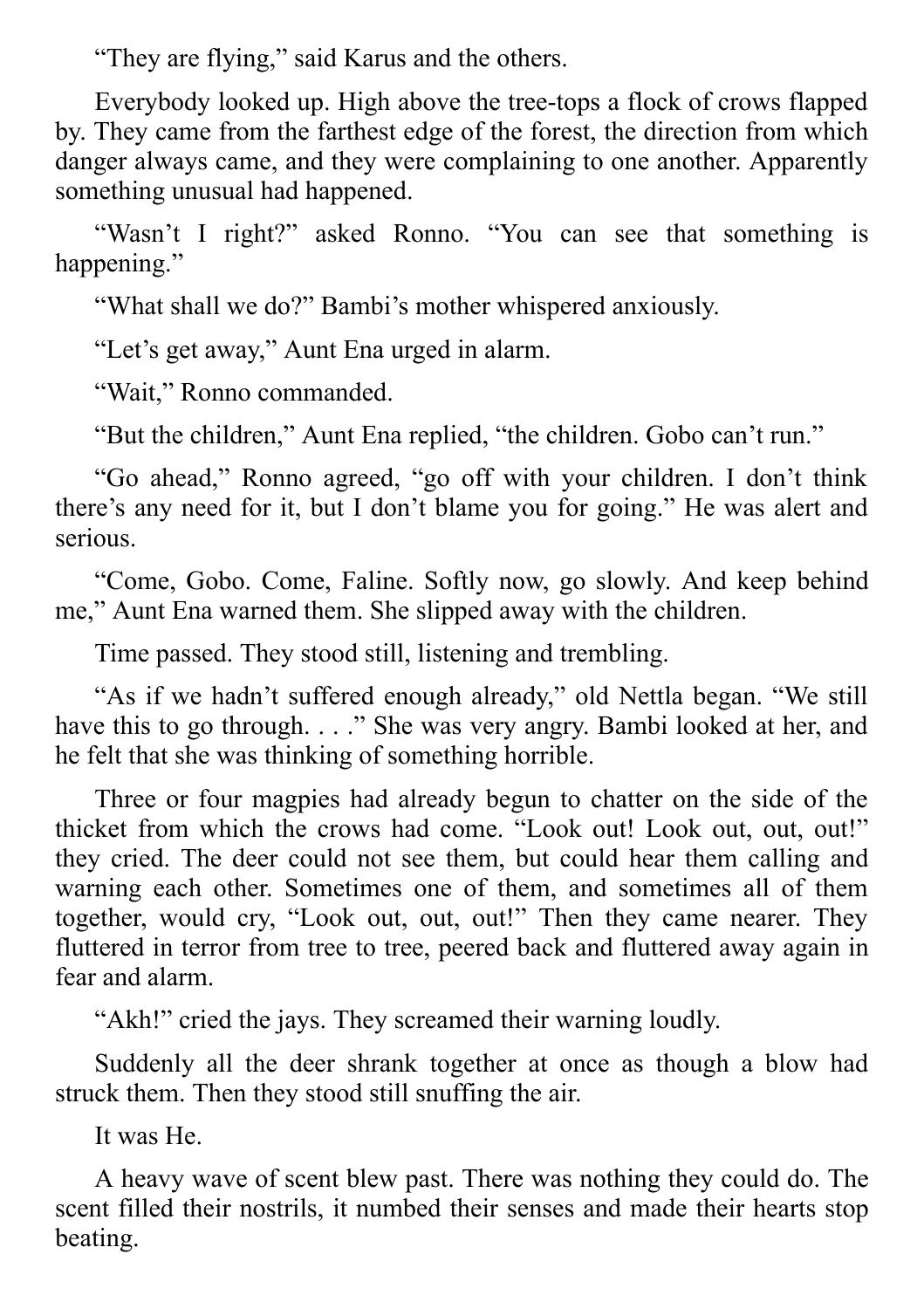"They are flying," said Karus and the others.

Everybody looked up. High above the tree-tops a flock of crows flapped by. They came from the farthest edge of the forest, the direction from which danger always came, and they were complaining to one another. Apparently something unusual had happened.

"Wasn't I right?" asked Ronno. "You can see that something is happening."

"What shall we do?" Bambi's mother whispered anxiously.

"Let's get away," Aunt Ena urged in alarm.

"Wait," Ronno commanded.

"But the children," Aunt Ena replied, "the children. Gobo can't run."

"Go ahead," Ronno agreed, "go off with your children. I don't think there's any need for it, but I don't blame you for going." He was alert and serious.

"Come, Gobo. Come, Faline. Softly now, go slowly. And keep behind me," Aunt Ena warned them. She slipped away with the children.

Time passed. They stood still, listening and trembling.

"As if we hadn't suffered enough already," old Nettla began. "We still have this to go through. . . ." She was very angry. Bambi looked at her, and he felt that she was thinking of something horrible.

Three or four magpies had already begun to chatter on the side of the thicket from which the crows had come. "Look out! Look out, out, out!" they cried. The deer could not see them, but could hear them calling and warning each other. Sometimes one of them, and sometimes all of them together, would cry, "Look out, out, out!" Then they came nearer. They fluttered in terror from tree to tree, peered back and fluttered away again in fear and alarm.

"Akh!" cried the jays. They screamed their warning loudly.

Suddenly all the deer shrank together at once as though a blow had struck them. Then they stood still snuffing the air.

It was He.

A heavy wave of scent blew past. There was nothing they could do. The scent filled their nostrils, it numbed their senses and made their hearts stop beating.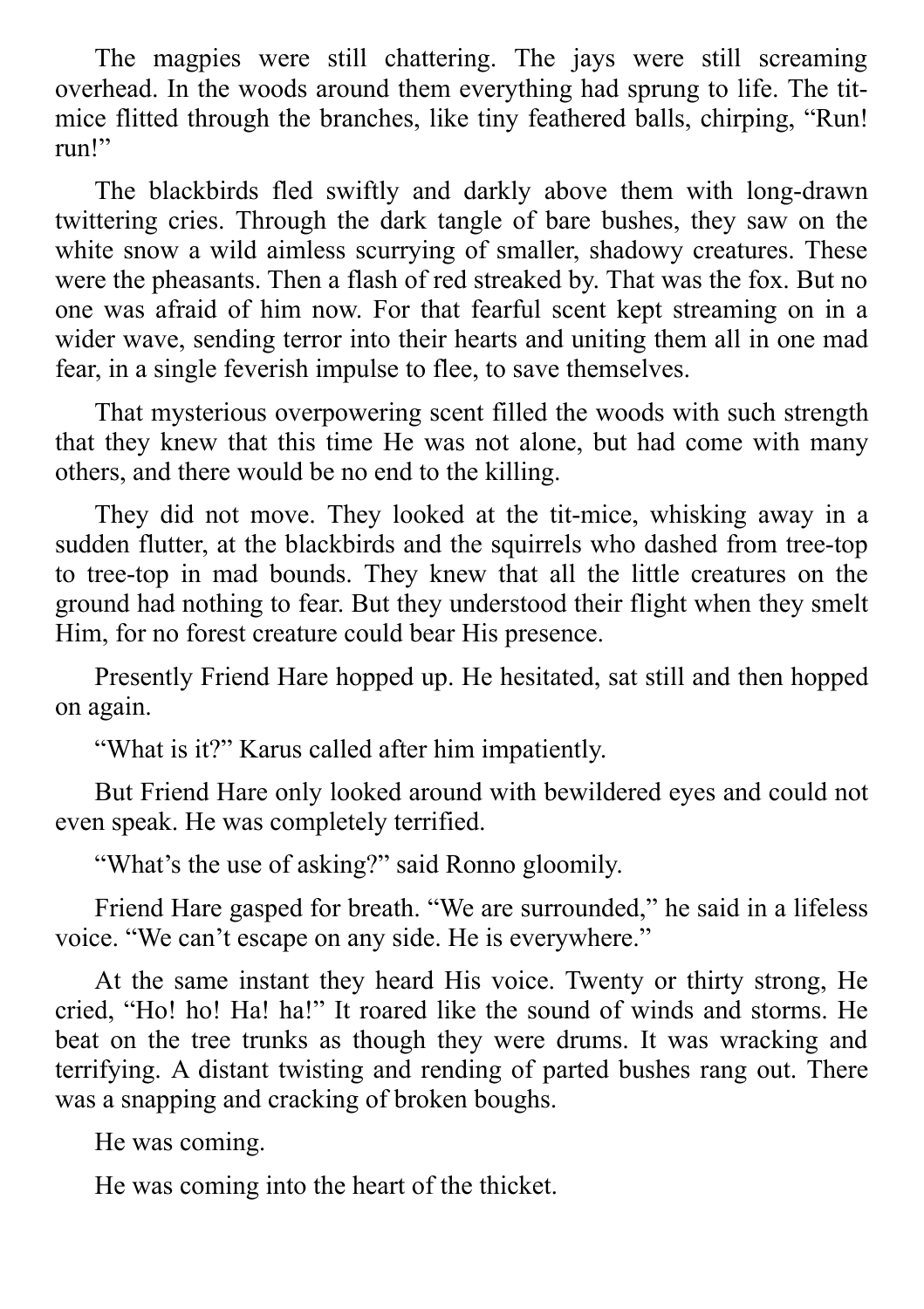The magpies were still chattering. The jays were still screaming overhead. In the woods around them everything had sprung to life. The titmice flitted through the branches, like tiny feathered balls, chirping, "Run! run!"

The blackbirds fled swiftly and darkly above them with long-drawn twittering cries. Through the dark tangle of bare bushes, they saw on the white snow a wild aimless scurrying of smaller, shadowy creatures. These were the pheasants. Then a flash of red streaked by. That was the fox. But no one was afraid of him now. For that fearful scent kept streaming on in a wider wave, sending terror into their hearts and uniting them all in one mad fear, in a single feverish impulse to flee, to save themselves.

That mysterious overpowering scent filled the woods with such strength that they knew that this time He was not alone, but had come with many others, and there would be no end to the killing.

They did not move. They looked at the tit-mice, whisking away in a sudden flutter, at the blackbirds and the squirrels who dashed from tree-top to tree-top in mad bounds. They knew that all the little creatures on the ground had nothing to fear. But they understood their flight when they smelt Him, for no forest creature could bear His presence.

Presently Friend Hare hopped up. He hesitated, sat still and then hopped on again.

"What is it?" Karus called after him impatiently.

But Friend Hare only looked around with bewildered eyes and could not even speak. He was completely terrified.

"What's the use of asking?" said Ronno gloomily.

Friend Hare gasped for breath. "We are surrounded," he said in a lifeless voice. "We can't escape on any side. He is everywhere."

At the same instant they heard His voice. Twenty or thirty strong, He cried, "Ho! ho! Ha! ha!" It roared like the sound of winds and storms. He beat on the tree trunks as though they were drums. It was wracking and terrifying. A distant twisting and rending of parted bushes rang out. There was a snapping and cracking of broken boughs.

He was coming.

He was coming into the heart of the thicket.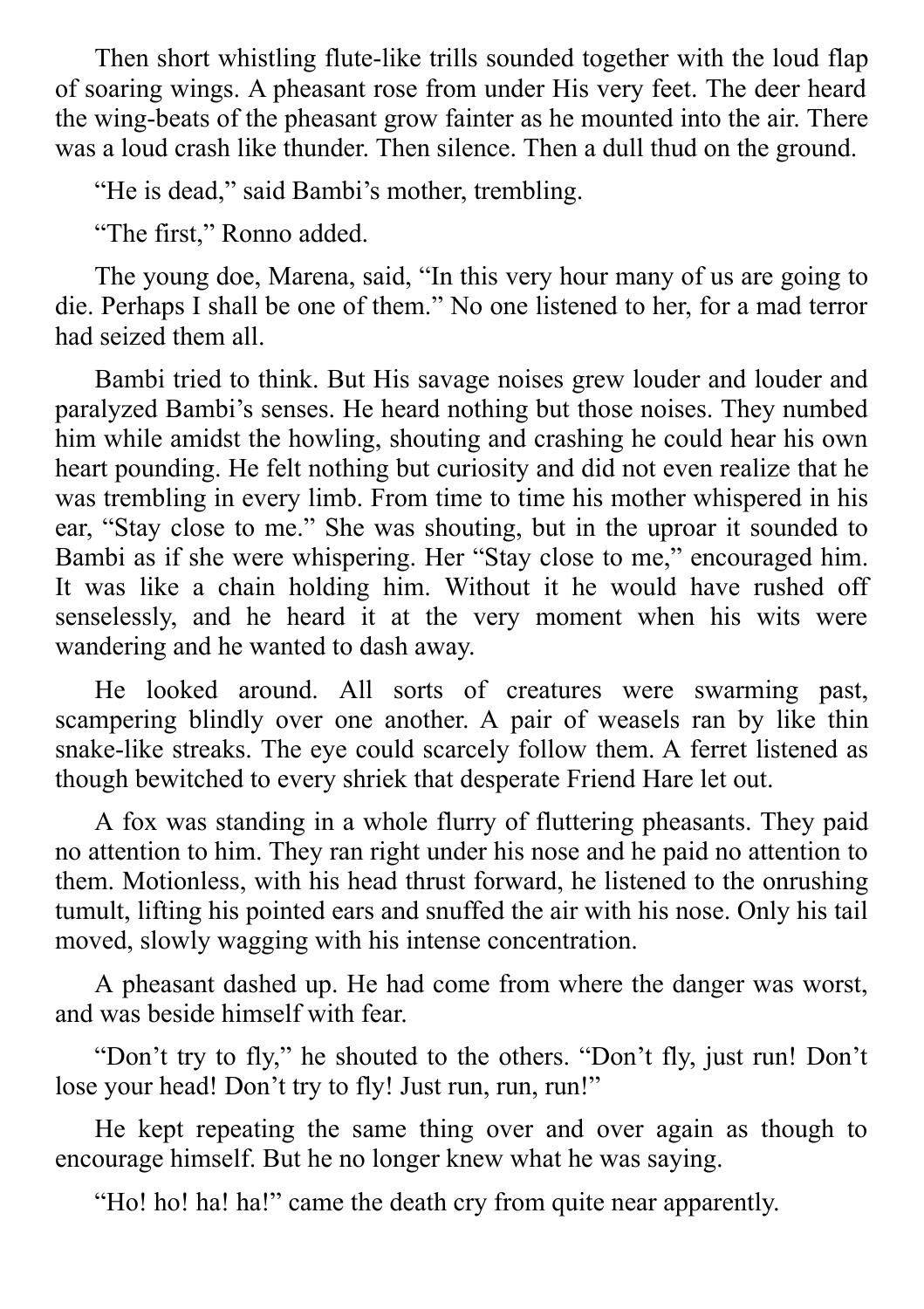Then short whistling flute-like trills sounded together with the loud flap of soaring wings. A pheasant rose from under His very feet. The deer heard the wing-beats of the pheasant grow fainter as he mounted into the air. There was a loud crash like thunder. Then silence. Then a dull thud on the ground.

"He is dead," said Bambi's mother, trembling.

"The first," Ronno added.

The young doe, Marena, said, "In this very hour many of us are going to die. Perhaps I shall be one of them." No one listened to her, for a mad terror had seized them all.

Bambi tried to think. But His savage noises grew louder and louder and paralyzed Bambi's senses. He heard nothing but those noises. They numbed him while amidst the howling, shouting and crashing he could hear his own heart pounding. He felt nothing but curiosity and did not even realize that he was trembling in every limb. From time to time his mother whispered in his ear, "Stay close to me." She was shouting, but in the uproar it sounded to Bambi as if she were whispering. Her "Stay close to me," encouraged him. It was like a chain holding him. Without it he would have rushed off senselessly, and he heard it at the very moment when his wits were wandering and he wanted to dash away.

He looked around. All sorts of creatures were swarming past, scampering blindly over one another. A pair of weasels ran by like thin snake-like streaks. The eye could scarcely follow them. A ferret listened as though bewitched to every shriek that desperate Friend Hare let out.

A fox was standing in a whole flurry of fluttering pheasants. They paid no attention to him. They ran right under his nose and he paid no attention to them. Motionless, with his head thrust forward, he listened to the onrushing tumult, lifting his pointed ears and snuffed the air with his nose. Only his tail moved, slowly wagging with his intense concentration.

A pheasant dashed up. He had come from where the danger was worst, and was beside himself with fear.

"Don't try to fly," he shouted to the others. "Don't fly, just run! Don't lose your head! Don't try to fly! Just run, run, run!"

He kept repeating the same thing over and over again as though to encourage himself. But he no longer knew what he was saying.

"Ho! ho! ha! ha!" came the death cry from quite near apparently.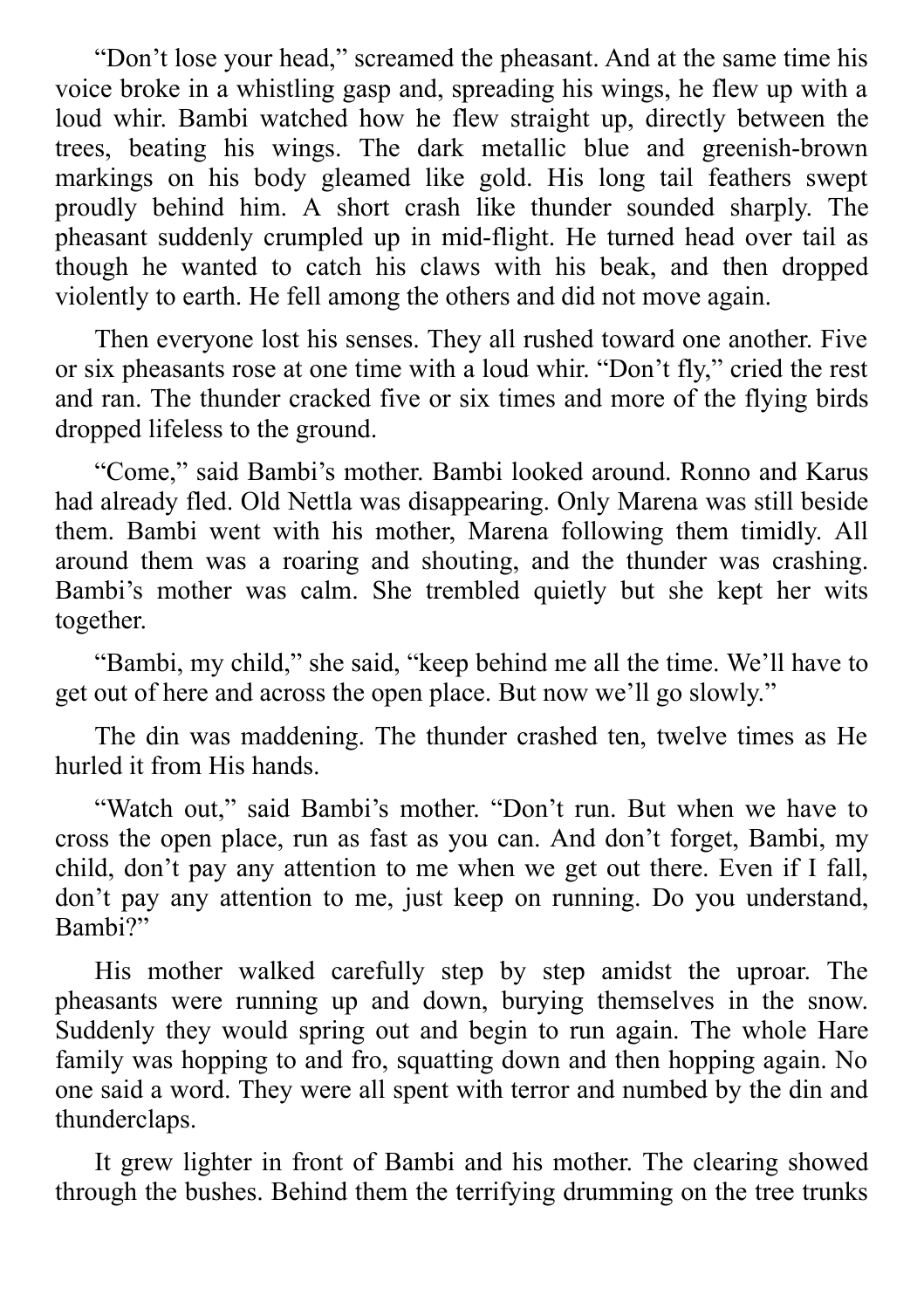"Don't lose your head," screamed the pheasant. And at the same time his voice broke in a whistling gasp and, spreading his wings, he flew up with a loud whir. Bambi watched how he flew straight up, directly between the trees, beating his wings. The dark metallic blue and greenish-brown markings on his body gleamed like gold. His long tail feathers swept proudly behind him. A short crash like thunder sounded sharply. The pheasant suddenly crumpled up in mid-flight. He turned head over tail as though he wanted to catch his claws with his beak, and then dropped violently to earth. He fell among the others and did not move again.

Then everyone lost his senses. They all rushed toward one another. Five or six pheasants rose at one time with a loud whir. "Don't fly," cried the rest and ran. The thunder cracked five or six times and more of the flying birds dropped lifeless to the ground.

"Come," said Bambi's mother. Bambi looked around. Ronno and Karus had already fled. Old Nettla was disappearing. Only Marena was still beside them. Bambi went with his mother, Marena following them timidly. All around them was a roaring and shouting, and the thunder was crashing. Bambi's mother was calm. She trembled quietly but she kept her wits together.

"Bambi, my child," she said, "keep behind me all the time. We'll have to get out of here and across the open place. But now we'll go slowly."

The din was maddening. The thunder crashed ten, twelve times as He hurled it from His hands.

"Watch out," said Bambi's mother. "Don't run. But when we have to cross the open place, run as fast as you can. And don't forget, Bambi, my child, don't pay any attention to me when we get out there. Even if I fall, don't pay any attention to me, just keep on running. Do you understand, Bambi?"

His mother walked carefully step by step amidst the uproar. The pheasants were running up and down, burying themselves in the snow. Suddenly they would spring out and begin to run again. The whole Hare family was hopping to and fro, squatting down and then hopping again. No one said a word. They were all spent with terror and numbed by the din and thunderclaps.

It grew lighter in front of Bambi and his mother. The clearing showed through the bushes. Behind them the terrifying drumming on the tree trunks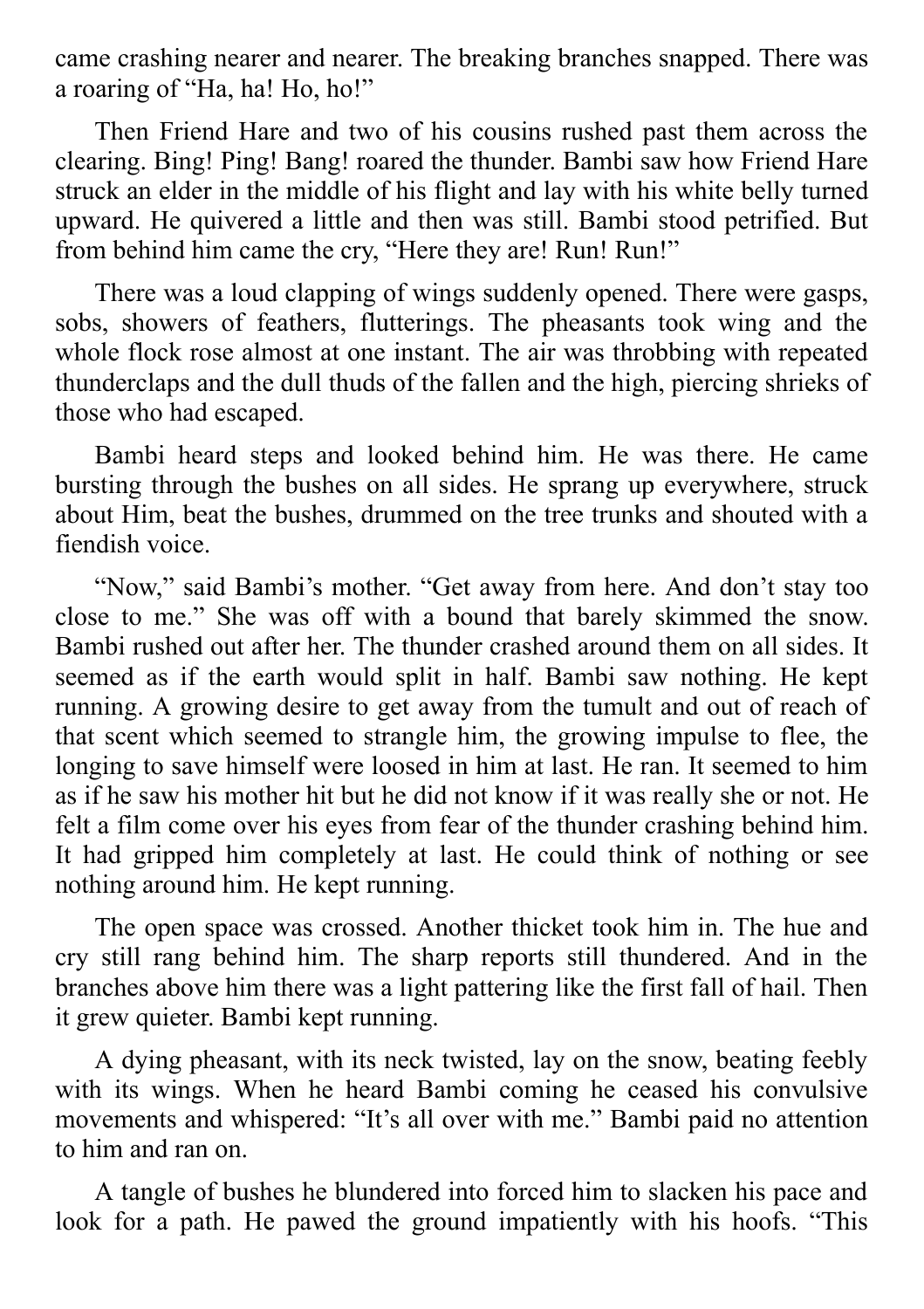came crashing nearer and nearer. The breaking branches snapped. There was a roaring of "Ha, ha! Ho, ho!"

Then Friend Hare and two of his cousins rushed past them across the clearing. Bing! Ping! Bang! roared the thunder. Bambi saw how Friend Hare struck an elder in the middle of his flight and lay with his white belly turned upward. He quivered a little and then was still. Bambi stood petrified. But from behind him came the cry, "Here they are! Run! Run!"

There was a loud clapping of wings suddenly opened. There were gasps, sobs, showers of feathers, flutterings. The pheasants took wing and the whole flock rose almost at one instant. The air was throbbing with repeated thunderclaps and the dull thuds of the fallen and the high, piercing shrieks of those who had escaped.

Bambi heard steps and looked behind him. He was there. He came bursting through the bushes on all sides. He sprang up everywhere, struck about Him, beat the bushes, drummed on the tree trunks and shouted with a fiendish voice.

"Now," said Bambi's mother. "Get away from here. And don't stay too close to me." She was off with a bound that barely skimmed the snow. Bambi rushed out after her. The thunder crashed around them on all sides. It seemed as if the earth would split in half. Bambi saw nothing. He kept running. A growing desire to get away from the tumult and out of reach of that scent which seemed to strangle him, the growing impulse to flee, the longing to save himself were loosed in him at last. He ran. It seemed to him as if he saw his mother hit but he did not know if it was really she or not. He felt a film come over his eyes from fear of the thunder crashing behind him. It had gripped him completely at last. He could think of nothing or see nothing around him. He kept running.

The open space was crossed. Another thicket took him in. The hue and cry still rang behind him. The sharp reports still thundered. And in the branches above him there was a light pattering like the first fall of hail. Then it grew quieter. Bambi kept running.

A dying pheasant, with its neck twisted, lay on the snow, beating feebly with its wings. When he heard Bambi coming he ceased his convulsive movements and whispered: "It's all over with me." Bambi paid no attention to him and ran on.

A tangle of bushes he blundered into forced him to slacken his pace and look for a path. He pawed the ground impatiently with his hoofs. "This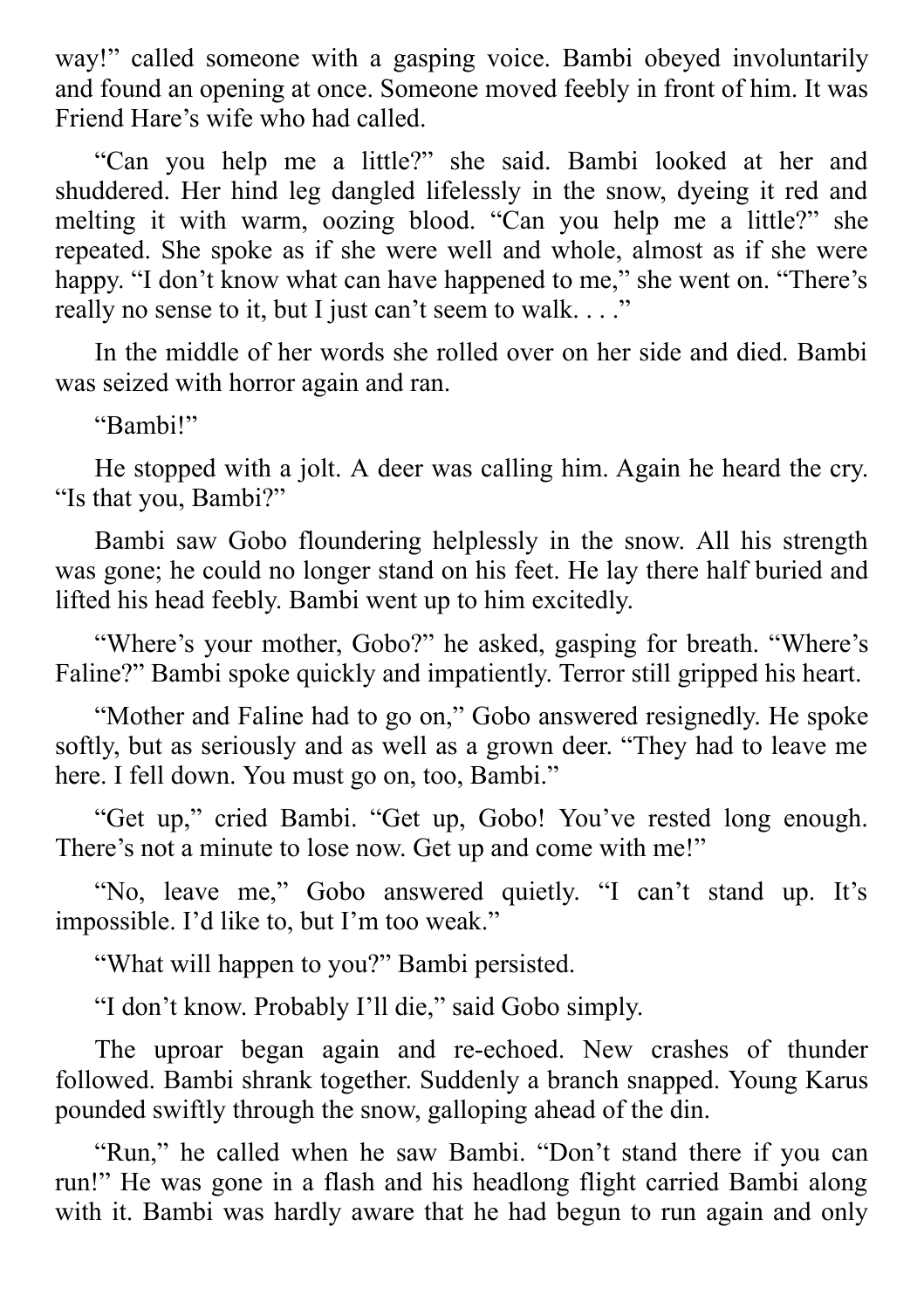way!" called someone with a gasping voice. Bambi obeyed involuntarily and found an opening at once. Someone moved feebly in front of him. It was Friend Hare's wife who had called.

"Can you help me a little?" she said. Bambi looked at her and shuddered. Her hind leg dangled lifelessly in the snow, dyeing it red and melting it with warm, oozing blood. "Can you help me a little?" she repeated. She spoke as if she were well and whole, almost as if she were happy. "I don't know what can have happened to me," she went on. "There's really no sense to it, but I just can't seem to walk. . . ."

In the middle of her words she rolled over on her side and died. Bambi was seized with horror again and ran.

"Bambi!"

He stopped with a jolt. A deer was calling him. Again he heard the cry. "Is that you, Bambi?"

Bambi saw Gobo floundering helplessly in the snow. All his strength was gone; he could no longer stand on his feet. He lay there half buried and lifted his head feebly. Bambi went up to him excitedly.

"Where's your mother, Gobo?" he asked, gasping for breath. "Where's Faline?" Bambi spoke quickly and impatiently. Terror still gripped his heart.

"Mother and Faline had to go on," Gobo answered resignedly. He spoke softly, but as seriously and as well as a grown deer. "They had to leave me here. I fell down. You must go on, too, Bambi."

"Get up," cried Bambi. "Get up, Gobo! You've rested long enough. There's not a minute to lose now. Get up and come with me!"

"No, leave me," Gobo answered quietly. "I can't stand up. It's impossible. I'd like to, but I'm too weak."

"What will happen to you?" Bambi persisted.

"I don't know. Probably I'll die," said Gobo simply.

The uproar began again and re-echoed. New crashes of thunder followed. Bambi shrank together. Suddenly a branch snapped. Young Karus pounded swiftly through the snow, galloping ahead of the din.

"Run," he called when he saw Bambi. "Don't stand there if you can run!" He was gone in a flash and his headlong flight carried Bambi along with it. Bambi was hardly aware that he had begun to run again and only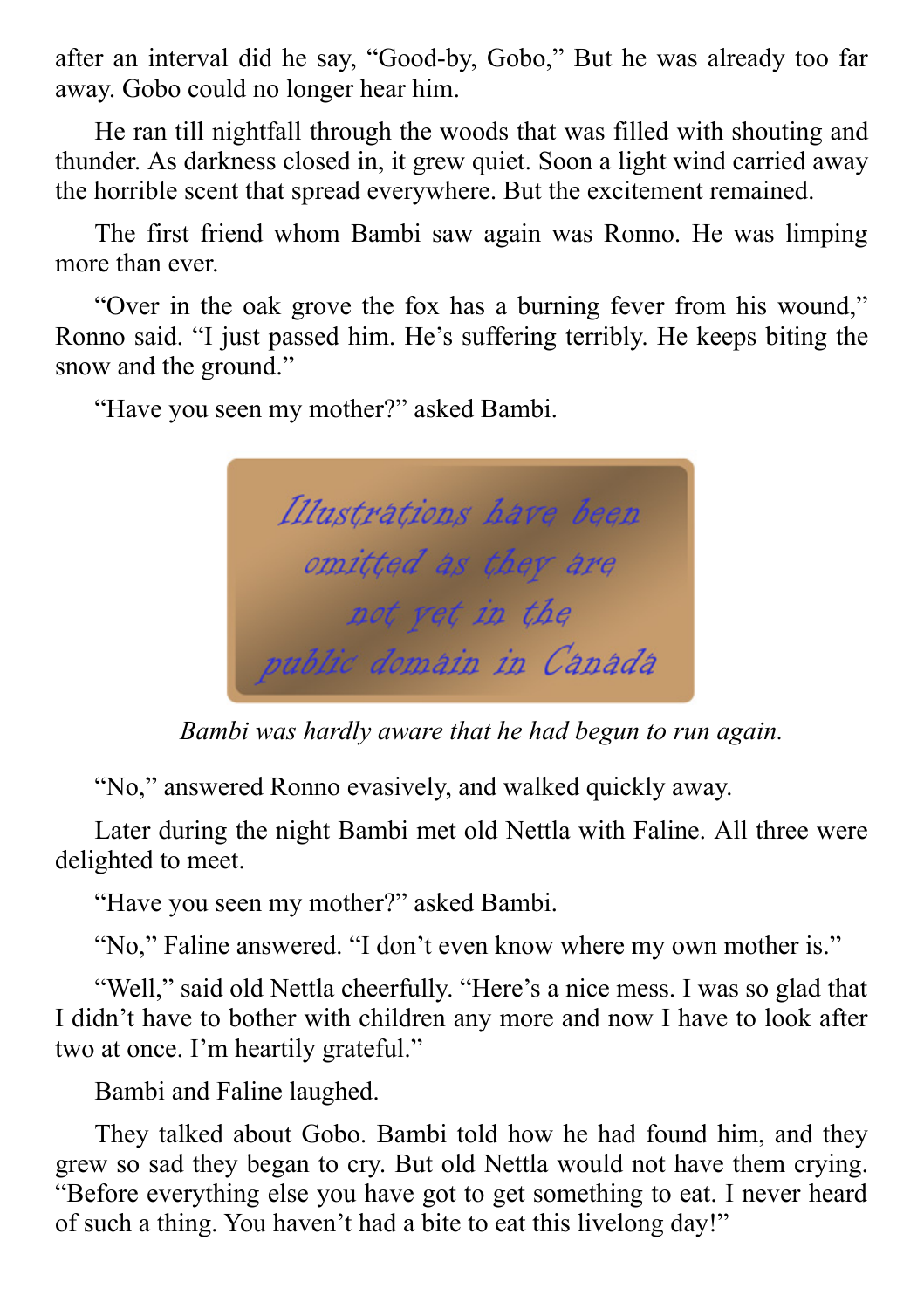after an interval did he say, "Good-by, Gobo," But he was already too far away. Gobo could no longer hear him.

He ran till nightfall through the woods that was filled with shouting and thunder. As darkness closed in, it grew quiet. Soon a light wind carried away the horrible scent that spread everywhere. But the excitement remained.

The first friend whom Bambi saw again was Ronno. He was limping more than ever.

"Over in the oak grove the fox has a burning fever from his wound," Ronno said. "I just passed him. He's suffering terribly. He keeps biting the snow and the ground."

"Have you seen my mother?" asked Bambi.

Illustrations have been omitted as they are not yet in the public domain in Canada

*Bambi was hardly aware that he had begun to run again.*

"No," answered Ronno evasively, and walked quickly away.

Later during the night Bambi met old Nettla with Faline. All three were delighted to meet.

"Have you seen my mother?" asked Bambi.

"No," Faline answered. "I don't even know where my own mother is."

"Well," said old Nettla cheerfully. "Here's a nice mess. I was so glad that I didn't have to bother with children any more and now I have to look after two at once. I'm heartily grateful."

Bambi and Faline laughed.

They talked about Gobo. Bambi told how he had found him, and they grew so sad they began to cry. But old Nettla would not have them crying. "Before everything else you have got to get something to eat. I never heard of such a thing. You haven't had a bite to eat this livelong day!"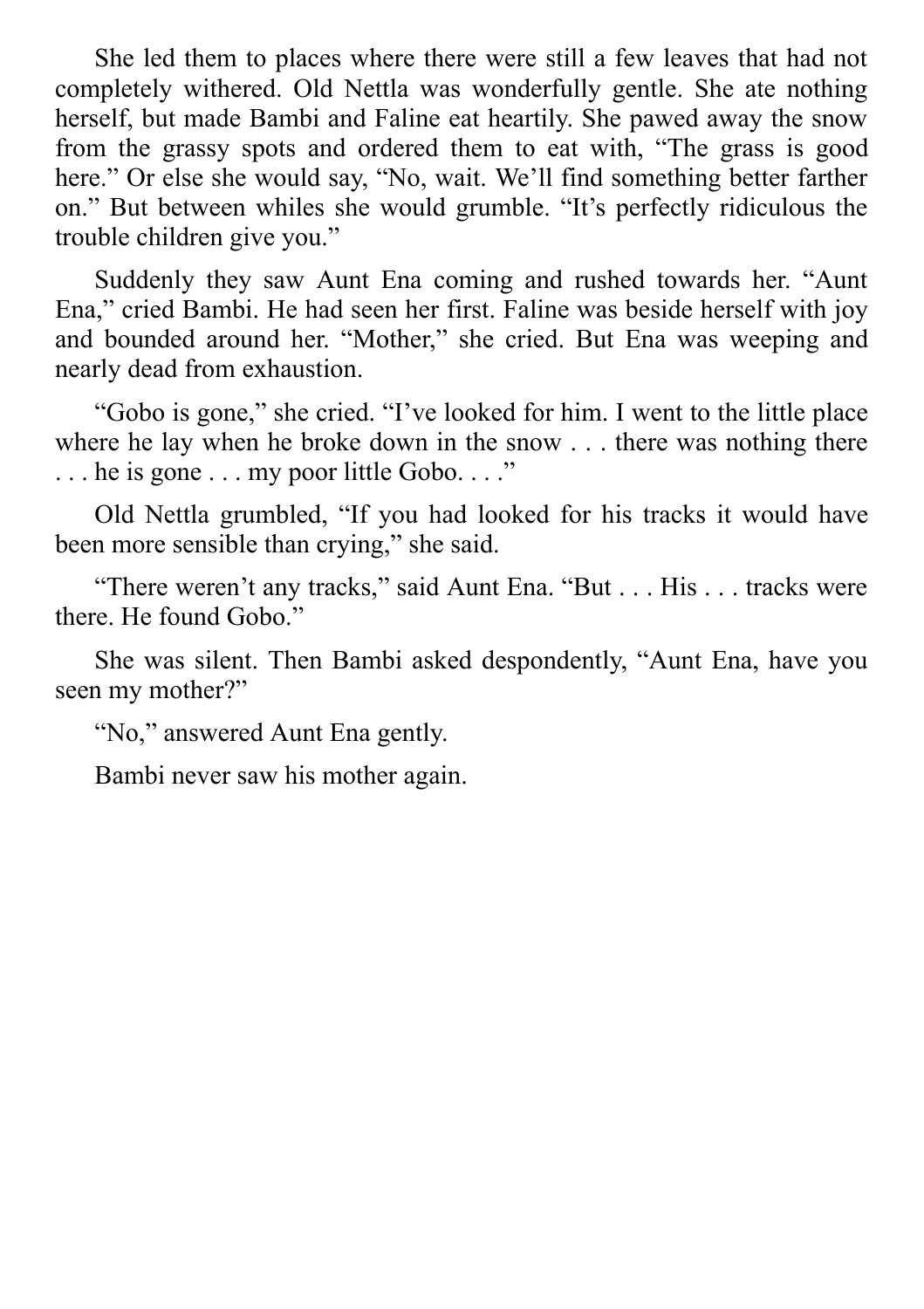She led them to places where there were still a few leaves that had not completely withered. Old Nettla was wonderfully gentle. She ate nothing herself, but made Bambi and Faline eat heartily. She pawed away the snow from the grassy spots and ordered them to eat with, "The grass is good here." Or else she would say, "No, wait. We'll find something better farther on." But between whiles she would grumble. "It's perfectly ridiculous the trouble children give you."

Suddenly they saw Aunt Ena coming and rushed towards her. "Aunt Ena," cried Bambi. He had seen her first. Faline was beside herself with joy and bounded around her. "Mother," she cried. But Ena was weeping and nearly dead from exhaustion.

"Gobo is gone," she cried. "I've looked for him. I went to the little place where he lay when he broke down in the snow . . . there was nothing there ... he is gone ... my poor little Gobo...."

Old Nettla grumbled, "If you had looked for his tracks it would have been more sensible than crying," she said.

"There weren't any tracks," said Aunt Ena. "But . . . His . . . tracks were there. He found Gobo."

She was silent. Then Bambi asked despondently, "Aunt Ena, have you seen my mother?"

"No," answered Aunt Ena gently.

Bambi never saw his mother again.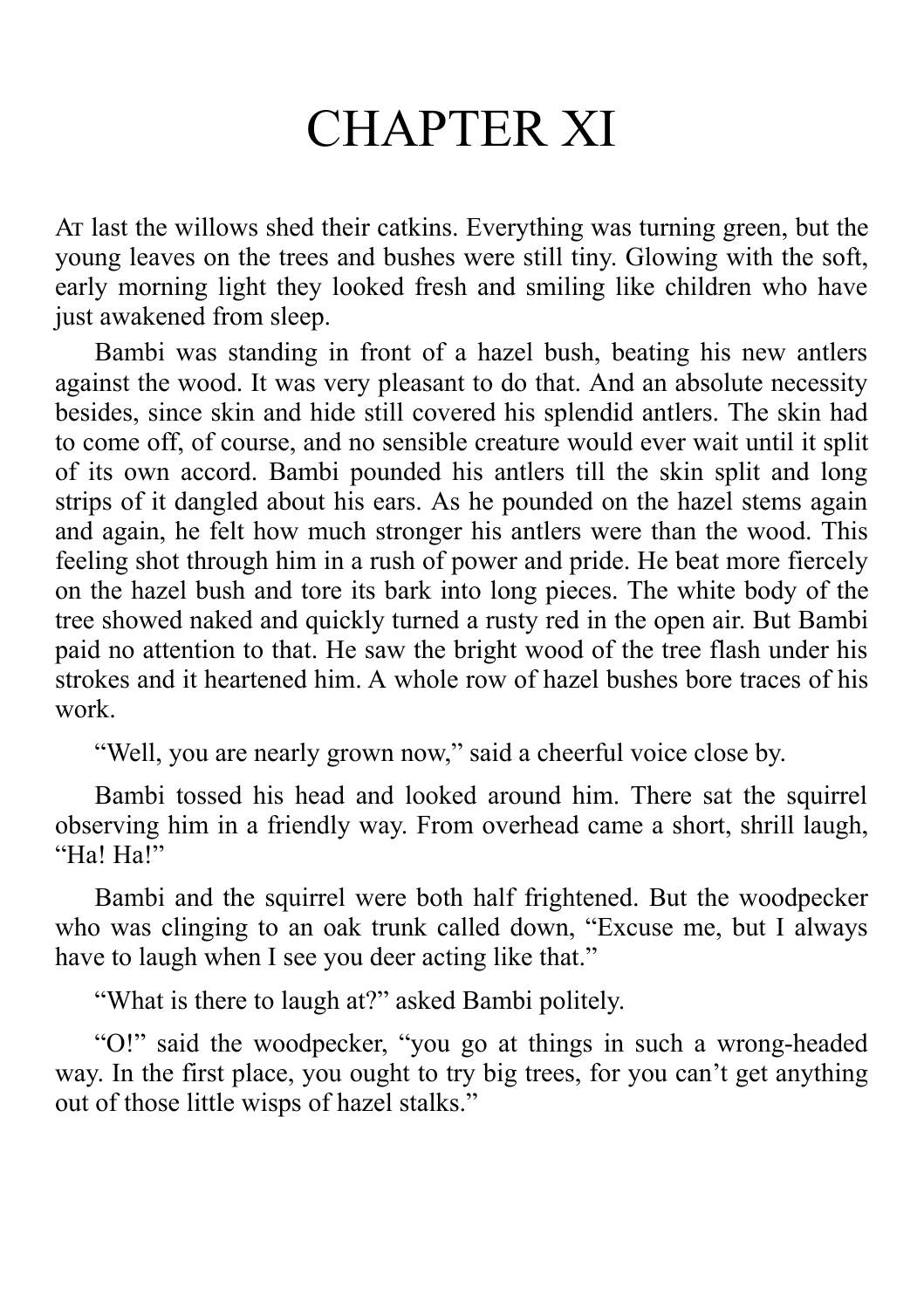# CHAPTER XI

A last the willows shed their catkins. Everything was turning green, but the young leaves on the trees and bushes were still tiny. Glowing with the soft, early morning light they looked fresh and smiling like children who have just awakened from sleep.

Bambi was standing in front of a hazel bush, beating his new antlers against the wood. It was very pleasant to do that. And an absolute necessity besides, since skin and hide still covered his splendid antlers. The skin had to come off, of course, and no sensible creature would ever wait until it split of its own accord. Bambi pounded his antlers till the skin split and long strips of it dangled about his ears. As he pounded on the hazel stems again and again, he felt how much stronger his antlers were than the wood. This feeling shot through him in a rush of power and pride. He beat more fiercely on the hazel bush and tore its bark into long pieces. The white body of the tree showed naked and quickly turned a rusty red in the open air. But Bambi paid no attention to that. He saw the bright wood of the tree flash under his strokes and it heartened him. A whole row of hazel bushes bore traces of his work.

"Well, you are nearly grown now," said a cheerful voice close by.

Bambi tossed his head and looked around him. There sat the squirrel observing him in a friendly way. From overhead came a short, shrill laugh, "Ha! Ha!"

Bambi and the squirrel were both half frightened. But the woodpecker who was clinging to an oak trunk called down, "Excuse me, but I always have to laugh when I see you deer acting like that."

"What is there to laugh at?" asked Bambi politely.

"O!" said the woodpecker, "you go at things in such a wrong-headed way. In the first place, you ought to try big trees, for you can't get anything out of those little wisps of hazel stalks."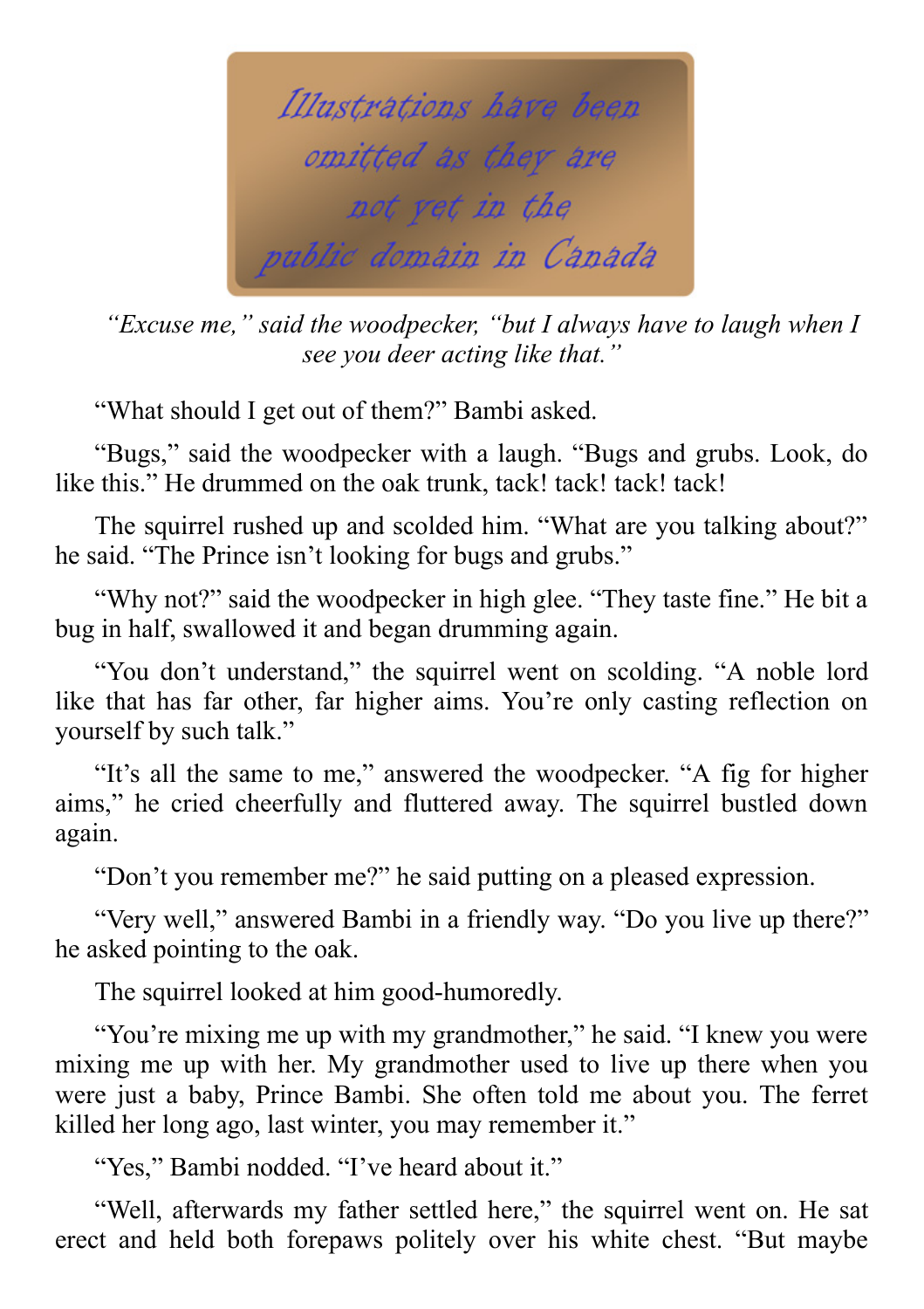

*"Excuse me," said the woodpecker, "but I always have to laugh when I see you deer acting like that."*

"What should I get out of them?" Bambi asked.

"Bugs," said the woodpecker with a laugh. "Bugs and grubs. Look, do like this." He drummed on the oak trunk, tack! tack! tack! tack!

The squirrel rushed up and scolded him. "What are you talking about?" he said. "The Prince isn't looking for bugs and grubs."

"Why not?" said the woodpecker in high glee. "They taste fine." He bit a bug in half, swallowed it and began drumming again.

"You don't understand," the squirrel went on scolding. "A noble lord like that has far other, far higher aims. You're only casting reflection on yourself by such talk."

"It's all the same to me," answered the woodpecker. "A fig for higher aims," he cried cheerfully and fluttered away. The squirrel bustled down again.

"Don't you remember me?" he said putting on a pleased expression.

"Very well," answered Bambi in a friendly way. "Do you live up there?" he asked pointing to the oak.

The squirrel looked at him good-humoredly.

"You're mixing me up with my grandmother," he said. "I knew you were mixing me up with her. My grandmother used to live up there when you were just a baby, Prince Bambi. She often told me about you. The ferret killed her long ago, last winter, you may remember it."

"Yes," Bambi nodded. "I've heard about it."

"Well, afterwards my father settled here," the squirrel went on. He sat erect and held both forepaws politely over his white chest. "But maybe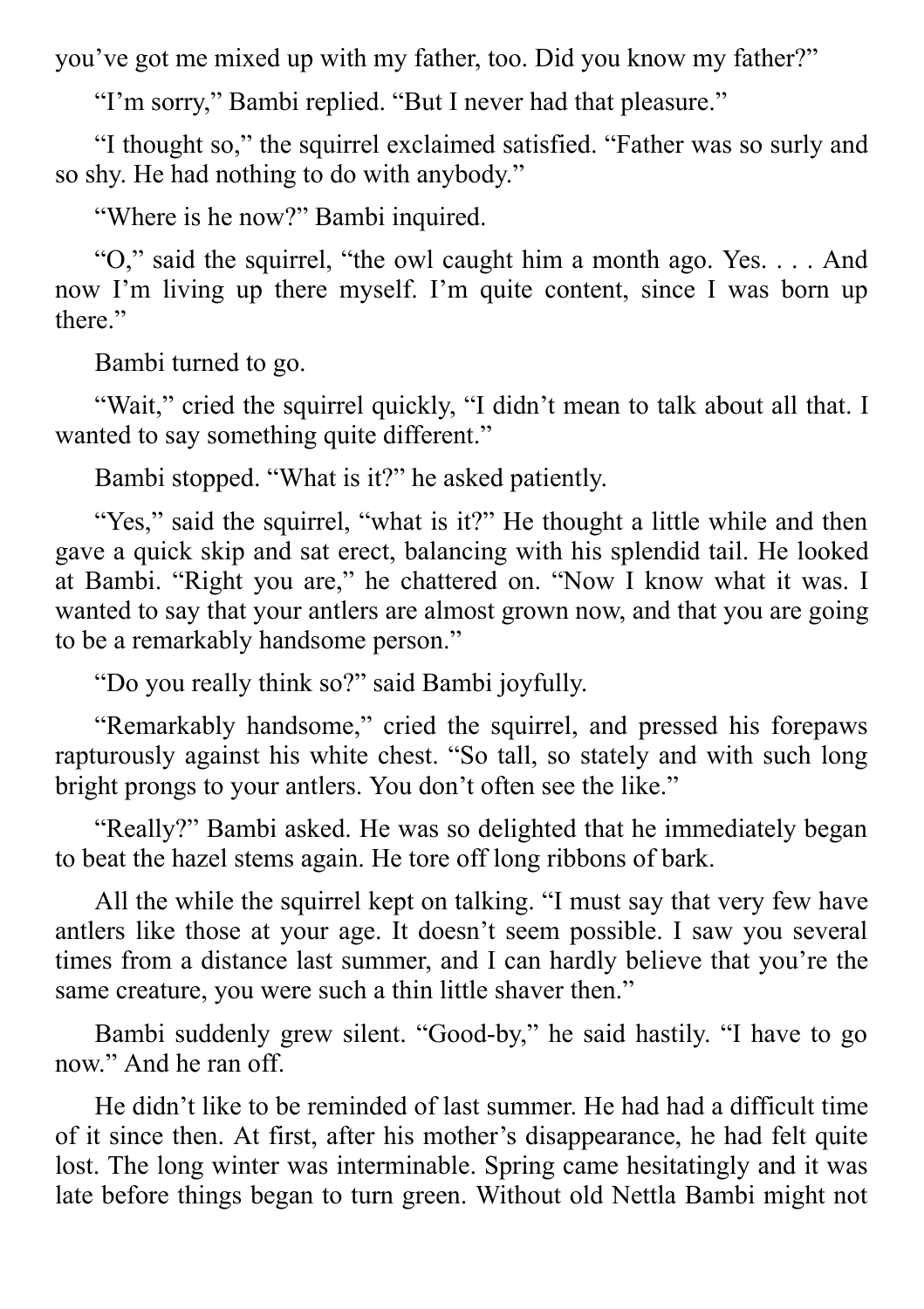you've got me mixed up with my father, too. Did you know my father?"

"I'm sorry," Bambi replied. "But I never had that pleasure."

"I thought so," the squirrel exclaimed satisfied. "Father was so surly and so shy. He had nothing to do with anybody."

"Where is he now?" Bambi inquired.

"O," said the squirrel, "the owl caught him a month ago. Yes. . . . And now I'm living up there myself. I'm quite content, since I was born up there."

Bambi turned to go.

"Wait," cried the squirrel quickly, "I didn't mean to talk about all that. I wanted to say something quite different."

Bambi stopped. "What is it?" he asked patiently.

"Yes," said the squirrel, "what is it?" He thought a little while and then gave a quick skip and sat erect, balancing with his splendid tail. He looked at Bambi. "Right you are," he chattered on. "Now I know what it was. I wanted to say that your antlers are almost grown now, and that you are going to be a remarkably handsome person."

"Do you really think so?" said Bambi joyfully.

"Remarkably handsome," cried the squirrel, and pressed his forepaws rapturously against his white chest. "So tall, so stately and with such long bright prongs to your antlers. You don't often see the like."

"Really?" Bambi asked. He was so delighted that he immediately began to beat the hazel stems again. He tore off long ribbons of bark.

All the while the squirrel kept on talking. "I must say that very few have antlers like those at your age. It doesn't seem possible. I saw you several times from a distance last summer, and I can hardly believe that you're the same creature, you were such a thin little shaver then."

Bambi suddenly grew silent. "Good-by," he said hastily. "I have to go now." And he ran off.

He didn't like to be reminded of last summer. He had had a difficult time of it since then. At first, after his mother's disappearance, he had felt quite lost. The long winter was interminable. Spring came hesitatingly and it was late before things began to turn green. Without old Nettla Bambi might not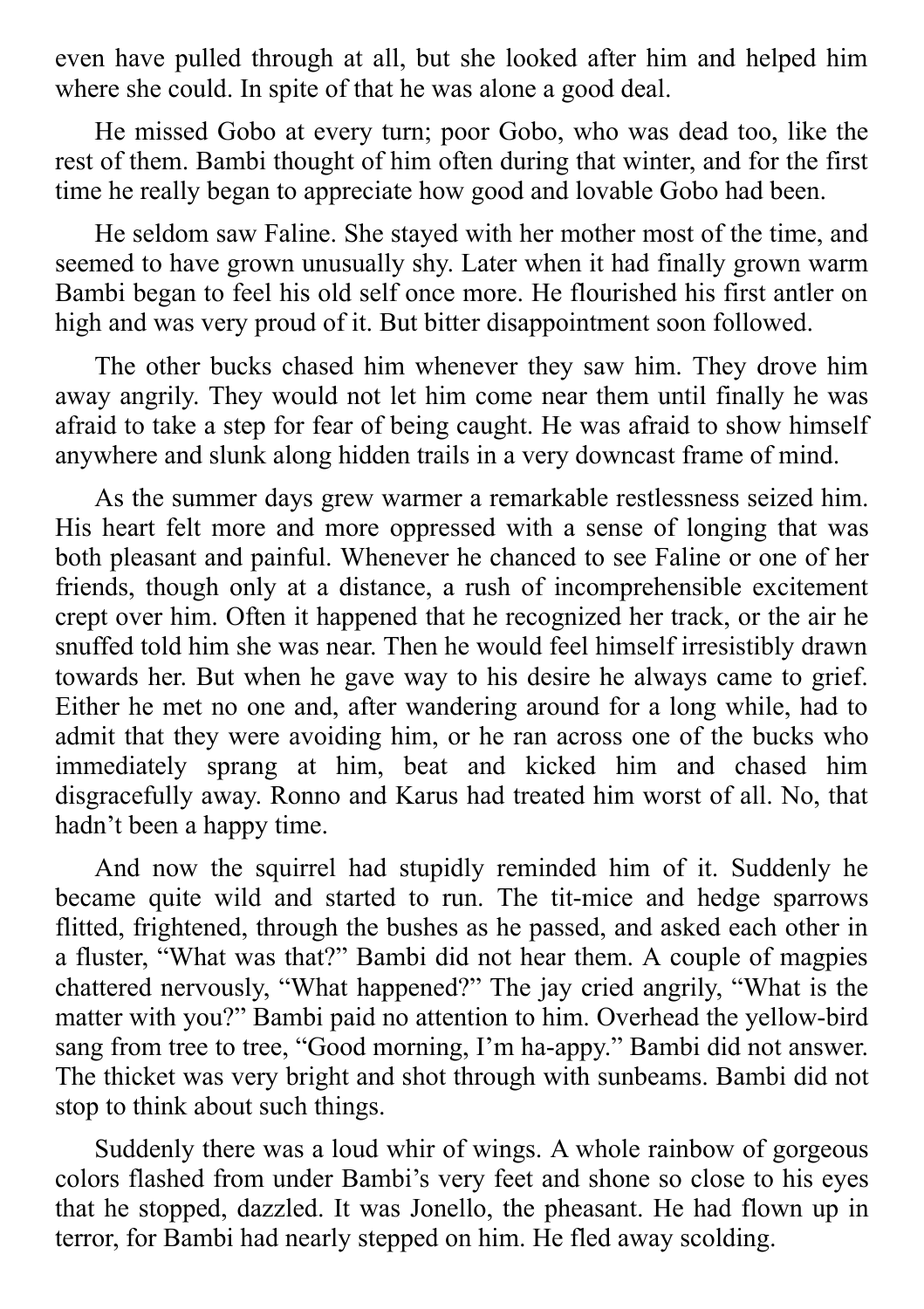even have pulled through at all, but she looked after him and helped him where she could. In spite of that he was alone a good deal.

He missed Gobo at every turn; poor Gobo, who was dead too, like the rest of them. Bambi thought of him often during that winter, and for the first time he really began to appreciate how good and lovable Gobo had been.

He seldom saw Faline. She stayed with her mother most of the time, and seemed to have grown unusually shy. Later when it had finally grown warm Bambi began to feel his old self once more. He flourished his first antler on high and was very proud of it. But bitter disappointment soon followed.

The other bucks chased him whenever they saw him. They drove him away angrily. They would not let him come near them until finally he was afraid to take a step for fear of being caught. He was afraid to show himself anywhere and slunk along hidden trails in a very downcast frame of mind.

As the summer days grew warmer a remarkable restlessness seized him. His heart felt more and more oppressed with a sense of longing that was both pleasant and painful. Whenever he chanced to see Faline or one of her friends, though only at a distance, a rush of incomprehensible excitement crept over him. Often it happened that he recognized her track, or the air he snuffed told him she was near. Then he would feel himself irresistibly drawn towards her. But when he gave way to his desire he always came to grief. Either he met no one and, after wandering around for a long while, had to admit that they were avoiding him, or he ran across one of the bucks who immediately sprang at him, beat and kicked him and chased him disgracefully away. Ronno and Karus had treated him worst of all. No, that hadn't been a happy time.

And now the squirrel had stupidly reminded him of it. Suddenly he became quite wild and started to run. The tit-mice and hedge sparrows flitted, frightened, through the bushes as he passed, and asked each other in a fluster, "What was that?" Bambi did not hear them. A couple of magpies chattered nervously, "What happened?" The jay cried angrily, "What is the matter with you?" Bambi paid no attention to him. Overhead the yellow-bird sang from tree to tree, "Good morning, I'm ha-appy." Bambi did not answer. The thicket was very bright and shot through with sunbeams. Bambi did not stop to think about such things.

Suddenly there was a loud whir of wings. A whole rainbow of gorgeous colors flashed from under Bambi's very feet and shone so close to his eyes that he stopped, dazzled. It was Jonello, the pheasant. He had flown up in terror, for Bambi had nearly stepped on him. He fled away scolding.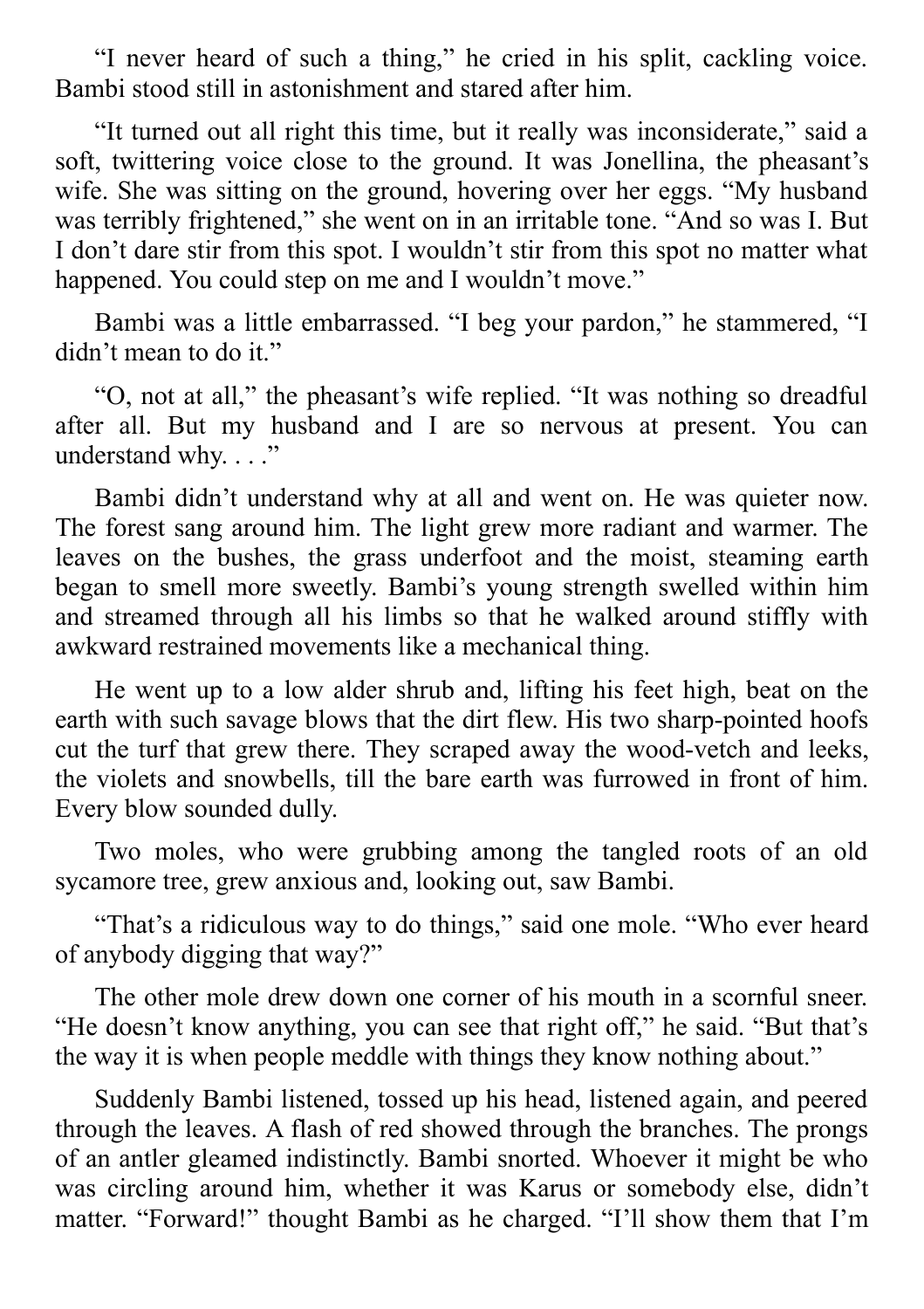"I never heard of such a thing," he cried in his split, cackling voice. Bambi stood still in astonishment and stared after him.

"It turned out all right this time, but it really was inconsiderate," said a soft, twittering voice close to the ground. It was Jonellina, the pheasant's wife. She was sitting on the ground, hovering over her eggs. "My husband was terribly frightened," she went on in an irritable tone. "And so was I. But I don't dare stir from this spot. I wouldn't stir from this spot no matter what happened. You could step on me and I wouldn't move."

Bambi was a little embarrassed. "I beg your pardon," he stammered, "I didn't mean to do it."

"O, not at all," the pheasant's wife replied. "It was nothing so dreadful after all. But my husband and I are so nervous at present. You can understand why...."

Bambi didn't understand why at all and went on. He was quieter now. The forest sang around him. The light grew more radiant and warmer. The leaves on the bushes, the grass underfoot and the moist, steaming earth began to smell more sweetly. Bambi's young strength swelled within him and streamed through all his limbs so that he walked around stiffly with awkward restrained movements like a mechanical thing.

He went up to a low alder shrub and, lifting his feet high, beat on the earth with such savage blows that the dirt flew. His two sharp-pointed hoofs cut the turf that grew there. They scraped away the wood-vetch and leeks, the violets and snowbells, till the bare earth was furrowed in front of him. Every blow sounded dully.

Two moles, who were grubbing among the tangled roots of an old sycamore tree, grew anxious and, looking out, saw Bambi.

"That's a ridiculous way to do things," said one mole. "Who ever heard of anybody digging that way?"

The other mole drew down one corner of his mouth in a scornful sneer. "He doesn't know anything, you can see that right off," he said. "But that's the way it is when people meddle with things they know nothing about."

Suddenly Bambi listened, tossed up his head, listened again, and peered through the leaves. A flash of red showed through the branches. The prongs of an antler gleamed indistinctly. Bambi snorted. Whoever it might be who was circling around him, whether it was Karus or somebody else, didn't matter. "Forward!" thought Bambi as he charged. "I'll show them that I'm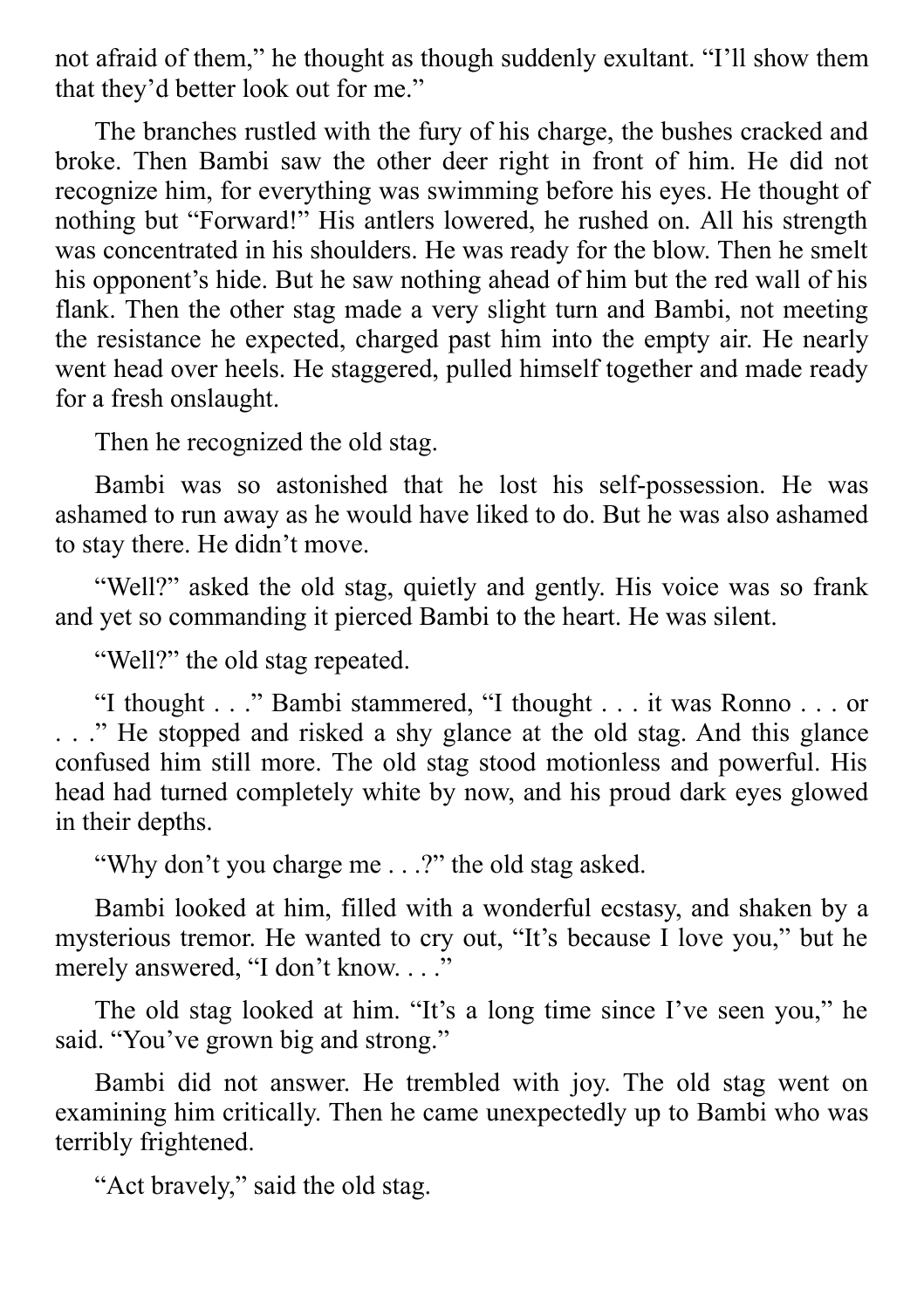not afraid of them," he thought as though suddenly exultant. "I'll show them that they'd better look out for me."

The branches rustled with the fury of his charge, the bushes cracked and broke. Then Bambi saw the other deer right in front of him. He did not recognize him, for everything was swimming before his eyes. He thought of nothing but "Forward!" His antlers lowered, he rushed on. All his strength was concentrated in his shoulders. He was ready for the blow. Then he smelt his opponent's hide. But he saw nothing ahead of him but the red wall of his flank. Then the other stag made a very slight turn and Bambi, not meeting the resistance he expected, charged past him into the empty air. He nearly went head over heels. He staggered, pulled himself together and made ready for a fresh onslaught.

Then he recognized the old stag.

Bambi was so astonished that he lost his self-possession. He was ashamed to run away as he would have liked to do. But he was also ashamed to stay there. He didn't move.

"Well?" asked the old stag, quietly and gently. His voice was so frank and yet so commanding it pierced Bambi to the heart. He was silent.

"Well?" the old stag repeated.

"I thought . . ." Bambi stammered, "I thought . . . it was Ronno . . . or . . ." He stopped and risked a shy glance at the old stag. And this glance confused him still more. The old stag stood motionless and powerful. His head had turned completely white by now, and his proud dark eyes glowed in their depths.

"Why don't you charge me . . .?" the old stag asked.

Bambi looked at him, filled with a wonderful ecstasy, and shaken by a mysterious tremor. He wanted to cry out, "It's because I love you," but he merely answered, "I don't know...."

The old stag looked at him. "It's a long time since I've seen you," he said. "You've grown big and strong."

Bambi did not answer. He trembled with joy. The old stag went on examining him critically. Then he came unexpectedly up to Bambi who was terribly frightened.

"Act bravely," said the old stag.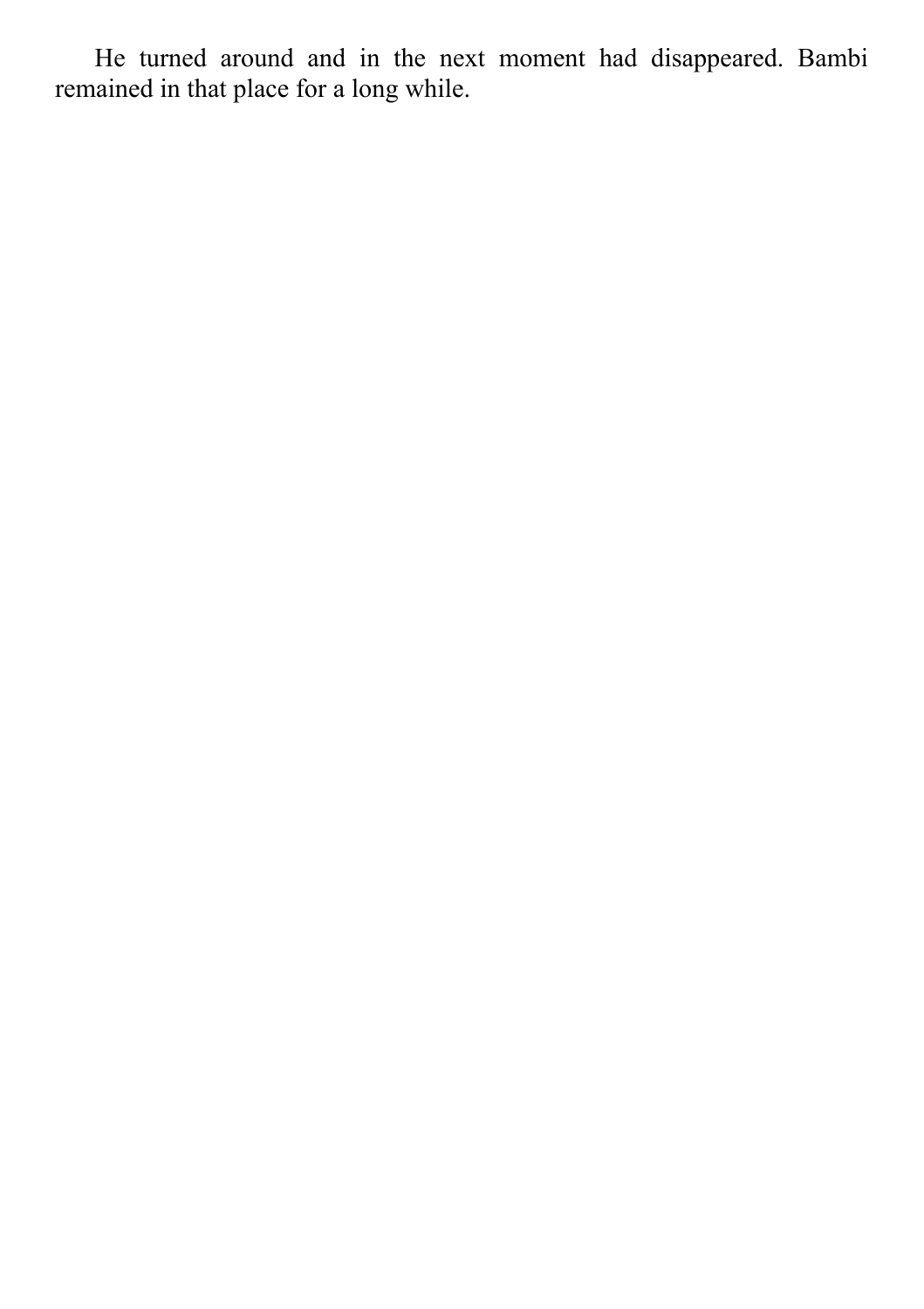He turned around and in the next moment had disappeared. Bambi remained in that place for a long while.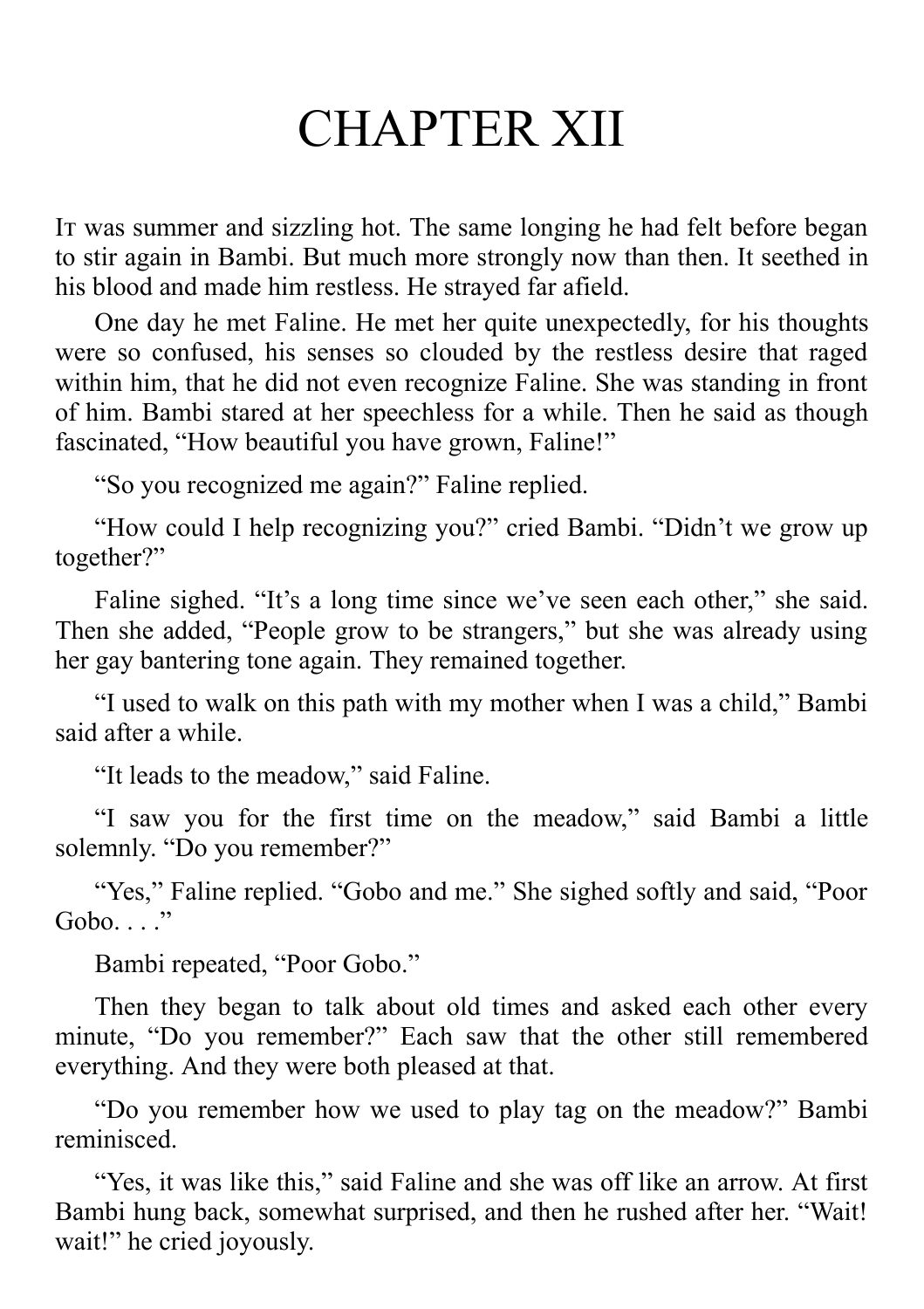## CHAPTER XII

It was summer and sizzling hot. The same longing he had felt before began to stir again in Bambi. But much more strongly now than then. It seethed in his blood and made him restless. He strayed far afield.

One day he met Faline. He met her quite unexpectedly, for his thoughts were so confused, his senses so clouded by the restless desire that raged within him, that he did not even recognize Faline. She was standing in front of him. Bambi stared at her speechless for a while. Then he said as though fascinated, "How beautiful you have grown, Faline!"

"So you recognized me again?" Faline replied.

"How could I help recognizing you?" cried Bambi. "Didn't we grow up together?"

Faline sighed. "It's a long time since we've seen each other," she said. Then she added, "People grow to be strangers," but she was already using her gay bantering tone again. They remained together.

"I used to walk on this path with my mother when I was a child," Bambi said after a while.

"It leads to the meadow," said Faline.

"I saw you for the first time on the meadow," said Bambi a little solemnly. "Do you remember?"

"Yes," Faline replied. "Gobo and me." She sighed softly and said, "Poor  $Gobo.$ ..."

Bambi repeated, "Poor Gobo."

Then they began to talk about old times and asked each other every minute, "Do you remember?" Each saw that the other still remembered everything. And they were both pleased at that.

"Do you remember how we used to play tag on the meadow?" Bambi reminisced.

"Yes, it was like this," said Faline and she was off like an arrow. At first Bambi hung back, somewhat surprised, and then he rushed after her. "Wait! wait!" he cried joyously.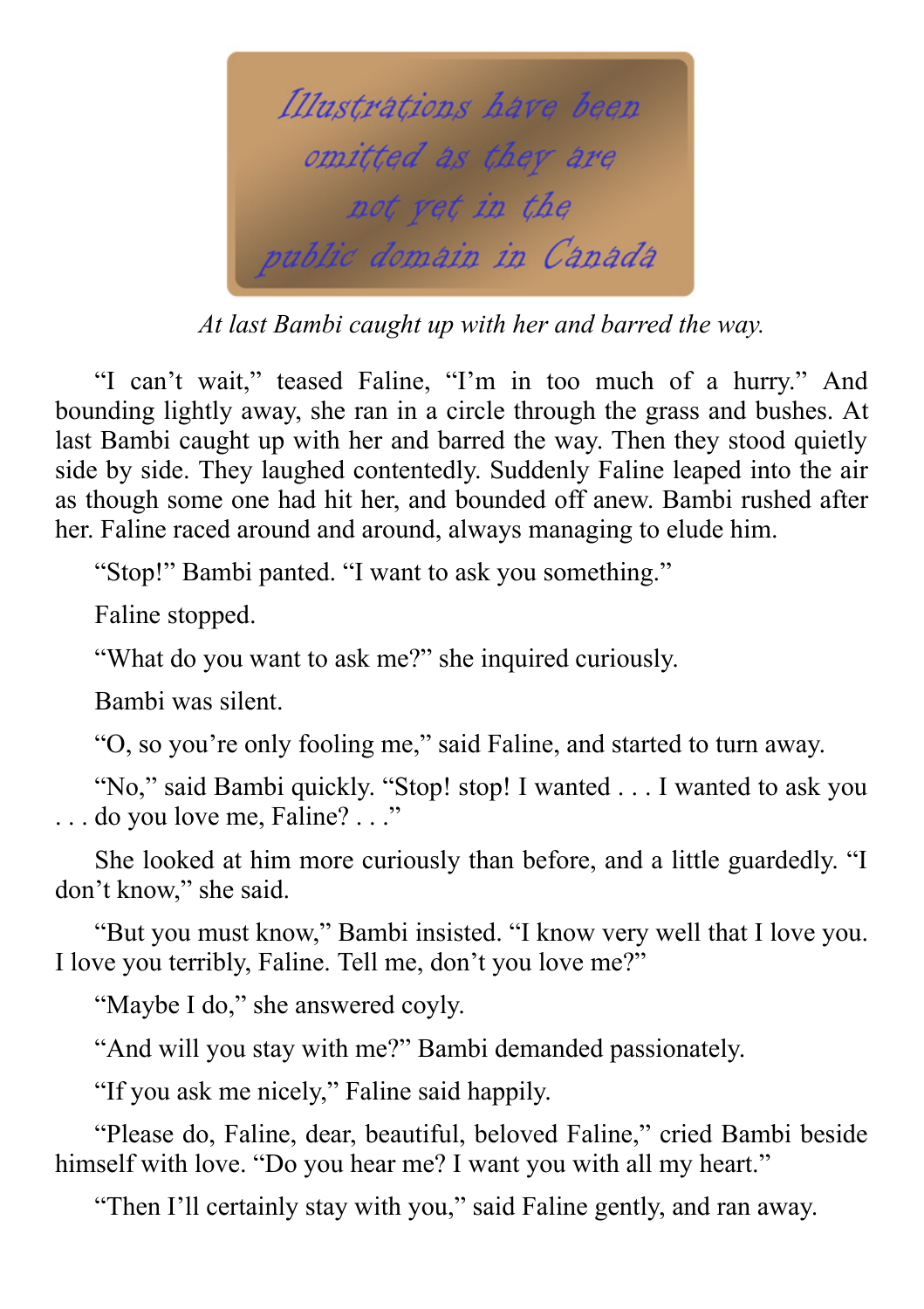

*At last Bambi caught up with her and barred the way.*

"I can't wait," teased Faline, "I'm in too much of a hurry." And bounding lightly away, she ran in a circle through the grass and bushes. At last Bambi caught up with her and barred the way. Then they stood quietly side by side. They laughed contentedly. Suddenly Faline leaped into the air as though some one had hit her, and bounded off anew. Bambi rushed after her. Faline raced around and around, always managing to elude him.

"Stop!" Bambi panted. "I want to ask you something."

Faline stopped.

"What do you want to ask me?" she inquired curiously.

Bambi was silent.

"O, so you're only fooling me," said Faline, and started to turn away.

"No," said Bambi quickly. "Stop! stop! I wanted . . . I wanted to ask you . . . do you love me, Faline? . . ."

She looked at him more curiously than before, and a little guardedly. "I don't know," she said.

"But you must know," Bambi insisted. "I know very well that I love you. I love you terribly, Faline. Tell me, don't you love me?"

"Maybe I do," she answered coyly.

"And will you stay with me?" Bambi demanded passionately.

"If you ask me nicely," Faline said happily.

"Please do, Faline, dear, beautiful, beloved Faline," cried Bambi beside himself with love. "Do you hear me? I want you with all my heart."

"Then I'll certainly stay with you," said Faline gently, and ran away.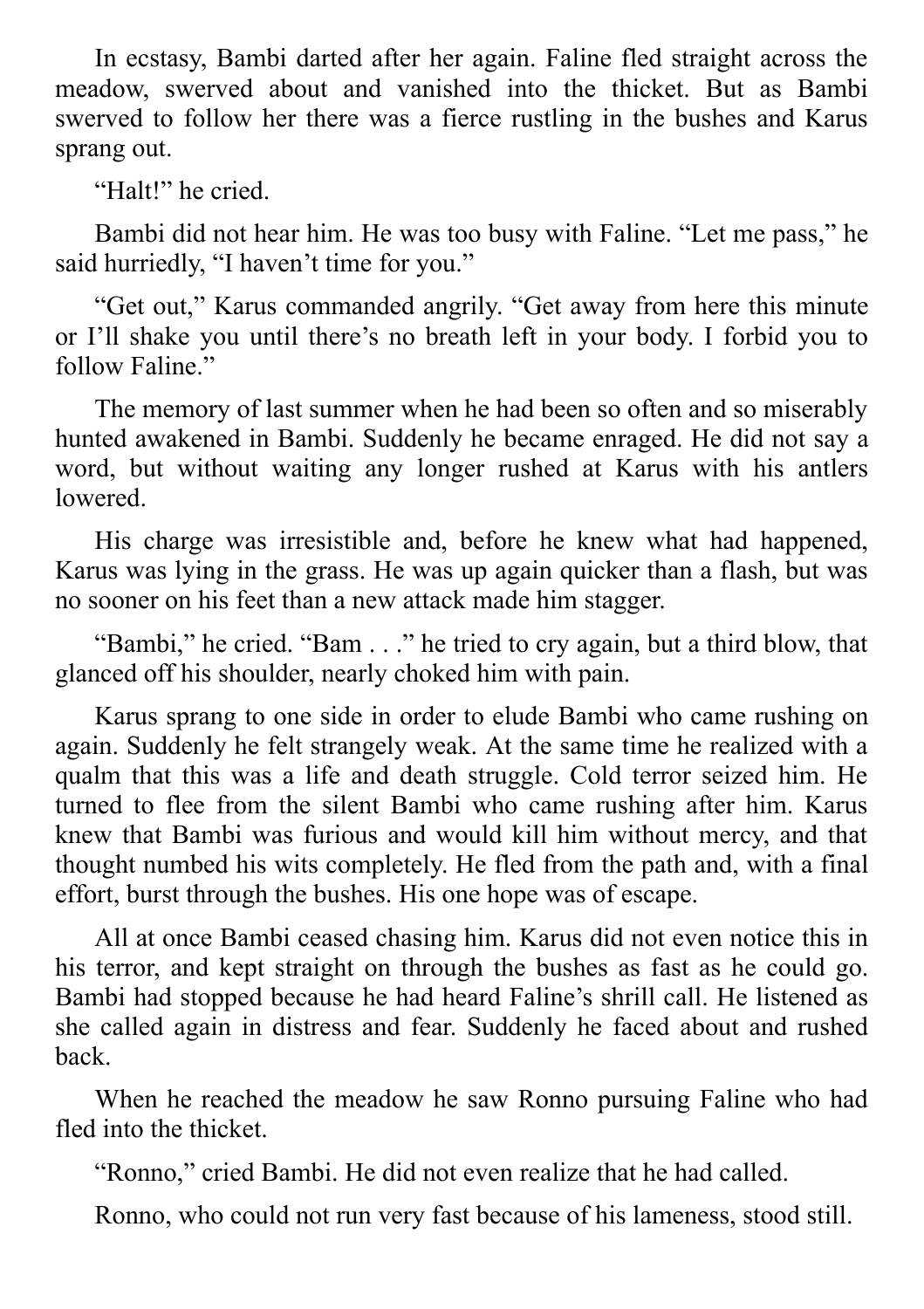In ecstasy, Bambi darted after her again. Faline fled straight across the meadow, swerved about and vanished into the thicket. But as Bambi swerved to follow her there was a fierce rustling in the bushes and Karus sprang out.

"Halt!" he cried.

Bambi did not hear him. He was too busy with Faline. "Let me pass," he said hurriedly, "I haven't time for you."

"Get out," Karus commanded angrily. "Get away from here this minute or I'll shake you until there's no breath left in your body. I forbid you to follow Faline."

The memory of last summer when he had been so often and so miserably hunted awakened in Bambi. Suddenly he became enraged. He did not say a word, but without waiting any longer rushed at Karus with his antlers lowered.

His charge was irresistible and, before he knew what had happened, Karus was lying in the grass. He was up again quicker than a flash, but was no sooner on his feet than a new attack made him stagger.

"Bambi," he cried. "Bam . . ." he tried to cry again, but a third blow, that glanced off his shoulder, nearly choked him with pain.

Karus sprang to one side in order to elude Bambi who came rushing on again. Suddenly he felt strangely weak. At the same time he realized with a qualm that this was a life and death struggle. Cold terror seized him. He turned to flee from the silent Bambi who came rushing after him. Karus knew that Bambi was furious and would kill him without mercy, and that thought numbed his wits completely. He fled from the path and, with a final effort, burst through the bushes. His one hope was of escape.

All at once Bambi ceased chasing him. Karus did not even notice this in his terror, and kept straight on through the bushes as fast as he could go. Bambi had stopped because he had heard Faline's shrill call. He listened as she called again in distress and fear. Suddenly he faced about and rushed back.

When he reached the meadow he saw Ronno pursuing Faline who had fled into the thicket.

"Ronno," cried Bambi. He did not even realize that he had called.

Ronno, who could not run very fast because of his lameness, stood still.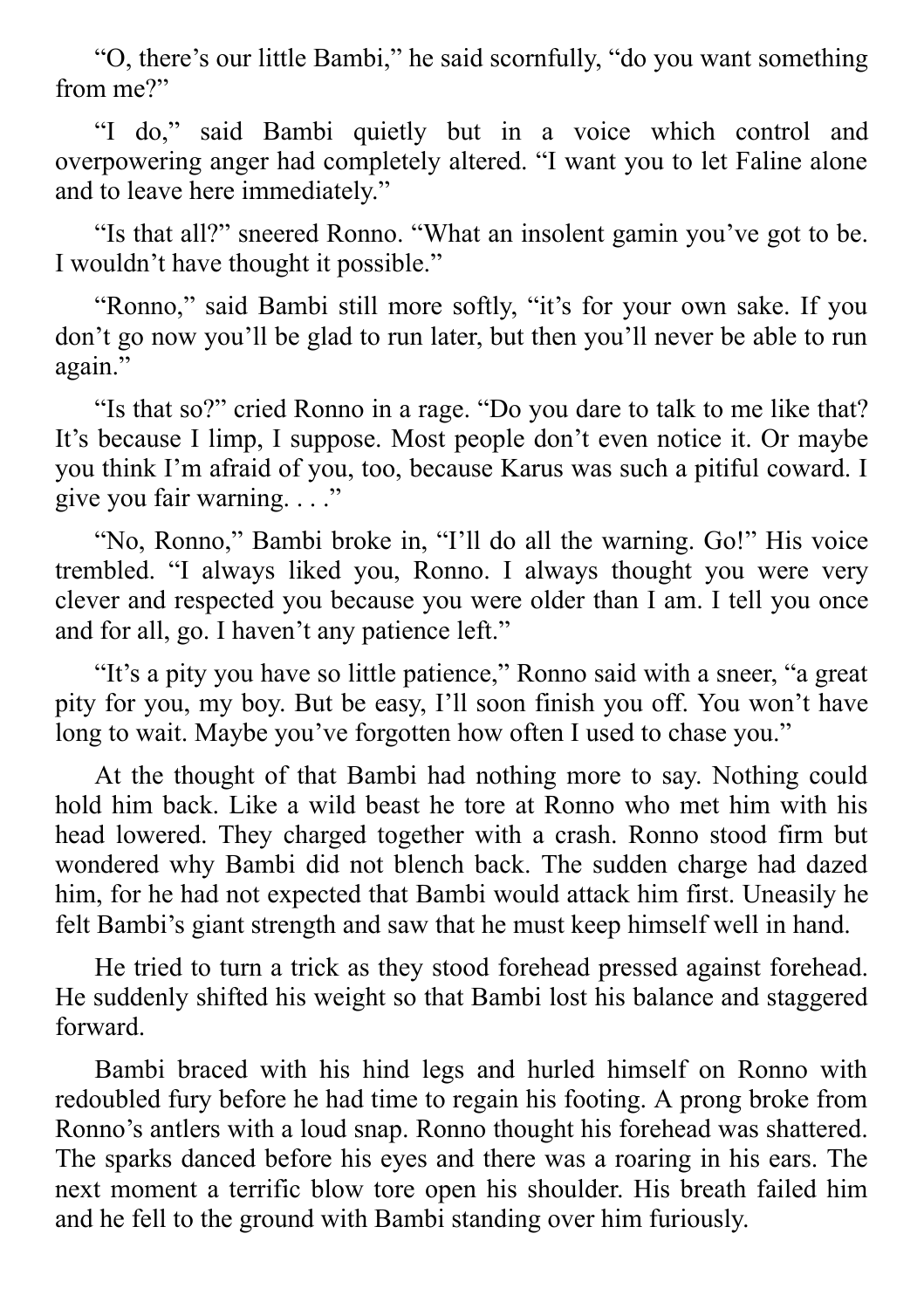"O, there's our little Bambi," he said scornfully, "do you want something from me?"

"I do," said Bambi quietly but in a voice which control and overpowering anger had completely altered. "I want you to let Faline alone and to leave here immediately."

"Is that all?" sneered Ronno. "What an insolent gamin you've got to be. I wouldn't have thought it possible."

"Ronno," said Bambi still more softly, "it's for your own sake. If you don't go now you'll be glad to run later, but then you'll never be able to run again."

"Is that so?" cried Ronno in a rage. "Do you dare to talk to me like that? It's because I limp, I suppose. Most people don't even notice it. Or maybe you think I'm afraid of you, too, because Karus was such a pitiful coward. I give you fair warning. . . ."

"No, Ronno," Bambi broke in, "I'll do all the warning. Go!" His voice trembled. "I always liked you, Ronno. I always thought you were very clever and respected you because you were older than I am. I tell you once and for all, go. I haven't any patience left."

"It's a pity you have so little patience," Ronno said with a sneer, "a great pity for you, my boy. But be easy, I'll soon finish you off. You won't have long to wait. Maybe you've forgotten how often I used to chase you."

At the thought of that Bambi had nothing more to say. Nothing could hold him back. Like a wild beast he tore at Ronno who met him with his head lowered. They charged together with a crash. Ronno stood firm but wondered why Bambi did not blench back. The sudden charge had dazed him, for he had not expected that Bambi would attack him first. Uneasily he felt Bambi's giant strength and saw that he must keep himself well in hand.

He tried to turn a trick as they stood forehead pressed against forehead. He suddenly shifted his weight so that Bambi lost his balance and staggered forward.

Bambi braced with his hind legs and hurled himself on Ronno with redoubled fury before he had time to regain his footing. A prong broke from Ronno's antlers with a loud snap. Ronno thought his forehead was shattered. The sparks danced before his eyes and there was a roaring in his ears. The next moment a terrific blow tore open his shoulder. His breath failed him and he fell to the ground with Bambi standing over him furiously.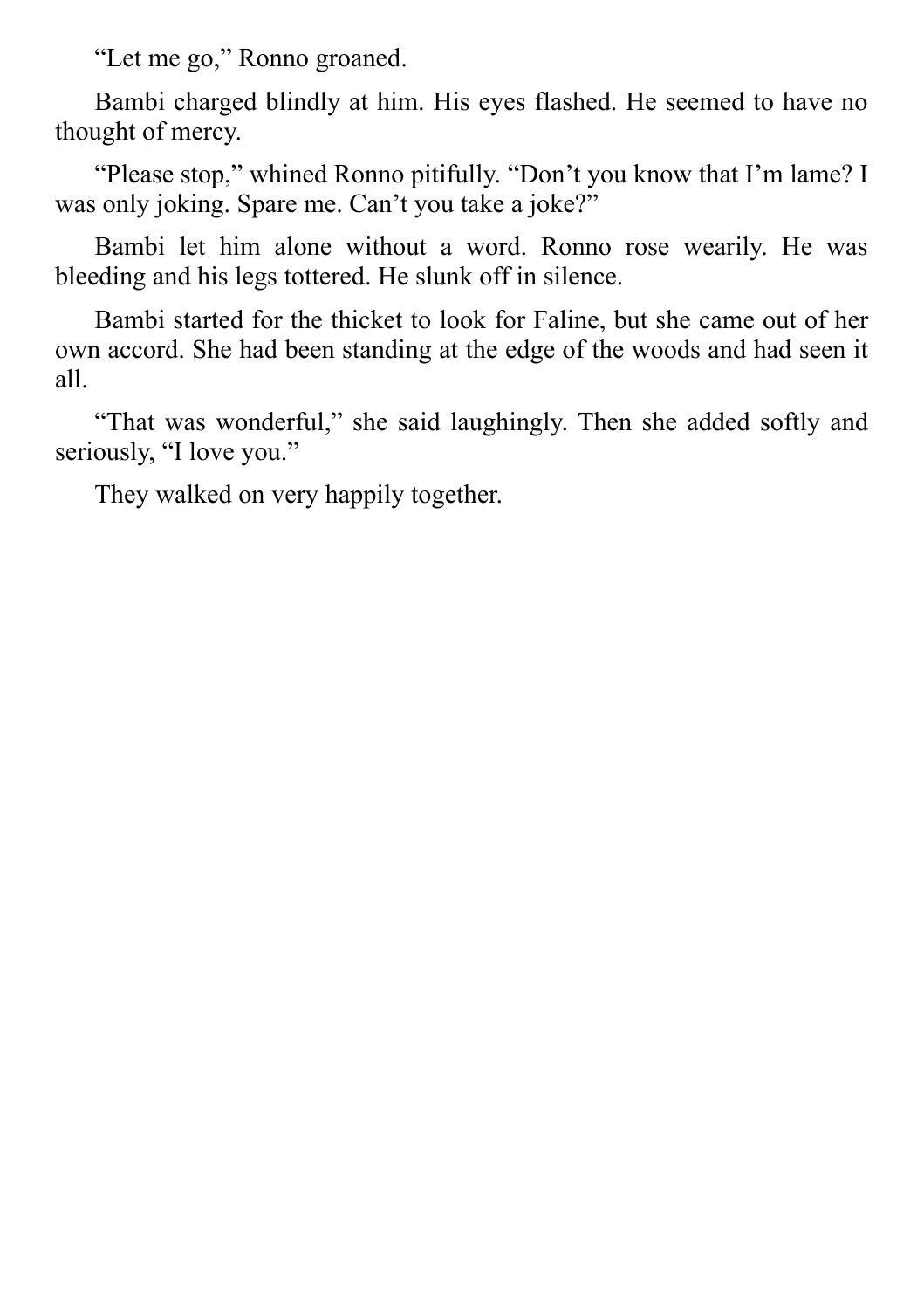"Let me go," Ronno groaned.

Bambi charged blindly at him. His eyes flashed. He seemed to have no thought of mercy.

"Please stop," whined Ronno pitifully. "Don't you know that I'm lame? I was only joking. Spare me. Can't you take a joke?"

Bambi let him alone without a word. Ronno rose wearily. He was bleeding and his legs tottered. He slunk off in silence.

Bambi started for the thicket to look for Faline, but she came out of her own accord. She had been standing at the edge of the woods and had seen it all.

"That was wonderful," she said laughingly. Then she added softly and seriously, "I love you."

They walked on very happily together.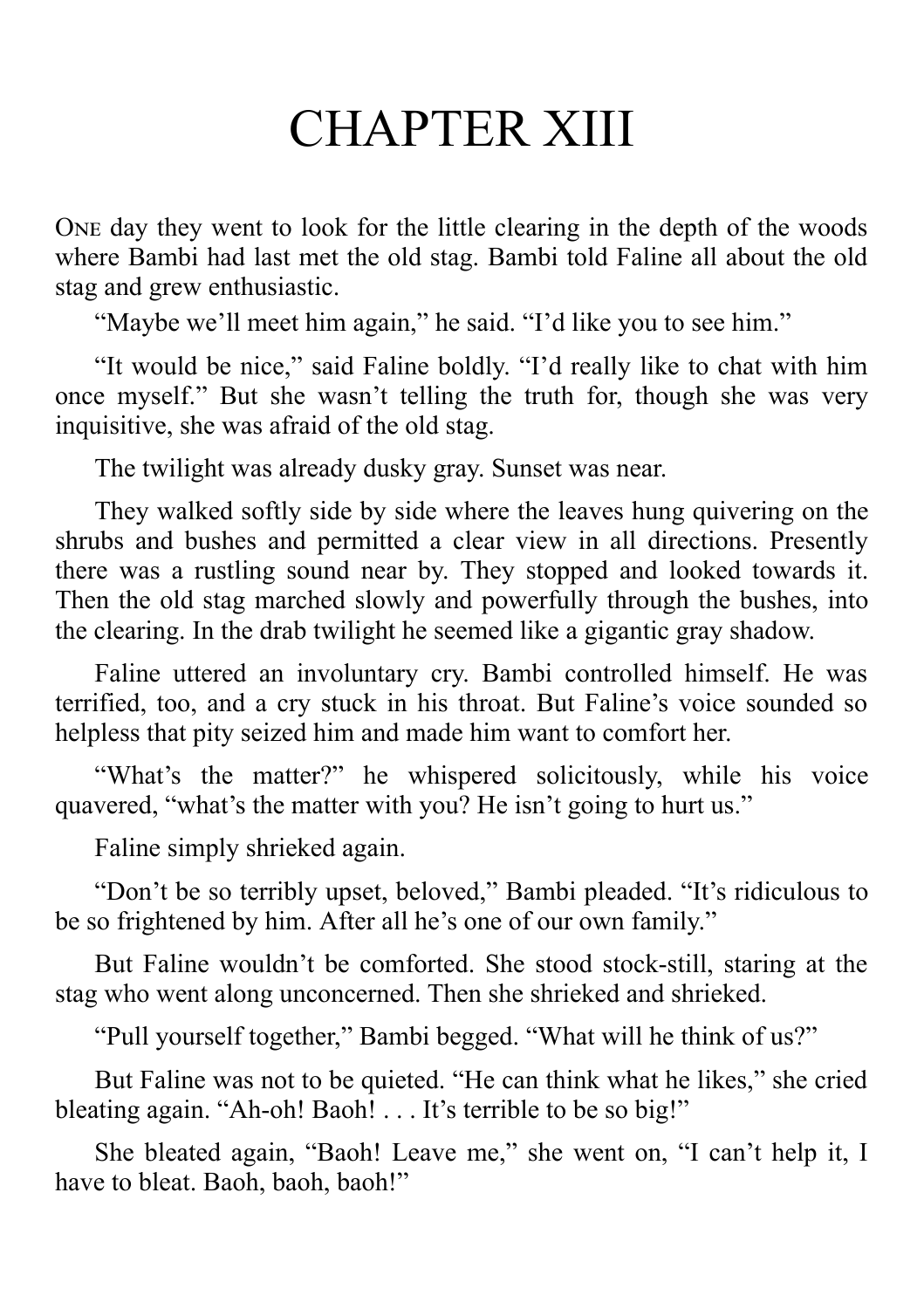# CHAPTER XIII

ONE day they went to look for the little clearing in the depth of the woods where Bambi had last met the old stag. Bambi told Faline all about the old stag and grew enthusiastic.

"Maybe we'll meet him again," he said. "I'd like you to see him."

"It would be nice," said Faline boldly. "I'd really like to chat with him once myself." But she wasn't telling the truth for, though she was very inquisitive, she was afraid of the old stag.

The twilight was already dusky gray. Sunset was near.

They walked softly side by side where the leaves hung quivering on the shrubs and bushes and permitted a clear view in all directions. Presently there was a rustling sound near by. They stopped and looked towards it. Then the old stag marched slowly and powerfully through the bushes, into the clearing. In the drab twilight he seemed like a gigantic gray shadow.

Faline uttered an involuntary cry. Bambi controlled himself. He was terrified, too, and a cry stuck in his throat. But Faline's voice sounded so helpless that pity seized him and made him want to comfort her.

"What's the matter?" he whispered solicitously, while his voice quavered, "what's the matter with you? He isn't going to hurt us."

Faline simply shrieked again.

"Don't be so terribly upset, beloved," Bambi pleaded. "It's ridiculous to be so frightened by him. After all he's one of our own family."

But Faline wouldn't be comforted. She stood stock-still, staring at the stag who went along unconcerned. Then she shrieked and shrieked.

"Pull yourself together," Bambi begged. "What will he think of us?"

But Faline was not to be quieted. "He can think what he likes," she cried bleating again. "Ah-oh! Baoh! . . . It's terrible to be so big!"

She bleated again, "Baoh! Leave me," she went on, "I can't help it, I have to bleat. Baoh, baoh, baoh!"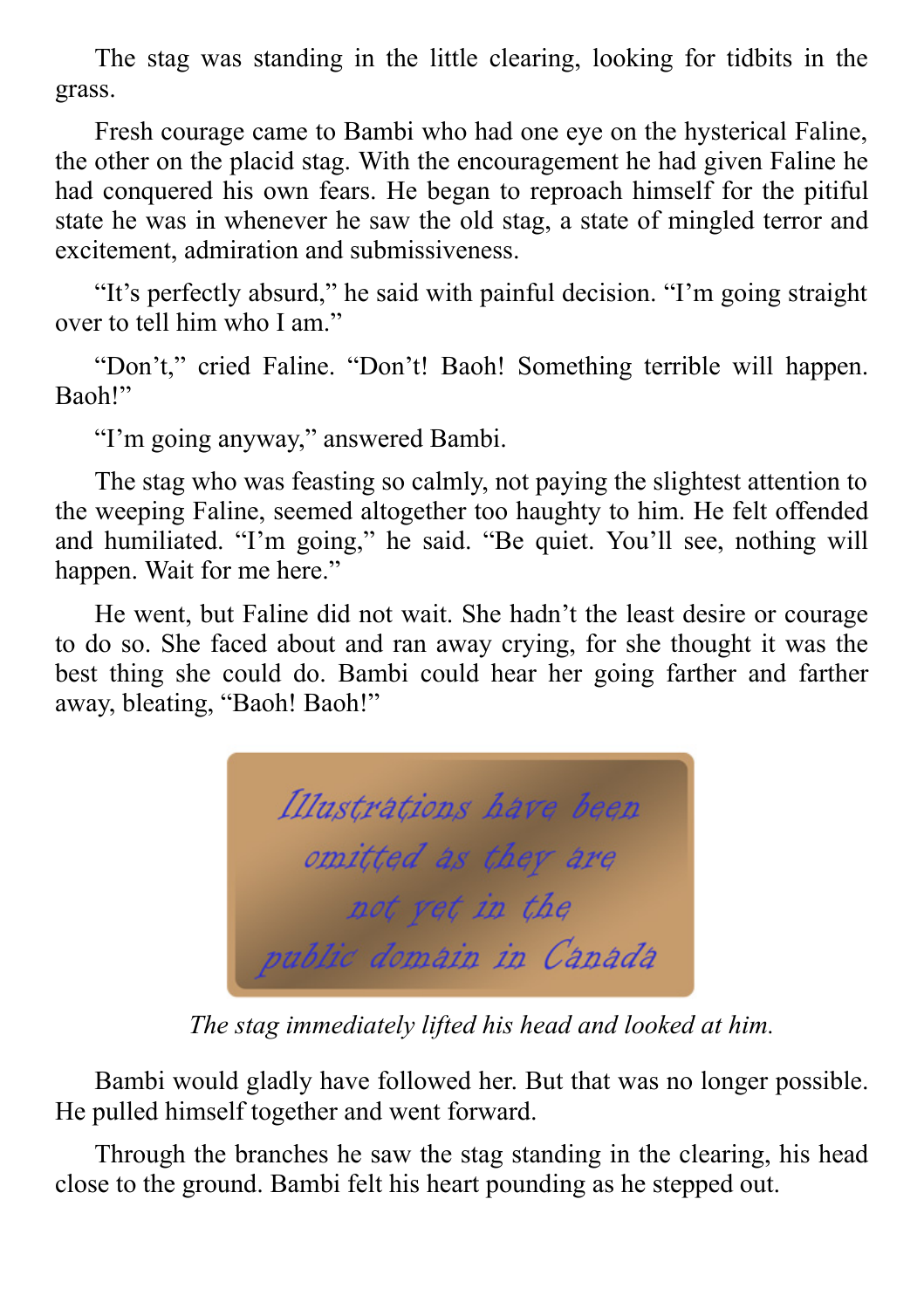The stag was standing in the little clearing, looking for tidbits in the grass.

Fresh courage came to Bambi who had one eye on the hysterical Faline, the other on the placid stag. With the encouragement he had given Faline he had conquered his own fears. He began to reproach himself for the pitiful state he was in whenever he saw the old stag, a state of mingled terror and excitement, admiration and submissiveness.

"It's perfectly absurd," he said with painful decision. "I'm going straight over to tell him who I am"

"Don't," cried Faline. "Don't! Baoh! Something terrible will happen. Baoh!"

"I'm going anyway," answered Bambi.

The stag who was feasting so calmly, not paying the slightest attention to the weeping Faline, seemed altogether too haughty to him. He felt offended and humiliated. "I'm going," he said. "Be quiet. You'll see, nothing will happen. Wait for me here."

He went, but Faline did not wait. She hadn't the least desire or courage to do so. She faced about and ran away crying, for she thought it was the best thing she could do. Bambi could hear her going farther and farther away, bleating, "Baoh! Baoh!"



*The stag immediately lifted his head and looked at him.*

Bambi would gladly have followed her. But that was no longer possible. He pulled himself together and went forward.

Through the branches he saw the stag standing in the clearing, his head close to the ground. Bambi felt his heart pounding as he stepped out.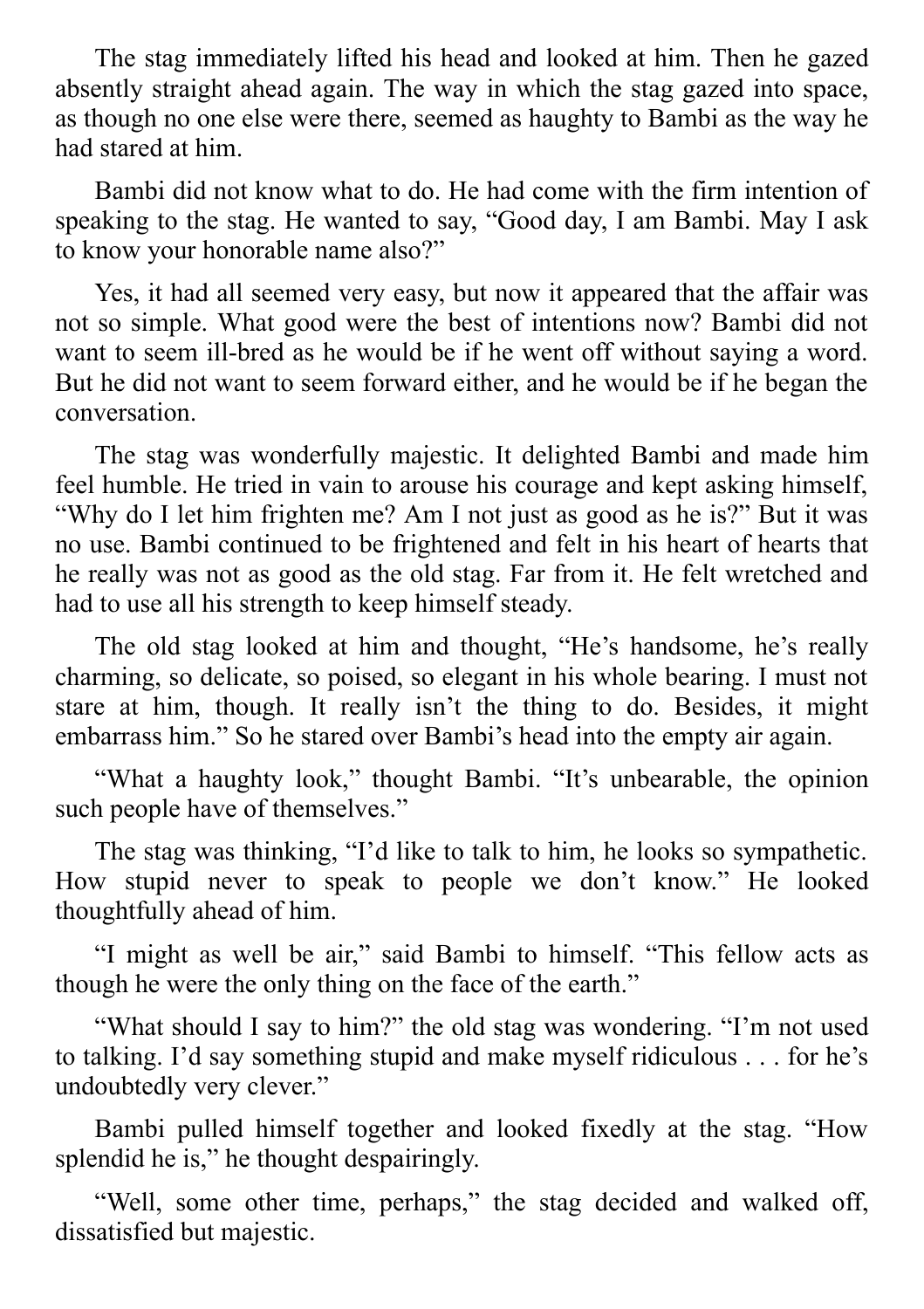The stag immediately lifted his head and looked at him. Then he gazed absently straight ahead again. The way in which the stag gazed into space, as though no one else were there, seemed as haughty to Bambi as the way he had stared at him.

Bambi did not know what to do. He had come with the firm intention of speaking to the stag. He wanted to say, "Good day, I am Bambi. May I ask to know your honorable name also?"

Yes, it had all seemed very easy, but now it appeared that the affair was not so simple. What good were the best of intentions now? Bambi did not want to seem ill-bred as he would be if he went off without saying a word. But he did not want to seem forward either, and he would be if he began the conversation.

The stag was wonderfully majestic. It delighted Bambi and made him feel humble. He tried in vain to arouse his courage and kept asking himself, "Why do I let him frighten me? Am I not just as good as he is?" But it was no use. Bambi continued to be frightened and felt in his heart of hearts that he really was not as good as the old stag. Far from it. He felt wretched and had to use all his strength to keep himself steady.

The old stag looked at him and thought, "He's handsome, he's really charming, so delicate, so poised, so elegant in his whole bearing. I must not stare at him, though. It really isn't the thing to do. Besides, it might embarrass him." So he stared over Bambi's head into the empty air again.

"What a haughty look," thought Bambi. "It's unbearable, the opinion such people have of themselves."

The stag was thinking, "I'd like to talk to him, he looks so sympathetic. How stupid never to speak to people we don't know." He looked thoughtfully ahead of him.

"I might as well be air," said Bambi to himself. "This fellow acts as though he were the only thing on the face of the earth."

"What should I say to him?" the old stag was wondering. "I'm not used to talking. I'd say something stupid and make myself ridiculous . . . for he's undoubtedly very clever."

Bambi pulled himself together and looked fixedly at the stag. "How splendid he is," he thought despairingly.

"Well, some other time, perhaps," the stag decided and walked off, dissatisfied but majestic.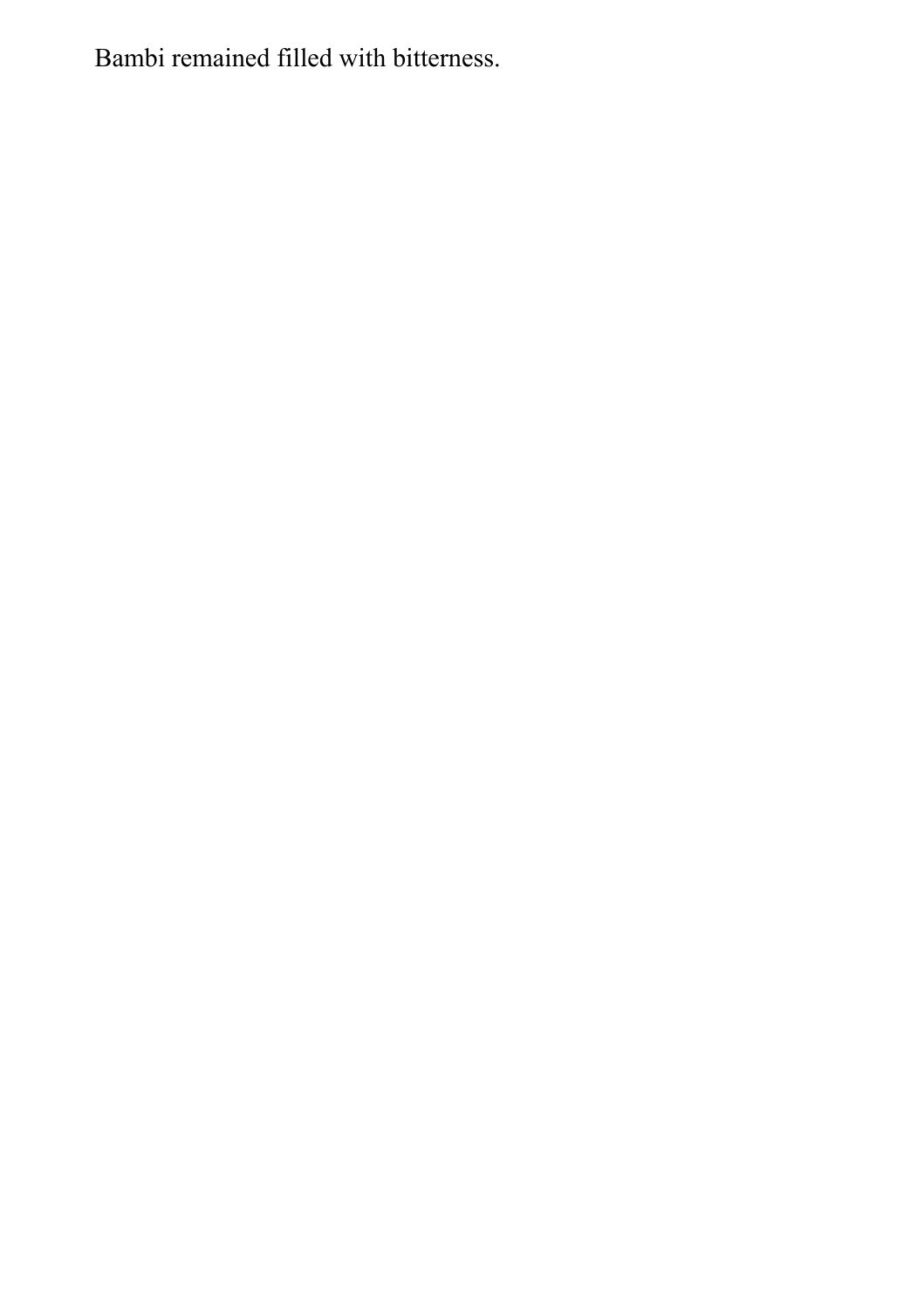Bambi remained filled with bitterness.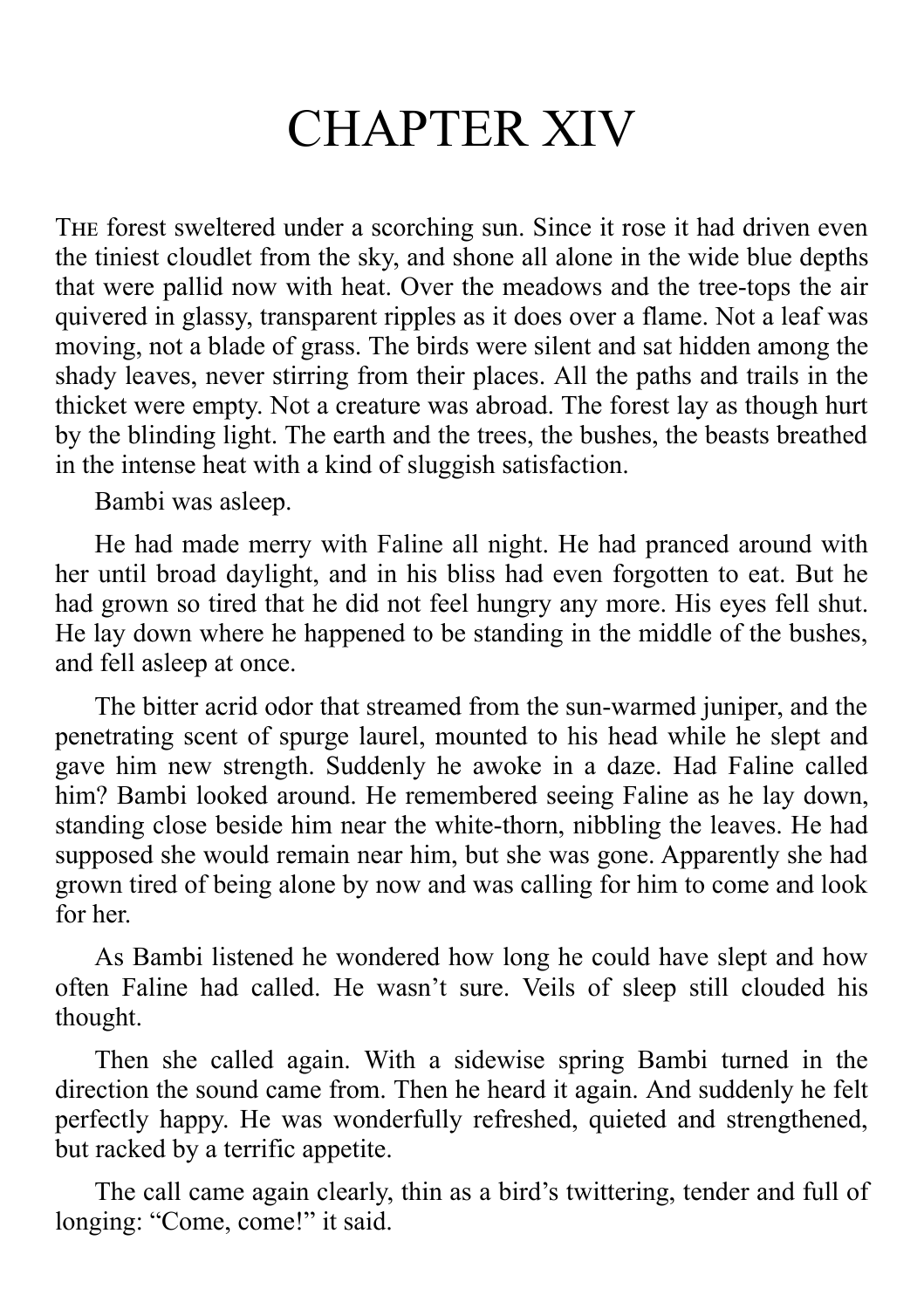# CHAPTER XIV

THE forest sweltered under a scorching sun. Since it rose it had driven even the tiniest cloudlet from the sky, and shone all alone in the wide blue depths that were pallid now with heat. Over the meadows and the tree-tops the air quivered in glassy, transparent ripples as it does over a flame. Not a leaf was moving, not a blade of grass. The birds were silent and sat hidden among the shady leaves, never stirring from their places. All the paths and trails in the thicket were empty. Not a creature was abroad. The forest lay as though hurt by the blinding light. The earth and the trees, the bushes, the beasts breathed in the intense heat with a kind of sluggish satisfaction.

Bambi was asleep.

He had made merry with Faline all night. He had pranced around with her until broad daylight, and in his bliss had even forgotten to eat. But he had grown so tired that he did not feel hungry any more. His eyes fell shut. He lay down where he happened to be standing in the middle of the bushes, and fell asleep at once.

The bitter acrid odor that streamed from the sun-warmed juniper, and the penetrating scent of spurge laurel, mounted to his head while he slept and gave him new strength. Suddenly he awoke in a daze. Had Faline called him? Bambi looked around. He remembered seeing Faline as he lay down, standing close beside him near the white-thorn, nibbling the leaves. He had supposed she would remain near him, but she was gone. Apparently she had grown tired of being alone by now and was calling for him to come and look for her.

As Bambi listened he wondered how long he could have slept and how often Faline had called. He wasn't sure. Veils of sleep still clouded his thought.

Then she called again. With a sidewise spring Bambi turned in the direction the sound came from. Then he heard it again. And suddenly he felt perfectly happy. He was wonderfully refreshed, quieted and strengthened, but racked by a terrific appetite.

The call came again clearly, thin as a bird's twittering, tender and full of longing: "Come, come!" it said.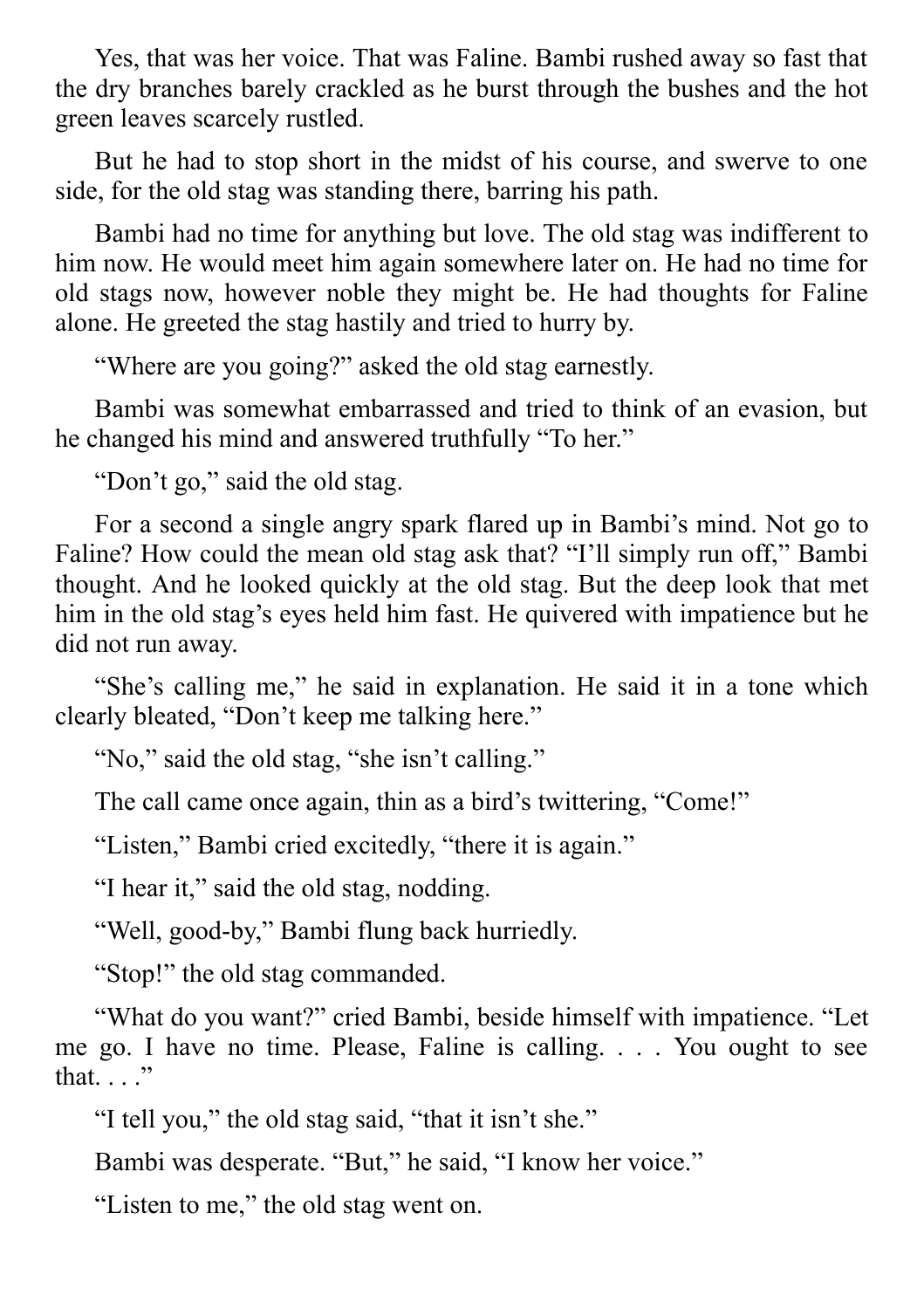Yes, that was her voice. That was Faline. Bambi rushed away so fast that the dry branches barely crackled as he burst through the bushes and the hot green leaves scarcely rustled.

But he had to stop short in the midst of his course, and swerve to one side, for the old stag was standing there, barring his path.

Bambi had no time for anything but love. The old stag was indifferent to him now. He would meet him again somewhere later on. He had no time for old stags now, however noble they might be. He had thoughts for Faline alone. He greeted the stag hastily and tried to hurry by.

"Where are you going?" asked the old stag earnestly.

Bambi was somewhat embarrassed and tried to think of an evasion, but he changed his mind and answered truthfully "To her."

"Don't go," said the old stag.

For a second a single angry spark flared up in Bambi's mind. Not go to Faline? How could the mean old stag ask that? "I'll simply run off," Bambi thought. And he looked quickly at the old stag. But the deep look that met him in the old stag's eyes held him fast. He quivered with impatience but he did not run away.

"She's calling me," he said in explanation. He said it in a tone which clearly bleated, "Don't keep me talking here."

"No," said the old stag, "she isn't calling."

The call came once again, thin as a bird's twittering, "Come!"

"Listen," Bambi cried excitedly, "there it is again."

"I hear it," said the old stag, nodding.

"Well, good-by," Bambi flung back hurriedly.

"Stop!" the old stag commanded.

"What do you want?" cried Bambi, beside himself with impatience. "Let me go. I have no time. Please, Faline is calling. . . . You ought to see that. . . ."

"I tell you," the old stag said, "that it isn't she."

Bambi was desperate. "But," he said, "I know her voice."

"Listen to me," the old stag went on.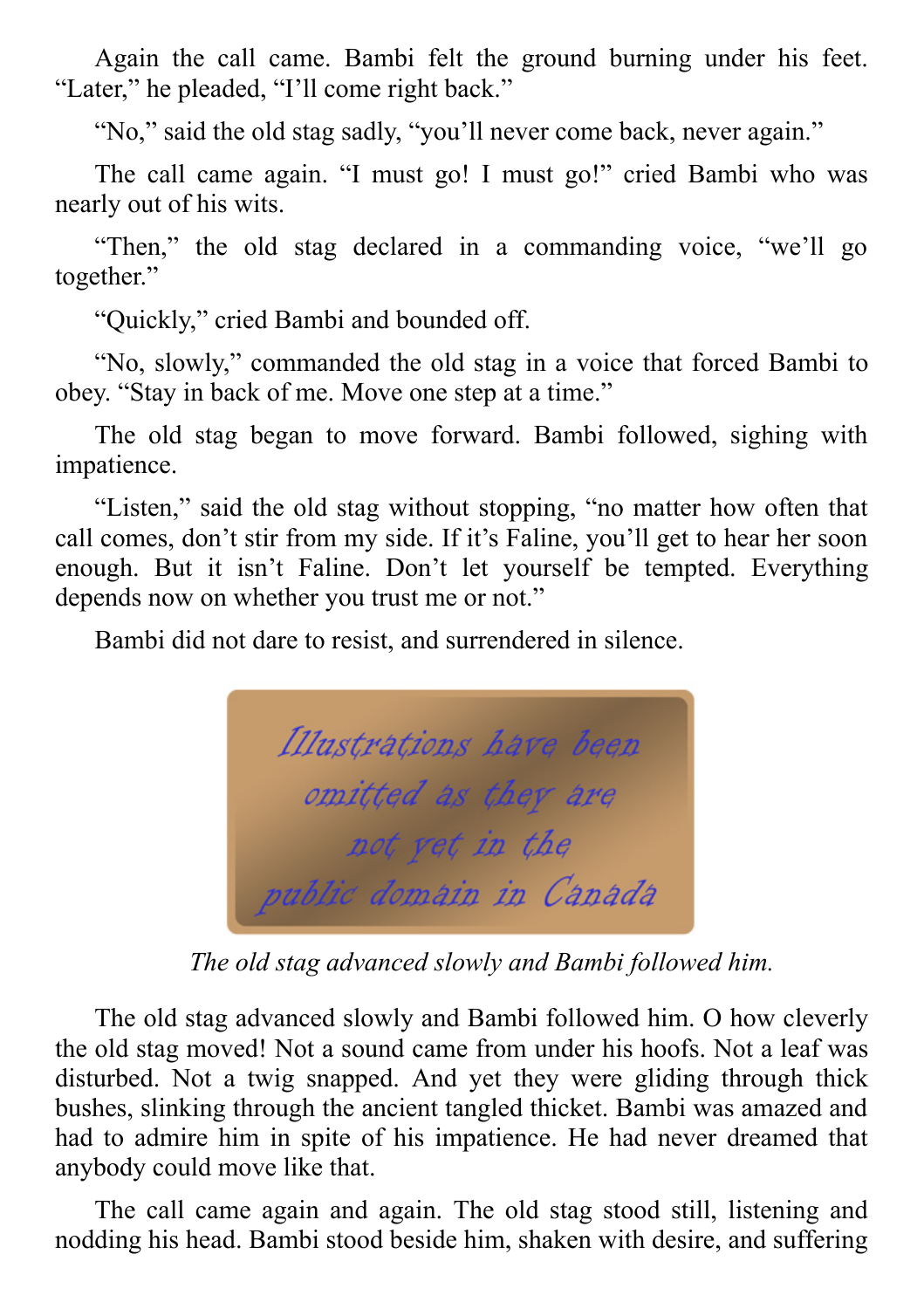Again the call came. Bambi felt the ground burning under his feet. "Later," he pleaded, "I'll come right back."

"No," said the old stag sadly, "you'll never come back, never again."

The call came again. "I must go! I must go!" cried Bambi who was nearly out of his wits.

"Then," the old stag declared in a commanding voice, "we'll go together."

"Quickly," cried Bambi and bounded off.

"No, slowly," commanded the old stag in a voice that forced Bambi to obey. "Stay in back of me. Move one step at a time."

The old stag began to move forward. Bambi followed, sighing with impatience.

"Listen," said the old stag without stopping, "no matter how often that call comes, don't stir from my side. If it's Faline, you'll get to hear her soon enough. But it isn't Faline. Don't let yourself be tempted. Everything depends now on whether you trust me or not."

Bambi did not dare to resist, and surrendered in silence.



*The old stag advanced slowly and Bambi followed him.*

The old stag advanced slowly and Bambi followed him. O how cleverly the old stag moved! Not a sound came from under his hoofs. Not a leaf was disturbed. Not a twig snapped. And yet they were gliding through thick bushes, slinking through the ancient tangled thicket. Bambi was amazed and had to admire him in spite of his impatience. He had never dreamed that anybody could move like that.

The call came again and again. The old stag stood still, listening and nodding his head. Bambi stood beside him, shaken with desire, and suffering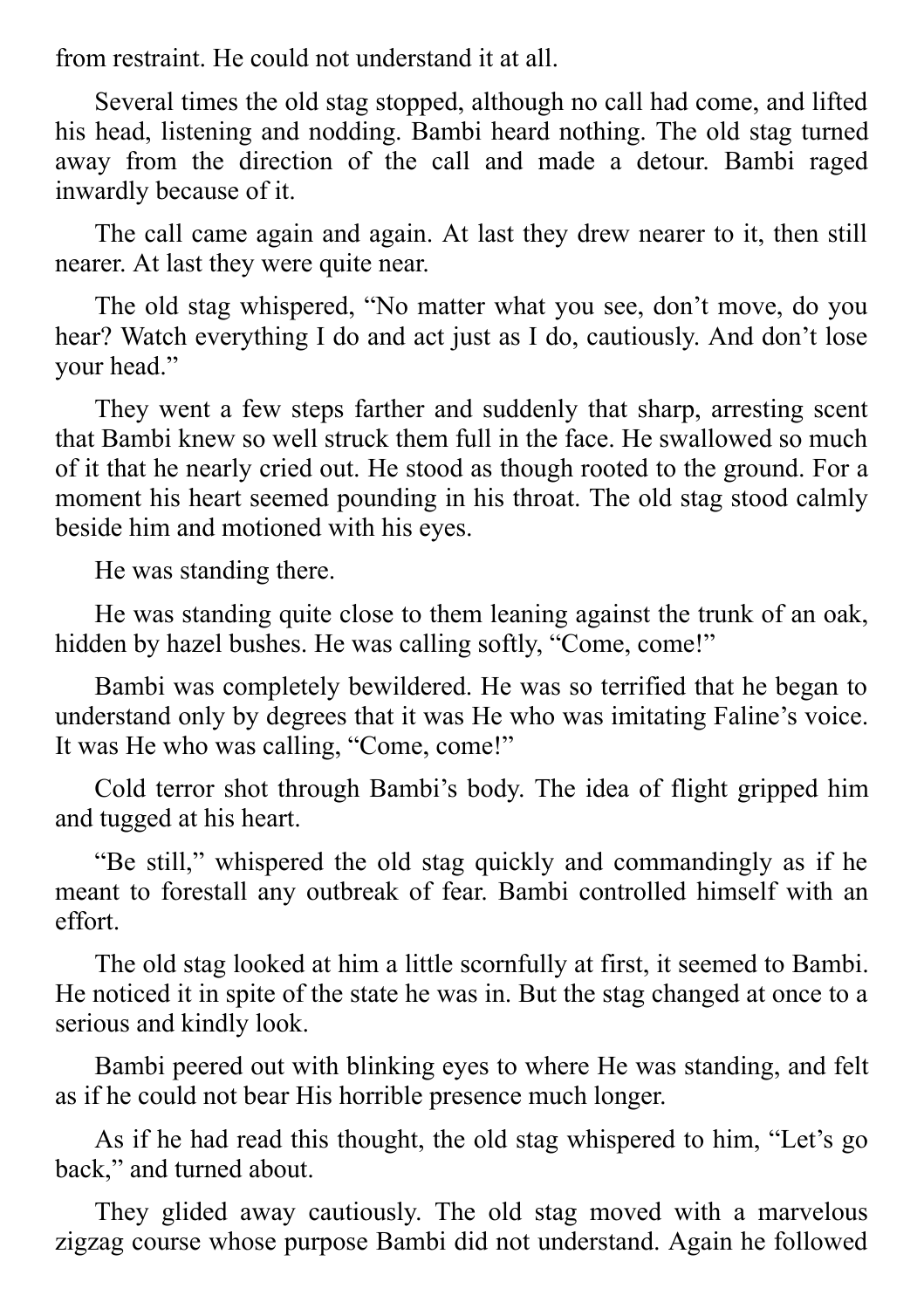from restraint. He could not understand it at all.

Several times the old stag stopped, although no call had come, and lifted his head, listening and nodding. Bambi heard nothing. The old stag turned away from the direction of the call and made a detour. Bambi raged inwardly because of it.

The call came again and again. At last they drew nearer to it, then still nearer. At last they were quite near.

The old stag whispered, "No matter what you see, don't move, do you hear? Watch everything I do and act just as I do, cautiously. And don't lose your head."

They went a few steps farther and suddenly that sharp, arresting scent that Bambi knew so well struck them full in the face. He swallowed so much of it that he nearly cried out. He stood as though rooted to the ground. For a moment his heart seemed pounding in his throat. The old stag stood calmly beside him and motioned with his eyes.

He was standing there.

He was standing quite close to them leaning against the trunk of an oak, hidden by hazel bushes. He was calling softly, "Come, come!"

Bambi was completely bewildered. He was so terrified that he began to understand only by degrees that it was He who was imitating Faline's voice. It was He who was calling, "Come, come!"

Cold terror shot through Bambi's body. The idea of flight gripped him and tugged at his heart.

"Be still," whispered the old stag quickly and commandingly as if he meant to forestall any outbreak of fear. Bambi controlled himself with an effort.

The old stag looked at him a little scornfully at first, it seemed to Bambi. He noticed it in spite of the state he was in. But the stag changed at once to a serious and kindly look.

Bambi peered out with blinking eyes to where He was standing, and felt as if he could not bear His horrible presence much longer.

As if he had read this thought, the old stag whispered to him, "Let's go back," and turned about.

They glided away cautiously. The old stag moved with a marvelous zigzag course whose purpose Bambi did not understand. Again he followed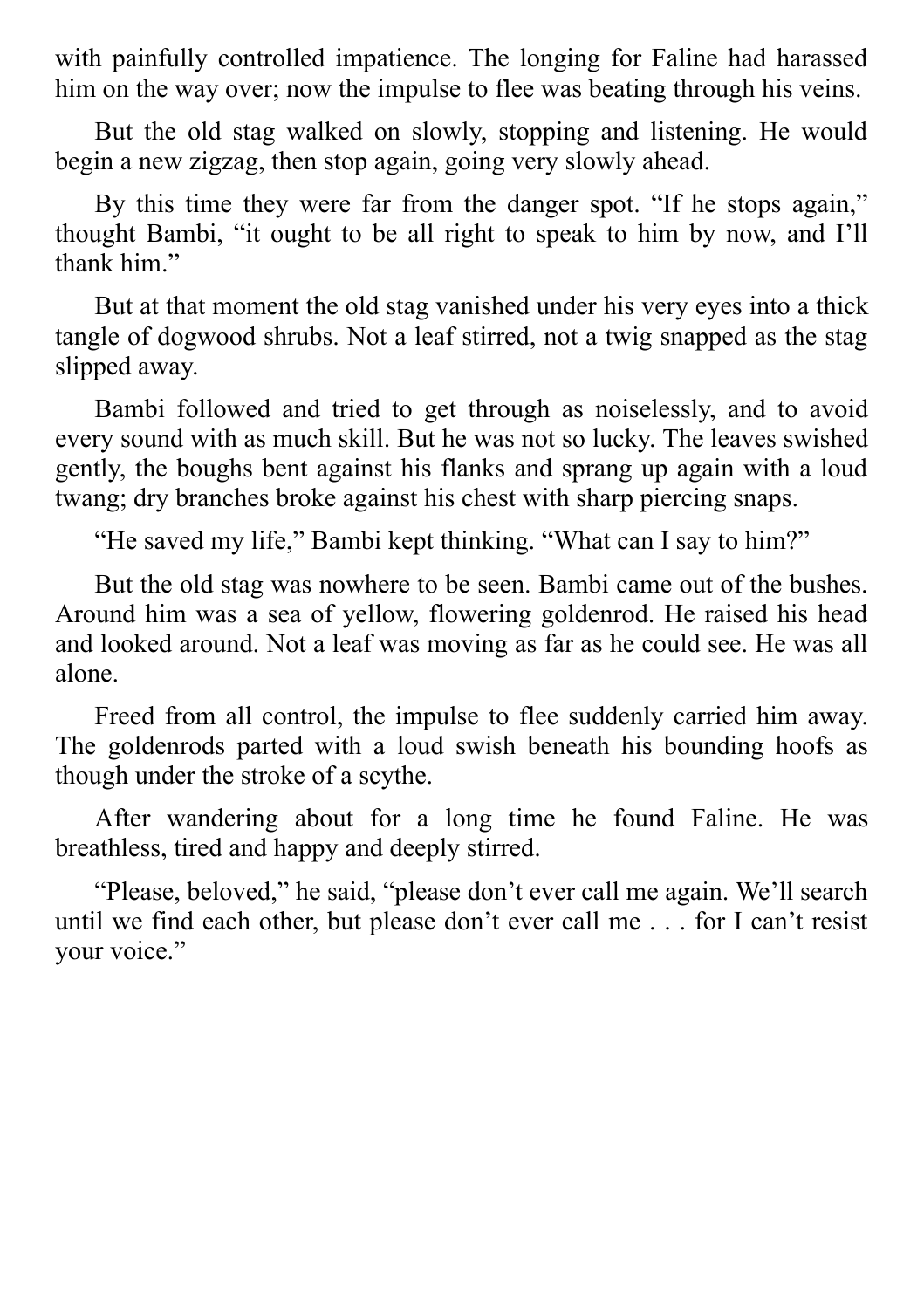with painfully controlled impatience. The longing for Faline had harassed him on the way over; now the impulse to flee was beating through his veins.

But the old stag walked on slowly, stopping and listening. He would begin a new zigzag, then stop again, going very slowly ahead.

By this time they were far from the danger spot. "If he stops again," thought Bambi, "it ought to be all right to speak to him by now, and I'll thank him."

But at that moment the old stag vanished under his very eyes into a thick tangle of dogwood shrubs. Not a leaf stirred, not a twig snapped as the stag slipped away.

Bambi followed and tried to get through as noiselessly, and to avoid every sound with as much skill. But he was not so lucky. The leaves swished gently, the boughs bent against his flanks and sprang up again with a loud twang; dry branches broke against his chest with sharp piercing snaps.

"He saved my life," Bambi kept thinking. "What can I say to him?"

But the old stag was nowhere to be seen. Bambi came out of the bushes. Around him was a sea of yellow, flowering goldenrod. He raised his head and looked around. Not a leaf was moving as far as he could see. He was all alone.

Freed from all control, the impulse to flee suddenly carried him away. The goldenrods parted with a loud swish beneath his bounding hoofs as though under the stroke of a scythe.

After wandering about for a long time he found Faline. He was breathless, tired and happy and deeply stirred.

"Please, beloved," he said, "please don't ever call me again. We'll search until we find each other, but please don't ever call me . . . for I can't resist your voice."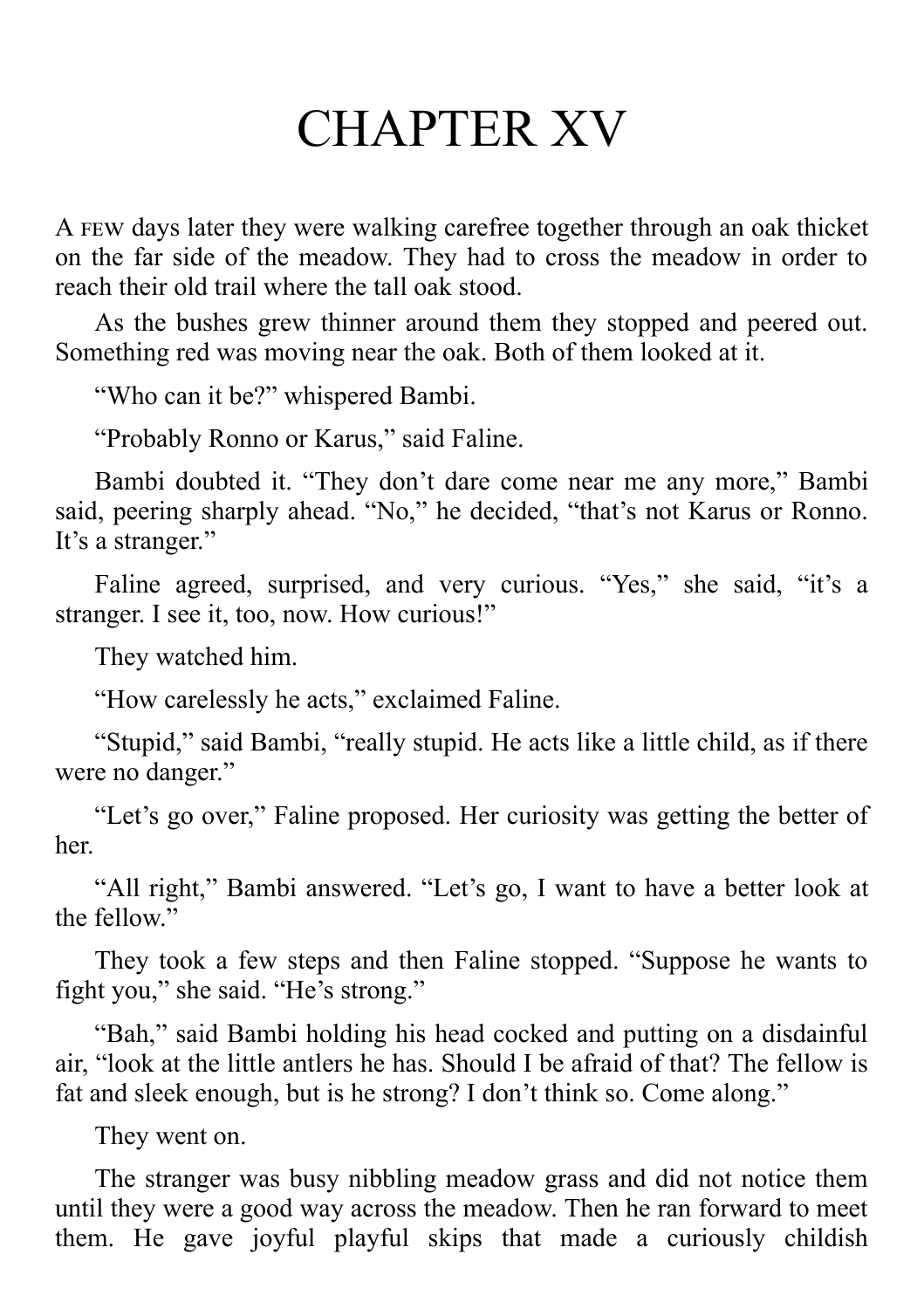#### CHAPTER XV

A FEW days later they were walking carefree together through an oak thicket on the far side of the meadow. They had to cross the meadow in order to reach their old trail where the tall oak stood.

As the bushes grew thinner around them they stopped and peered out. Something red was moving near the oak. Both of them looked at it.

"Who can it be?" whispered Bambi.

"Probably Ronno or Karus," said Faline.

Bambi doubted it. "They don't dare come near me any more," Bambi said, peering sharply ahead. "No," he decided, "that's not Karus or Ronno. It's a stranger."

Faline agreed, surprised, and very curious. "Yes," she said, "it's a stranger. I see it, too, now. How curious!"

They watched him.

"How carelessly he acts," exclaimed Faline.

"Stupid," said Bambi, "really stupid. He acts like a little child, as if there were no danger."

"Let's go over," Faline proposed. Her curiosity was getting the better of her.

"All right," Bambi answered. "Let's go, I want to have a better look at the fellow."

They took a few steps and then Faline stopped. "Suppose he wants to fight you," she said. "He's strong."

"Bah," said Bambi holding his head cocked and putting on a disdainful air, "look at the little antlers he has. Should I be afraid of that? The fellow is fat and sleek enough, but is he strong? I don't think so. Come along."

They went on.

The stranger was busy nibbling meadow grass and did not notice them until they were a good way across the meadow. Then he ran forward to meet them. He gave joyful playful skips that made a curiously childish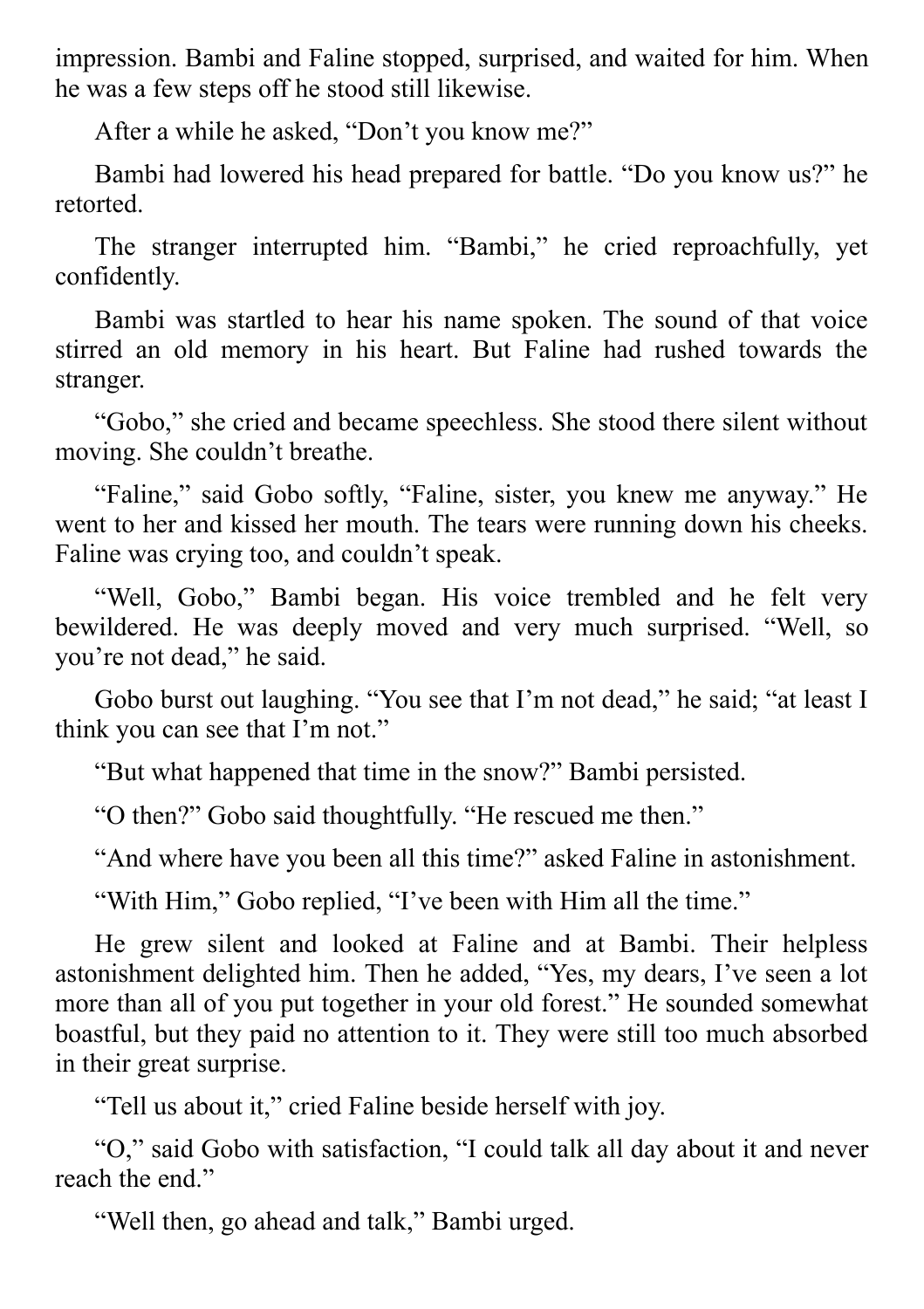impression. Bambi and Faline stopped, surprised, and waited for him. When he was a few steps off he stood still likewise.

After a while he asked, "Don't you know me?"

Bambi had lowered his head prepared for battle. "Do you know us?" he retorted.

The stranger interrupted him. "Bambi," he cried reproachfully, yet confidently.

Bambi was startled to hear his name spoken. The sound of that voice stirred an old memory in his heart. But Faline had rushed towards the stranger.

"Gobo," she cried and became speechless. She stood there silent without moving. She couldn't breathe.

"Faline," said Gobo softly, "Faline, sister, you knew me anyway." He went to her and kissed her mouth. The tears were running down his cheeks. Faline was crying too, and couldn't speak.

"Well, Gobo," Bambi began. His voice trembled and he felt very bewildered. He was deeply moved and very much surprised. "Well, so you're not dead," he said.

Gobo burst out laughing. "You see that I'm not dead," he said; "at least I think you can see that I'm not."

"But what happened that time in the snow?" Bambi persisted.

"O then?" Gobo said thoughtfully. "He rescued me then."

"And where have you been all this time?" asked Faline in astonishment.

"With Him," Gobo replied, "I've been with Him all the time."

He grew silent and looked at Faline and at Bambi. Their helpless astonishment delighted him. Then he added, "Yes, my dears, I've seen a lot more than all of you put together in your old forest." He sounded somewhat boastful, but they paid no attention to it. They were still too much absorbed in their great surprise.

"Tell us about it," cried Faline beside herself with joy.

"O," said Gobo with satisfaction, "I could talk all day about it and never reach the end."

"Well then, go ahead and talk," Bambi urged.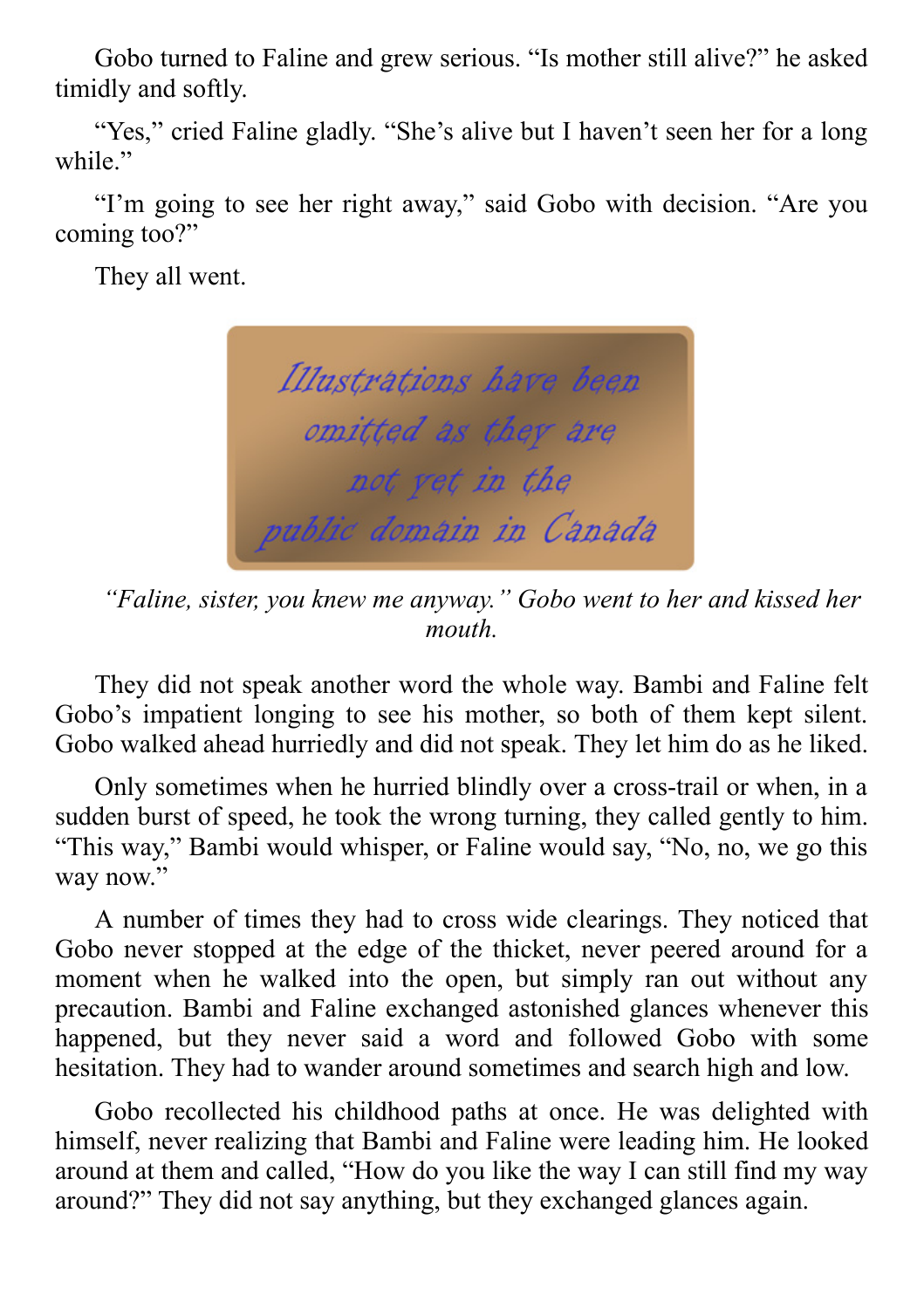Gobo turned to Faline and grew serious. "Is mother still alive?" he asked timidly and softly.

"Yes," cried Faline gladly. "She's alive but I haven't seen her for a long while."

"I'm going to see her right away," said Gobo with decision. "Are you coming too?"

They all went.



*"Faline, sister, you knew me anyway." Gobo went to her and kissed her mouth.*

They did not speak another word the whole way. Bambi and Faline felt Gobo's impatient longing to see his mother, so both of them kept silent. Gobo walked ahead hurriedly and did not speak. They let him do as he liked.

Only sometimes when he hurried blindly over a cross-trail or when, in a sudden burst of speed, he took the wrong turning, they called gently to him. "This way," Bambi would whisper, or Faline would say, "No, no, we go this way now."

A number of times they had to cross wide clearings. They noticed that Gobo never stopped at the edge of the thicket, never peered around for a moment when he walked into the open, but simply ran out without any precaution. Bambi and Faline exchanged astonished glances whenever this happened, but they never said a word and followed Gobo with some hesitation. They had to wander around sometimes and search high and low.

Gobo recollected his childhood paths at once. He was delighted with himself, never realizing that Bambi and Faline were leading him. He looked around at them and called, "How do you like the way I can still find my way around?" They did not say anything, but they exchanged glances again.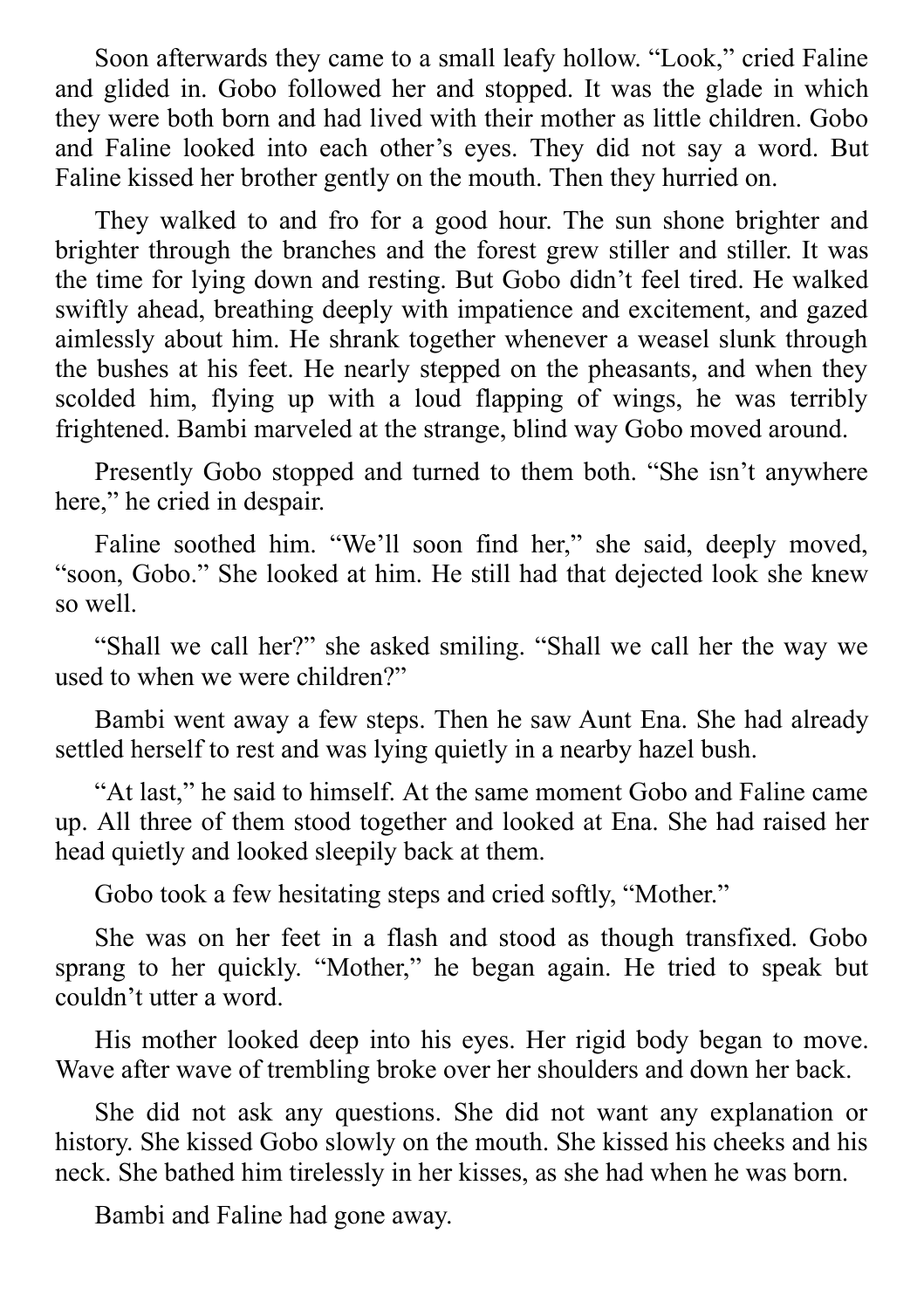Soon afterwards they came to a small leafy hollow. "Look," cried Faline and glided in. Gobo followed her and stopped. It was the glade in which they were both born and had lived with their mother as little children. Gobo and Faline looked into each other's eyes. They did not say a word. But Faline kissed her brother gently on the mouth. Then they hurried on.

They walked to and fro for a good hour. The sun shone brighter and brighter through the branches and the forest grew stiller and stiller. It was the time for lying down and resting. But Gobo didn't feel tired. He walked swiftly ahead, breathing deeply with impatience and excitement, and gazed aimlessly about him. He shrank together whenever a weasel slunk through the bushes at his feet. He nearly stepped on the pheasants, and when they scolded him, flying up with a loud flapping of wings, he was terribly frightened. Bambi marveled at the strange, blind way Gobo moved around.

Presently Gobo stopped and turned to them both. "She isn't anywhere here," he cried in despair.

Faline soothed him. "We'll soon find her," she said, deeply moved, "soon, Gobo." She looked at him. He still had that dejected look she knew so well.

"Shall we call her?" she asked smiling. "Shall we call her the way we used to when we were children?"

Bambi went away a few steps. Then he saw Aunt Ena. She had already settled herself to rest and was lying quietly in a nearby hazel bush.

"At last," he said to himself. At the same moment Gobo and Faline came up. All three of them stood together and looked at Ena. She had raised her head quietly and looked sleepily back at them.

Gobo took a few hesitating steps and cried softly, "Mother."

She was on her feet in a flash and stood as though transfixed. Gobo sprang to her quickly. "Mother," he began again. He tried to speak but couldn't utter a word.

His mother looked deep into his eyes. Her rigid body began to move. Wave after wave of trembling broke over her shoulders and down her back.

She did not ask any questions. She did not want any explanation or history. She kissed Gobo slowly on the mouth. She kissed his cheeks and his neck. She bathed him tirelessly in her kisses, as she had when he was born.

Bambi and Faline had gone away.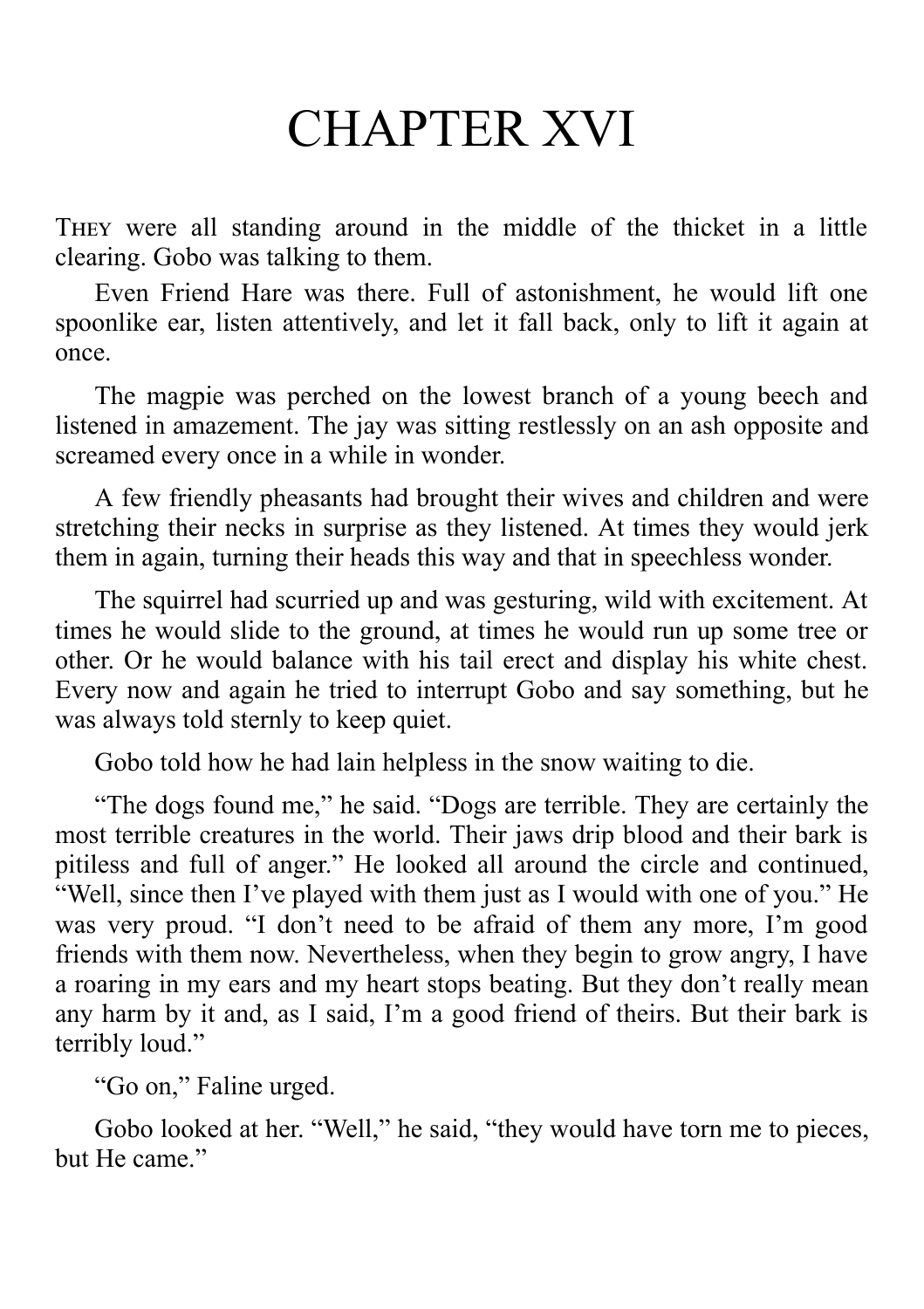#### CHAPTER XVI

THEY were all standing around in the middle of the thicket in a little clearing. Gobo was talking to them.

Even Friend Hare was there. Full of astonishment, he would lift one spoonlike ear, listen attentively, and let it fall back, only to lift it again at once.

The magpie was perched on the lowest branch of a young beech and listened in amazement. The jay was sitting restlessly on an ash opposite and screamed every once in a while in wonder.

A few friendly pheasants had brought their wives and children and were stretching their necks in surprise as they listened. At times they would jerk them in again, turning their heads this way and that in speechless wonder.

The squirrel had scurried up and was gesturing, wild with excitement. At times he would slide to the ground, at times he would run up some tree or other. Or he would balance with his tail erect and display his white chest. Every now and again he tried to interrupt Gobo and say something, but he was always told sternly to keep quiet.

Gobo told how he had lain helpless in the snow waiting to die.

"The dogs found me," he said. "Dogs are terrible. They are certainly the most terrible creatures in the world. Their jaws drip blood and their bark is pitiless and full of anger." He looked all around the circle and continued, "Well, since then I've played with them just as I would with one of you." He was very proud. "I don't need to be afraid of them any more, I'm good friends with them now. Nevertheless, when they begin to grow angry, I have a roaring in my ears and my heart stops beating. But they don't really mean any harm by it and, as I said, I'm a good friend of theirs. But their bark is terribly loud."

"Go on," Faline urged.

Gobo looked at her. "Well," he said, "they would have torn me to pieces, but He came."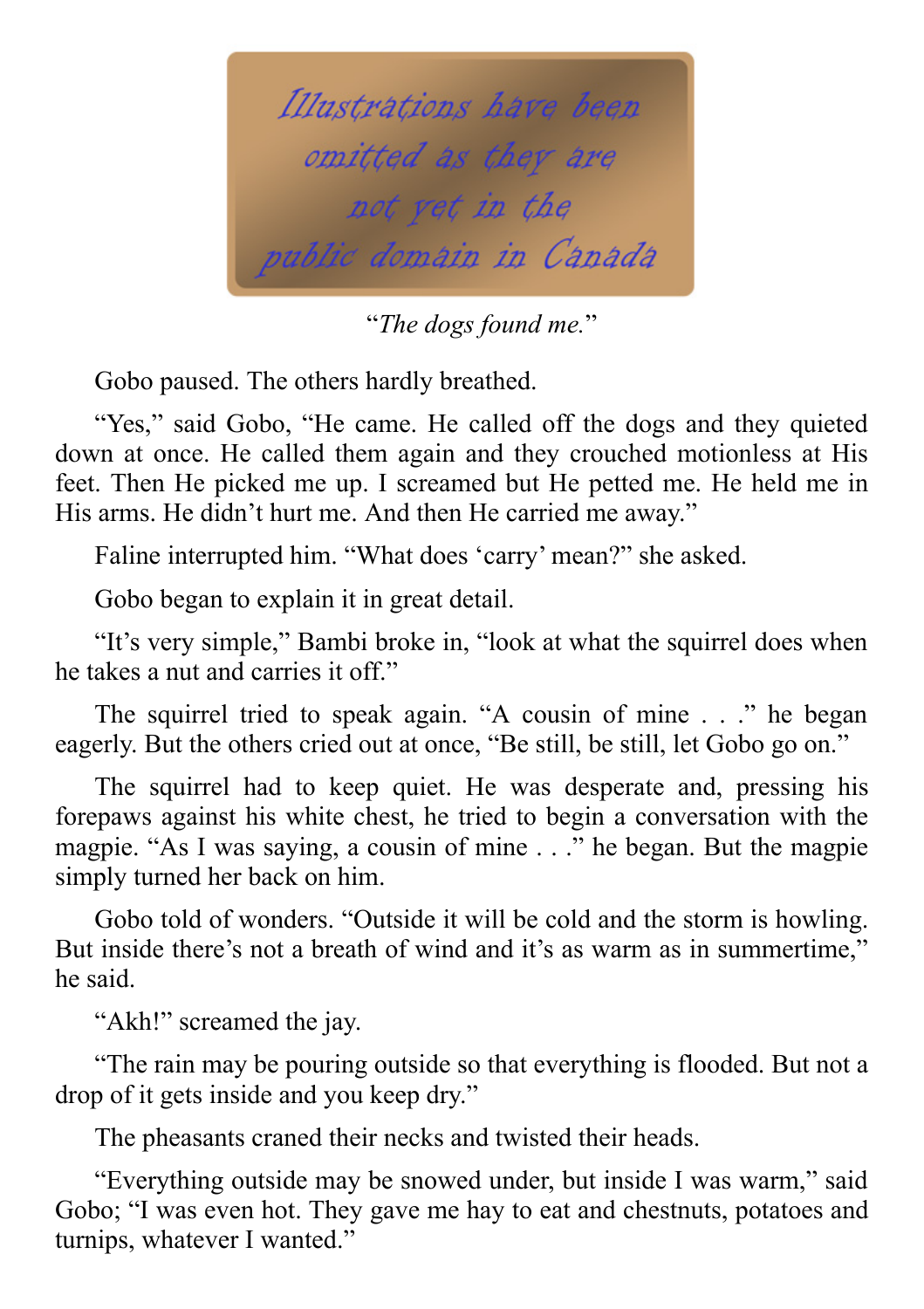

"*The dogs found me.*"

Gobo paused. The others hardly breathed.

"Yes," said Gobo, "He came. He called off the dogs and they quieted down at once. He called them again and they crouched motionless at His feet. Then He picked me up. I screamed but He petted me. He held me in His arms. He didn't hurt me. And then He carried me away."

Faline interrupted him. "What does 'carry' mean?" she asked.

Gobo began to explain it in great detail.

"It's very simple," Bambi broke in, "look at what the squirrel does when he takes a nut and carries it off."

The squirrel tried to speak again. "A cousin of mine . . ." he began eagerly. But the others cried out at once, "Be still, be still, let Gobo go on."

The squirrel had to keep quiet. He was desperate and, pressing his forepaws against his white chest, he tried to begin a conversation with the magpie. "As I was saying, a cousin of mine . . ." he began. But the magpie simply turned her back on him.

Gobo told of wonders. "Outside it will be cold and the storm is howling. But inside there's not a breath of wind and it's as warm as in summertime," he said.

"Akh!" screamed the jay.

"The rain may be pouring outside so that everything is flooded. But not a drop of it gets inside and you keep dry."

The pheasants craned their necks and twisted their heads.

"Everything outside may be snowed under, but inside I was warm," said Gobo; "I was even hot. They gave me hay to eat and chestnuts, potatoes and turnips, whatever I wanted."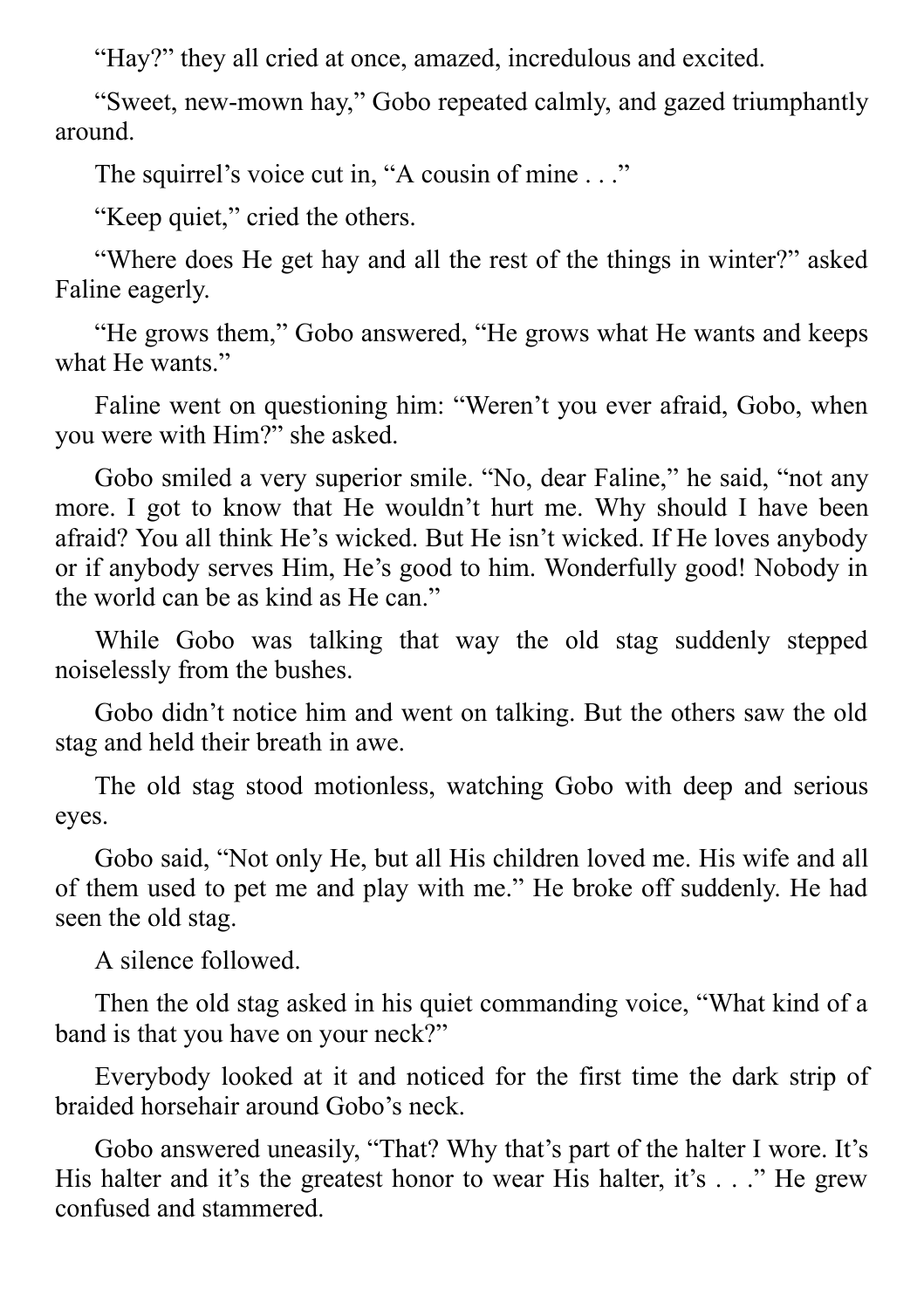"Hay?" they all cried at once, amazed, incredulous and excited.

"Sweet, new-mown hay," Gobo repeated calmly, and gazed triumphantly around.

The squirrel's voice cut in, "A cousin of mine . . ."

"Keep quiet," cried the others.

"Where does He get hay and all the rest of the things in winter?" asked Faline eagerly.

"He grows them," Gobo answered, "He grows what He wants and keeps what He wants."

Faline went on questioning him: "Weren't you ever afraid, Gobo, when you were with Him?" she asked.

Gobo smiled a very superior smile. "No, dear Faline," he said, "not any more. I got to know that He wouldn't hurt me. Why should I have been afraid? You all think He's wicked. But He isn't wicked. If He loves anybody or if anybody serves Him, He's good to him. Wonderfully good! Nobody in the world can be as kind as He can."

While Gobo was talking that way the old stag suddenly stepped noiselessly from the bushes.

Gobo didn't notice him and went on talking. But the others saw the old stag and held their breath in awe.

The old stag stood motionless, watching Gobo with deep and serious eyes.

Gobo said, "Not only He, but all His children loved me. His wife and all of them used to pet me and play with me." He broke off suddenly. He had seen the old stag.

A silence followed.

Then the old stag asked in his quiet commanding voice, "What kind of a band is that you have on your neck?"

Everybody looked at it and noticed for the first time the dark strip of braided horsehair around Gobo's neck.

Gobo answered uneasily, "That? Why that's part of the halter I wore. It's His halter and it's the greatest honor to wear His halter, it's . . ." He grew confused and stammered.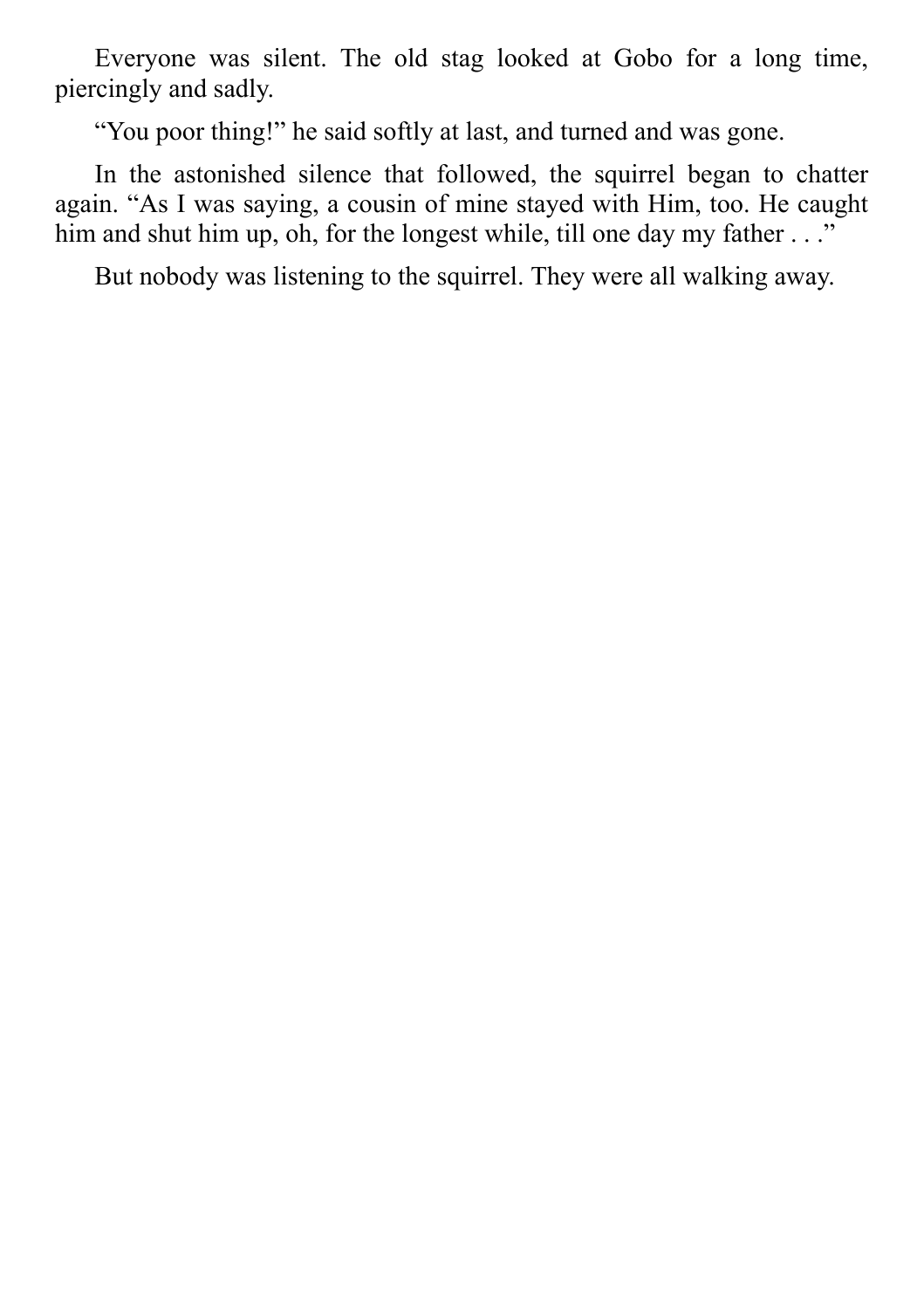Everyone was silent. The old stag looked at Gobo for a long time, piercingly and sadly.

"You poor thing!" he said softly at last, and turned and was gone.

In the astonished silence that followed, the squirrel began to chatter again. "As I was saying, a cousin of mine stayed with Him, too. He caught him and shut him up, oh, for the longest while, till one day my father . . ."

But nobody was listening to the squirrel. They were all walking away.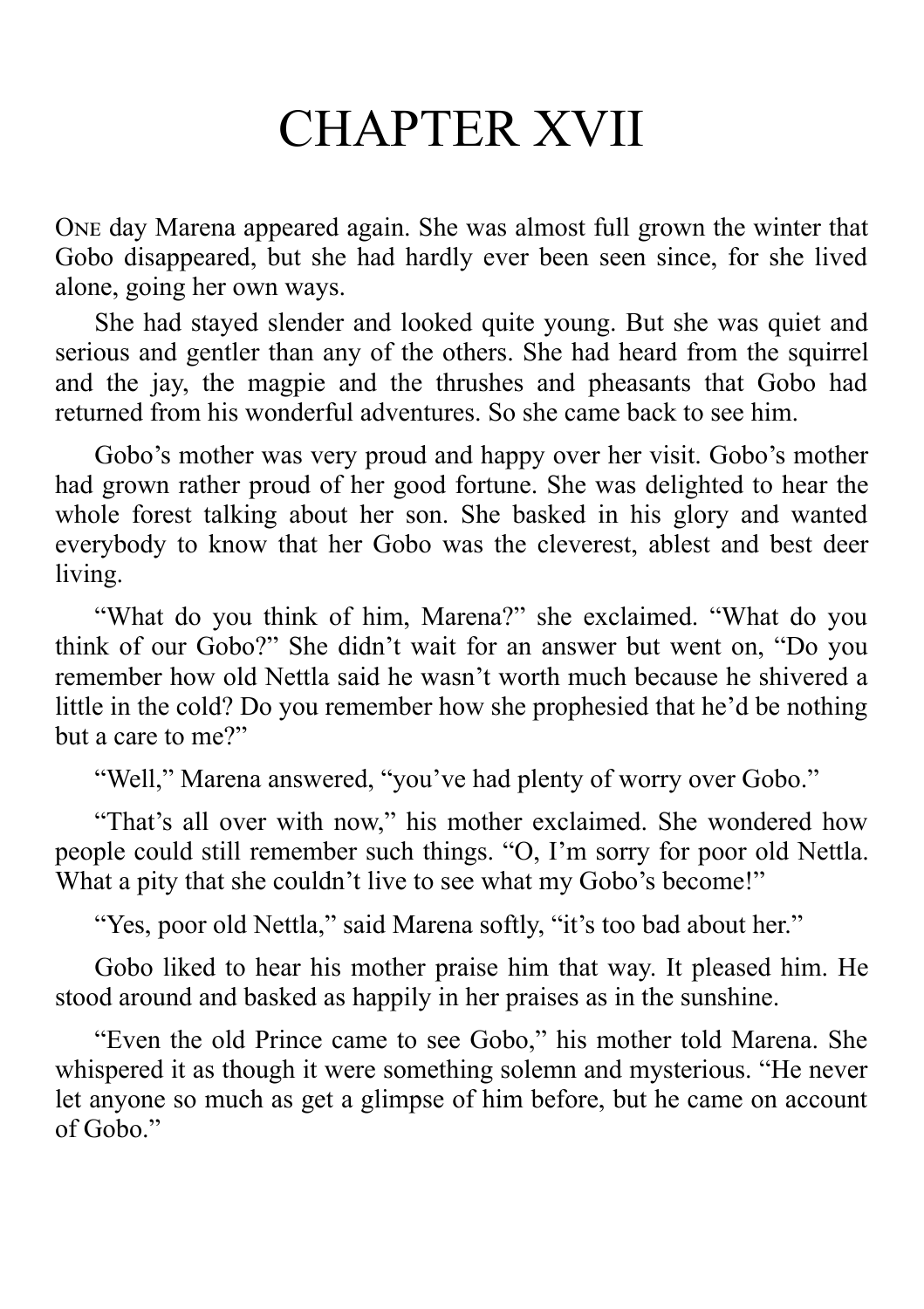## CHAPTER XVII

ONE day Marena appeared again. She was almost full grown the winter that Gobo disappeared, but she had hardly ever been seen since, for she lived alone, going her own ways.

She had stayed slender and looked quite young. But she was quiet and serious and gentler than any of the others. She had heard from the squirrel and the jay, the magpie and the thrushes and pheasants that Gobo had returned from his wonderful adventures. So she came back to see him.

Gobo's mother was very proud and happy over her visit. Gobo's mother had grown rather proud of her good fortune. She was delighted to hear the whole forest talking about her son. She basked in his glory and wanted everybody to know that her Gobo was the cleverest, ablest and best deer living.

"What do you think of him, Marena?" she exclaimed. "What do you think of our Gobo?" She didn't wait for an answer but went on, "Do you remember how old Nettla said he wasn't worth much because he shivered a little in the cold? Do you remember how she prophesied that he'd be nothing but a care to me?"

"Well," Marena answered, "you've had plenty of worry over Gobo."

"That's all over with now," his mother exclaimed. She wondered how people could still remember such things. "O, I'm sorry for poor old Nettla. What a pity that she couldn't live to see what my Gobo's become!"

"Yes, poor old Nettla," said Marena softly, "it's too bad about her."

Gobo liked to hear his mother praise him that way. It pleased him. He stood around and basked as happily in her praises as in the sunshine.

"Even the old Prince came to see Gobo," his mother told Marena. She whispered it as though it were something solemn and mysterious. "He never let anyone so much as get a glimpse of him before, but he came on account of Gobo."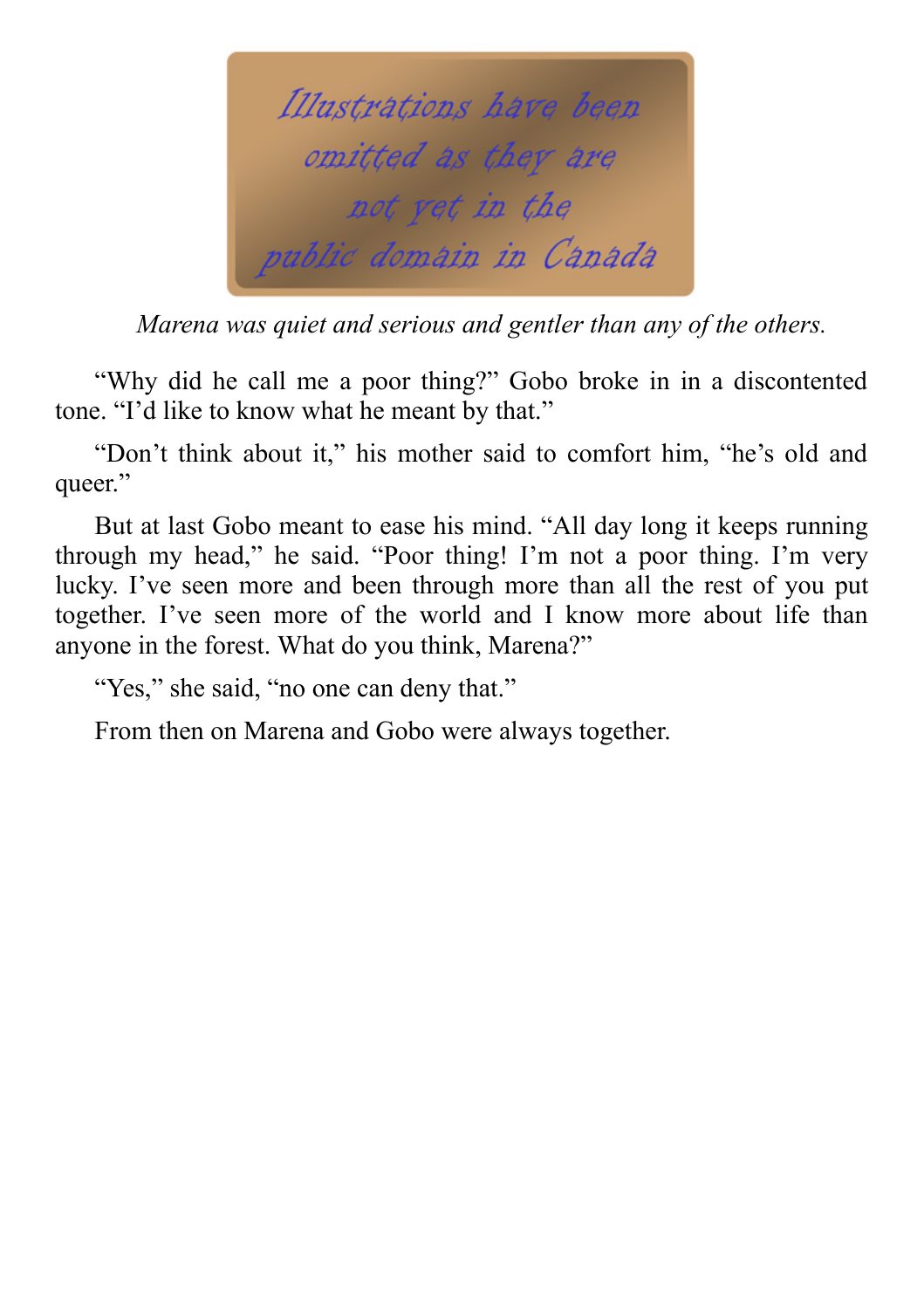

*Marena was quiet and serious and gentler than any of the others.*

"Why did he call me a poor thing?" Gobo broke in in a discontented tone. "I'd like to know what he meant by that."

"Don't think about it," his mother said to comfort him, "he's old and queer."

But at last Gobo meant to ease his mind. "All day long it keeps running through my head," he said. "Poor thing! I'm not a poor thing. I'm very lucky. I've seen more and been through more than all the rest of you put together. I've seen more of the world and I know more about life than anyone in the forest. What do you think, Marena?"

"Yes," she said, "no one can deny that."

From then on Marena and Gobo were always together.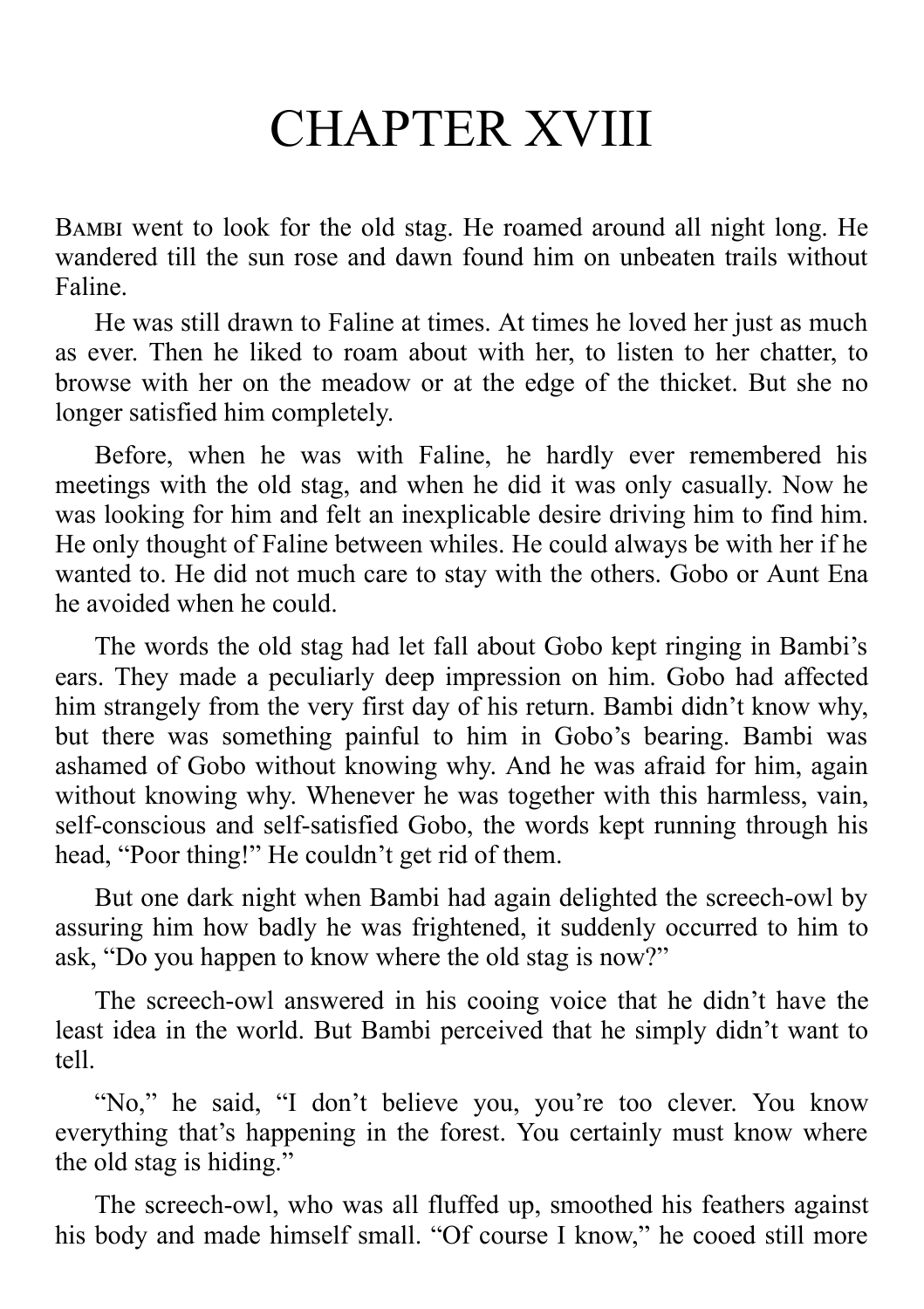# CHAPTER XVIII

BAMBI went to look for the old stag. He roamed around all night long. He wandered till the sun rose and dawn found him on unbeaten trails without Faline.

He was still drawn to Faline at times. At times he loved her just as much as ever. Then he liked to roam about with her, to listen to her chatter, to browse with her on the meadow or at the edge of the thicket. But she no longer satisfied him completely.

Before, when he was with Faline, he hardly ever remembered his meetings with the old stag, and when he did it was only casually. Now he was looking for him and felt an inexplicable desire driving him to find him. He only thought of Faline between whiles. He could always be with her if he wanted to. He did not much care to stay with the others. Gobo or Aunt Ena he avoided when he could.

The words the old stag had let fall about Gobo kept ringing in Bambi's ears. They made a peculiarly deep impression on him. Gobo had affected him strangely from the very first day of his return. Bambi didn't know why, but there was something painful to him in Gobo's bearing. Bambi was ashamed of Gobo without knowing why. And he was afraid for him, again without knowing why. Whenever he was together with this harmless, vain, self-conscious and self-satisfied Gobo, the words kept running through his head, "Poor thing!" He couldn't get rid of them.

But one dark night when Bambi had again delighted the screech-owl by assuring him how badly he was frightened, it suddenly occurred to him to ask, "Do you happen to know where the old stag is now?"

The screech-owl answered in his cooing voice that he didn't have the least idea in the world. But Bambi perceived that he simply didn't want to tell.

"No," he said, "I don't believe you, you're too clever. You know everything that's happening in the forest. You certainly must know where the old stag is hiding."

The screech-owl, who was all fluffed up, smoothed his feathers against his body and made himself small. "Of course I know," he cooed still more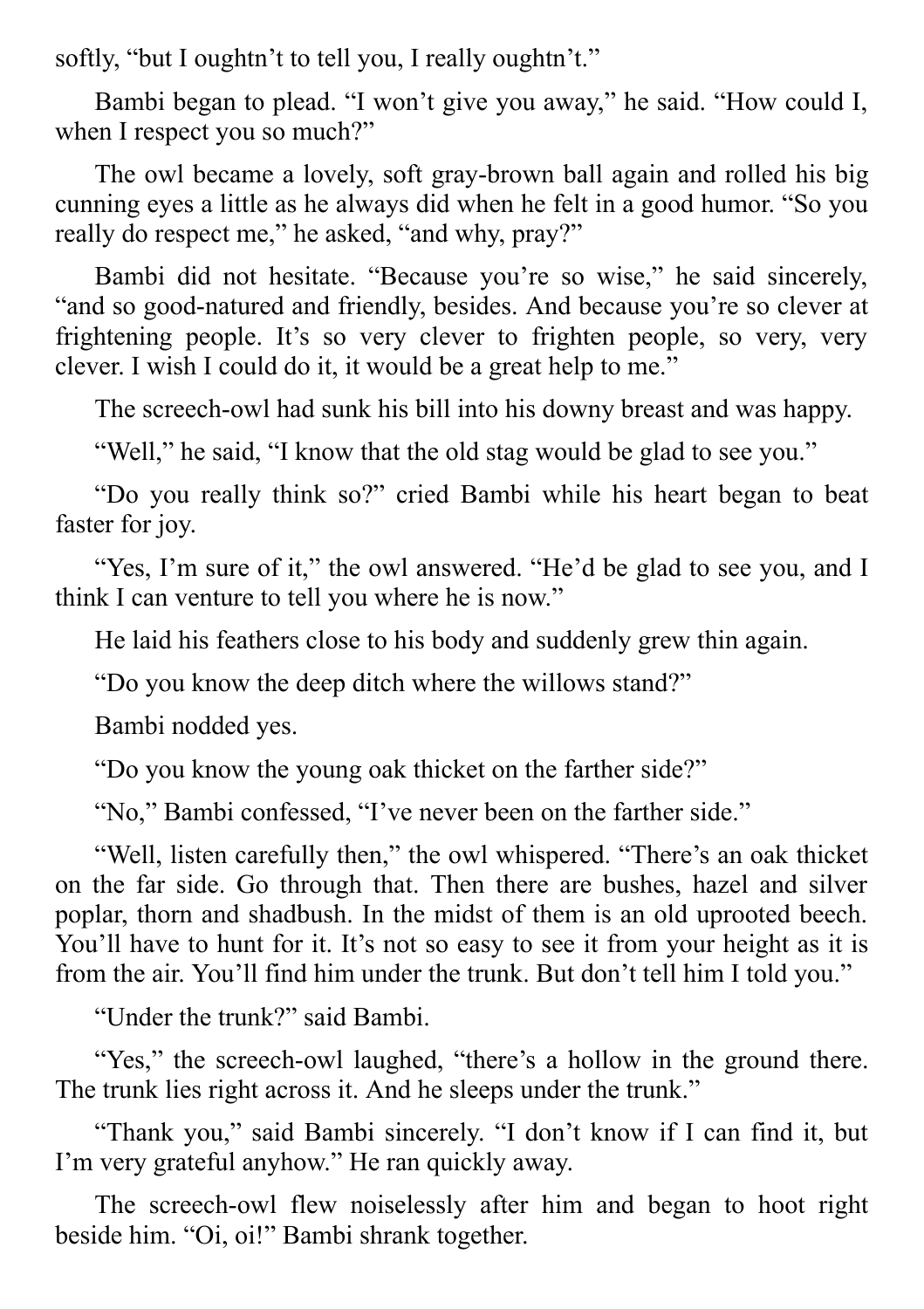softly, "but I oughtn't to tell you, I really oughtn't."

Bambi began to plead. "I won't give you away," he said. "How could I, when I respect you so much?"

The owl became a lovely, soft gray-brown ball again and rolled his big cunning eyes a little as he always did when he felt in a good humor. "So you really do respect me," he asked, "and why, pray?"

Bambi did not hesitate. "Because you're so wise," he said sincerely, "and so good-natured and friendly, besides. And because you're so clever at frightening people. It's so very clever to frighten people, so very, very clever. I wish I could do it, it would be a great help to me."

The screech-owl had sunk his bill into his downy breast and was happy.

"Well," he said, "I know that the old stag would be glad to see you."

"Do you really think so?" cried Bambi while his heart began to beat faster for joy.

"Yes, I'm sure of it," the owl answered. "He'd be glad to see you, and I think I can venture to tell you where he is now."

He laid his feathers close to his body and suddenly grew thin again.

"Do you know the deep ditch where the willows stand?"

Bambi nodded yes.

"Do you know the young oak thicket on the farther side?"

"No," Bambi confessed, "I've never been on the farther side."

"Well, listen carefully then," the owl whispered. "There's an oak thicket on the far side. Go through that. Then there are bushes, hazel and silver poplar, thorn and shadbush. In the midst of them is an old uprooted beech. You'll have to hunt for it. It's not so easy to see it from your height as it is from the air. You'll find him under the trunk. But don't tell him I told you."

"Under the trunk?" said Bambi.

"Yes," the screech-owl laughed, "there's a hollow in the ground there. The trunk lies right across it. And he sleeps under the trunk."

"Thank you," said Bambi sincerely. "I don't know if I can find it, but I'm very grateful anyhow." He ran quickly away.

The screech-owl flew noiselessly after him and began to hoot right beside him. "Oi, oi!" Bambi shrank together.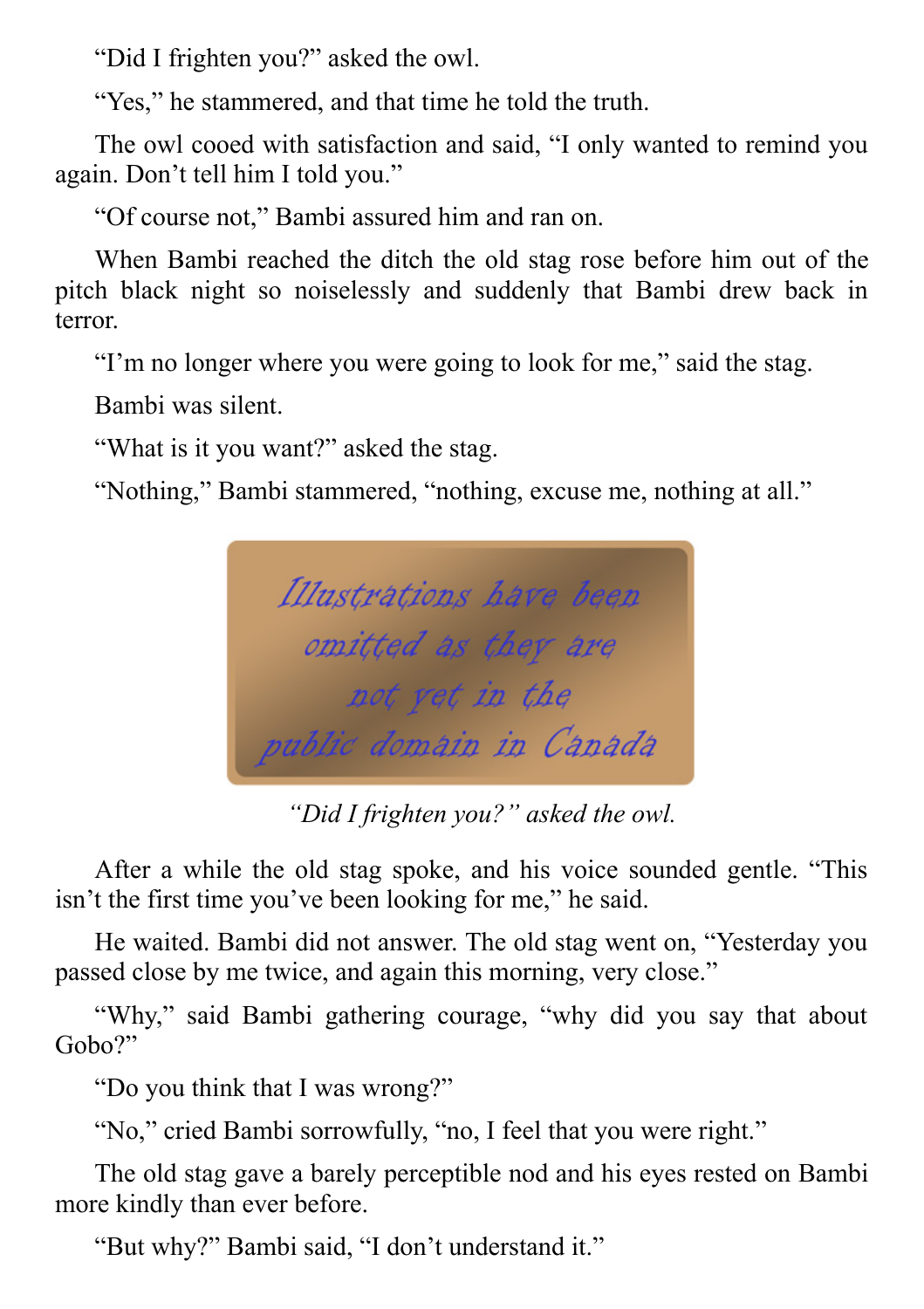"Did I frighten you?" asked the owl.

"Yes," he stammered, and that time he told the truth.

The owl cooed with satisfaction and said, "I only wanted to remind you again. Don't tell him I told you."

"Of course not," Bambi assured him and ran on.

When Bambi reached the ditch the old stag rose before him out of the pitch black night so noiselessly and suddenly that Bambi drew back in terror.

"I'm no longer where you were going to look for me," said the stag.

Bambi was silent.

"What is it you want?" asked the stag.

"Nothing," Bambi stammered, "nothing, excuse me, nothing at all."



*"Did I frighten you?" asked the owl.*

After a while the old stag spoke, and his voice sounded gentle. "This isn't the first time you've been looking for me," he said.

He waited. Bambi did not answer. The old stag went on, "Yesterday you passed close by me twice, and again this morning, very close."

"Why," said Bambi gathering courage, "why did you say that about Gobo?"

"Do you think that I was wrong?"

"No," cried Bambi sorrowfully, "no, I feel that you were right."

The old stag gave a barely perceptible nod and his eyes rested on Bambi more kindly than ever before.

"But why?" Bambi said, "I don't understand it."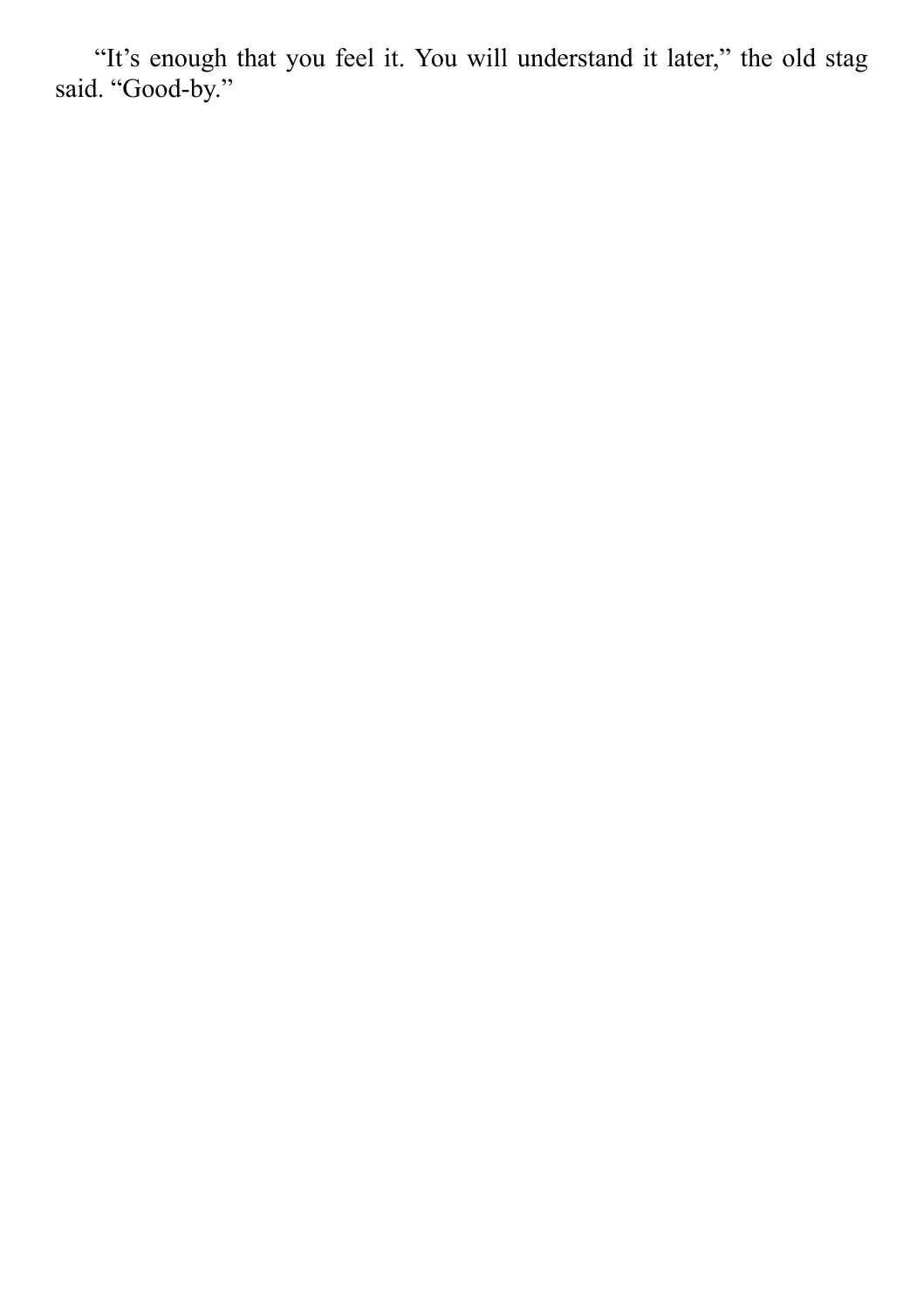"It's enough that you feel it. You will understand it later," the old stag said. "Good-by."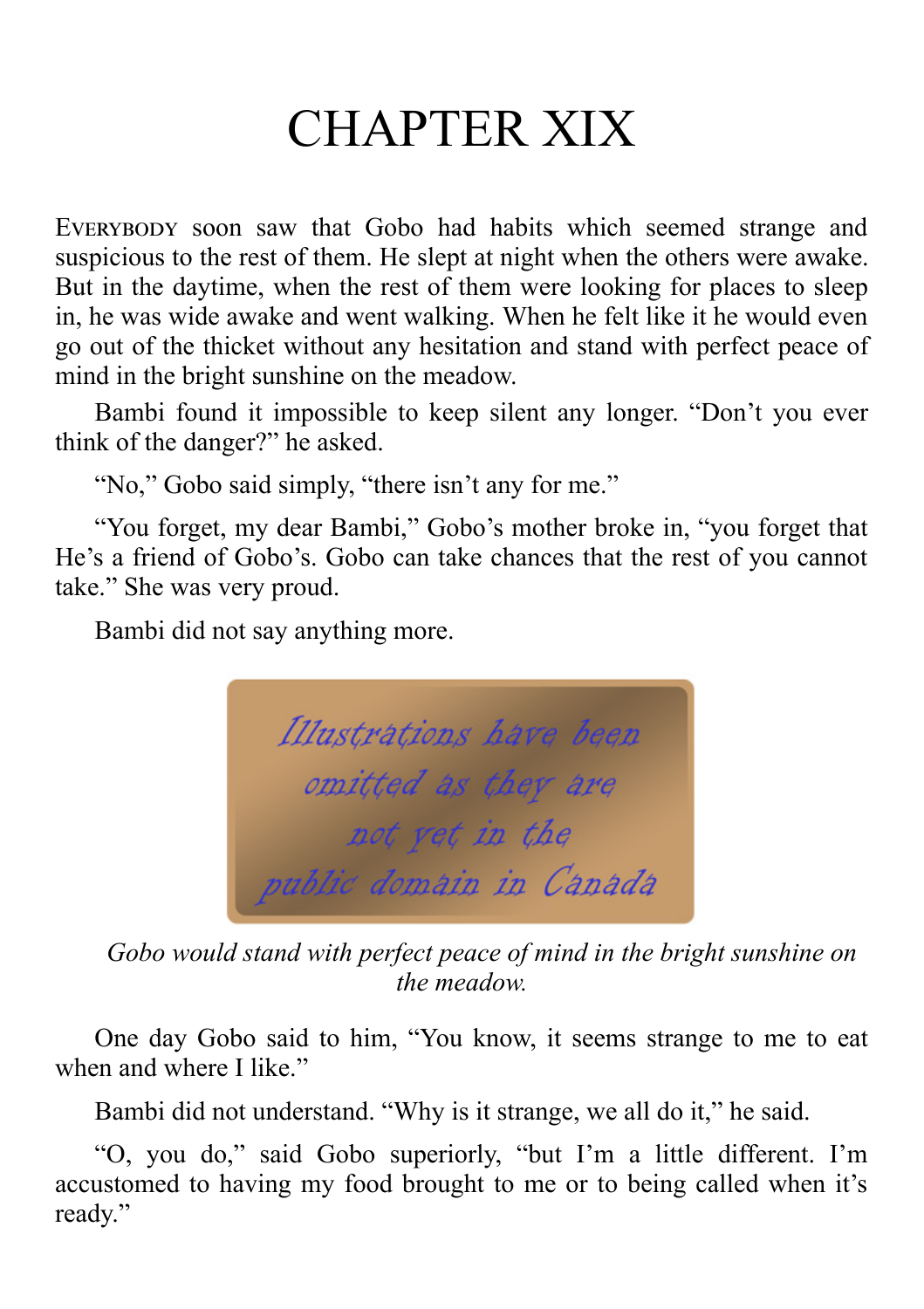# CHAPTER XIX

EVERYBODY soon saw that Gobo had habits which seemed strange and suspicious to the rest of them. He slept at night when the others were awake. But in the daytime, when the rest of them were looking for places to sleep in, he was wide awake and went walking. When he felt like it he would even go out of the thicket without any hesitation and stand with perfect peace of mind in the bright sunshine on the meadow.

Bambi found it impossible to keep silent any longer. "Don't you ever think of the danger?" he asked.

"No," Gobo said simply, "there isn't any for me."

"You forget, my dear Bambi," Gobo's mother broke in, "you forget that He's a friend of Gobo's. Gobo can take chances that the rest of you cannot take." She was very proud.

Bambi did not say anything more.



*Gobo would stand with perfect peace of mind in the bright sunshine on the meadow.*

One day Gobo said to him, "You know, it seems strange to me to eat when and where I like."

Bambi did not understand. "Why is it strange, we all do it," he said.

"O, you do," said Gobo superiorly, "but I'm a little different. I'm accustomed to having my food brought to me or to being called when it's ready."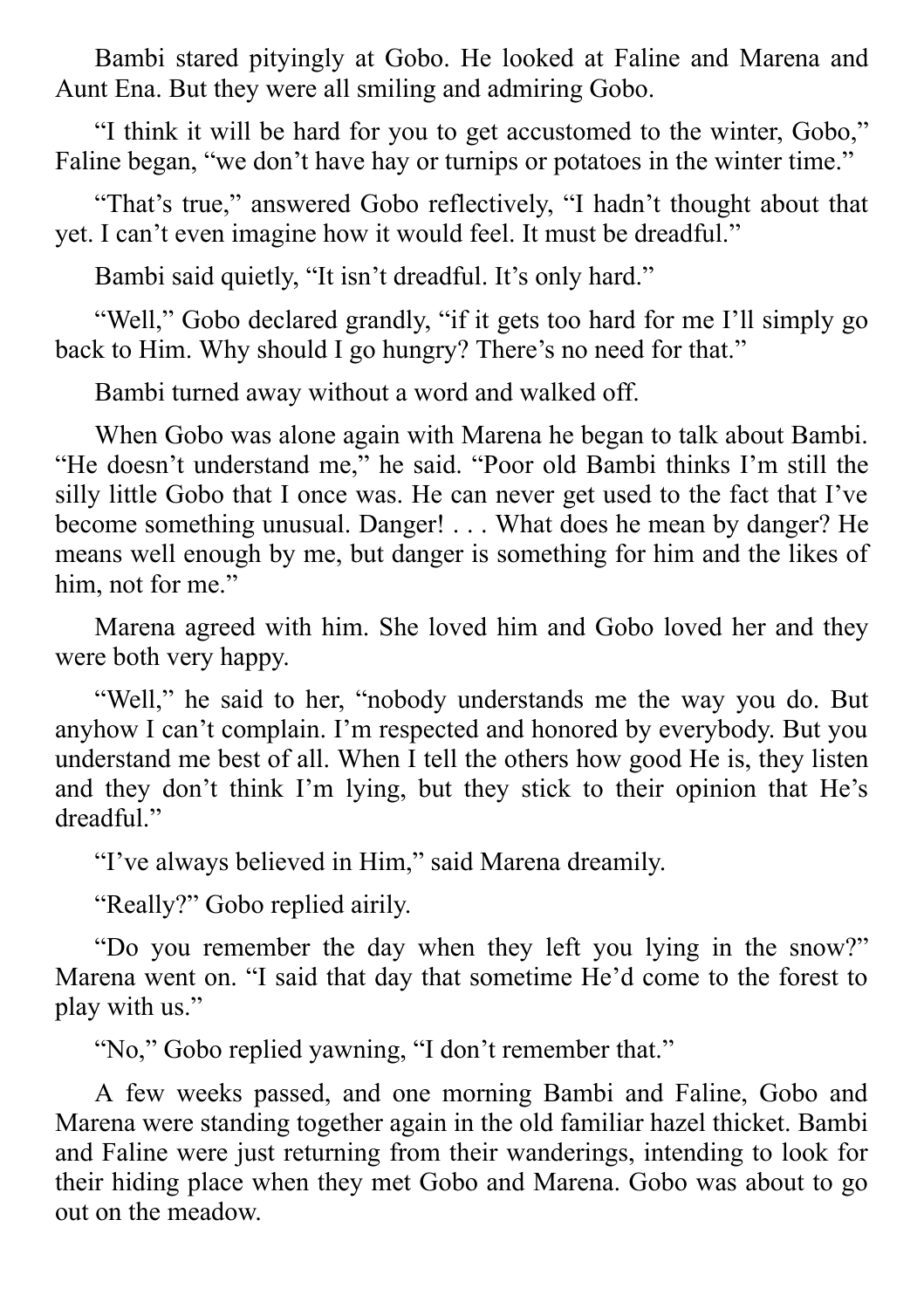Bambi stared pityingly at Gobo. He looked at Faline and Marena and Aunt Ena. But they were all smiling and admiring Gobo.

"I think it will be hard for you to get accustomed to the winter, Gobo," Faline began, "we don't have hay or turnips or potatoes in the winter time."

"That's true," answered Gobo reflectively, "I hadn't thought about that yet. I can't even imagine how it would feel. It must be dreadful."

Bambi said quietly, "It isn't dreadful. It's only hard."

"Well," Gobo declared grandly, "if it gets too hard for me I'll simply go back to Him. Why should I go hungry? There's no need for that."

Bambi turned away without a word and walked off.

When Gobo was alone again with Marena he began to talk about Bambi. "He doesn't understand me," he said. "Poor old Bambi thinks I'm still the silly little Gobo that I once was. He can never get used to the fact that I've become something unusual. Danger! . . . What does he mean by danger? He means well enough by me, but danger is something for him and the likes of him, not for me."

Marena agreed with him. She loved him and Gobo loved her and they were both very happy.

"Well," he said to her, "nobody understands me the way you do. But anyhow I can't complain. I'm respected and honored by everybody. But you understand me best of all. When I tell the others how good He is, they listen and they don't think I'm lying, but they stick to their opinion that He's dreadful."

"I've always believed in Him," said Marena dreamily.

"Really?" Gobo replied airily.

"Do you remember the day when they left you lying in the snow?" Marena went on. "I said that day that sometime He'd come to the forest to play with us."

"No," Gobo replied yawning, "I don't remember that."

A few weeks passed, and one morning Bambi and Faline, Gobo and Marena were standing together again in the old familiar hazel thicket. Bambi and Faline were just returning from their wanderings, intending to look for their hiding place when they met Gobo and Marena. Gobo was about to go out on the meadow.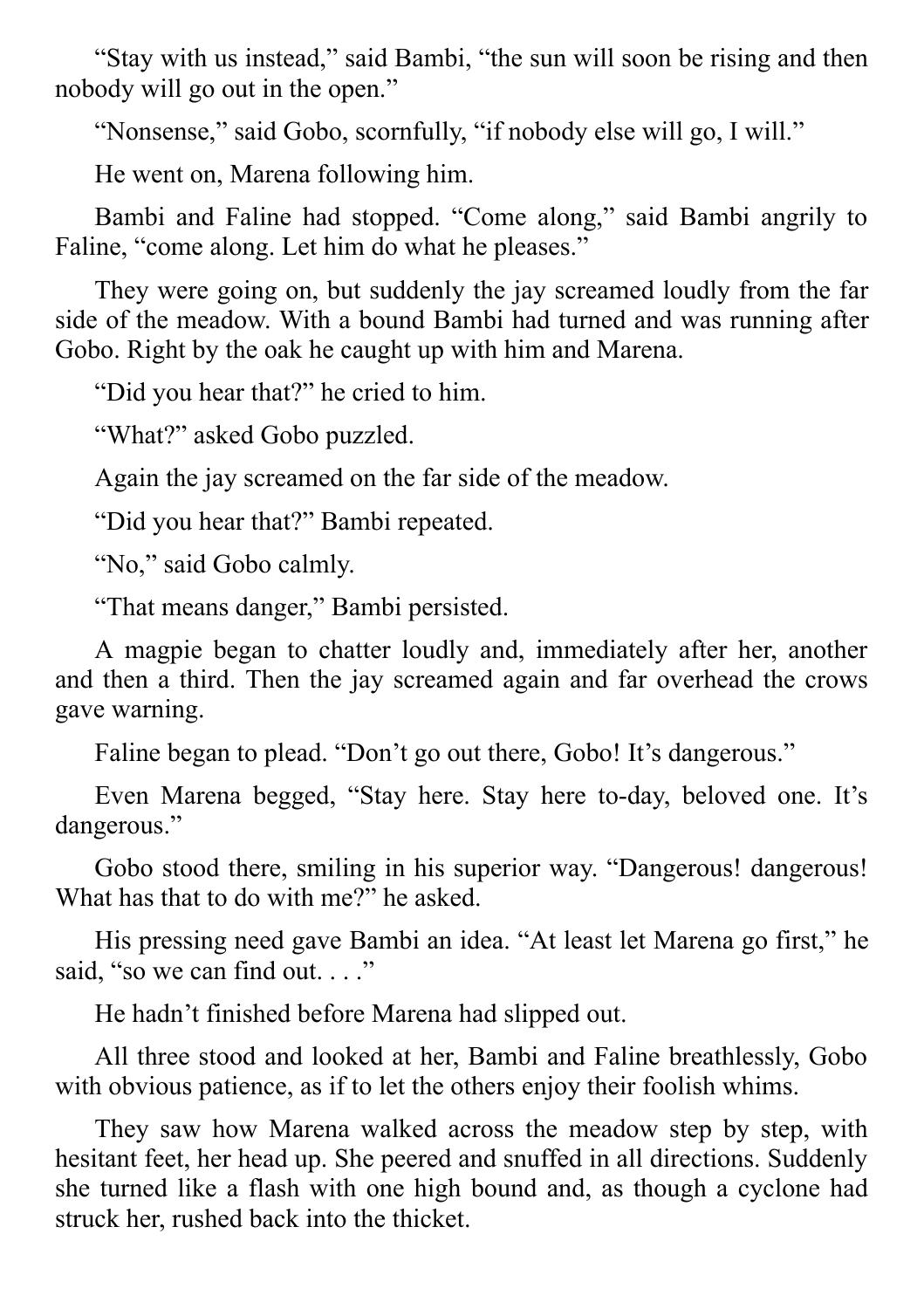"Stay with us instead," said Bambi, "the sun will soon be rising and then nobody will go out in the open."

"Nonsense," said Gobo, scornfully, "if nobody else will go, I will."

He went on, Marena following him.

Bambi and Faline had stopped. "Come along," said Bambi angrily to Faline, "come along. Let him do what he pleases."

They were going on, but suddenly the jay screamed loudly from the far side of the meadow. With a bound Bambi had turned and was running after Gobo. Right by the oak he caught up with him and Marena.

"Did you hear that?" he cried to him.

"What?" asked Gobo puzzled.

Again the jay screamed on the far side of the meadow.

"Did you hear that?" Bambi repeated.

"No," said Gobo calmly.

"That means danger," Bambi persisted.

A magpie began to chatter loudly and, immediately after her, another and then a third. Then the jay screamed again and far overhead the crows gave warning.

Faline began to plead. "Don't go out there, Gobo! It's dangerous."

Even Marena begged, "Stay here. Stay here to-day, beloved one. It's dangerous."

Gobo stood there, smiling in his superior way. "Dangerous! dangerous! What has that to do with me?" he asked.

His pressing need gave Bambi an idea. "At least let Marena go first," he said, "so we can find out...."

He hadn't finished before Marena had slipped out.

All three stood and looked at her, Bambi and Faline breathlessly, Gobo with obvious patience, as if to let the others enjoy their foolish whims.

They saw how Marena walked across the meadow step by step, with hesitant feet, her head up. She peered and snuffed in all directions. Suddenly she turned like a flash with one high bound and, as though a cyclone had struck her, rushed back into the thicket.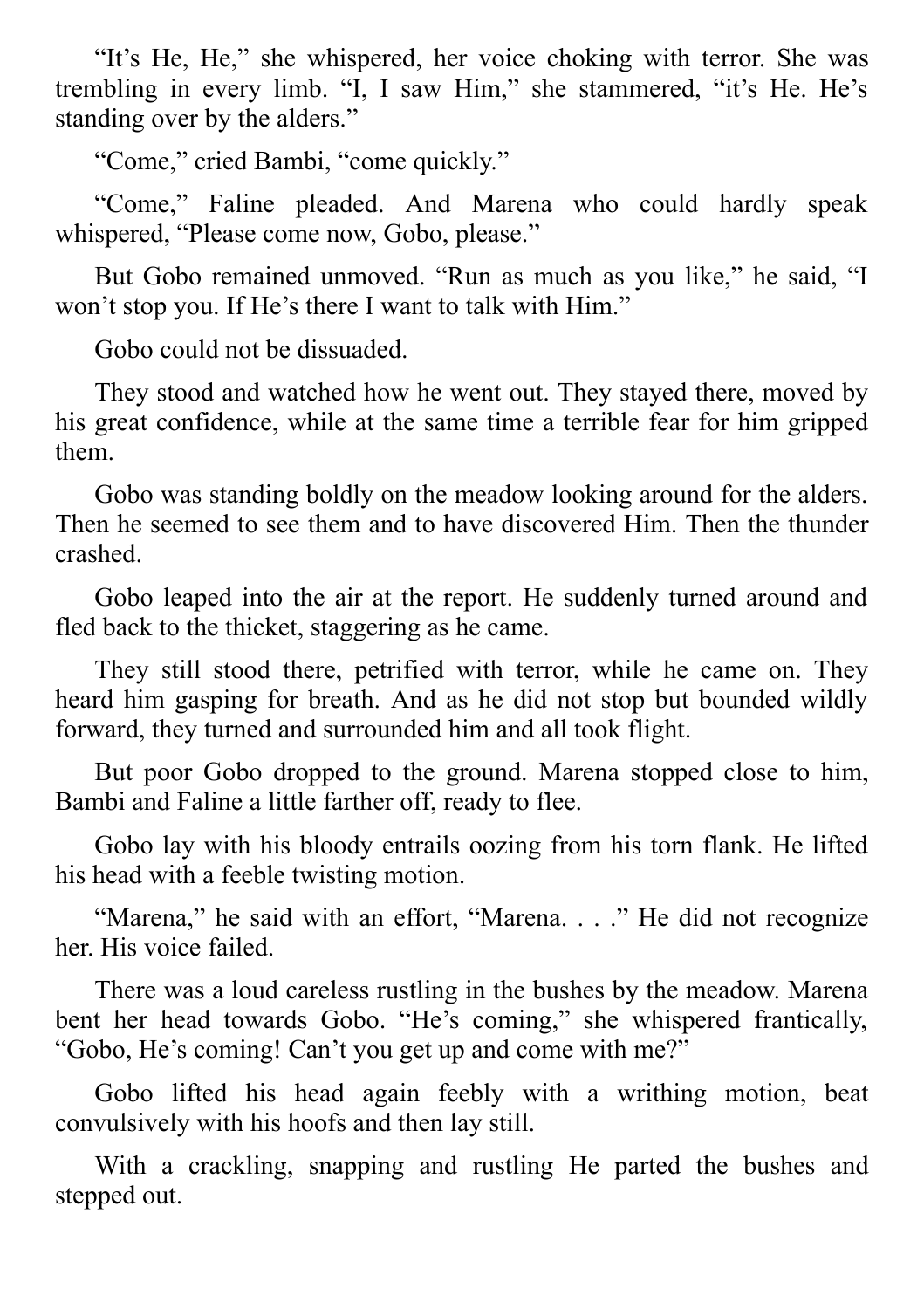"It's He, He," she whispered, her voice choking with terror. She was trembling in every limb. "I, I saw Him," she stammered, "it's He. He's standing over by the alders."

"Come," cried Bambi, "come quickly."

"Come," Faline pleaded. And Marena who could hardly speak whispered, "Please come now, Gobo, please."

But Gobo remained unmoved. "Run as much as you like," he said, "I won't stop you. If He's there I want to talk with Him."

Gobo could not be dissuaded.

They stood and watched how he went out. They stayed there, moved by his great confidence, while at the same time a terrible fear for him gripped them.

Gobo was standing boldly on the meadow looking around for the alders. Then he seemed to see them and to have discovered Him. Then the thunder crashed.

Gobo leaped into the air at the report. He suddenly turned around and fled back to the thicket, staggering as he came.

They still stood there, petrified with terror, while he came on. They heard him gasping for breath. And as he did not stop but bounded wildly forward, they turned and surrounded him and all took flight.

But poor Gobo dropped to the ground. Marena stopped close to him, Bambi and Faline a little farther off, ready to flee.

Gobo lay with his bloody entrails oozing from his torn flank. He lifted his head with a feeble twisting motion.

"Marena," he said with an effort, "Marena. . . ." He did not recognize her. His voice failed.

There was a loud careless rustling in the bushes by the meadow. Marena bent her head towards Gobo. "He's coming," she whispered frantically, "Gobo, He's coming! Can't you get up and come with me?"

Gobo lifted his head again feebly with a writhing motion, beat convulsively with his hoofs and then lay still.

With a crackling, snapping and rustling He parted the bushes and stepped out.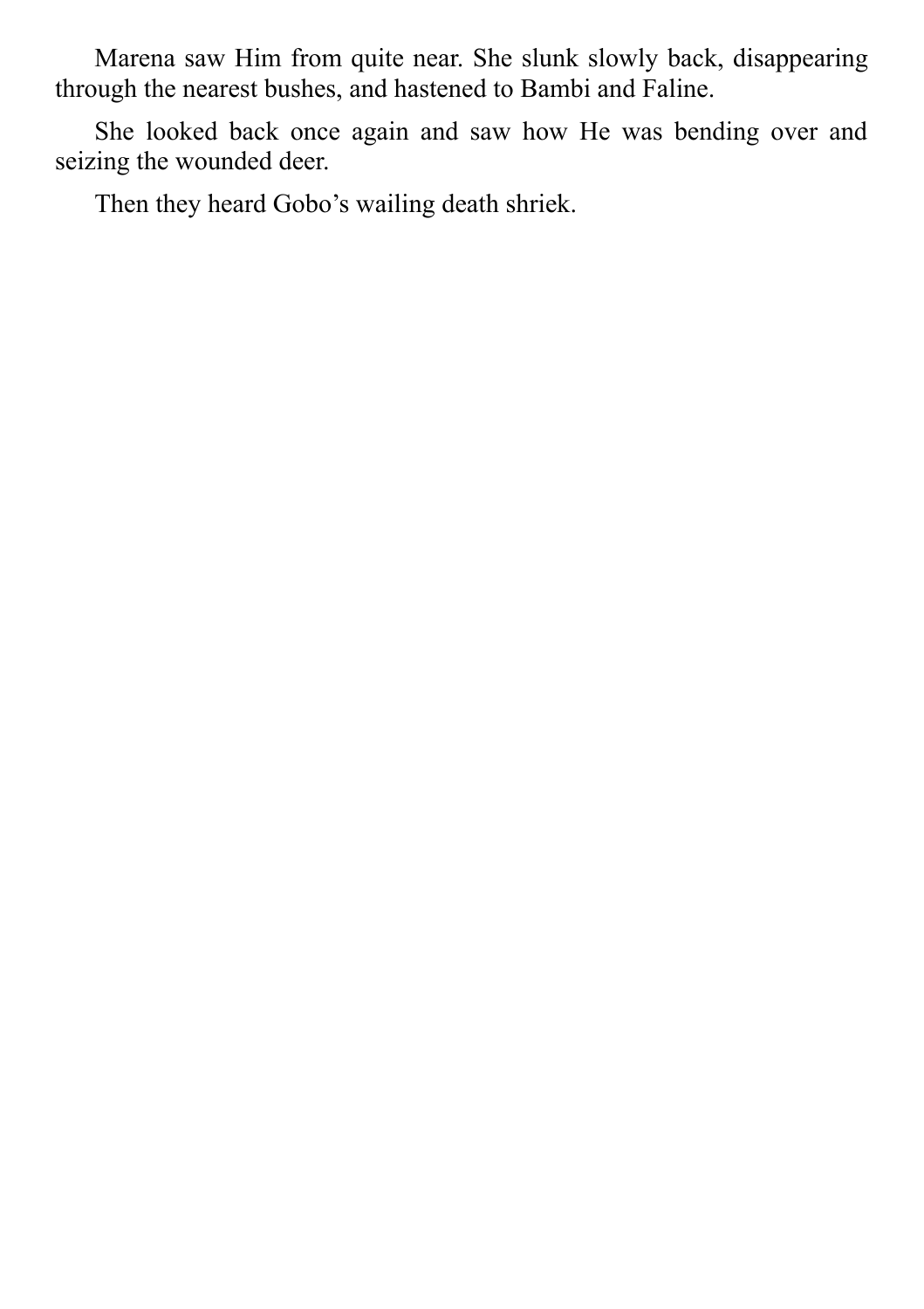Marena saw Him from quite near. She slunk slowly back, disappearing through the nearest bushes, and hastened to Bambi and Faline.

She looked back once again and saw how He was bending over and seizing the wounded deer.

Then they heard Gobo's wailing death shriek.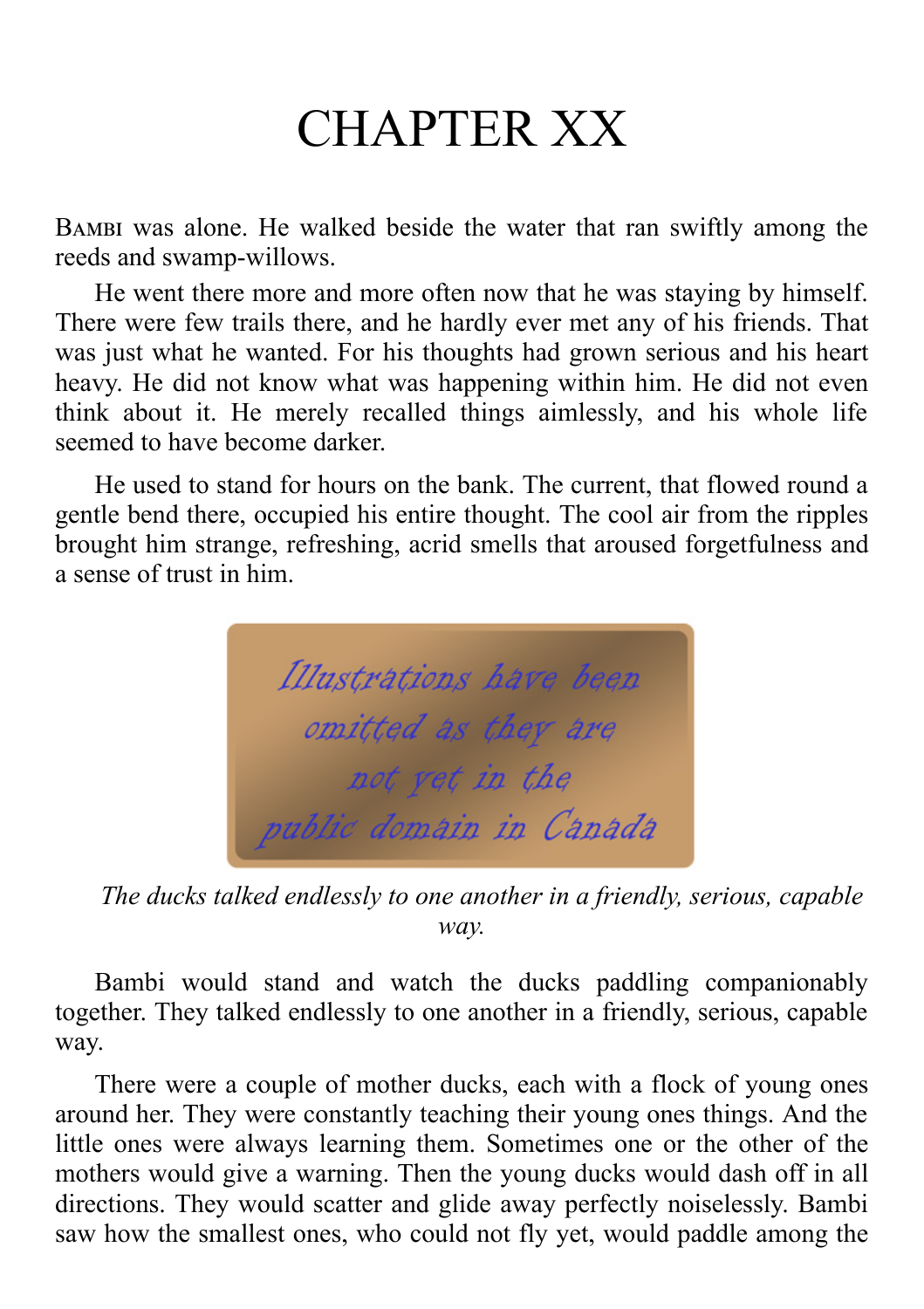# CHAPTER XX

BAMBI was alone. He walked beside the water that ran swiftly among the reeds and swamp-willows.

He went there more and more often now that he was staying by himself. There were few trails there, and he hardly ever met any of his friends. That was just what he wanted. For his thoughts had grown serious and his heart heavy. He did not know what was happening within him. He did not even think about it. He merely recalled things aimlessly, and his whole life seemed to have become darker.

He used to stand for hours on the bank. The current, that flowed round a gentle bend there, occupied his entire thought. The cool air from the ripples brought him strange, refreshing, acrid smells that aroused forgetfulness and a sense of trust in him.



*The ducks talked endlessly to one another in a friendly, serious, capable way.*

Bambi would stand and watch the ducks paddling companionably together. They talked endlessly to one another in a friendly, serious, capable way.

There were a couple of mother ducks, each with a flock of young ones around her. They were constantly teaching their young ones things. And the little ones were always learning them. Sometimes one or the other of the mothers would give a warning. Then the young ducks would dash off in all directions. They would scatter and glide away perfectly noiselessly. Bambi saw how the smallest ones, who could not fly yet, would paddle among the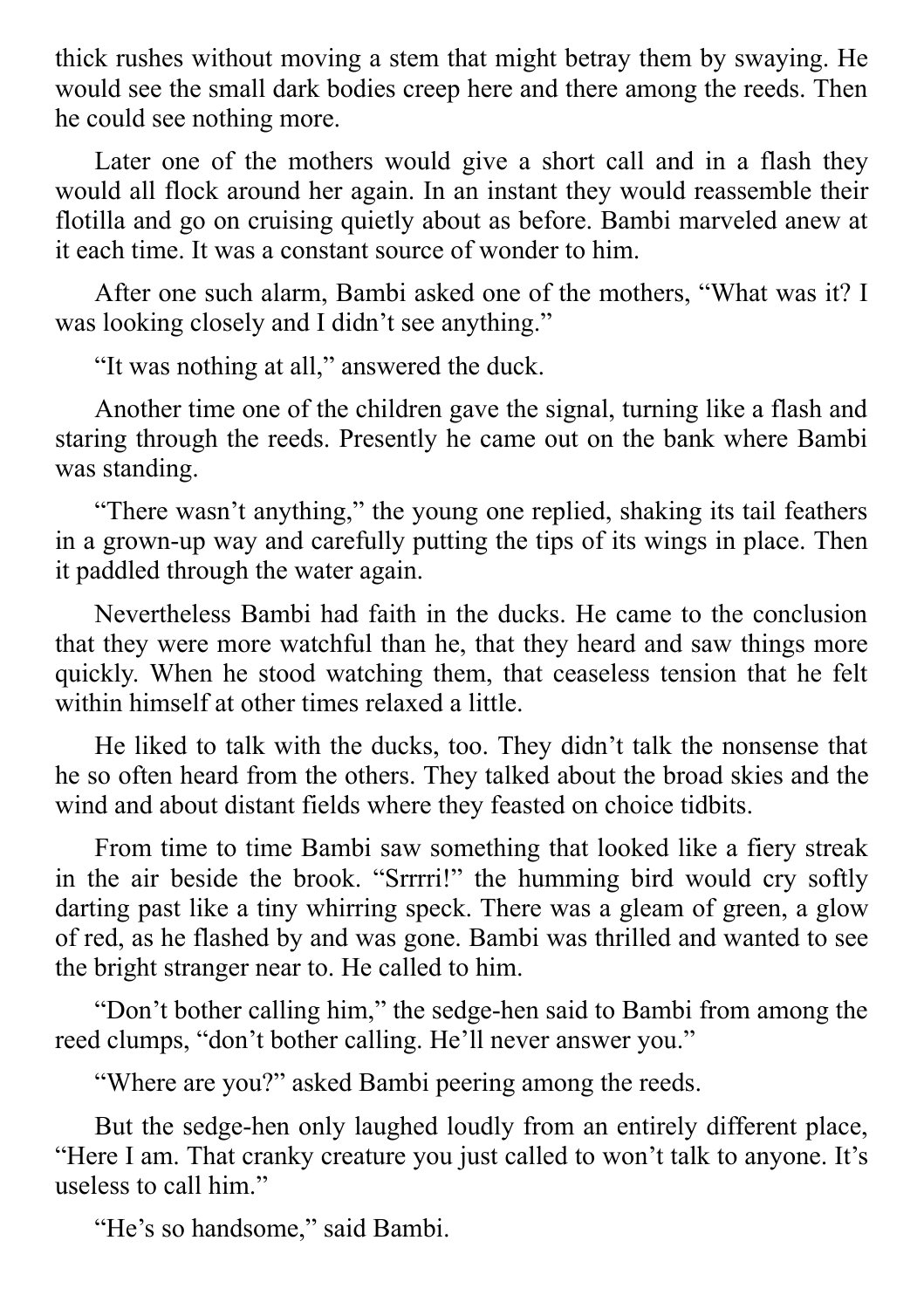thick rushes without moving a stem that might betray them by swaying. He would see the small dark bodies creep here and there among the reeds. Then he could see nothing more.

Later one of the mothers would give a short call and in a flash they would all flock around her again. In an instant they would reassemble their flotilla and go on cruising quietly about as before. Bambi marveled anew at it each time. It was a constant source of wonder to him.

After one such alarm, Bambi asked one of the mothers, "What was it? I was looking closely and I didn't see anything."

"It was nothing at all," answered the duck.

Another time one of the children gave the signal, turning like a flash and staring through the reeds. Presently he came out on the bank where Bambi was standing.

"There wasn't anything," the young one replied, shaking its tail feathers in a grown-up way and carefully putting the tips of its wings in place. Then it paddled through the water again.

Nevertheless Bambi had faith in the ducks. He came to the conclusion that they were more watchful than he, that they heard and saw things more quickly. When he stood watching them, that ceaseless tension that he felt within himself at other times relaxed a little.

He liked to talk with the ducks, too. They didn't talk the nonsense that he so often heard from the others. They talked about the broad skies and the wind and about distant fields where they feasted on choice tidbits.

From time to time Bambi saw something that looked like a fiery streak in the air beside the brook. "Srrrri!" the humming bird would cry softly darting past like a tiny whirring speck. There was a gleam of green, a glow of red, as he flashed by and was gone. Bambi was thrilled and wanted to see the bright stranger near to. He called to him.

"Don't bother calling him," the sedge-hen said to Bambi from among the reed clumps, "don't bother calling. He'll never answer you."

"Where are you?" asked Bambi peering among the reeds.

But the sedge-hen only laughed loudly from an entirely different place, "Here I am. That cranky creature you just called to won't talk to anyone. It's useless to call him."

"He's so handsome," said Bambi.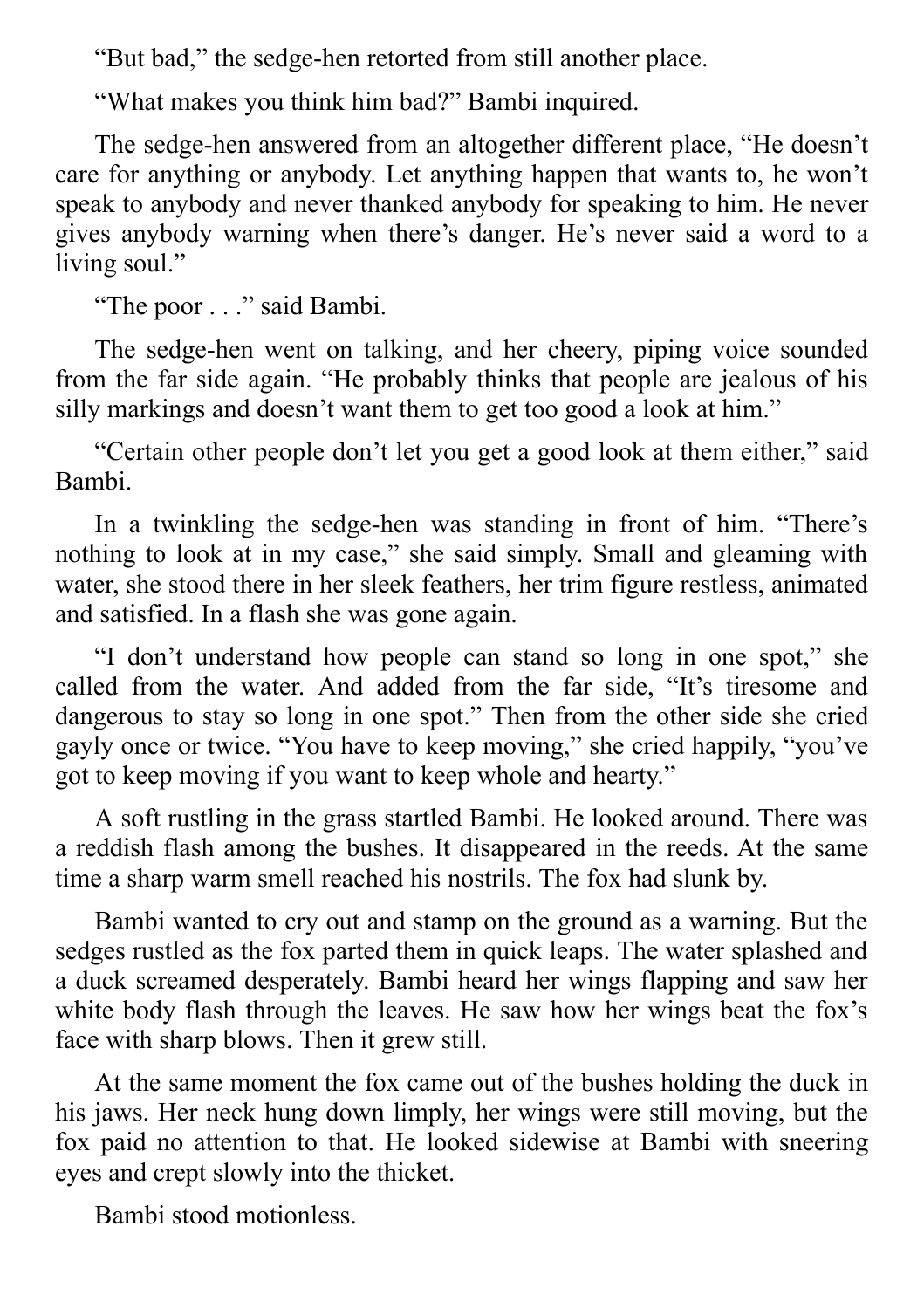"But bad," the sedge-hen retorted from still another place.

"What makes you think him bad?" Bambi inquired.

The sedge-hen answered from an altogether different place, "He doesn't care for anything or anybody. Let anything happen that wants to, he won't speak to anybody and never thanked anybody for speaking to him. He never gives anybody warning when there's danger. He's never said a word to a living soul."

"The poor . . ." said Bambi.

The sedge-hen went on talking, and her cheery, piping voice sounded from the far side again. "He probably thinks that people are jealous of his silly markings and doesn't want them to get too good a look at him."

"Certain other people don't let you get a good look at them either," said Bambi.

In a twinkling the sedge-hen was standing in front of him. "There's nothing to look at in my case," she said simply. Small and gleaming with water, she stood there in her sleek feathers, her trim figure restless, animated and satisfied. In a flash she was gone again.

"I don't understand how people can stand so long in one spot," she called from the water. And added from the far side, "It's tiresome and dangerous to stay so long in one spot." Then from the other side she cried gayly once or twice. "You have to keep moving," she cried happily, "you've got to keep moving if you want to keep whole and hearty."

A soft rustling in the grass startled Bambi. He looked around. There was a reddish flash among the bushes. It disappeared in the reeds. At the same time a sharp warm smell reached his nostrils. The fox had slunk by.

Bambi wanted to cry out and stamp on the ground as a warning. But the sedges rustled as the fox parted them in quick leaps. The water splashed and a duck screamed desperately. Bambi heard her wings flapping and saw her white body flash through the leaves. He saw how her wings beat the fox's face with sharp blows. Then it grew still.

At the same moment the fox came out of the bushes holding the duck in his jaws. Her neck hung down limply, her wings were still moving, but the fox paid no attention to that. He looked sidewise at Bambi with sneering eyes and crept slowly into the thicket.

Bambi stood motionless.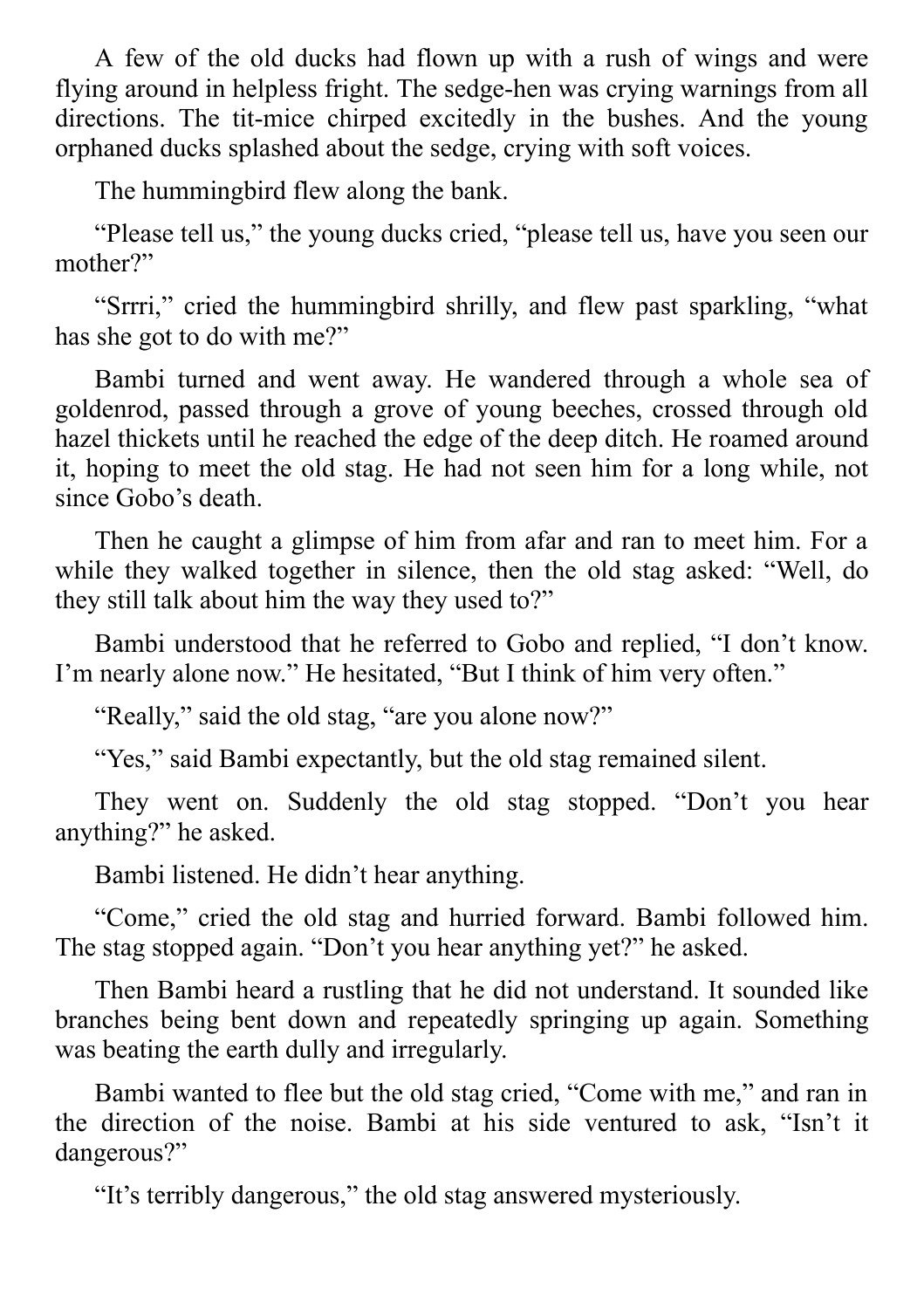A few of the old ducks had flown up with a rush of wings and were flying around in helpless fright. The sedge-hen was crying warnings from all directions. The tit-mice chirped excitedly in the bushes. And the young orphaned ducks splashed about the sedge, crying with soft voices.

The hummingbird flew along the bank.

"Please tell us," the young ducks cried, "please tell us, have you seen our mother?"

"Srrri," cried the hummingbird shrilly, and flew past sparkling, "what has she got to do with me?"

Bambi turned and went away. He wandered through a whole sea of goldenrod, passed through a grove of young beeches, crossed through old hazel thickets until he reached the edge of the deep ditch. He roamed around it, hoping to meet the old stag. He had not seen him for a long while, not since Gobo's death

Then he caught a glimpse of him from afar and ran to meet him. For a while they walked together in silence, then the old stag asked: "Well, do they still talk about him the way they used to?"

Bambi understood that he referred to Gobo and replied, "I don't know. I'm nearly alone now." He hesitated, "But I think of him very often."

"Really," said the old stag, "are you alone now?"

"Yes," said Bambi expectantly, but the old stag remained silent.

They went on. Suddenly the old stag stopped. "Don't you hear anything?" he asked.

Bambi listened. He didn't hear anything.

"Come," cried the old stag and hurried forward. Bambi followed him. The stag stopped again. "Don't you hear anything yet?" he asked.

Then Bambi heard a rustling that he did not understand. It sounded like branches being bent down and repeatedly springing up again. Something was beating the earth dully and irregularly.

Bambi wanted to flee but the old stag cried, "Come with me," and ran in the direction of the noise. Bambi at his side ventured to ask, "Isn't it dangerous?"

"It's terribly dangerous," the old stag answered mysteriously.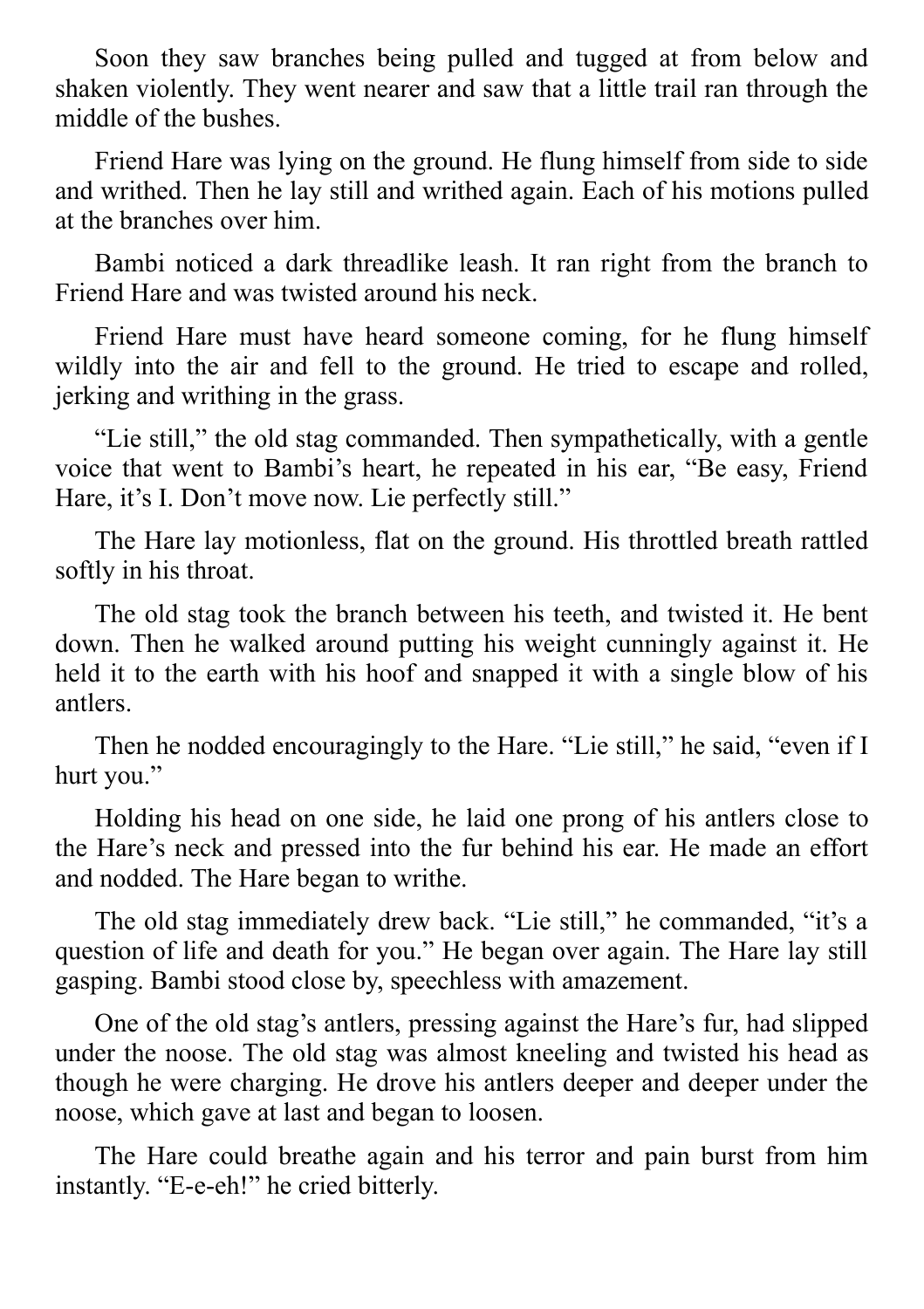Soon they saw branches being pulled and tugged at from below and shaken violently. They went nearer and saw that a little trail ran through the middle of the bushes.

Friend Hare was lying on the ground. He flung himself from side to side and writhed. Then he lay still and writhed again. Each of his motions pulled at the branches over him.

Bambi noticed a dark threadlike leash. It ran right from the branch to Friend Hare and was twisted around his neck.

Friend Hare must have heard someone coming, for he flung himself wildly into the air and fell to the ground. He tried to escape and rolled, jerking and writhing in the grass.

"Lie still," the old stag commanded. Then sympathetically, with a gentle voice that went to Bambi's heart, he repeated in his ear, "Be easy, Friend Hare, it's I. Don't move now. Lie perfectly still."

The Hare lay motionless, flat on the ground. His throttled breath rattled softly in his throat.

The old stag took the branch between his teeth, and twisted it. He bent down. Then he walked around putting his weight cunningly against it. He held it to the earth with his hoof and snapped it with a single blow of his antlers.

Then he nodded encouragingly to the Hare. "Lie still," he said, "even if I hurt you."

Holding his head on one side, he laid one prong of his antlers close to the Hare's neck and pressed into the fur behind his ear. He made an effort and nodded. The Hare began to writhe.

The old stag immediately drew back. "Lie still," he commanded, "it's a question of life and death for you." He began over again. The Hare lay still gasping. Bambi stood close by, speechless with amazement.

One of the old stag's antlers, pressing against the Hare's fur, had slipped under the noose. The old stag was almost kneeling and twisted his head as though he were charging. He drove his antlers deeper and deeper under the noose, which gave at last and began to loosen.

The Hare could breathe again and his terror and pain burst from him instantly. "E-e-eh!" he cried bitterly.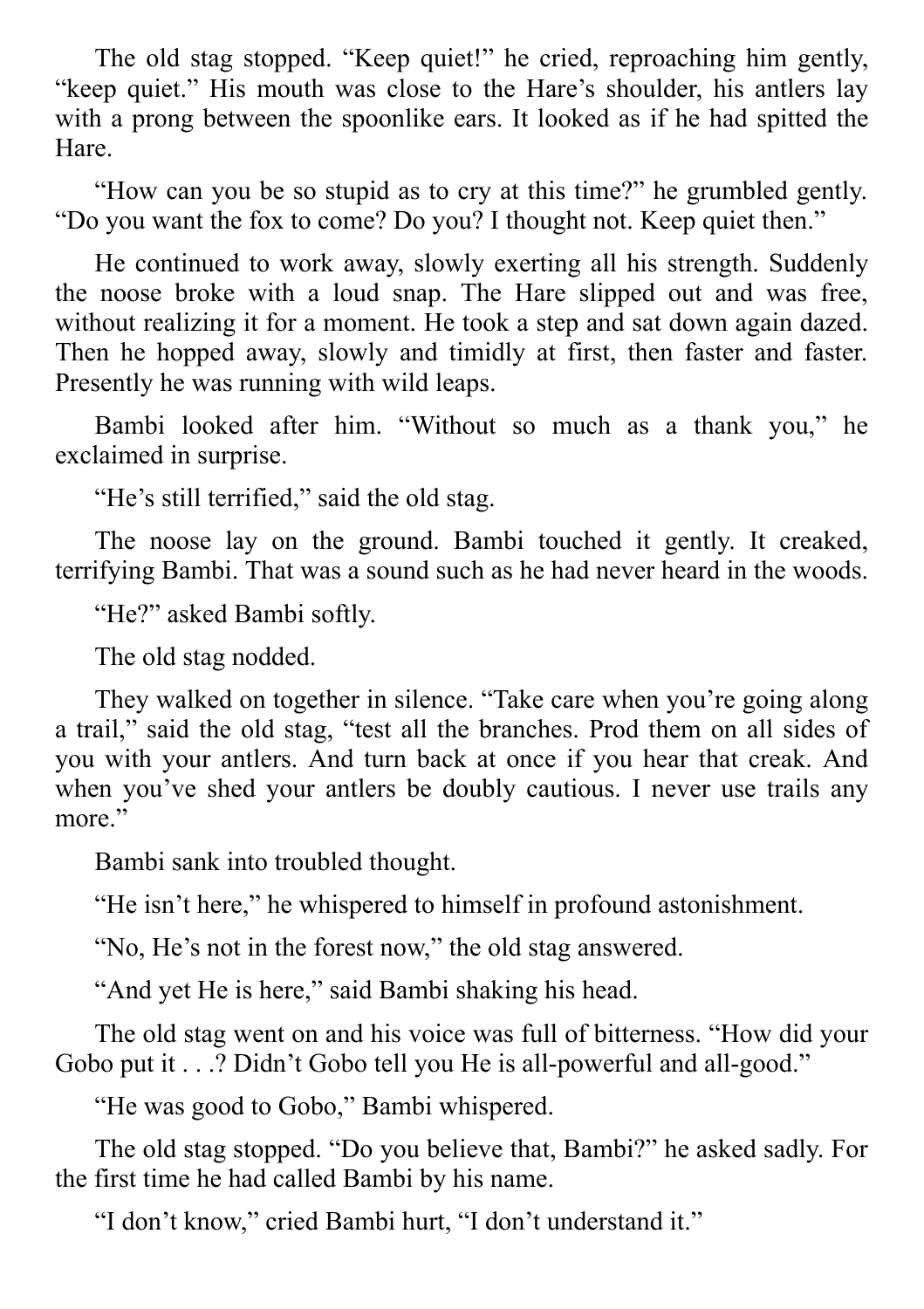The old stag stopped. "Keep quiet!" he cried, reproaching him gently, "keep quiet." His mouth was close to the Hare's shoulder, his antlers lay with a prong between the spoonlike ears. It looked as if he had spitted the Hare.

"How can you be so stupid as to cry at this time?" he grumbled gently. "Do you want the fox to come? Do you? I thought not. Keep quiet then."

He continued to work away, slowly exerting all his strength. Suddenly the noose broke with a loud snap. The Hare slipped out and was free, without realizing it for a moment. He took a step and sat down again dazed. Then he hopped away, slowly and timidly at first, then faster and faster. Presently he was running with wild leaps.

Bambi looked after him. "Without so much as a thank you," he exclaimed in surprise.

"He's still terrified," said the old stag.

The noose lay on the ground. Bambi touched it gently. It creaked, terrifying Bambi. That was a sound such as he had never heard in the woods.

"He?" asked Bambi softly.

The old stag nodded.

They walked on together in silence. "Take care when you're going along a trail," said the old stag, "test all the branches. Prod them on all sides of you with your antlers. And turn back at once if you hear that creak. And when you've shed your antlers be doubly cautious. I never use trails any more."

Bambi sank into troubled thought.

"He isn't here," he whispered to himself in profound astonishment.

"No, He's not in the forest now," the old stag answered.

"And yet He is here," said Bambi shaking his head.

The old stag went on and his voice was full of bitterness. "How did your Gobo put it . . .? Didn't Gobo tell you He is all-powerful and all-good."

"He was good to Gobo," Bambi whispered.

The old stag stopped. "Do you believe that, Bambi?" he asked sadly. For the first time he had called Bambi by his name.

"I don't know," cried Bambi hurt, "I don't understand it."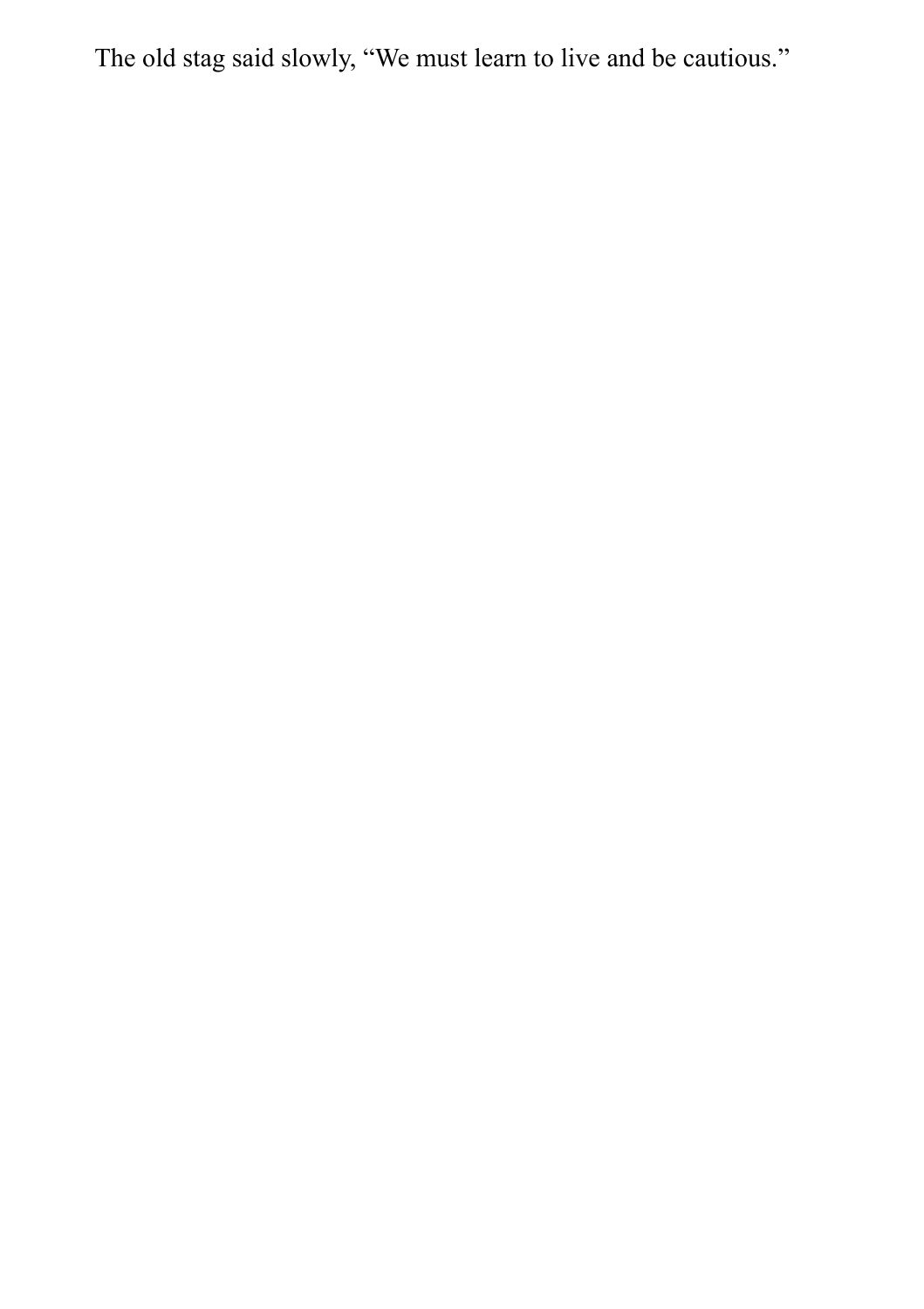The old stag said slowly, "We must learn to live and be cautious."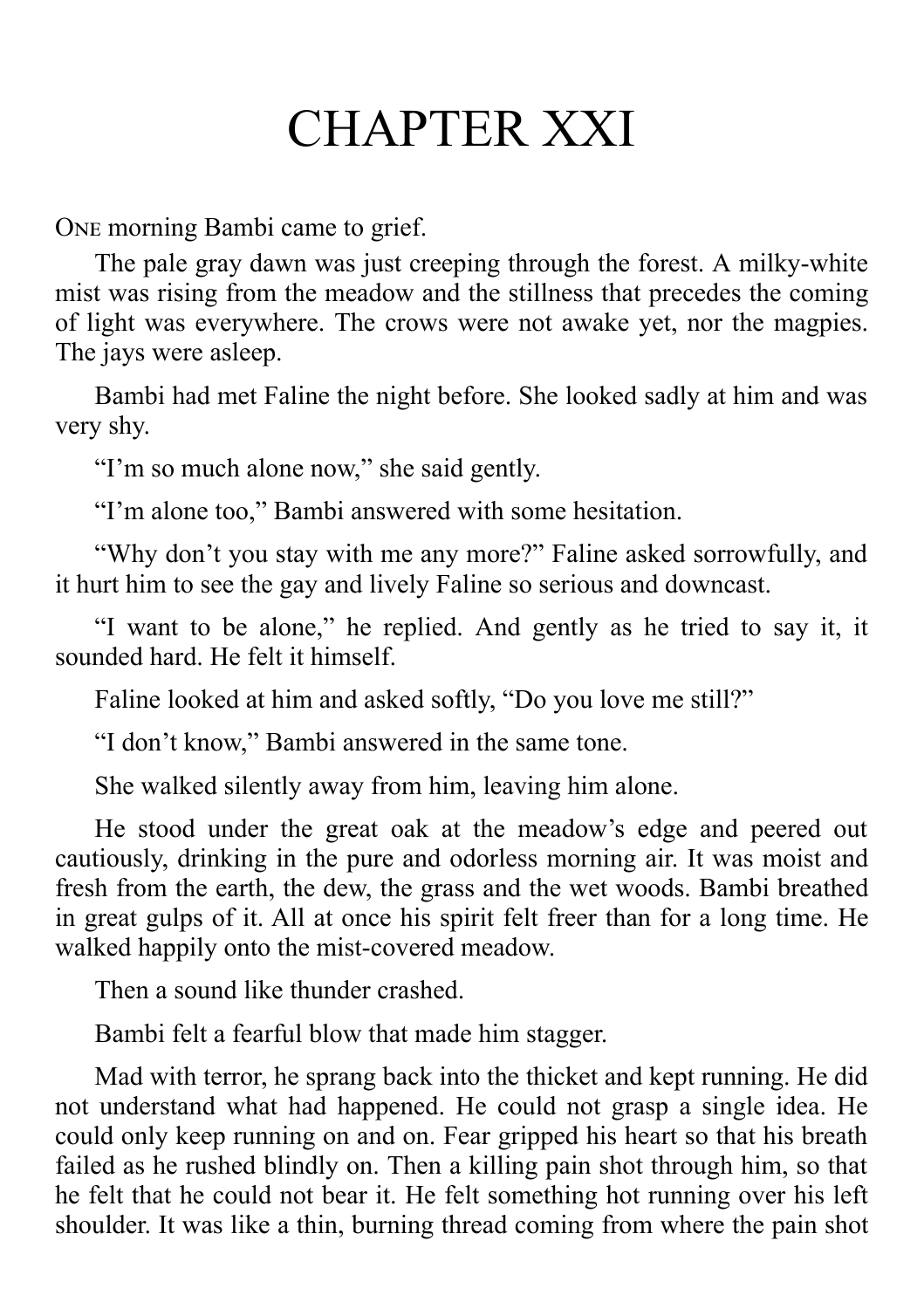#### CHAPTER XXI

ONE morning Bambi came to grief.

The pale gray dawn was just creeping through the forest. A milky-white mist was rising from the meadow and the stillness that precedes the coming of light was everywhere. The crows were not awake yet, nor the magpies. The jays were asleep.

Bambi had met Faline the night before. She looked sadly at him and was very shy.

"I'm so much alone now," she said gently.

"I'm alone too," Bambi answered with some hesitation.

"Why don't you stay with me any more?" Faline asked sorrowfully, and it hurt him to see the gay and lively Faline so serious and downcast.

"I want to be alone," he replied. And gently as he tried to say it, it sounded hard. He felt it himself.

Faline looked at him and asked softly, "Do you love me still?"

"I don't know," Bambi answered in the same tone.

She walked silently away from him, leaving him alone.

He stood under the great oak at the meadow's edge and peered out cautiously, drinking in the pure and odorless morning air. It was moist and fresh from the earth, the dew, the grass and the wet woods. Bambi breathed in great gulps of it. All at once his spirit felt freer than for a long time. He walked happily onto the mist-covered meadow.

Then a sound like thunder crashed.

Bambi felt a fearful blow that made him stagger.

Mad with terror, he sprang back into the thicket and kept running. He did not understand what had happened. He could not grasp a single idea. He could only keep running on and on. Fear gripped his heart so that his breath failed as he rushed blindly on. Then a killing pain shot through him, so that he felt that he could not bear it. He felt something hot running over his left shoulder. It was like a thin, burning thread coming from where the pain shot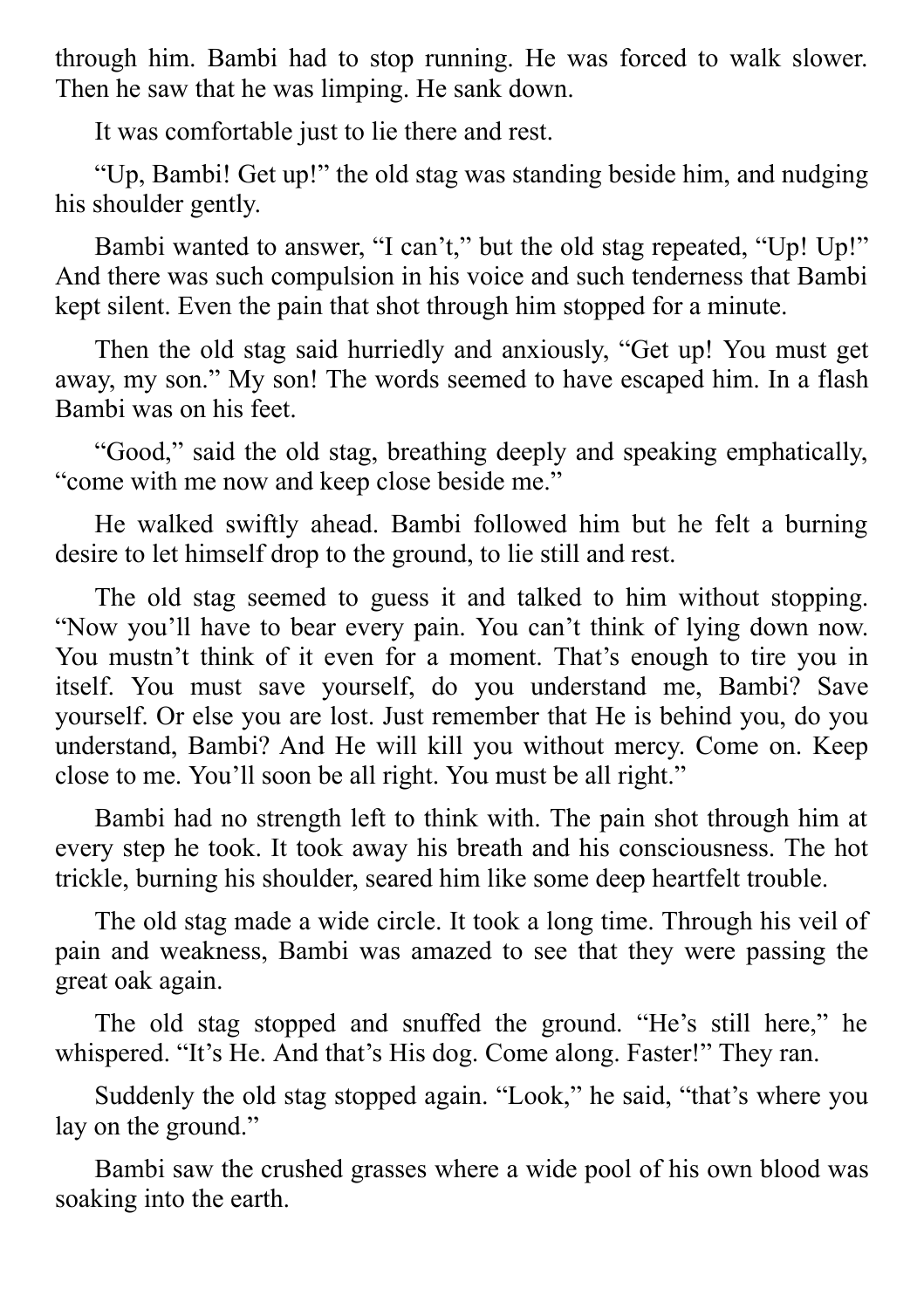through him. Bambi had to stop running. He was forced to walk slower. Then he saw that he was limping. He sank down.

It was comfortable just to lie there and rest.

"Up, Bambi! Get up!" the old stag was standing beside him, and nudging his shoulder gently.

Bambi wanted to answer, "I can't," but the old stag repeated, "Up! Up!" And there was such compulsion in his voice and such tenderness that Bambi kept silent. Even the pain that shot through him stopped for a minute.

Then the old stag said hurriedly and anxiously, "Get up! You must get away, my son." My son! The words seemed to have escaped him. In a flash Bambi was on his feet.

"Good," said the old stag, breathing deeply and speaking emphatically, "come with me now and keep close beside me."

He walked swiftly ahead. Bambi followed him but he felt a burning desire to let himself drop to the ground, to lie still and rest.

The old stag seemed to guess it and talked to him without stopping. "Now you'll have to bear every pain. You can't think of lying down now. You mustn't think of it even for a moment. That's enough to tire you in itself. You must save yourself, do you understand me, Bambi? Save yourself. Or else you are lost. Just remember that He is behind you, do you understand, Bambi? And He will kill you without mercy. Come on. Keep close to me. You'll soon be all right. You must be all right."

Bambi had no strength left to think with. The pain shot through him at every step he took. It took away his breath and his consciousness. The hot trickle, burning his shoulder, seared him like some deep heartfelt trouble.

The old stag made a wide circle. It took a long time. Through his veil of pain and weakness, Bambi was amazed to see that they were passing the great oak again.

The old stag stopped and snuffed the ground. "He's still here," he whispered. "It's He. And that's His dog. Come along. Faster!" They ran.

Suddenly the old stag stopped again. "Look," he said, "that's where you lay on the ground."

Bambi saw the crushed grasses where a wide pool of his own blood was soaking into the earth.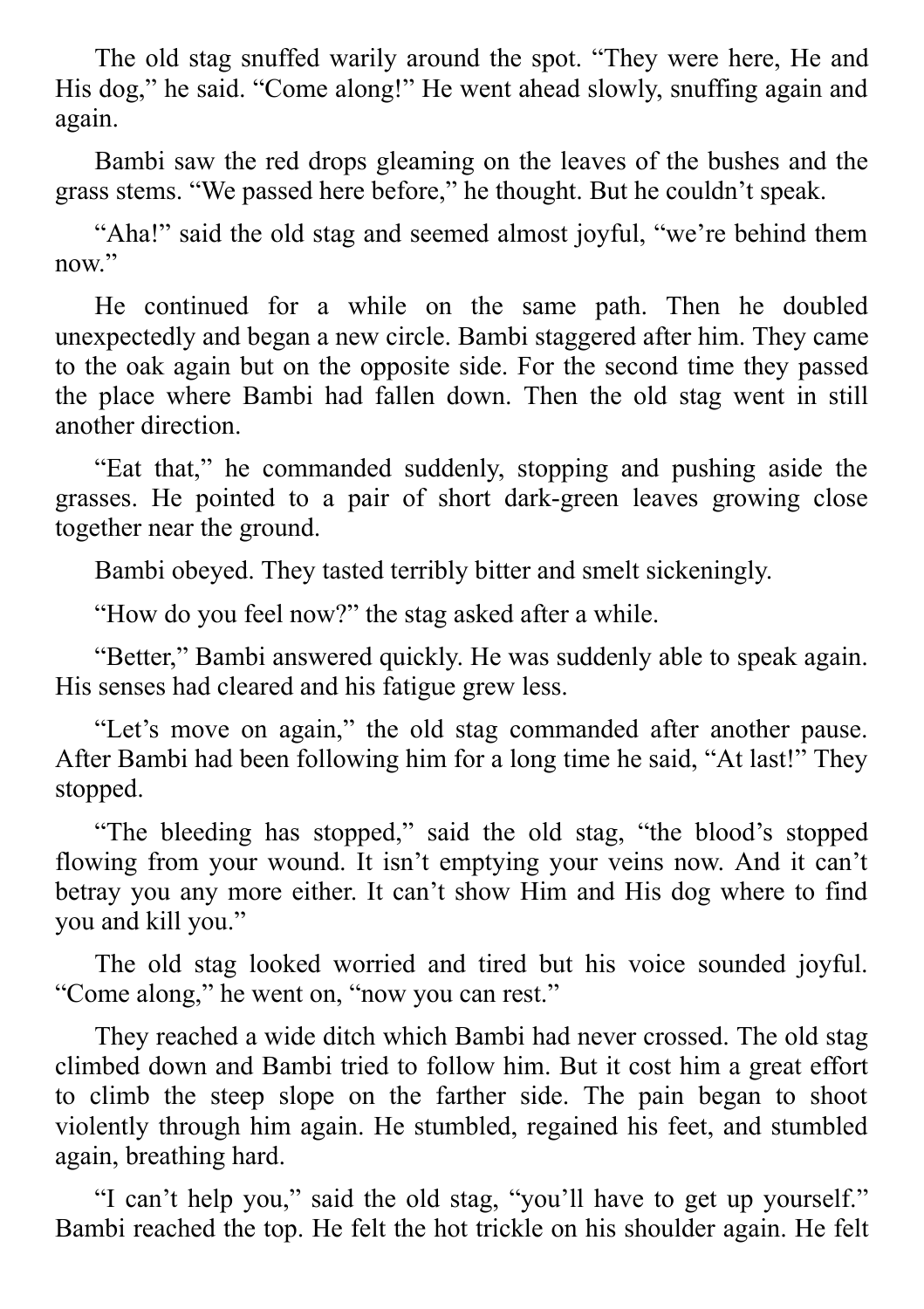The old stag snuffed warily around the spot. "They were here, He and His dog," he said. "Come along!" He went ahead slowly, snuffing again and again.

Bambi saw the red drops gleaming on the leaves of the bushes and the grass stems. "We passed here before," he thought. But he couldn't speak.

"Aha!" said the old stag and seemed almost joyful, "we're behind them now."

He continued for a while on the same path. Then he doubled unexpectedly and began a new circle. Bambi staggered after him. They came to the oak again but on the opposite side. For the second time they passed the place where Bambi had fallen down. Then the old stag went in still another direction.

"Eat that," he commanded suddenly, stopping and pushing aside the grasses. He pointed to a pair of short dark-green leaves growing close together near the ground.

Bambi obeyed. They tasted terribly bitter and smelt sickeningly.

"How do you feel now?" the stag asked after a while.

"Better," Bambi answered quickly. He was suddenly able to speak again. His senses had cleared and his fatigue grew less.

"Let's move on again," the old stag commanded after another pause. After Bambi had been following him for a long time he said, "At last!" They stopped.

"The bleeding has stopped," said the old stag, "the blood's stopped flowing from your wound. It isn't emptying your veins now. And it can't betray you any more either. It can't show Him and His dog where to find you and kill you."

The old stag looked worried and tired but his voice sounded joyful. "Come along," he went on, "now you can rest."

They reached a wide ditch which Bambi had never crossed. The old stag climbed down and Bambi tried to follow him. But it cost him a great effort to climb the steep slope on the farther side. The pain began to shoot violently through him again. He stumbled, regained his feet, and stumbled again, breathing hard.

"I can't help you," said the old stag, "you'll have to get up yourself." Bambi reached the top. He felt the hot trickle on his shoulder again. He felt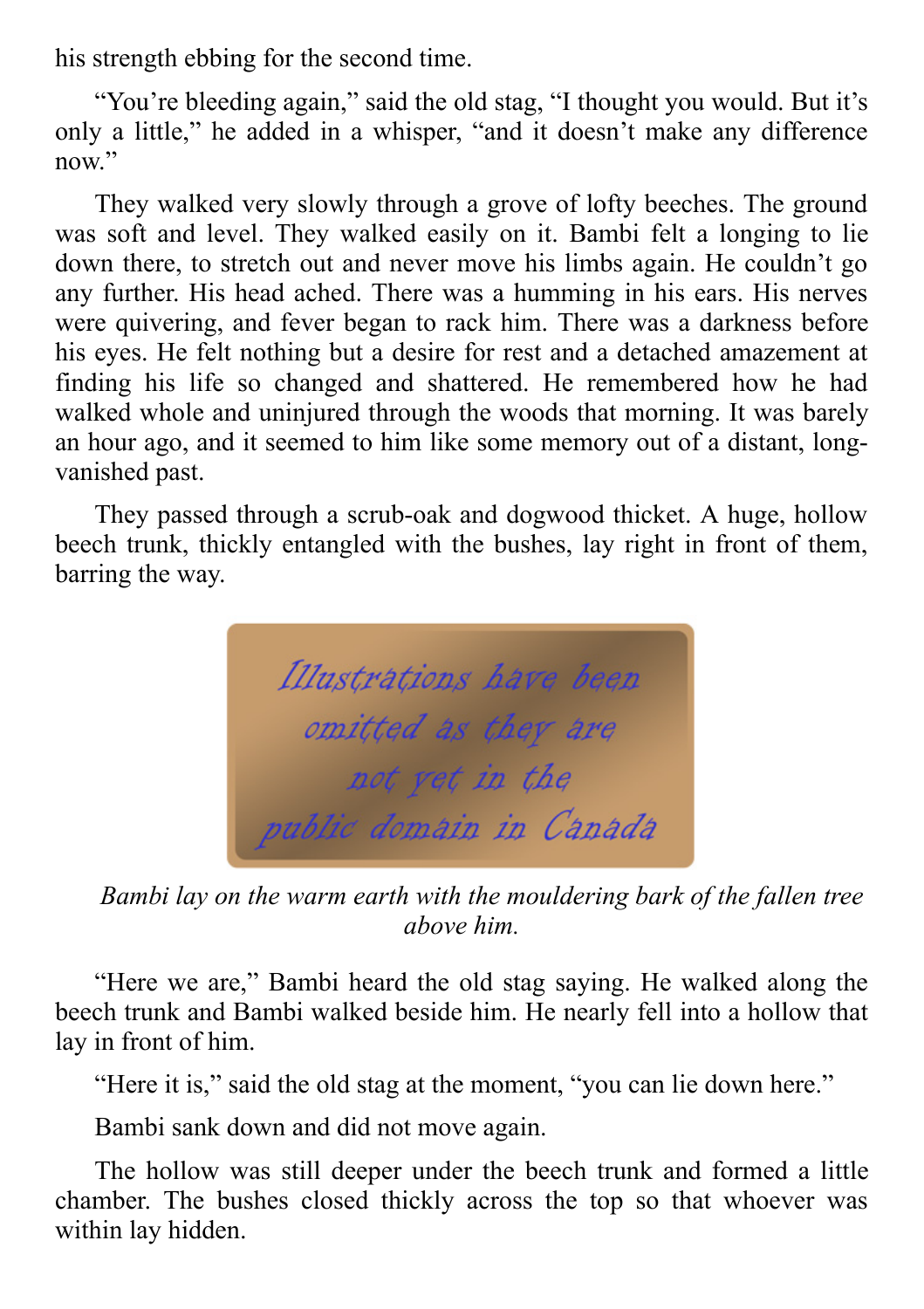his strength ebbing for the second time.

"You're bleeding again," said the old stag, "I thought you would. But it's only a little," he added in a whisper, "and it doesn't make any difference now"

They walked very slowly through a grove of lofty beeches. The ground was soft and level. They walked easily on it. Bambi felt a longing to lie down there, to stretch out and never move his limbs again. He couldn't go any further. His head ached. There was a humming in his ears. His nerves were quivering, and fever began to rack him. There was a darkness before his eyes. He felt nothing but a desire for rest and a detached amazement at finding his life so changed and shattered. He remembered how he had walked whole and uninjured through the woods that morning. It was barely an hour ago, and it seemed to him like some memory out of a distant, longvanished past.

They passed through a scrub-oak and dogwood thicket. A huge, hollow beech trunk, thickly entangled with the bushes, lay right in front of them, barring the way.

Illustrations have been omitted as they are not vet in the public domain in Canada

*Bambi lay on the warm earth with the mouldering bark of the fallen tree above him.*

"Here we are," Bambi heard the old stag saying. He walked along the beech trunk and Bambi walked beside him. He nearly fell into a hollow that lay in front of him.

"Here it is," said the old stag at the moment, "you can lie down here."

Bambi sank down and did not move again.

The hollow was still deeper under the beech trunk and formed a little chamber. The bushes closed thickly across the top so that whoever was within lay hidden.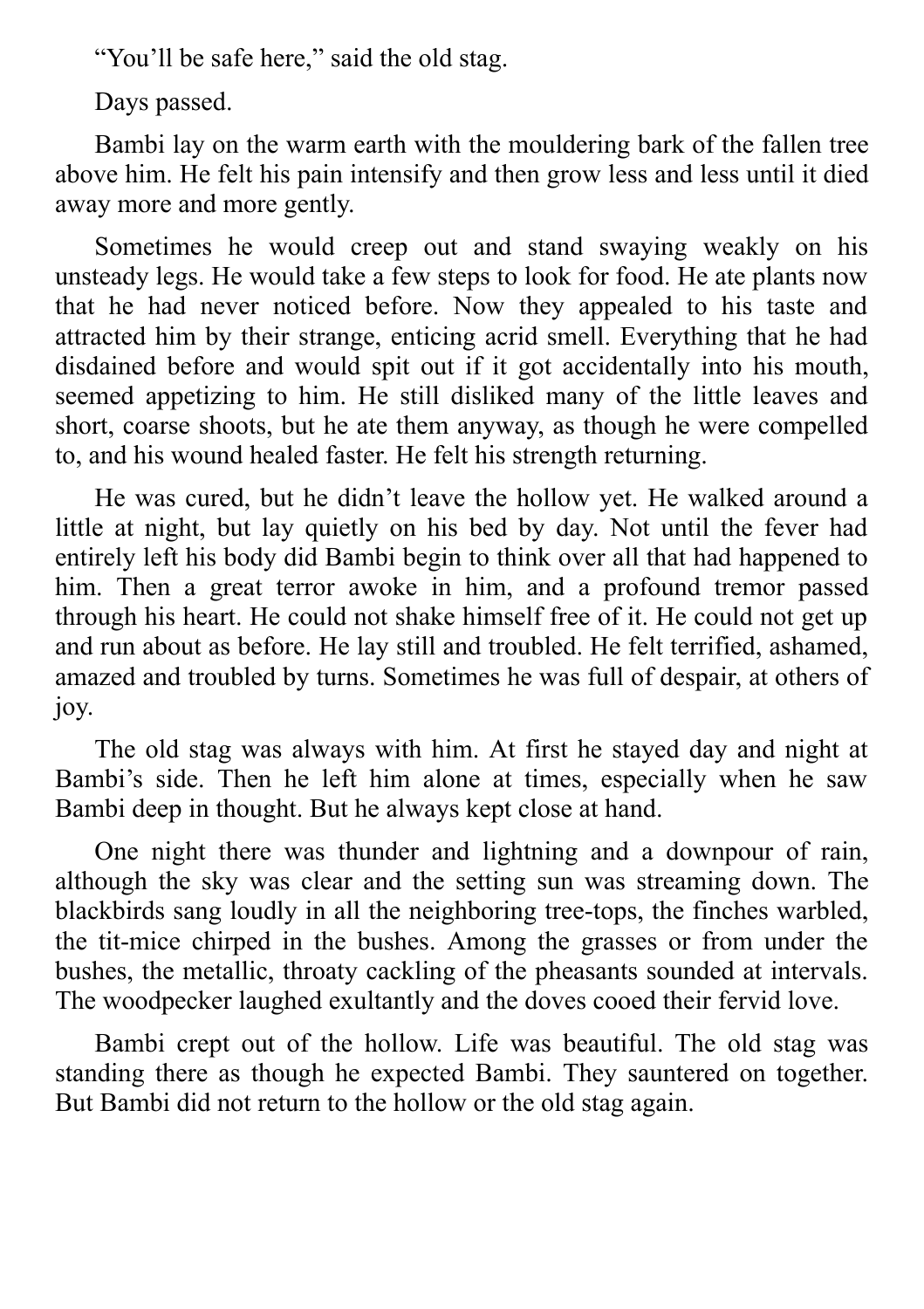"You'll be safe here," said the old stag.

Days passed.

Bambi lay on the warm earth with the mouldering bark of the fallen tree above him. He felt his pain intensify and then grow less and less until it died away more and more gently.

Sometimes he would creep out and stand swaying weakly on his unsteady legs. He would take a few steps to look for food. He ate plants now that he had never noticed before. Now they appealed to his taste and attracted him by their strange, enticing acrid smell. Everything that he had disdained before and would spit out if it got accidentally into his mouth, seemed appetizing to him. He still disliked many of the little leaves and short, coarse shoots, but he ate them anyway, as though he were compelled to, and his wound healed faster. He felt his strength returning.

He was cured, but he didn't leave the hollow yet. He walked around a little at night, but lay quietly on his bed by day. Not until the fever had entirely left his body did Bambi begin to think over all that had happened to him. Then a great terror awoke in him, and a profound tremor passed through his heart. He could not shake himself free of it. He could not get up and run about as before. He lay still and troubled. He felt terrified, ashamed, amazed and troubled by turns. Sometimes he was full of despair, at others of joy.

The old stag was always with him. At first he stayed day and night at Bambi's side. Then he left him alone at times, especially when he saw Bambi deep in thought. But he always kept close at hand.

One night there was thunder and lightning and a downpour of rain, although the sky was clear and the setting sun was streaming down. The blackbirds sang loudly in all the neighboring tree-tops, the finches warbled, the tit-mice chirped in the bushes. Among the grasses or from under the bushes, the metallic, throaty cackling of the pheasants sounded at intervals. The woodpecker laughed exultantly and the doves cooed their fervid love.

Bambi crept out of the hollow. Life was beautiful. The old stag was standing there as though he expected Bambi. They sauntered on together. But Bambi did not return to the hollow or the old stag again.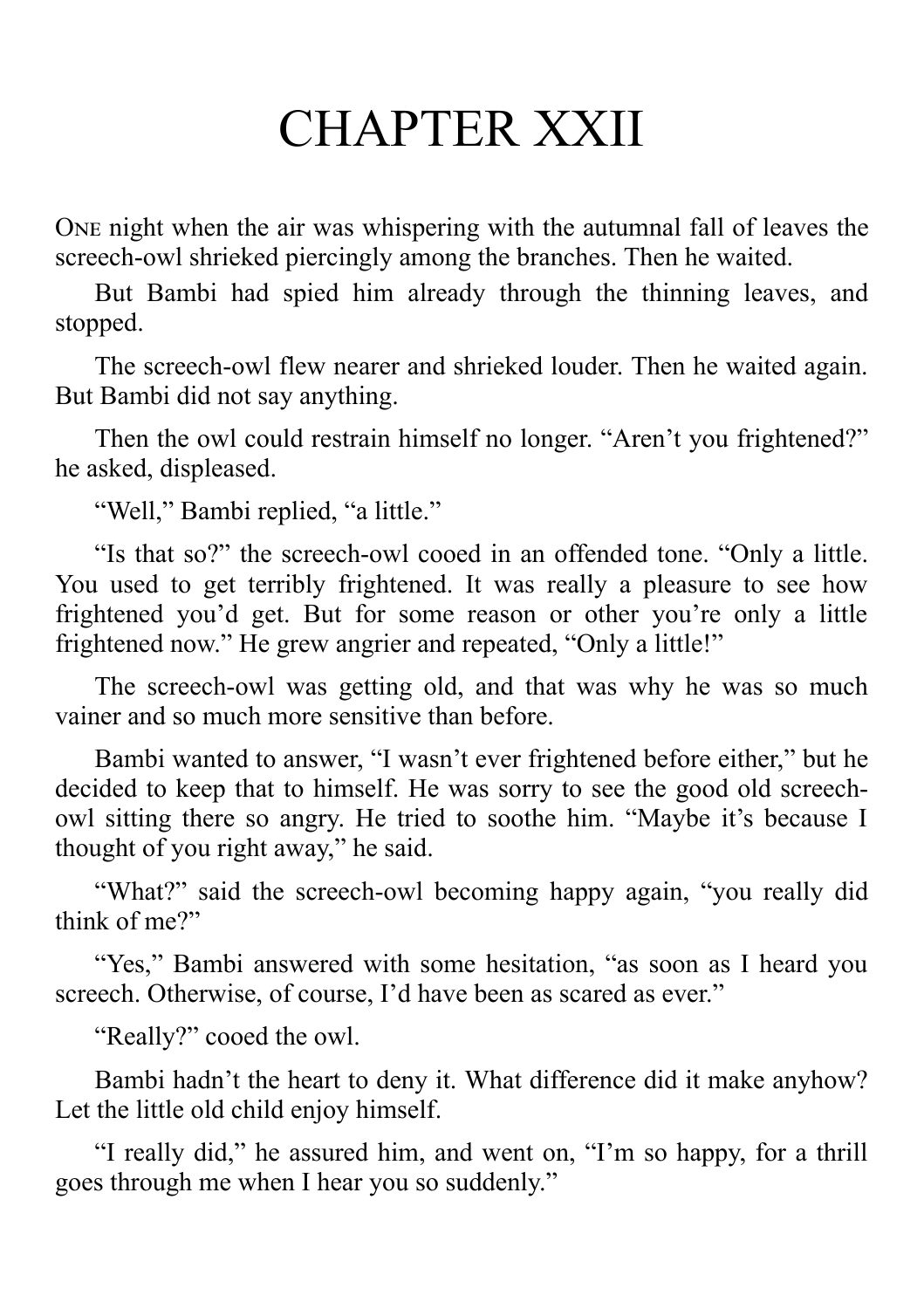#### CHAPTER XXII

ONE night when the air was whispering with the autumnal fall of leaves the screech-owl shrieked piercingly among the branches. Then he waited.

But Bambi had spied him already through the thinning leaves, and stopped.

The screech-owl flew nearer and shrieked louder. Then he waited again. But Bambi did not say anything.

Then the owl could restrain himself no longer. "Aren't you frightened?" he asked, displeased.

"Well," Bambi replied, "a little."

"Is that so?" the screech-owl cooed in an offended tone. "Only a little. You used to get terribly frightened. It was really a pleasure to see how frightened you'd get. But for some reason or other you're only a little frightened now." He grew angrier and repeated, "Only a little!"

The screech-owl was getting old, and that was why he was so much vainer and so much more sensitive than before.

Bambi wanted to answer, "I wasn't ever frightened before either," but he decided to keep that to himself. He was sorry to see the good old screechowl sitting there so angry. He tried to soothe him. "Maybe it's because I thought of you right away," he said.

"What?" said the screech-owl becoming happy again, "you really did think of me?"

"Yes," Bambi answered with some hesitation, "as soon as I heard you screech. Otherwise, of course, I'd have been as scared as ever."

"Really?" cooed the owl.

Bambi hadn't the heart to deny it. What difference did it make anyhow? Let the little old child enjoy himself.

"I really did," he assured him, and went on, "I'm so happy, for a thrill goes through me when I hear you so suddenly."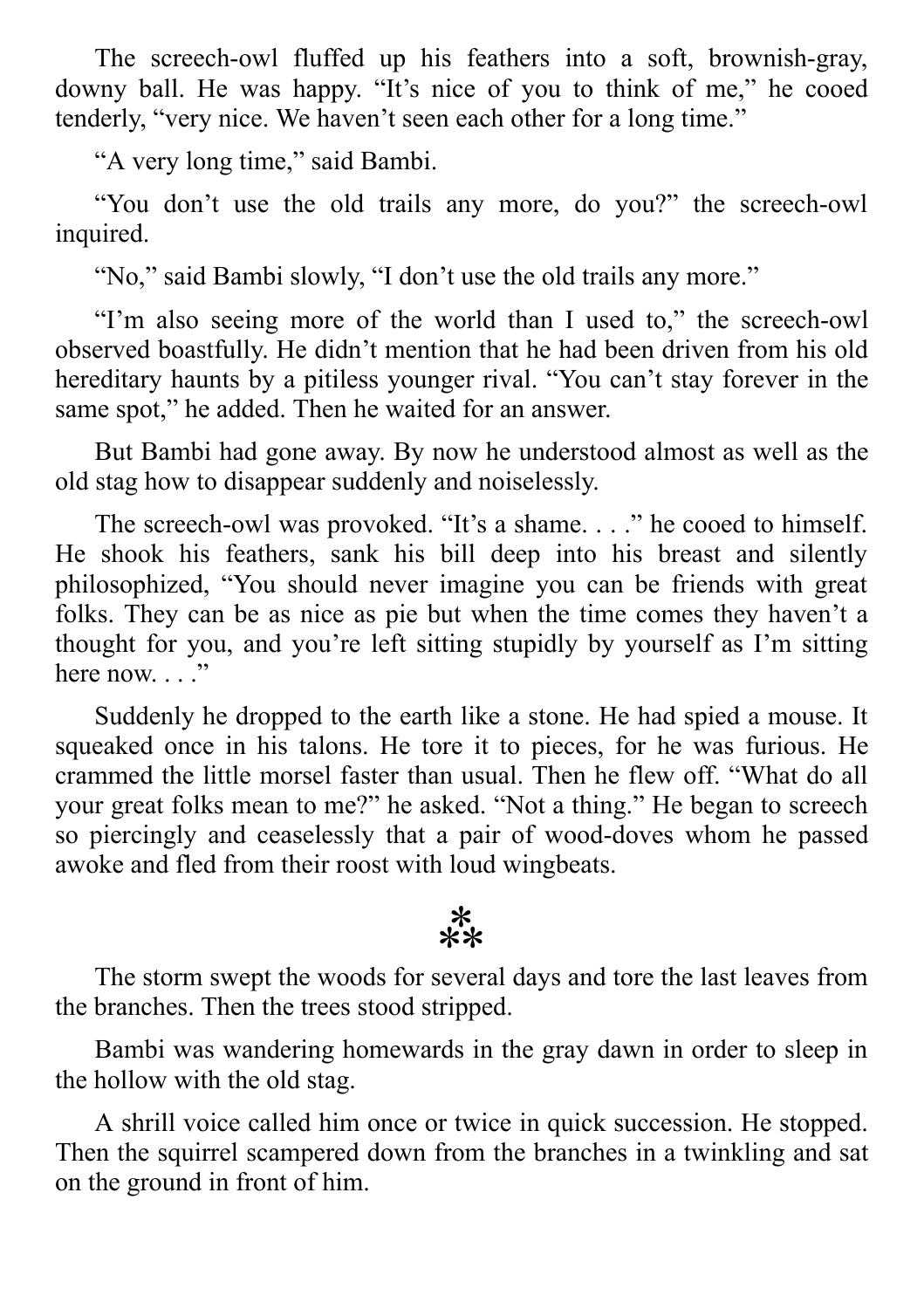The screech-owl fluffed up his feathers into a soft, brownish-gray, downy ball. He was happy. "It's nice of you to think of me," he cooed tenderly, "very nice. We haven't seen each other for a long time."

"A very long time," said Bambi.

"You don't use the old trails any more, do you?" the screech-owl inquired.

"No," said Bambi slowly, "I don't use the old trails any more."

"I'm also seeing more of the world than I used to," the screech-owl observed boastfully. He didn't mention that he had been driven from his old hereditary haunts by a pitiless younger rival. "You can't stay forever in the same spot," he added. Then he waited for an answer.

But Bambi had gone away. By now he understood almost as well as the old stag how to disappear suddenly and noiselessly.

The screech-owl was provoked. "It's a shame. . . ." he cooed to himself. He shook his feathers, sank his bill deep into his breast and silently philosophized, "You should never imagine you can be friends with great folks. They can be as nice as pie but when the time comes they haven't a thought for you, and you're left sitting stupidly by yourself as I'm sitting here now.  $\ldots$ .

Suddenly he dropped to the earth like a stone. He had spied a mouse. It squeaked once in his talons. He tore it to pieces, for he was furious. He crammed the little morsel faster than usual. Then he flew off. "What do all your great folks mean to me?" he asked. "Not a thing." He began to screech so piercingly and ceaselessly that a pair of wood-doves whom he passed awoke and fled from their roost with loud wingbeats.

#### $\begin{matrix} * \ * \ * \end{matrix}$

The storm swept the woods for several days and tore the last leaves from the branches. Then the trees stood stripped.

Bambi was wandering homewards in the gray dawn in order to sleep in the hollow with the old stag.

A shrill voice called him once or twice in quick succession. He stopped. Then the squirrel scampered down from the branches in a twinkling and sat on the ground in front of him.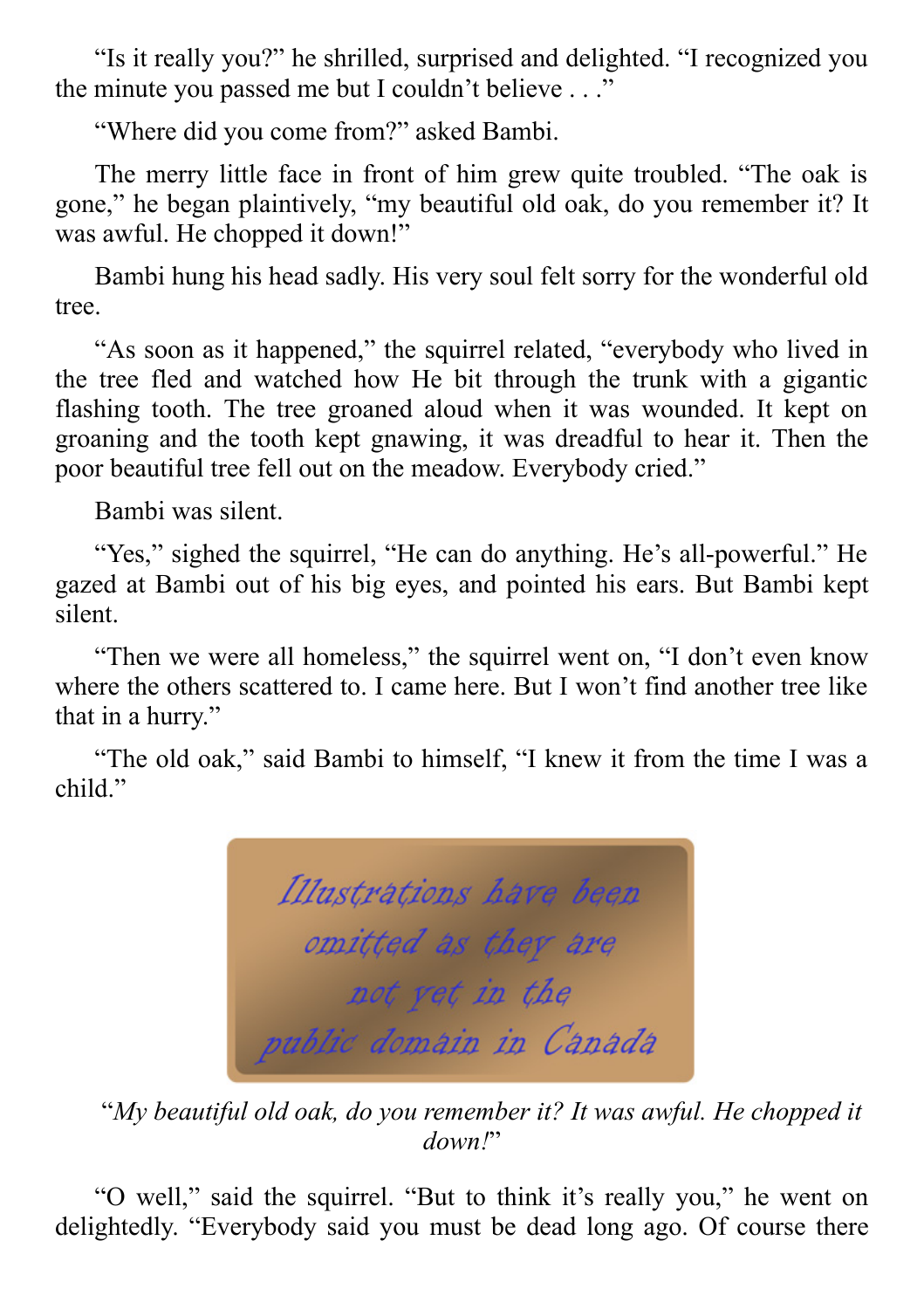"Is it really you?" he shrilled, surprised and delighted. "I recognized you the minute you passed me but I couldn't believe . . ."

"Where did you come from?" asked Bambi.

The merry little face in front of him grew quite troubled. "The oak is gone," he began plaintively, "my beautiful old oak, do you remember it? It was awful. He chopped it down!"

Bambi hung his head sadly. His very soul felt sorry for the wonderful old tree.

"As soon as it happened," the squirrel related, "everybody who lived in the tree fled and watched how He bit through the trunk with a gigantic flashing tooth. The tree groaned aloud when it was wounded. It kept on groaning and the tooth kept gnawing, it was dreadful to hear it. Then the poor beautiful tree fell out on the meadow. Everybody cried."

Bambi was silent.

"Yes," sighed the squirrel, "He can do anything. He's all-powerful." He gazed at Bambi out of his big eyes, and pointed his ears. But Bambi kept silent.

"Then we were all homeless," the squirrel went on, "I don't even know where the others scattered to. I came here. But I won't find another tree like that in a hurry."

"The old oak," said Bambi to himself, "I knew it from the time I was a child."

Illustrations have been omitted as they are not vet in the public domain in Canada

"*My beautiful old oak, do you remember it? It was awful. He chopped it down!*"

"O well," said the squirrel. "But to think it's really you," he went on delightedly. "Everybody said you must be dead long ago. Of course there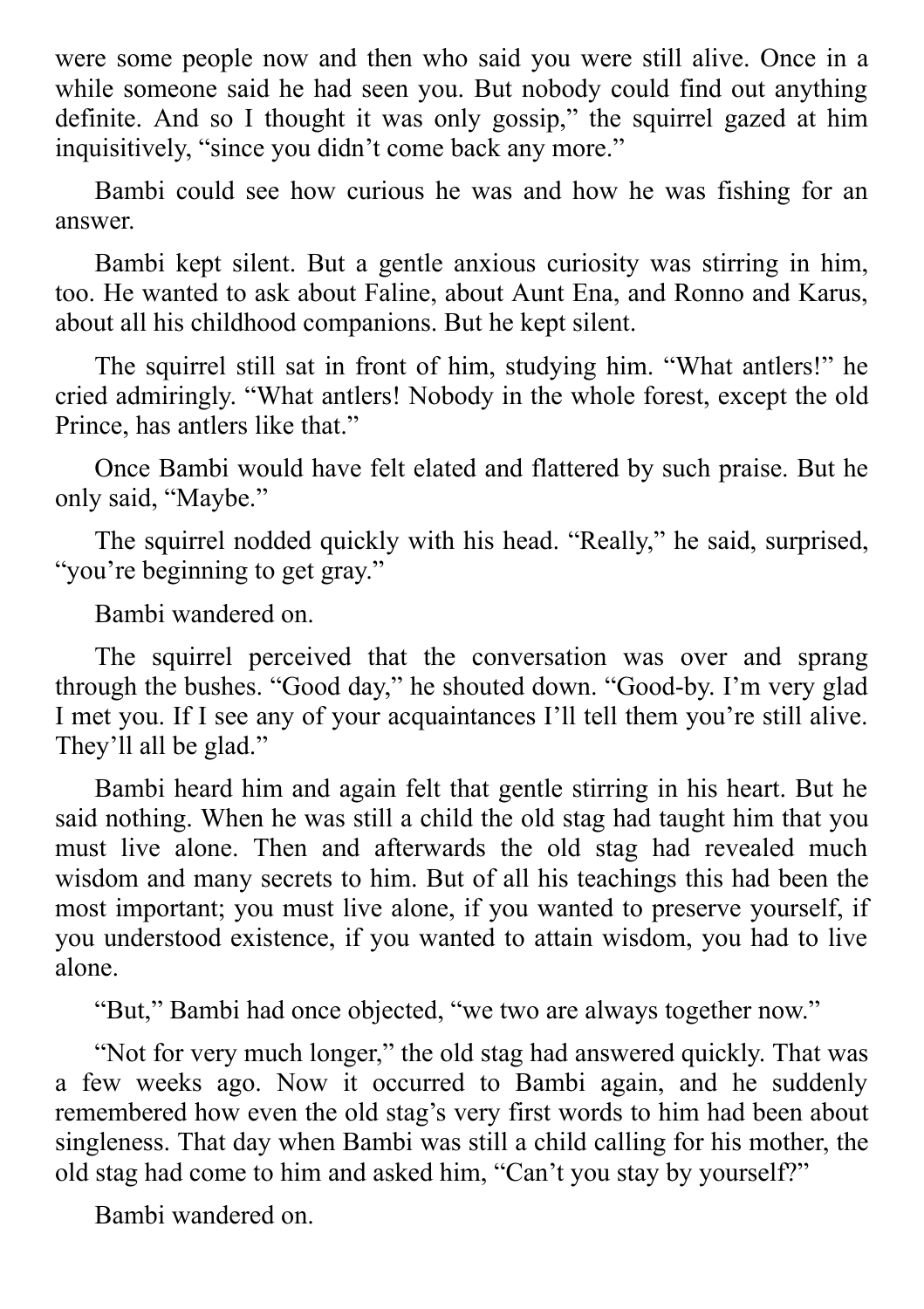were some people now and then who said you were still alive. Once in a while someone said he had seen you. But nobody could find out anything definite. And so I thought it was only gossip," the squirrel gazed at him inquisitively, "since you didn't come back any more."

Bambi could see how curious he was and how he was fishing for an answer.

Bambi kept silent. But a gentle anxious curiosity was stirring in him, too. He wanted to ask about Faline, about Aunt Ena, and Ronno and Karus, about all his childhood companions. But he kept silent.

The squirrel still sat in front of him, studying him. "What antlers!" he cried admiringly. "What antlers! Nobody in the whole forest, except the old Prince, has antlers like that."

Once Bambi would have felt elated and flattered by such praise. But he only said, "Maybe."

The squirrel nodded quickly with his head. "Really," he said, surprised, "you're beginning to get gray."

Bambi wandered on.

The squirrel perceived that the conversation was over and sprang through the bushes. "Good day," he shouted down. "Good-by. I'm very glad I met you. If I see any of your acquaintances I'll tell them you're still alive. They'll all be glad."

Bambi heard him and again felt that gentle stirring in his heart. But he said nothing. When he was still a child the old stag had taught him that you must live alone. Then and afterwards the old stag had revealed much wisdom and many secrets to him. But of all his teachings this had been the most important; you must live alone, if you wanted to preserve yourself, if you understood existence, if you wanted to attain wisdom, you had to live alone.

"But," Bambi had once objected, "we two are always together now."

"Not for very much longer," the old stag had answered quickly. That was a few weeks ago. Now it occurred to Bambi again, and he suddenly remembered how even the old stag's very first words to him had been about singleness. That day when Bambi was still a child calling for his mother, the old stag had come to him and asked him, "Can't you stay by yourself?"

Bambi wandered on.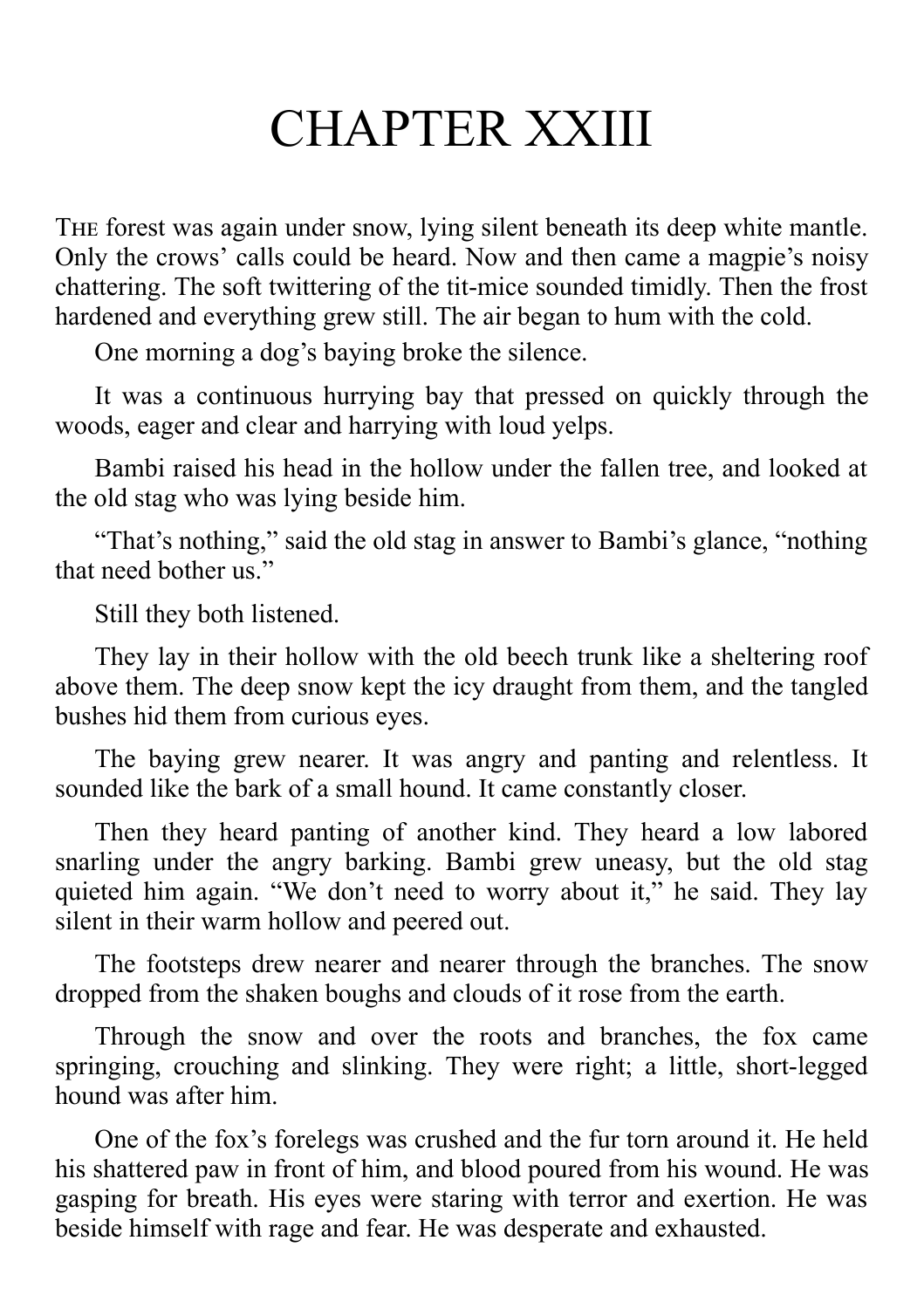### CHAPTER XXIII

THE forest was again under snow, lying silent beneath its deep white mantle. Only the crows' calls could be heard. Now and then came a magpie's noisy chattering. The soft twittering of the tit-mice sounded timidly. Then the frost hardened and everything grew still. The air began to hum with the cold.

One morning a dog's baying broke the silence.

It was a continuous hurrying bay that pressed on quickly through the woods, eager and clear and harrying with loud yelps.

Bambi raised his head in the hollow under the fallen tree, and looked at the old stag who was lying beside him.

"That's nothing," said the old stag in answer to Bambi's glance, "nothing that need bother us."

Still they both listened.

They lay in their hollow with the old beech trunk like a sheltering roof above them. The deep snow kept the icy draught from them, and the tangled bushes hid them from curious eyes.

The baying grew nearer. It was angry and panting and relentless. It sounded like the bark of a small hound. It came constantly closer.

Then they heard panting of another kind. They heard a low labored snarling under the angry barking. Bambi grew uneasy, but the old stag quieted him again. "We don't need to worry about it," he said. They lay silent in their warm hollow and peered out.

The footsteps drew nearer and nearer through the branches. The snow dropped from the shaken boughs and clouds of it rose from the earth.

Through the snow and over the roots and branches, the fox came springing, crouching and slinking. They were right; a little, short-legged hound was after him.

One of the fox's forelegs was crushed and the fur torn around it. He held his shattered paw in front of him, and blood poured from his wound. He was gasping for breath. His eyes were staring with terror and exertion. He was beside himself with rage and fear. He was desperate and exhausted.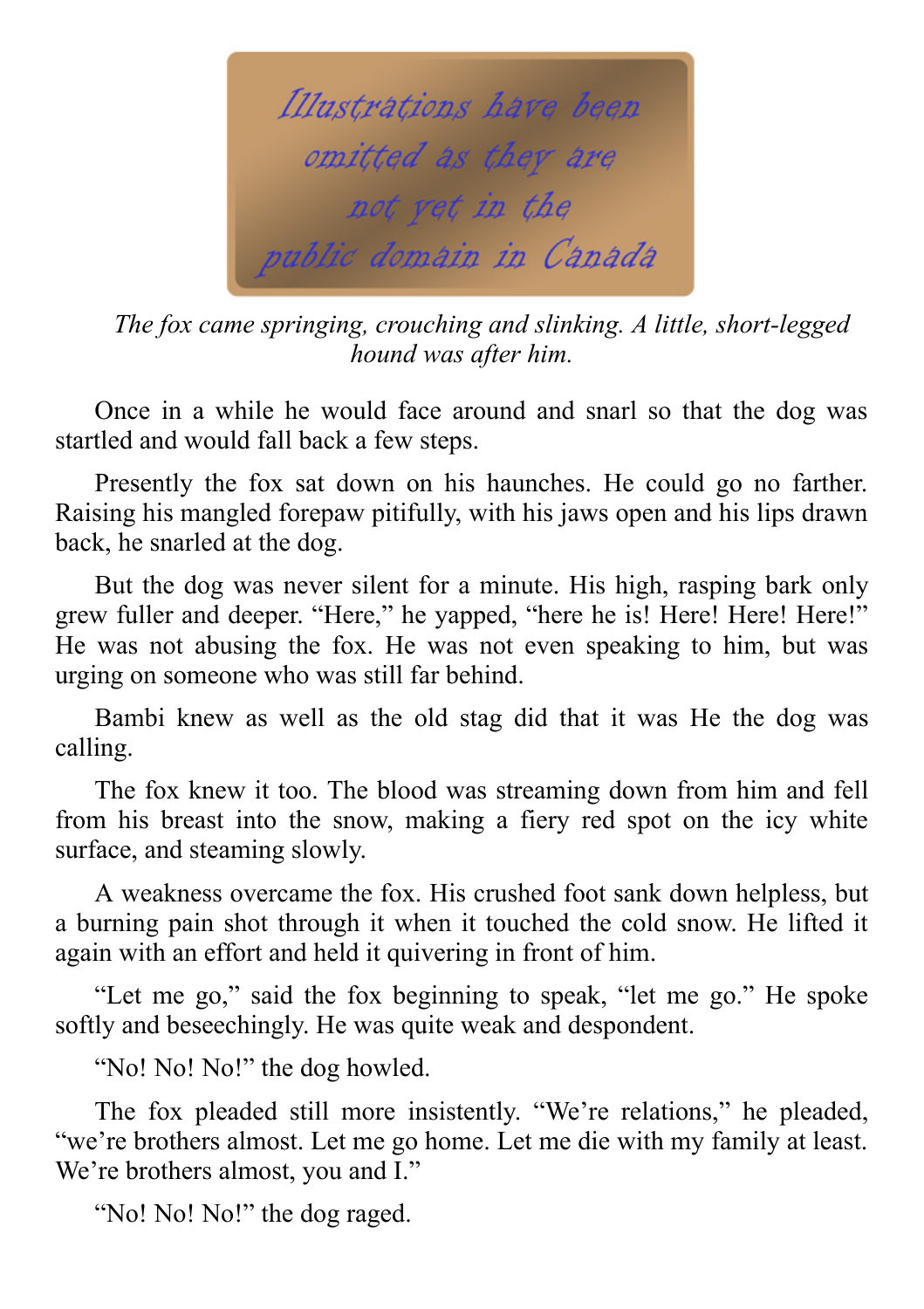

*The fox came springing, crouching and slinking. A little, short-legged hound was after him.*

Once in a while he would face around and snarl so that the dog was startled and would fall back a few steps.

Presently the fox sat down on his haunches. He could go no farther. Raising his mangled forepaw pitifully, with his jaws open and his lips drawn back, he snarled at the dog.

But the dog was never silent for a minute. His high, rasping bark only grew fuller and deeper. "Here," he yapped, "here he is! Here! Here! Here!" He was not abusing the fox. He was not even speaking to him, but was urging on someone who was still far behind.

Bambi knew as well as the old stag did that it was He the dog was calling.

The fox knew it too. The blood was streaming down from him and fell from his breast into the snow, making a fiery red spot on the icy white surface, and steaming slowly.

A weakness overcame the fox. His crushed foot sank down helpless, but a burning pain shot through it when it touched the cold snow. He lifted it again with an effort and held it quivering in front of him.

"Let me go," said the fox beginning to speak, "let me go." He spoke softly and beseechingly. He was quite weak and despondent.

"No! No! No!" the dog howled.

The fox pleaded still more insistently. "We're relations," he pleaded, "we're brothers almost. Let me go home. Let me die with my family at least. We're brothers almost, you and I."

"No! No! No!" the dog raged.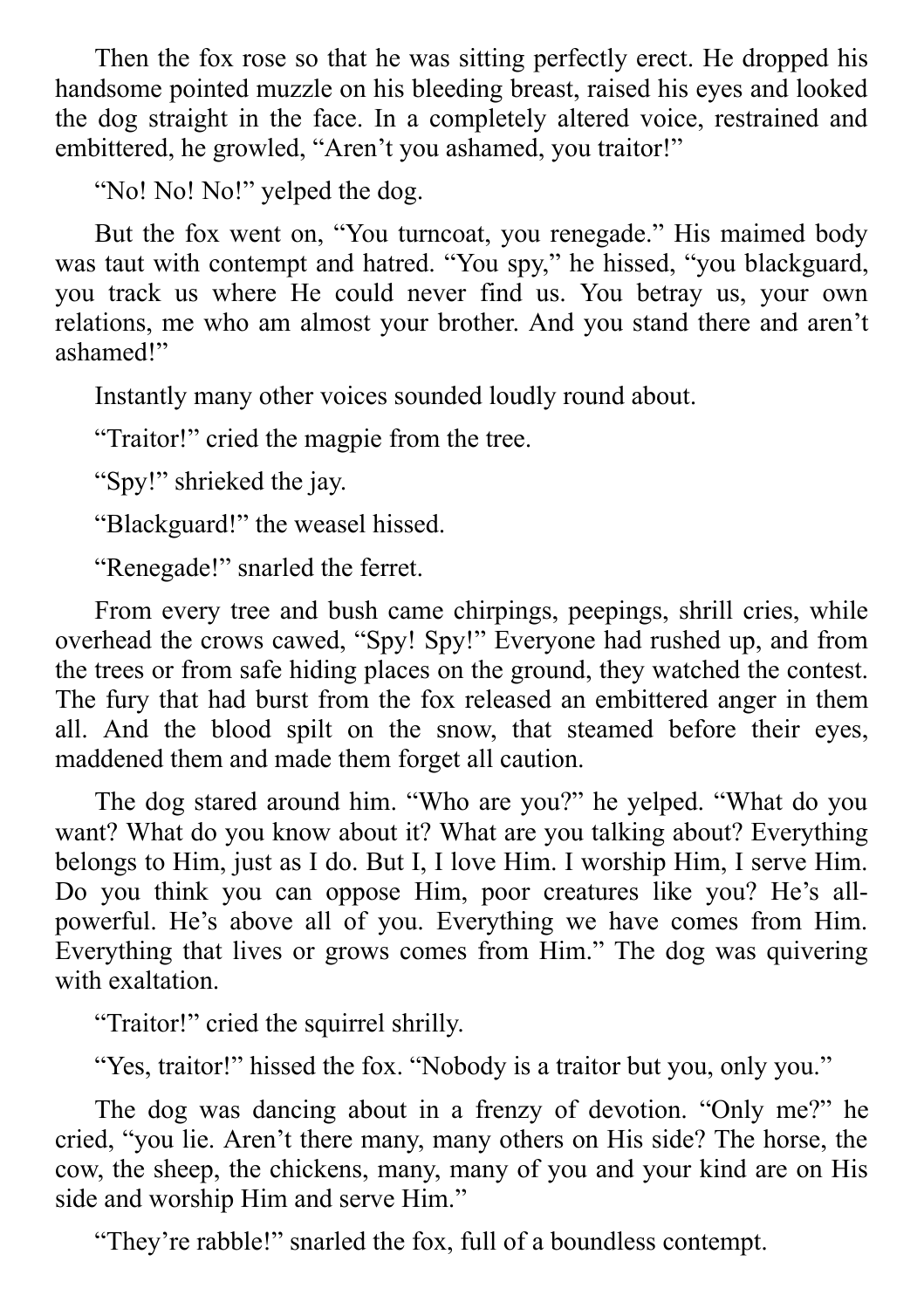Then the fox rose so that he was sitting perfectly erect. He dropped his handsome pointed muzzle on his bleeding breast, raised his eyes and looked the dog straight in the face. In a completely altered voice, restrained and embittered, he growled, "Aren't you ashamed, you traitor!"

"No! No! No!" yelped the dog.

But the fox went on, "You turncoat, you renegade." His maimed body was taut with contempt and hatred. "You spy," he hissed, "you blackguard, you track us where He could never find us. You betray us, your own relations, me who am almost your brother. And you stand there and aren't ashamed!"

Instantly many other voices sounded loudly round about.

"Traitor!" cried the magpie from the tree.

"Spy!" shrieked the jay.

"Blackguard!" the weasel hissed.

"Renegade!" snarled the ferret.

From every tree and bush came chirpings, peepings, shrill cries, while overhead the crows cawed, "Spy! Spy!" Everyone had rushed up, and from the trees or from safe hiding places on the ground, they watched the contest. The fury that had burst from the fox released an embittered anger in them all. And the blood spilt on the snow, that steamed before their eyes, maddened them and made them forget all caution.

The dog stared around him. "Who are you?" he yelped. "What do you want? What do you know about it? What are you talking about? Everything belongs to Him, just as I do. But I, I love Him. I worship Him, I serve Him. Do you think you can oppose Him, poor creatures like you? He's allpowerful. He's above all of you. Everything we have comes from Him. Everything that lives or grows comes from Him." The dog was quivering with exaltation.

"Traitor!" cried the squirrel shrilly.

"Yes, traitor!" hissed the fox. "Nobody is a traitor but you, only you."

The dog was dancing about in a frenzy of devotion. "Only me?" he cried, "you lie. Aren't there many, many others on His side? The horse, the cow, the sheep, the chickens, many, many of you and your kind are on His side and worship Him and serve Him."

"They're rabble!" snarled the fox, full of a boundless contempt.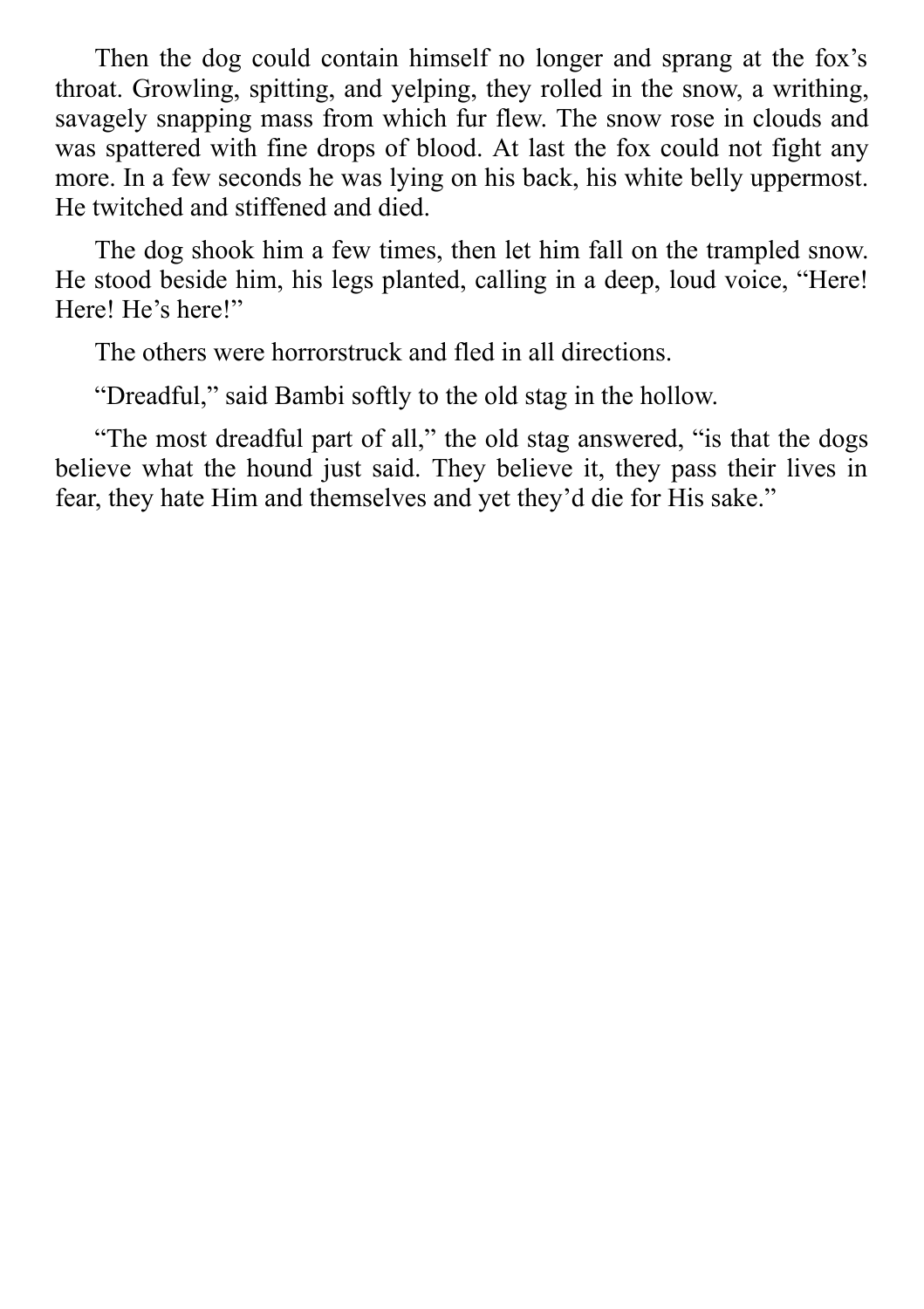Then the dog could contain himself no longer and sprang at the fox's throat. Growling, spitting, and yelping, they rolled in the snow, a writhing, savagely snapping mass from which fur flew. The snow rose in clouds and was spattered with fine drops of blood. At last the fox could not fight any more. In a few seconds he was lying on his back, his white belly uppermost. He twitched and stiffened and died.

The dog shook him a few times, then let him fall on the trampled snow. He stood beside him, his legs planted, calling in a deep, loud voice, "Here! Here! He's here!"

The others were horrorstruck and fled in all directions.

"Dreadful," said Bambi softly to the old stag in the hollow.

"The most dreadful part of all," the old stag answered, "is that the dogs believe what the hound just said. They believe it, they pass their lives in fear, they hate Him and themselves and yet they'd die for His sake."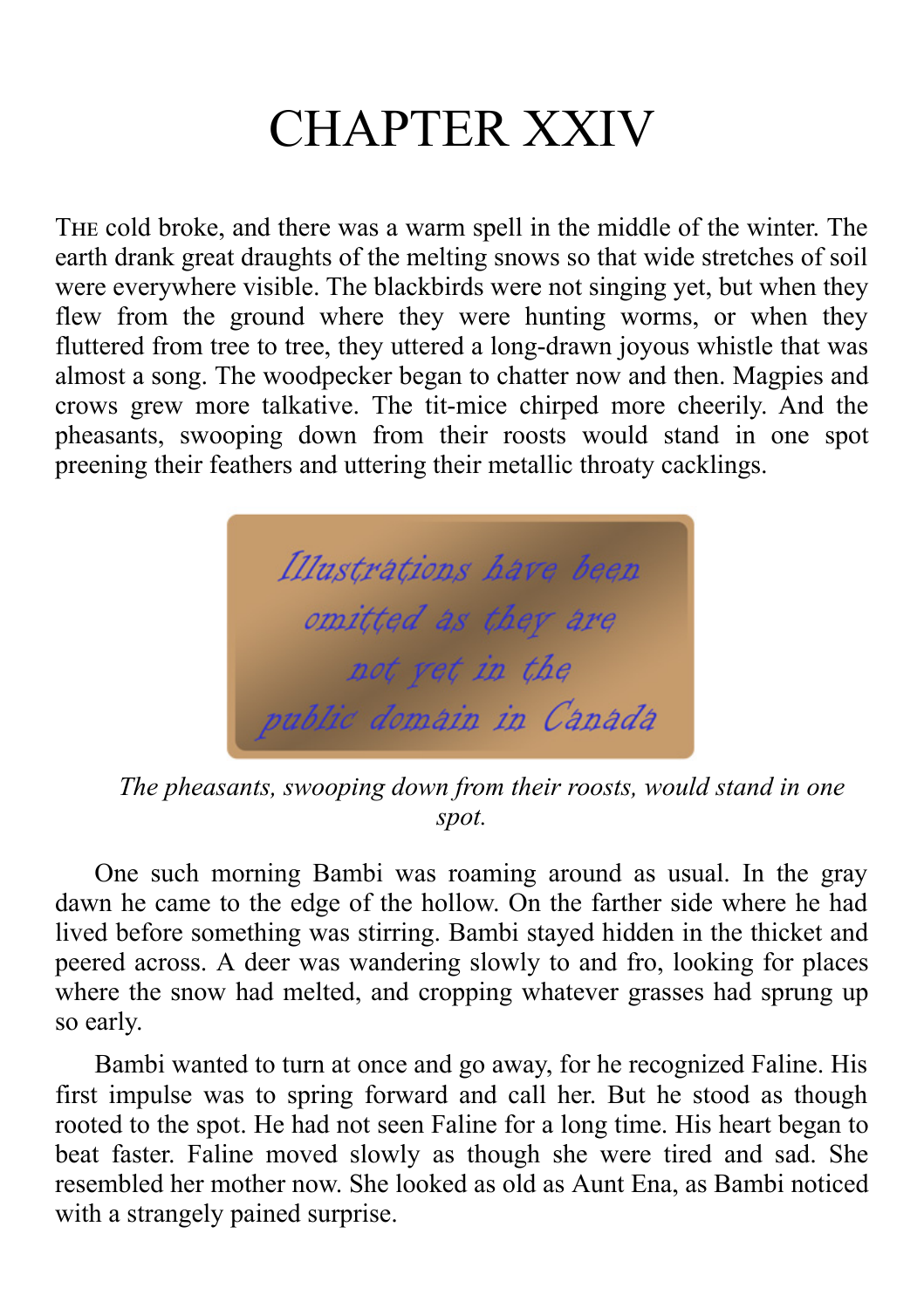# CHAPTER XXIV

THE cold broke, and there was a warm spell in the middle of the winter. The earth drank great draughts of the melting snows so that wide stretches of soil were everywhere visible. The blackbirds were not singing yet, but when they flew from the ground where they were hunting worms, or when they fluttered from tree to tree, they uttered a long-drawn joyous whistle that was almost a song. The woodpecker began to chatter now and then. Magpies and crows grew more talkative. The tit-mice chirped more cheerily. And the pheasants, swooping down from their roosts would stand in one spot preening their feathers and uttering their metallic throaty cacklings.



*The pheasants, swooping down from their roosts, would stand in one spot.*

One such morning Bambi was roaming around as usual. In the gray dawn he came to the edge of the hollow. On the farther side where he had lived before something was stirring. Bambi stayed hidden in the thicket and peered across. A deer was wandering slowly to and fro, looking for places where the snow had melted, and cropping whatever grasses had sprung up so early.

Bambi wanted to turn at once and go away, for he recognized Faline. His first impulse was to spring forward and call her. But he stood as though rooted to the spot. He had not seen Faline for a long time. His heart began to beat faster. Faline moved slowly as though she were tired and sad. She resembled her mother now. She looked as old as Aunt Ena, as Bambi noticed with a strangely pained surprise.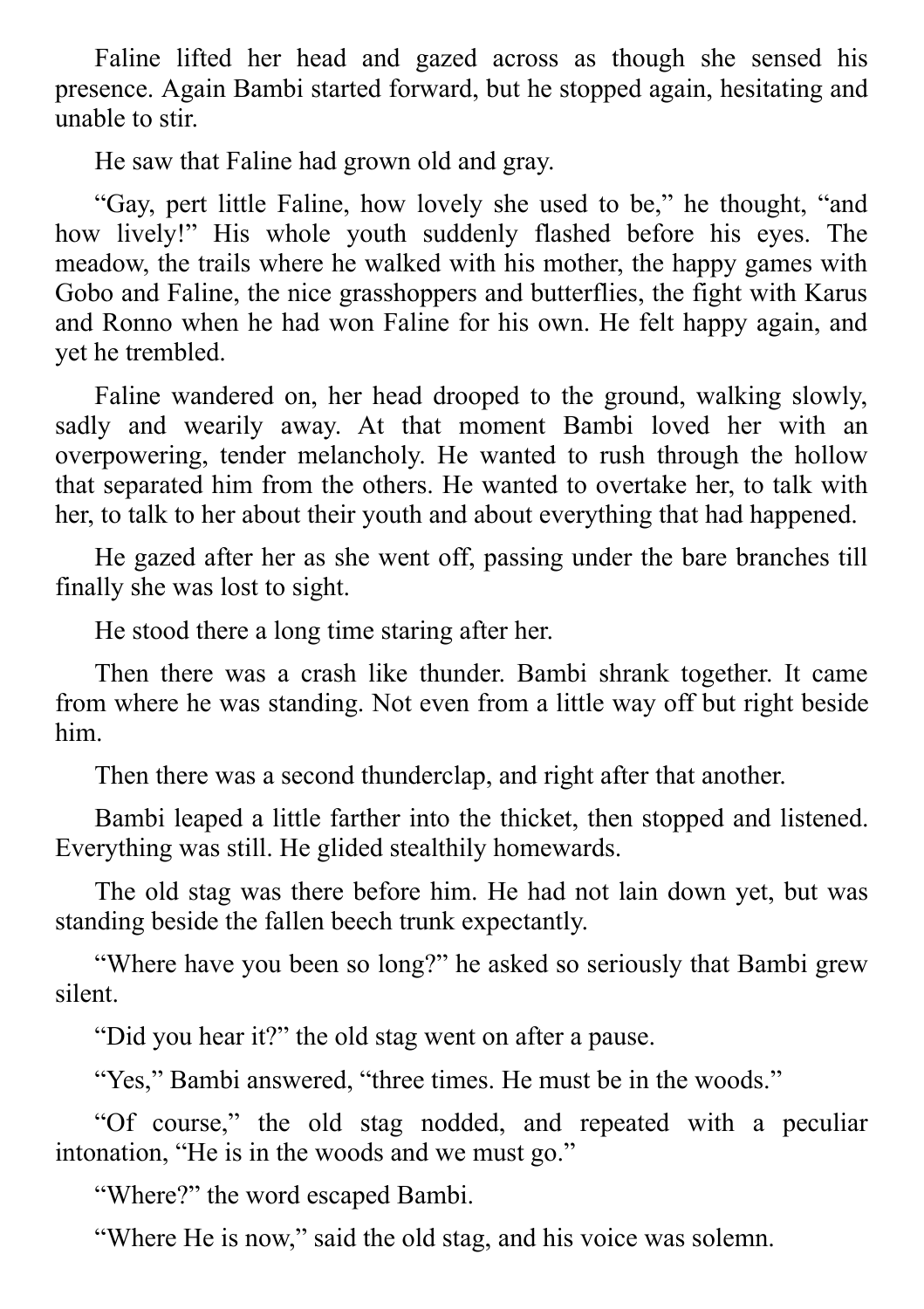Faline lifted her head and gazed across as though she sensed his presence. Again Bambi started forward, but he stopped again, hesitating and unable to stir.

He saw that Faline had grown old and gray.

"Gay, pert little Faline, how lovely she used to be," he thought, "and how lively!" His whole youth suddenly flashed before his eyes. The meadow, the trails where he walked with his mother, the happy games with Gobo and Faline, the nice grasshoppers and butterflies, the fight with Karus and Ronno when he had won Faline for his own. He felt happy again, and yet he trembled.

Faline wandered on, her head drooped to the ground, walking slowly, sadly and wearily away. At that moment Bambi loved her with an overpowering, tender melancholy. He wanted to rush through the hollow that separated him from the others. He wanted to overtake her, to talk with her, to talk to her about their youth and about everything that had happened.

He gazed after her as she went off, passing under the bare branches till finally she was lost to sight.

He stood there a long time staring after her.

Then there was a crash like thunder. Bambi shrank together. It came from where he was standing. Not even from a little way off but right beside him.

Then there was a second thunderclap, and right after that another.

Bambi leaped a little farther into the thicket, then stopped and listened. Everything was still. He glided stealthily homewards.

The old stag was there before him. He had not lain down yet, but was standing beside the fallen beech trunk expectantly.

"Where have you been so long?" he asked so seriously that Bambi grew silent.

"Did you hear it?" the old stag went on after a pause.

"Yes," Bambi answered, "three times. He must be in the woods."

"Of course," the old stag nodded, and repeated with a peculiar intonation, "He is in the woods and we must go."

"Where?" the word escaped Bambi.

"Where He is now," said the old stag, and his voice was solemn.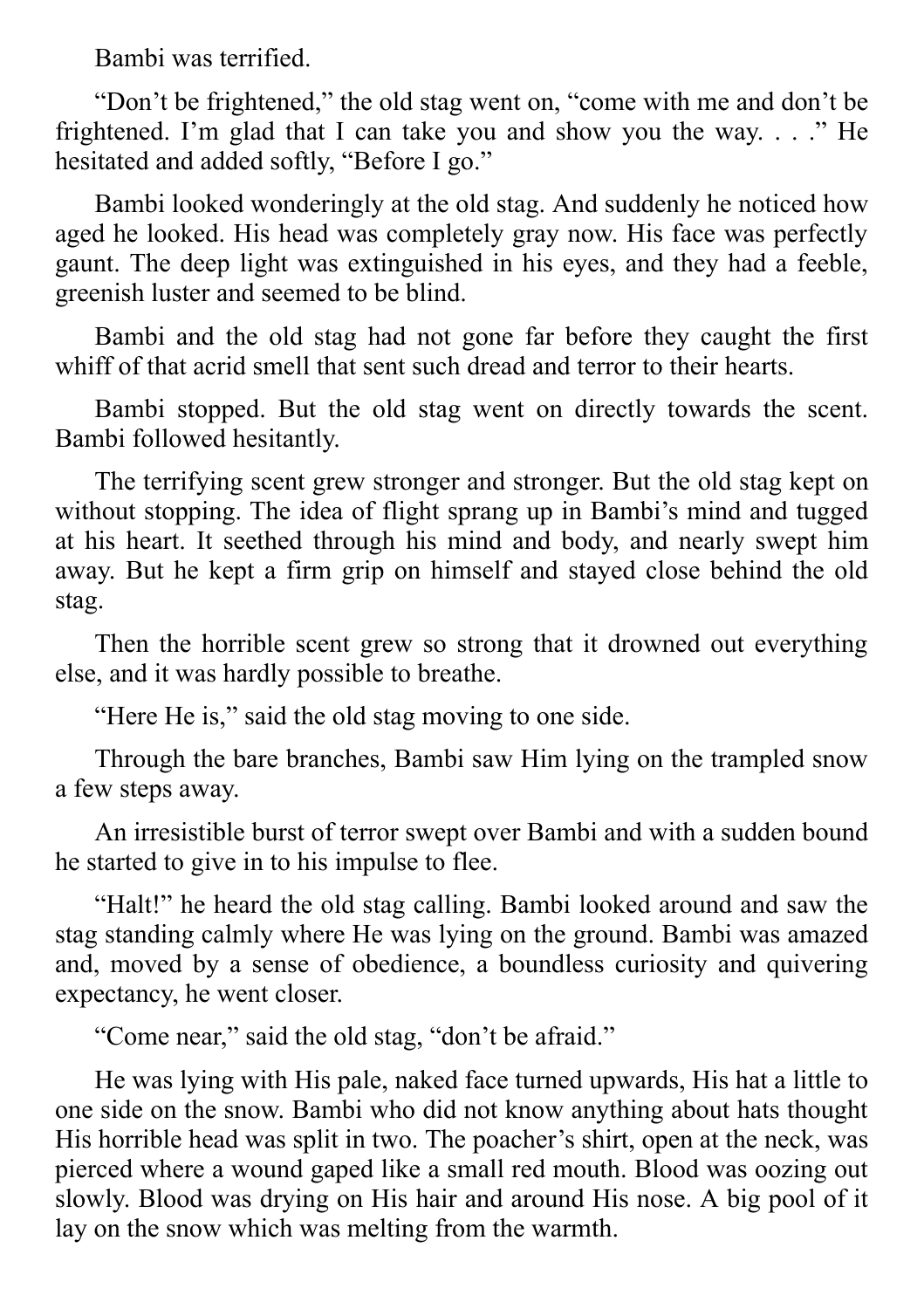Bambi was terrified.

"Don't be frightened," the old stag went on, "come with me and don't be frightened. I'm glad that I can take you and show you the way.  $\ldots$  " He hesitated and added softly, "Before I go."

Bambi looked wonderingly at the old stag. And suddenly he noticed how aged he looked. His head was completely gray now. His face was perfectly gaunt. The deep light was extinguished in his eyes, and they had a feeble, greenish luster and seemed to be blind.

Bambi and the old stag had not gone far before they caught the first whiff of that acrid smell that sent such dread and terror to their hearts.

Bambi stopped. But the old stag went on directly towards the scent. Bambi followed hesitantly.

The terrifying scent grew stronger and stronger. But the old stag kept on without stopping. The idea of flight sprang up in Bambi's mind and tugged at his heart. It seethed through his mind and body, and nearly swept him away. But he kept a firm grip on himself and stayed close behind the old stag.

Then the horrible scent grew so strong that it drowned out everything else, and it was hardly possible to breathe.

"Here He is," said the old stag moving to one side.

Through the bare branches, Bambi saw Him lying on the trampled snow a few steps away.

An irresistible burst of terror swept over Bambi and with a sudden bound he started to give in to his impulse to flee.

"Halt!" he heard the old stag calling. Bambi looked around and saw the stag standing calmly where He was lying on the ground. Bambi was amazed and, moved by a sense of obedience, a boundless curiosity and quivering expectancy, he went closer.

"Come near," said the old stag, "don't be afraid."

He was lying with His pale, naked face turned upwards, His hat a little to one side on the snow. Bambi who did not know anything about hats thought His horrible head was split in two. The poacher's shirt, open at the neck, was pierced where a wound gaped like a small red mouth. Blood was oozing out slowly. Blood was drying on His hair and around His nose. A big pool of it lay on the snow which was melting from the warmth.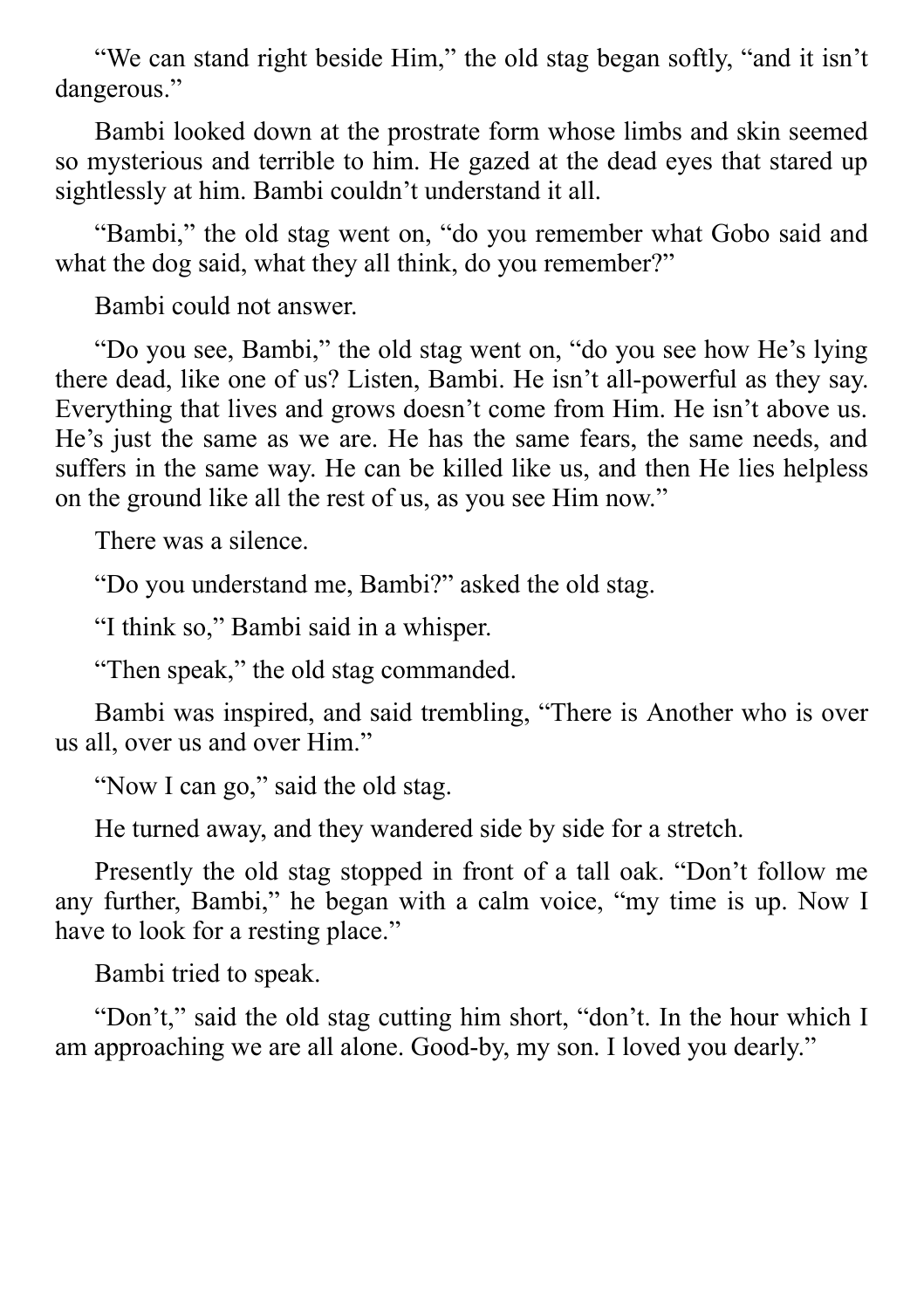"We can stand right beside Him," the old stag began softly, "and it isn't dangerous."

Bambi looked down at the prostrate form whose limbs and skin seemed so mysterious and terrible to him. He gazed at the dead eyes that stared up sightlessly at him. Bambi couldn't understand it all.

"Bambi," the old stag went on, "do you remember what Gobo said and what the dog said, what they all think, do you remember?"

Bambi could not answer.

"Do you see, Bambi," the old stag went on, "do you see how He's lying there dead, like one of us? Listen, Bambi. He isn't all-powerful as they say. Everything that lives and grows doesn't come from Him. He isn't above us. He's just the same as we are. He has the same fears, the same needs, and suffers in the same way. He can be killed like us, and then He lies helpless on the ground like all the rest of us, as you see Him now."

There was a silence.

"Do you understand me, Bambi?" asked the old stag.

"I think so," Bambi said in a whisper.

"Then speak," the old stag commanded.

Bambi was inspired, and said trembling, "There is Another who is over us all, over us and over Him."

"Now I can go," said the old stag.

He turned away, and they wandered side by side for a stretch.

Presently the old stag stopped in front of a tall oak. "Don't follow me any further, Bambi," he began with a calm voice, "my time is up. Now I have to look for a resting place."

Bambi tried to speak.

"Don't," said the old stag cutting him short, "don't. In the hour which I am approaching we are all alone. Good-by, my son. I loved you dearly."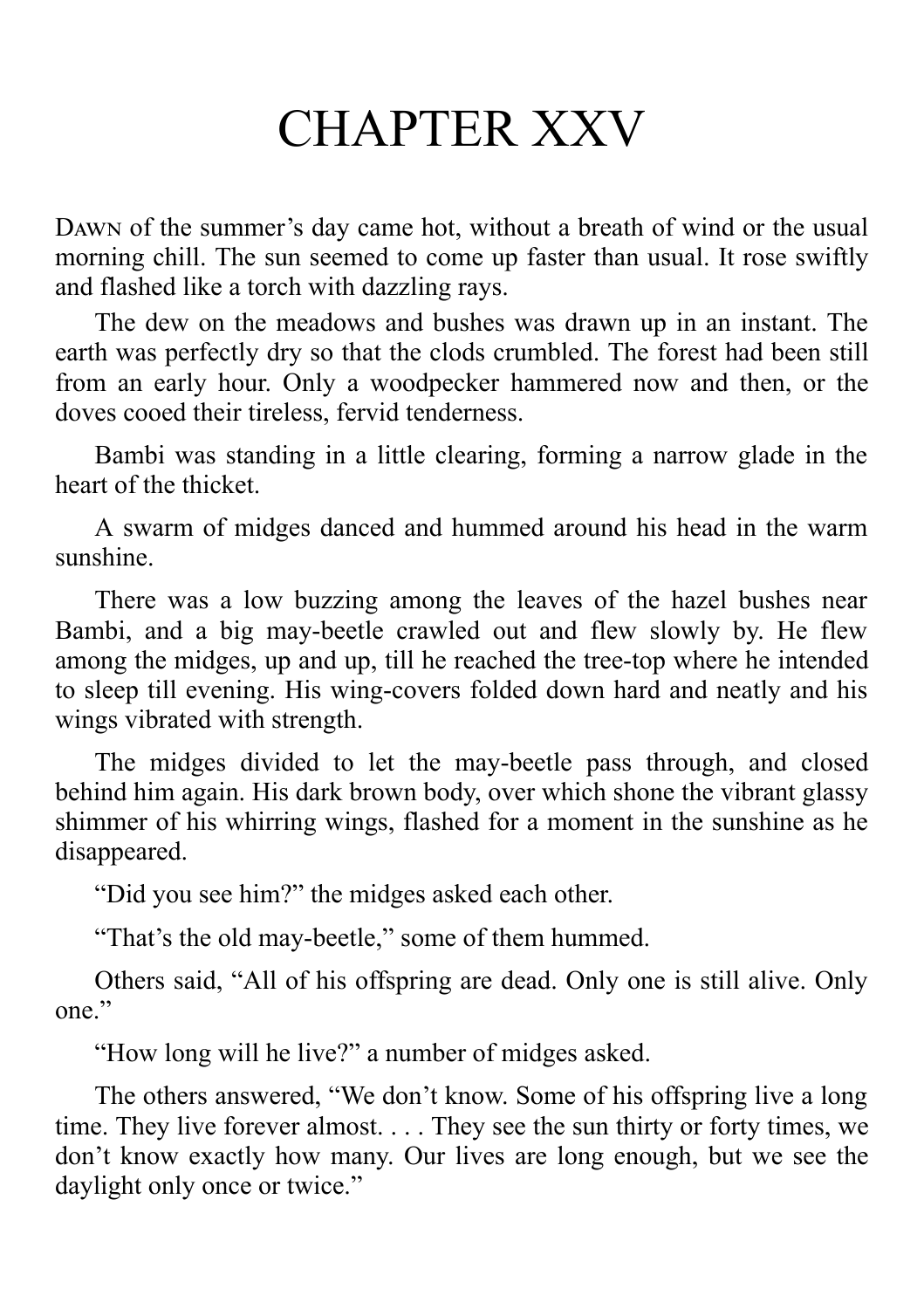### CHAPTER XXV

DAWN of the summer's day came hot, without a breath of wind or the usual morning chill. The sun seemed to come up faster than usual. It rose swiftly and flashed like a torch with dazzling rays.

The dew on the meadows and bushes was drawn up in an instant. The earth was perfectly dry so that the clods crumbled. The forest had been still from an early hour. Only a woodpecker hammered now and then, or the doves cooed their tireless, fervid tenderness.

Bambi was standing in a little clearing, forming a narrow glade in the heart of the thicket.

A swarm of midges danced and hummed around his head in the warm sunshine.

There was a low buzzing among the leaves of the hazel bushes near Bambi, and a big may-beetle crawled out and flew slowly by. He flew among the midges, up and up, till he reached the tree-top where he intended to sleep till evening. His wing-covers folded down hard and neatly and his wings vibrated with strength.

The midges divided to let the may-beetle pass through, and closed behind him again. His dark brown body, over which shone the vibrant glassy shimmer of his whirring wings, flashed for a moment in the sunshine as he disappeared.

"Did you see him?" the midges asked each other.

"That's the old may-beetle," some of them hummed.

Others said, "All of his offspring are dead. Only one is still alive. Only one."

"How long will he live?" a number of midges asked.

The others answered, "We don't know. Some of his offspring live a long time. They live forever almost. . . . They see the sun thirty or forty times, we don't know exactly how many. Our lives are long enough, but we see the daylight only once or twice."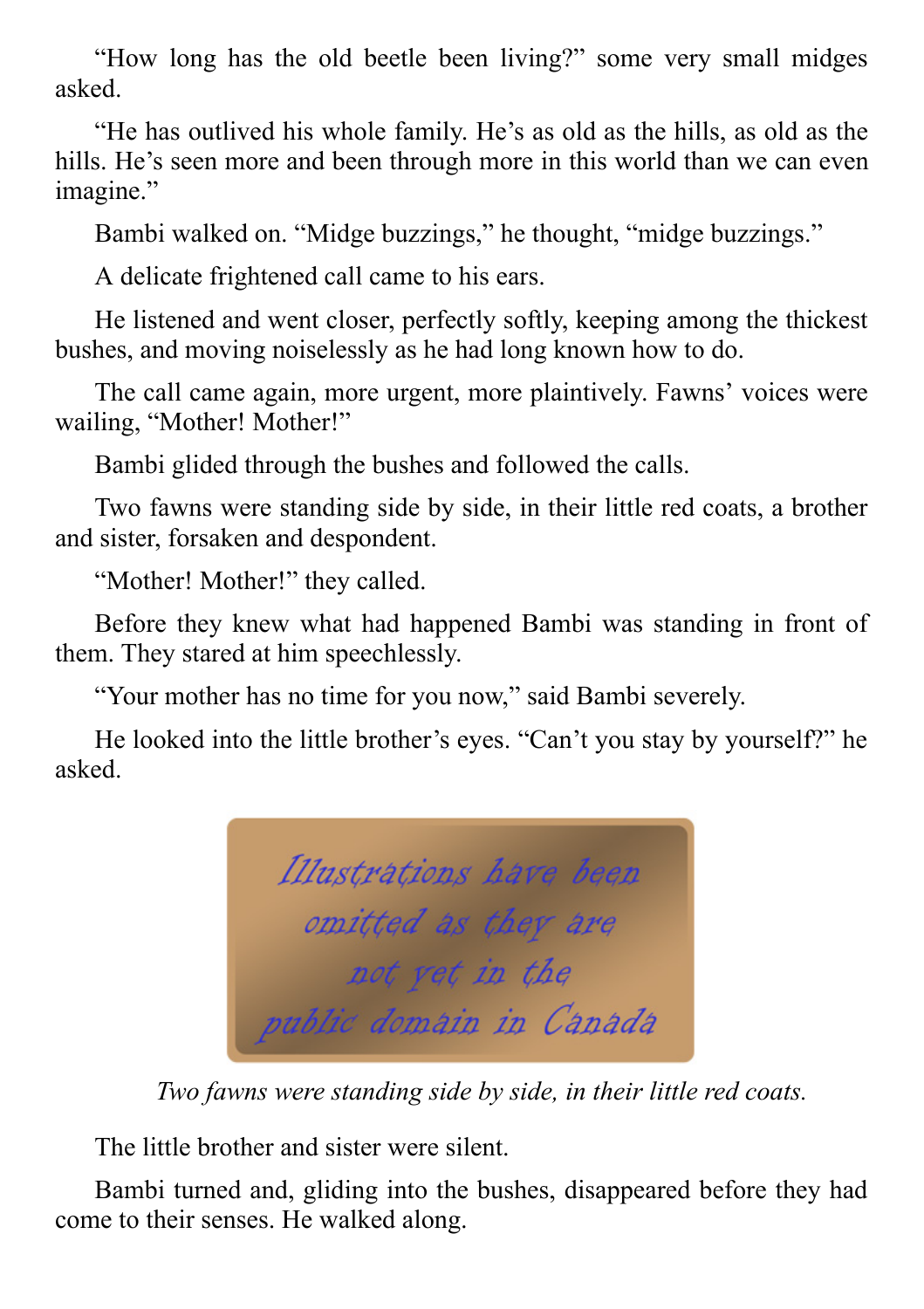"How long has the old beetle been living?" some very small midges asked.

"He has outlived his whole family. He's as old as the hills, as old as the hills. He's seen more and been through more in this world than we can even imagine."

Bambi walked on. "Midge buzzings," he thought, "midge buzzings."

A delicate frightened call came to his ears.

He listened and went closer, perfectly softly, keeping among the thickest bushes, and moving noiselessly as he had long known how to do.

The call came again, more urgent, more plaintively. Fawns' voices were wailing, "Mother! Mother!"

Bambi glided through the bushes and followed the calls.

Two fawns were standing side by side, in their little red coats, a brother and sister, forsaken and despondent.

"Mother! Mother!" they called.

Before they knew what had happened Bambi was standing in front of them. They stared at him speechlessly.

"Your mother has no time for you now," said Bambi severely.

He looked into the little brother's eyes. "Can't you stay by yourself?" he asked.



*Two fawns were standing side by side, in their little red coats.*

The little brother and sister were silent.

Bambi turned and, gliding into the bushes, disappeared before they had come to their senses. He walked along.